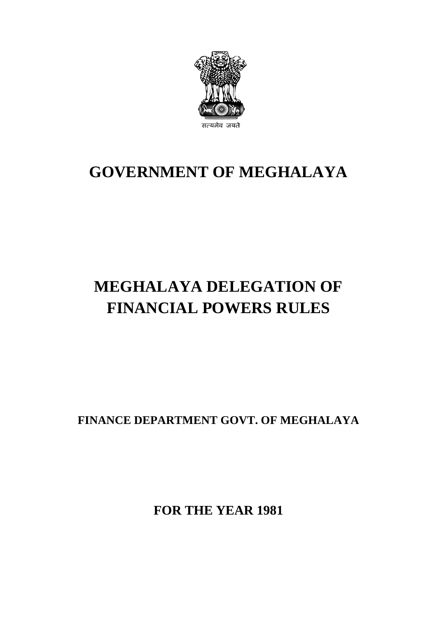

# **GOVERNMENT OF MEGHALAYA**

# **MEGHALAYA DELEGATION OF FINANCIAL POWERS RULES**

**FINANCE DEPARTMENT GOVT. OF MEGHALAYA**

**FOR THE YEAR 1981**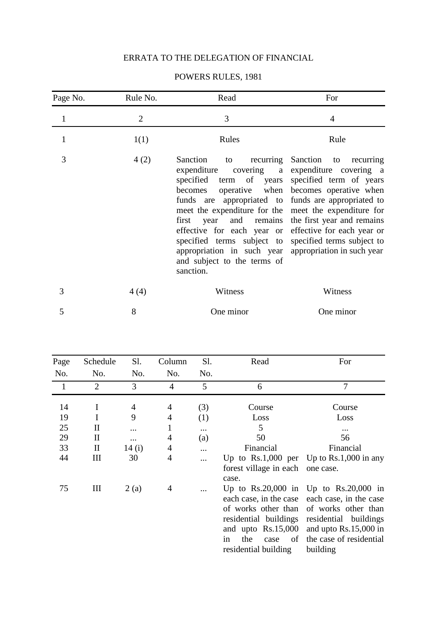# ERRATA TO THE DELEGATION OF FINANCIAL

| Page No.     | Rule No.       | Read                                                                                                                                                                                                                                                                                                                                                                                  | For                                                                                                                                                                                                                         |
|--------------|----------------|---------------------------------------------------------------------------------------------------------------------------------------------------------------------------------------------------------------------------------------------------------------------------------------------------------------------------------------------------------------------------------------|-----------------------------------------------------------------------------------------------------------------------------------------------------------------------------------------------------------------------------|
| $\mathbf{1}$ | $\overline{2}$ | 3                                                                                                                                                                                                                                                                                                                                                                                     | $\overline{4}$                                                                                                                                                                                                              |
| $\mathbf{1}$ | 1(1)           | Rules                                                                                                                                                                                                                                                                                                                                                                                 | Rule                                                                                                                                                                                                                        |
| 3            | 4(2)           | Sanction<br>to recurring Sanction<br>expenditure<br>specified term of years<br>becomes<br>funds are appropriated to funds are appropriated to<br>meet the expenditure for the meet the expenditure for<br>first year<br>effective for each year or effective for each year or<br>specified terms subject to<br>appropriation in such year<br>and subject to the terms of<br>sanction. | to recurring<br>covering a expenditure covering a<br>specified term of years<br>operative when becomes operative when<br>and remains the first year and remains<br>specified terms subject to<br>appropriation in such year |
| 3            | 4(4)           | Witness                                                                                                                                                                                                                                                                                                                                                                               | Witness                                                                                                                                                                                                                     |
| 5            | 8              | One minor                                                                                                                                                                                                                                                                                                                                                                             | One minor                                                                                                                                                                                                                   |

## POWERS RULES, 1981

| Page         | Schedule           | Sl.            | Column         | Sl. | Read                                                                    | For                                                                                                                                                                                                                                                  |
|--------------|--------------------|----------------|----------------|-----|-------------------------------------------------------------------------|------------------------------------------------------------------------------------------------------------------------------------------------------------------------------------------------------------------------------------------------------|
| No.          | No.                | No.            | No.            | No. |                                                                         |                                                                                                                                                                                                                                                      |
| $\mathbf{1}$ | $\overline{2}$     | 3              | $\overline{4}$ | 5   | 6                                                                       | 7                                                                                                                                                                                                                                                    |
| 14           | I                  | $\overline{4}$ | $\overline{4}$ | (3) | Course                                                                  | Course                                                                                                                                                                                                                                               |
| 19           | I                  | 9              | $\overline{4}$ | (1) | Loss                                                                    | Loss                                                                                                                                                                                                                                                 |
| 25           | $\mathbf{I}$       |                | 1              |     | 5                                                                       |                                                                                                                                                                                                                                                      |
| 29           | $\mathbf{I}$       | $\cdots$       | $\overline{4}$ | (a) | 50                                                                      | 56                                                                                                                                                                                                                                                   |
| 33           | $\mathbf{I}$       | 14 $(i)$       | $\overline{4}$ |     | Financial                                                               | Financial                                                                                                                                                                                                                                            |
| 44           | $\mathop{\rm III}$ | 30             | $\overline{4}$ |     | forest village in each one case.<br>case.                               | Up to $Rs.1,000$ per Up to $Rs.1,000$ in any                                                                                                                                                                                                         |
| 75           | Ш                  | 2(a)           | $\overline{4}$ |     | and upto $Rs.15,000$<br>οf<br>the<br>case<br>in<br>residential building | Up to $Rs.20,000$ in Up to $Rs.20,000$ in<br>each case, in the case each case, in the case<br>of works other than of works other than<br>residential buildings residential buildings<br>and upto Rs.15,000 in<br>the case of residential<br>building |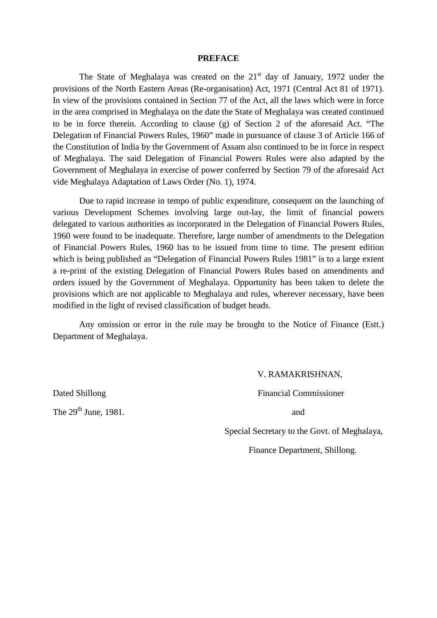#### **PREFACE**

The State of Meghalaya was created on the  $21<sup>st</sup>$  day of January, 1972 under the provisions of the North Eastern Areas (Re-organisation) Act, 1971 (Central Act 81 of 1971). In view of the provisions contained in Section 77 of the Act, all the laws which were in force in the area comprised in Meghalaya on the date the State of Meghalaya was created continued to be in force therein. According to clause (g) of Section 2 of the aforesaid Act. "The Delegation of Financial Powers Rules, 1960" made in pursuance of clause 3 of Article 166 of the Constitution of India by the Government of Assam also continued to be in force in respect of Meghalaya. The said Delegation of Financial Powers Rules were also adapted by the Government of Meghalaya in exercise of power conferred by Section 79 of the aforesaid Act vide Meghalaya Adaptation of Laws Order (No. 1), 1974.

Due to rapid increase in tempo of public expenditure, consequent on the launching of various Development Schemes involving large out-lay, the limit of financial powers delegated to various authorities as incorporated in the Delegation of Financial Powers Rules, 1960 were found to be inadequate. Therefore, large number of amendments to the Delegation of Financial Powers Rules, 1960 has to be issued from time to time. The present edition which is being published as "Delegation of Financial Powers Rules 1981" is to a large extent a re-print of the existing Delegation of Financial Powers Rules based on amendments and orders issued by the Government of Meghalaya. Opportunity has been taken to delete the provisions which are not applicable to Meghalaya and rules, wherever necessary, have been modified in the light of revised classification of budget heads.

Any omission or error in the rule may be brought to the Notice of Finance (Estt.) Department of Meghalaya.

The  $29^{th}$  June, 1981.  $\qquad \qquad$  and

### V. RAMAKRISHNAN,

Dated Shillong Financial Commissioner

Special Secretary to the Govt. of Meghalaya,

Finance Department, Shillong.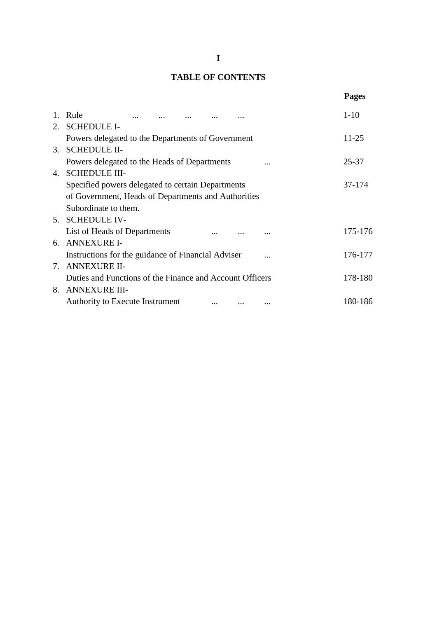# **TABLE OF CONTENTS**

|                                                          | <b>Pages</b> |
|----------------------------------------------------------|--------------|
| 1. Rule                                                  | $1-10$       |
| 2. SCHEDULE I-                                           |              |
| Powers delegated to the Departments of Government        | $11 - 25$    |
| 3. SCHEDULE II-                                          |              |
| Powers delegated to the Heads of Departments             | 25-37        |
| 4. SCHEDULE III-                                         |              |
| Specified powers delegated to certain Departments        | 37-174       |
| of Government, Heads of Departments and Authorities      |              |
| Subordinate to them.                                     |              |
| 5. SCHEDULE IV-                                          |              |
| List of Heads of Departments                             | 175-176      |
| 6. ANNEXURE I-                                           |              |
| Instructions for the guidance of Financial Adviser       | 176-177      |
| 7. ANNEXURE II-                                          |              |
| Duties and Functions of the Finance and Account Officers | 178-180      |
| 8. ANNEXURE III-                                         |              |
| Authority to Execute Instrument                          | 180-186      |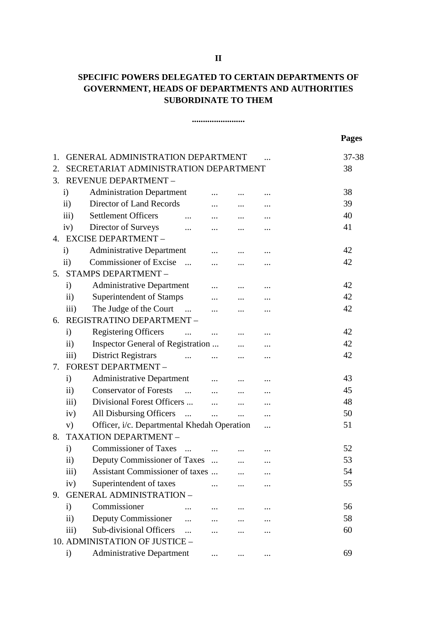# **SPECIFIC POWERS DELEGATED TO CERTAIN DEPARTMENTS OF GOVERNMENT, HEADS OF DEPARTMENTS AND AUTHORITIES SUBORDINATE TO THEM**

**........................**

|    |                         |                                                                           |                      |          |          | <b>Pages</b> |
|----|-------------------------|---------------------------------------------------------------------------|----------------------|----------|----------|--------------|
| 1. |                         | <b>GENERAL ADMINISTRATION DEPARTMENT</b>                                  |                      |          |          | 37-38        |
| 2. |                         | SECRETARIAT ADMINISTRATION DEPARTMENT                                     |                      |          |          | 38           |
| 3. |                         | REVENUE DEPARTMENT -                                                      |                      |          |          |              |
|    | $\mathbf{i}$            | <b>Administration Department</b>                                          |                      |          |          | 38           |
|    | $\mathbf{ii}$           | Director of Land Records                                                  | $\cdots$             |          |          | 39           |
|    | iii)                    | Settlement Officers                                                       | $\cdots$             |          |          | 40           |
|    | iv)                     | Director of Surveys                                                       | $\cdots$             |          |          | 41           |
|    |                         | 4. EXCISE DEPARTMENT -                                                    |                      |          |          |              |
|    | $\mathbf{i}$            | <b>Administrative Department</b>                                          | $\cdots$             |          |          | 42           |
|    | $\mathbf{ii}$           | <b>Commissioner of Excise</b><br>$\cdots$                                 | $\dddotsc$           |          |          | 42           |
|    |                         | 5. STAMPS DEPARTMENT -                                                    |                      |          |          |              |
|    | $\mathbf{i}$            | <b>Administrative Department</b>                                          |                      |          |          | 42           |
|    | $\mathbf{ii}$           | Superintendent of Stamps                                                  | $\cdots$             | $\cdots$ |          | 42           |
|    | $\overline{\text{iii}}$ | The Judge of the Court                                                    | $\dddotsc$           | $\cdots$ |          | 42           |
| 6. |                         | <b>REGISTRATINO DEPARTMENT -</b>                                          |                      |          |          |              |
|    | $\mathbf{i}$            | <b>Registering Officers</b><br>$\cdots$                                   | and the state of the |          |          | 42           |
|    | $\ddot{\text{11}})$     | Inspector General of Registration                                         |                      |          |          | 42           |
|    | iii)                    | <b>District Registrars</b><br>$\mathbf{m}$ and $\mathbf{m}$               |                      | $\cdots$ |          | 42           |
| 7. |                         | FOREST DEPARTMENT -                                                       |                      |          |          |              |
|    | $\mathbf{i}$            | Administrative Department                                                 |                      |          |          | 43           |
|    | $\mathbf{ii}$           | Conservator of Forests                                                    |                      | $\cdots$ |          | 45           |
|    | $\overline{iii}$        | Divisional Forest Officers                                                |                      | $\cdots$ |          | 48           |
|    | iv)                     | All Disbursing Officers<br>$\mathbf{r}$ and $\mathbf{r}$ and $\mathbf{r}$ |                      | $\cdots$ |          | 50           |
|    | V)                      | Officer, i/c. Departmental Khedah Operation                               |                      |          |          | 51           |
| 8. |                         | TAXATION DEPARTMENT -                                                     |                      |          |          |              |
|    | $\mathbf{i}$            | Commissioner of Taxes                                                     |                      |          |          | 52           |
|    | $\mathbf{ii}$           | Deputy Commissioner of Taxes                                              | $\cdots$             | $\cdots$ | $\cdots$ | 53           |
|    | iii)                    | Assistant Commissioner of taxes                                           |                      |          |          | 54           |
|    | iv)                     | Superintendent of taxes                                                   | $\cdots$             |          |          | 55           |
| 9. |                         | <b>GENERAL ADMINISTRATION -</b>                                           |                      |          |          |              |
|    | $\mathbf{i}$            | Commissioner                                                              |                      |          |          | 56           |
|    | $\rm ii)$               | Deputy Commissioner<br>$\dddotsc$                                         |                      |          |          | 58           |
|    | iii)                    | Sub-divisional Officers                                                   |                      |          |          | 60           |
|    |                         | 10. ADMINISTATION OF JUSTICE -                                            |                      |          |          |              |
|    | $\mathbf{i}$            | <b>Administrative Department</b>                                          |                      |          |          | 69           |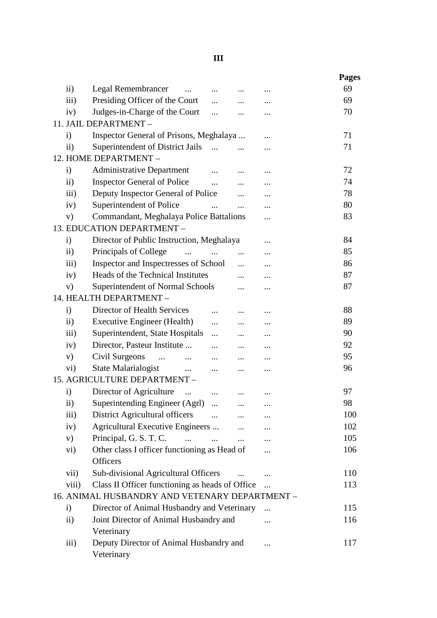# **III**

|                     |                                                 |            |            |           | <b>Pages</b> |
|---------------------|-------------------------------------------------|------------|------------|-----------|--------------|
| $\ddot{\text{1}}$   | <b>Legal Remembrancer</b>                       |            |            |           | 69           |
| iii)                | Presiding Officer of the Court                  |            | $\cdots$   | $\cdots$  | 69           |
| iv)                 | Judges-in-Charge of the Court                   | $\dddotsc$ |            |           | 70           |
|                     | 11. JAIL DEPARTMENT -                           |            |            |           |              |
| $\mathbf{i}$        | Inspector General of Prisons, Meghalaya         |            |            |           | 71           |
| $\ddot{\text{1}}$   | Superintendent of District Jails                | $\dddotsc$ | $\cdots$   |           | 71           |
|                     | 12. HOME DEPARTMENT -                           |            |            |           |              |
| $\mathbf{i}$        | <b>Administrative Department</b>                |            |            | $\ddotsc$ | 72           |
| $\mathbf{ii}$       | <b>Inspector General of Police</b>              | $\dddotsc$ | $\cdots$   |           | 74           |
| iii)                | Deputy Inspector General of Police              |            |            |           | 78           |
| iv)                 | Superintendent of Police                        |            | $\cdots$   |           | 80           |
| V)                  | Commandant, Meghalaya Police Battalions         |            |            | .         | 83           |
|                     | 13. EDUCATION DEPARTMENT -                      |            |            |           |              |
| $\mathbf{i}$        | Director of Public Instruction, Meghalaya       |            |            |           | 84           |
| $\ddot{\text{1}}$   | Principals of College<br>$\dddotsc$             | $\cdots$   | $\dddotsc$ |           | 85           |
| iii)                | Inspector and Inspectresses of School           |            | $\cdots$   |           | 86           |
| iv)                 | Heads of the Technical Institutes               |            |            |           | 87           |
| V)                  | Superintendent of Normal Schools                |            |            |           | 87           |
|                     | 14. HEALTH DEPARTMENT -                         |            |            |           |              |
| $\mathbf{i}$        | Director of Health Services                     |            |            |           | 88           |
| $\ddot{\text{11}})$ | <b>Executive Engineer (Health)</b>              |            |            |           | 89           |
| iii)                | Superintendent, State Hospitals                 | .          |            |           | 90           |
| iv)                 | Director, Pasteur Institute                     | $\cdots$   | $\cdots$   |           | 92           |
| V)                  | Civil Surgeons<br>$\sim$ $\sim$<br>$\cdots$     | $\cdots$   |            |           | 95           |
| $\rm vi)$           | State Malarialogist<br>$\ddots$                 | .          |            |           | 96           |
|                     | 15. AGRICULTURE DEPARTMENT -                    |            |            |           |              |
| $\mathbf{i}$        | Director of Agriculture                         | $\cdots$   |            |           | 97           |
| $\mathbf{ii}$       | Superintending Engineer (Agrl)                  |            |            |           | 98           |
| iii)                | District Agricultural officers                  | $\dddotsc$ |            |           | 100          |
| iv)                 | Agricultural Executive Engineers                |            |            |           | 102          |
| V)                  | Principal, G. S. T. C.                          |            | $\cdots$   |           | 105          |
| $\rm vi)$           | Other class I officer functioning as Head of    |            |            |           | 106          |
|                     | <b>Officers</b>                                 |            |            |           |              |
| vii)                | Sub-divisional Agricultural Officers            |            |            |           | 110          |
| viii)               | Class II Officer functioning as heads of Office |            |            |           | 113          |
|                     | 16. ANIMAL HUSBANDRY AND VETENARY DEPARTMENT -  |            |            |           |              |
| $\mathbf{i}$        | Director of Animal Husbandry and Veterinary     |            |            | $\cdots$  | 115          |
| $\rm ii)$           | Joint Director of Animal Husbandry and          |            |            | .         | 116          |
|                     | Veterinary                                      |            |            |           |              |
| iii)                | Deputy Director of Animal Husbandry and         |            |            |           | 117          |
|                     | Veterinary                                      |            |            |           |              |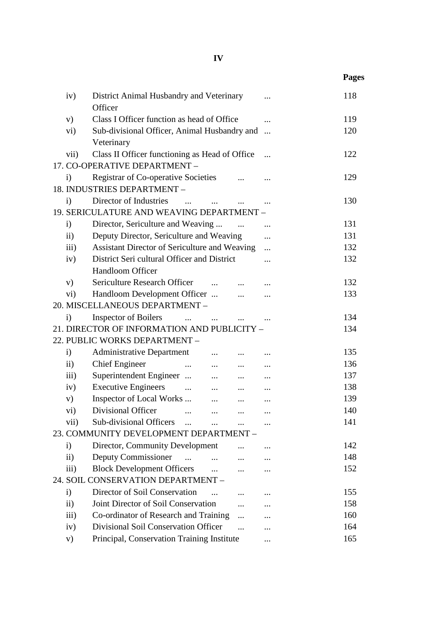|                    |                                                                                            |            | <b>Pages</b> |
|--------------------|--------------------------------------------------------------------------------------------|------------|--------------|
| iv)                | District Animal Husbandry and Veterinary<br>Officer                                        |            | 118          |
| V)                 | Class I Officer function as head of Office                                                 |            | 119          |
| $\rm vi)$          | Sub-divisional Officer, Animal Husbandry and                                               | $\dddotsc$ | 120          |
|                    | Veterinary                                                                                 |            |              |
| vii)               | Class II Officer functioning as Head of Office                                             |            | 122          |
|                    | 17. CO-OPERATIVE DEPARTMENT -                                                              |            |              |
| $\mathbf{i}$       | <b>Registrar of Co-operative Societies</b>                                                 |            | 129          |
|                    | 18. INDUSTRIES DEPARTMENT -                                                                |            |              |
| $\mathbf{i}$       | Director of Industries<br>$\sim$ $\sim$                                                    |            | 130          |
|                    | 19. SERICULATURE AND WEAVING DEPARTMENT -                                                  |            |              |
| $\mathbf{i}$       | Director, Sericulture and Weaving                                                          |            | 131          |
| $\rm ii)$          | Deputy Director, Sericulture and Weaving                                                   | .          | 131          |
| $\overline{111}$ ) | Assistant Director of Sericulture and Weaving                                              |            | 132          |
| iv)                | District Seri cultural Officer and District                                                | .          | 132          |
|                    | Handloom Officer                                                                           |            |              |
| V)                 | Sericulture Research Officer                                                               |            | 132          |
| $\rm vi)$          | Handloom Development Officer<br>$\cdots$                                                   |            | 133          |
|                    | 20. MISCELLANEOUS DEPARTMENT -                                                             |            |              |
| $\mathbf{i}$       | <b>Inspector of Boilers</b>                                                                |            | 134          |
|                    | 21. DIRECTOR OF INFORMATION AND PUBLICITY -                                                |            | 134          |
|                    | 22. PUBLIC WORKS DEPARTMENT -                                                              |            |              |
| $\mathbf{i}$       | <b>Administrative Department</b><br>$\cdots$                                               |            | 135          |
| $\rm ii)$          | <b>Chief Engineer</b><br>$\cdots$<br>$\cdots$<br>$\cdots$                                  |            | 136          |
| $\overline{iii}$   | Superintendent Engineer<br>$\ddots$<br>$\cdots$                                            |            | 137          |
| iv)                | <b>Executive Engineers</b><br>$\mathbf{r} = \mathbf{r} \mathbf{r}$<br>$\cdots$<br>$\cdots$ |            | 138          |
| V)                 | Inspector of Local Works<br>$\cdots$<br>$\ldots$                                           | $\cdots$   | 139          |
| $\rm vi)$          | Divisional Officer                                                                         |            | 140          |
| vii)               | Sub-divisional Officers                                                                    |            | 141          |
|                    | 23. COMMUNITY DEVELOPMENT DEPARTMENT -                                                     |            |              |
| $\mathbf{i}$       | Director, Community Development                                                            |            | 142          |
| $\mathbf{ii}$      | Deputy Commissioner                                                                        |            | 148          |
| iii)               | <b>Block Development Officers</b>                                                          |            | 152          |
|                    | 24. SOIL CONSERVATION DEPARTMENT -                                                         |            |              |
| $\mathbf{i}$       | Director of Soil Conservation                                                              |            | 155          |
| $\overline{11}$    | Joint Director of Soil Conservation                                                        |            | 158          |
| $\overline{iii}$ ) | Co-ordinator of Research and Training                                                      |            | 160          |
| iv)                | Divisional Soil Conservation Officer                                                       |            | 164          |
| V)                 | Principal, Conservation Training Institute                                                 |            | 165          |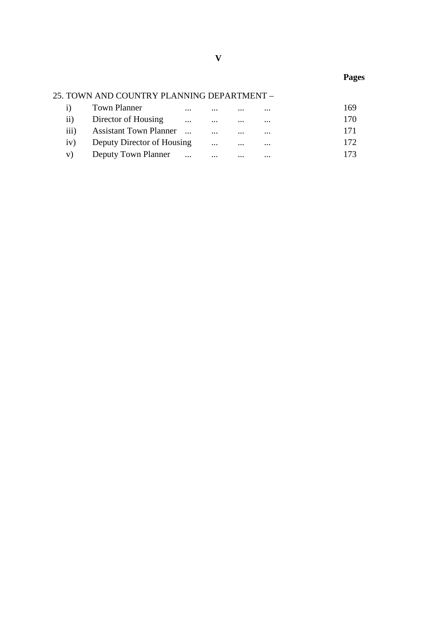# 25. TOWN AND COUNTRY PLANNING DEPARTMENT –

|    | i) Town Planner                | $\cdots$ | $\cdots$ | $\cdots$ | $\cdot \cdot \cdot$ | 169 |
|----|--------------------------------|----------|----------|----------|---------------------|-----|
|    | ii) Director of Housing        |          | $\cdots$ | $\cdots$ | $\cdots$            | 170 |
|    | iii) Assistant Town Planner    |          |          | $\cdots$ | $\cdots$            | 171 |
|    | iv) Deputy Director of Housing |          | $\cdots$ | $\cdots$ | $\cdots$            | 172 |
| V) | Deputy Town Planner            | $\cdots$ | $\cdots$ | $\cdots$ | $\cdots$            | 173 |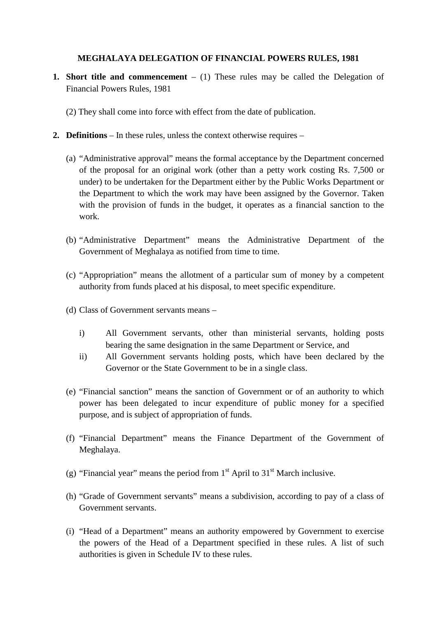## **MEGHALAYA DELEGATION OF FINANCIAL POWERS RULES, 1981**

- **1. Short title and commencement** (1) These rules may be called the Delegation of Financial Powers Rules, 1981
	- (2) They shall come into force with effect from the date of publication.
- **2. Definitions**  In these rules, unless the context otherwise requires
	- (a) "Administrative approval" means the formal acceptance by the Department concerned of the proposal for an original work (other than a petty work costing Rs. 7,500 or under) to be undertaken for the Department either by the Public Works Department or the Department to which the work may have been assigned by the Governor. Taken with the provision of funds in the budget, it operates as a financial sanction to the work.
	- (b) "Administrative Department" means the Administrative Department of the Government of Meghalaya as notified from time to time.
	- (c) "Appropriation" means the allotment of a particular sum of money by a competent authority from funds placed at his disposal, to meet specific expenditure.
	- (d) Class of Government servants means
		- i) All Government servants, other than ministerial servants, holding posts bearing the same designation in the same Department or Service, and
		- ii) All Government servants holding posts, which have been declared by the Governor or the State Government to be in a single class.
	- (e) "Financial sanction" means the sanction of Government or of an authority to which power has been delegated to incur expenditure of public money for a specified purpose, and is subject of appropriation of funds.
	- (f) "Financial Department" means the Finance Department of the Government of Meghalaya.
	- (g) "Financial year" means the period from  $1<sup>st</sup>$  April to  $31<sup>st</sup>$  March inclusive.
	- (h) "Grade of Government servants" means a subdivision, according to pay of a class of Government servants.
	- (i) "Head of a Department" means an authority empowered by Government to exercise the powers of the Head of a Department specified in these rules. A list of such authorities is given in Schedule IV to these rules.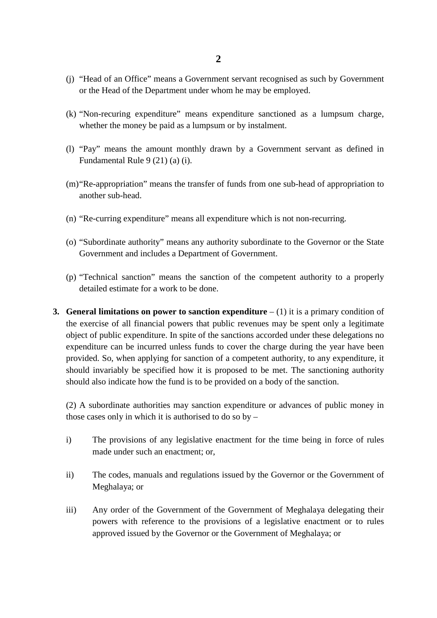- (j) "Head of an Office" means a Government servant recognised as such by Government or the Head of the Department under whom he may be employed.
- (k) "Non-recuring expenditure" means expenditure sanctioned as a lumpsum charge, whether the money be paid as a lumpsum or by instalment.
- (l) "Pay" means the amount monthly drawn by a Government servant as defined in Fundamental Rule 9 (21) (a) (i).
- (m)"Re-appropriation" means the transfer of funds from one sub-head of appropriation to another sub-head.
- (n) "Re-curring expenditure" means all expenditure which is not non-recurring.
- (o) "Subordinate authority" means any authority subordinate to the Governor or the State Government and includes a Department of Government.
- (p) "Technical sanction" means the sanction of the competent authority to a properly detailed estimate for a work to be done.
- **3. General limitations on power to sanction expenditure**  $(1)$  it is a primary condition of the exercise of all financial powers that public revenues may be spent only a legitimate object of public expenditure. In spite of the sanctions accorded under these delegations no expenditure can be incurred unless funds to cover the charge during the year have been provided. So, when applying for sanction of a competent authority, to any expenditure, it should invariably be specified how it is proposed to be met. The sanctioning authority should also indicate how the fund is to be provided on a body of the sanction.

(2) A subordinate authorities may sanction expenditure or advances of public money in those cases only in which it is authorised to do so by –

- i) The provisions of any legislative enactment for the time being in force of rules made under such an enactment; or,
- ii) The codes, manuals and regulations issued by the Governor or the Government of Meghalaya; or
- iii) Any order of the Government of the Government of Meghalaya delegating their powers with reference to the provisions of a legislative enactment or to rules approved issued by the Governor or the Government of Meghalaya; or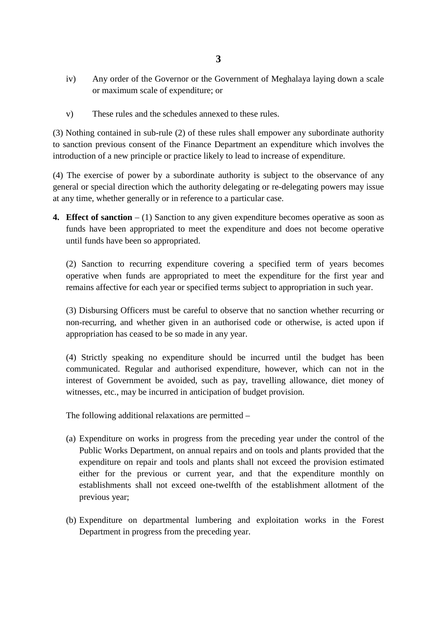- **3**
- iv) Any order of the Governor or the Government of Meghalaya laying down a scale or maximum scale of expenditure; or
- v) These rules and the schedules annexed to these rules.

(3) Nothing contained in sub-rule (2) of these rules shall empower any subordinate authority to sanction previous consent of the Finance Department an expenditure which involves the introduction of a new principle or practice likely to lead to increase of expenditure.

(4) The exercise of power by a subordinate authority is subject to the observance of any general or special direction which the authority delegating or re-delegating powers may issue at any time, whether generally or in reference to a particular case.

**4. Effect of sanction** – (1) Sanction to any given expenditure becomes operative as soon as funds have been appropriated to meet the expenditure and does not become operative until funds have been so appropriated.

(2) Sanction to recurring expenditure covering a specified term of years becomes operative when funds are appropriated to meet the expenditure for the first year and remains affective for each year or specified terms subject to appropriation in such year.

(3) Disbursing Officers must be careful to observe that no sanction whether recurring or non-recurring, and whether given in an authorised code or otherwise, is acted upon if appropriation has ceased to be so made in any year.

(4) Strictly speaking no expenditure should be incurred until the budget has been communicated. Regular and authorised expenditure, however, which can not in the interest of Government be avoided, such as pay, travelling allowance, diet money of witnesses, etc., may be incurred in anticipation of budget provision.

The following additional relaxations are permitted –

- (a) Expenditure on works in progress from the preceding year under the control of the Public Works Department, on annual repairs and on tools and plants provided that the expenditure on repair and tools and plants shall not exceed the provision estimated either for the previous or current year, and that the expenditure monthly on establishments shall not exceed one-twelfth of the establishment allotment of the previous year;
- (b) Expenditure on departmental lumbering and exploitation works in the Forest Department in progress from the preceding year.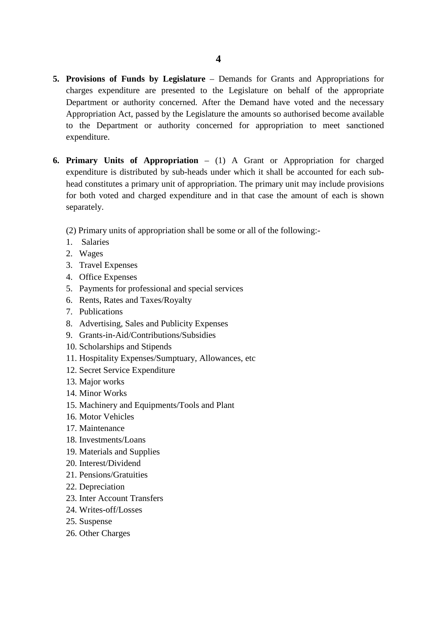- **5. Provisions of Funds by Legislature** Demands for Grants and Appropriations for charges expenditure are presented to the Legislature on behalf of the appropriate Department or authority concerned. After the Demand have voted and the necessary Appropriation Act, passed by the Legislature the amounts so authorised become available to the Department or authority concerned for appropriation to meet sanctioned expenditure.
- **6. Primary Units of Appropriation** (1) A Grant or Appropriation for charged expenditure is distributed by sub-heads under which it shall be accounted for each subhead constitutes a primary unit of appropriation. The primary unit may include provisions for both voted and charged expenditure and in that case the amount of each is shown separately.
	- (2) Primary units of appropriation shall be some or all of the following:-
	- 1. Salaries
	- 2. Wages
	- 3. Travel Expenses
	- 4. Office Expenses
	- 5. Payments for professional and special services
	- 6. Rents, Rates and Taxes/Royalty
	- 7. Publications
	- 8. Advertising, Sales and Publicity Expenses
	- 9. Grants-in-Aid/Contributions/Subsidies
	- 10. Scholarships and Stipends
	- 11. Hospitality Expenses/Sumptuary, Allowances, etc
	- 12. Secret Service Expenditure
	- 13. Major works
	- 14. Minor Works
	- 15. Machinery and Equipments/Tools and Plant
	- 16. Motor Vehicles
	- 17. Maintenance
	- 18. Investments/Loans
	- 19. Materials and Supplies
	- 20. Interest/Dividend
	- 21. Pensions/Gratuities
	- 22. Depreciation
	- 23. Inter Account Transfers
	- 24. Writes-off/Losses
	- 25. Suspense
	- 26. Other Charges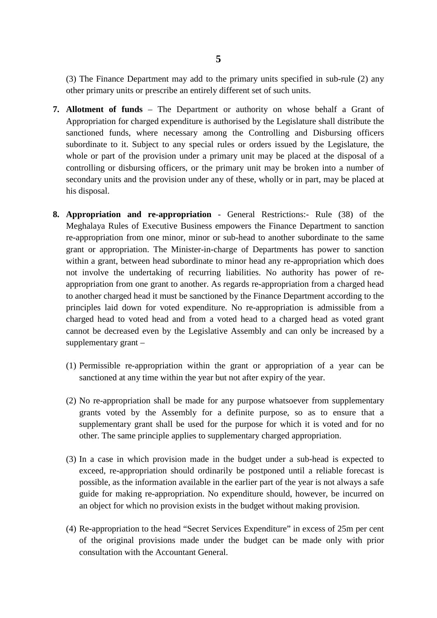(3) The Finance Department may add to the primary units specified in sub-rule (2) any other primary units or prescribe an entirely different set of such units.

- **7. Allotment of funds** The Department or authority on whose behalf a Grant of Appropriation for charged expenditure is authorised by the Legislature shall distribute the sanctioned funds, where necessary among the Controlling and Disbursing officers subordinate to it. Subject to any special rules or orders issued by the Legislature, the whole or part of the provision under a primary unit may be placed at the disposal of a controlling or disbursing officers, or the primary unit may be broken into a number of secondary units and the provision under any of these, wholly or in part, may be placed at his disposal.
- **8. Appropriation and re-appropriation** General Restrictions:- Rule (38) of the Meghalaya Rules of Executive Business empowers the Finance Department to sanction re-appropriation from one minor, minor or sub-head to another subordinate to the same grant or appropriation. The Minister-in-charge of Departments has power to sanction within a grant, between head subordinate to minor head any re-appropriation which does not involve the undertaking of recurring liabilities. No authority has power of reappropriation from one grant to another. As regards re-appropriation from a charged head to another charged head it must be sanctioned by the Finance Department according to the principles laid down for voted expenditure. No re-appropriation is admissible from a charged head to voted head and from a voted head to a charged head as voted grant cannot be decreased even by the Legislative Assembly and can only be increased by a supplementary grant –
	- (1) Permissible re-appropriation within the grant or appropriation of a year can be sanctioned at any time within the year but not after expiry of the year.
	- (2) No re-appropriation shall be made for any purpose whatsoever from supplementary grants voted by the Assembly for a definite purpose, so as to ensure that a supplementary grant shall be used for the purpose for which it is voted and for no other. The same principle applies to supplementary charged appropriation.
	- (3) In a case in which provision made in the budget under a sub-head is expected to exceed, re-appropriation should ordinarily be postponed until a reliable forecast is possible, as the information available in the earlier part of the year is not always a safe guide for making re-appropriation. No expenditure should, however, be incurred on an object for which no provision exists in the budget without making provision.
	- (4) Re-appropriation to the head "Secret Services Expenditure" in excess of 25m per cent of the original provisions made under the budget can be made only with prior consultation with the Accountant General.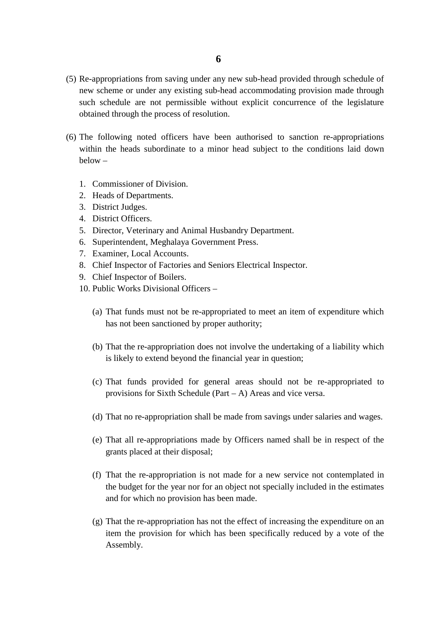- (5) Re-appropriations from saving under any new sub-head provided through schedule of new scheme or under any existing sub-head accommodating provision made through such schedule are not permissible without explicit concurrence of the legislature obtained through the process of resolution.
- (6) The following noted officers have been authorised to sanction re-appropriations within the heads subordinate to a minor head subject to the conditions laid down  $below -$ 
	- 1. Commissioner of Division.
	- 2. Heads of Departments.
	- 3. District Judges.
	- 4. District Officers.
	- 5. Director, Veterinary and Animal Husbandry Department.
	- 6. Superintendent, Meghalaya Government Press.
	- 7. Examiner, Local Accounts.
	- 8. Chief Inspector of Factories and Seniors Electrical Inspector.
	- 9. Chief Inspector of Boilers.
	- 10. Public Works Divisional Officers
		- (a) That funds must not be re-appropriated to meet an item of expenditure which has not been sanctioned by proper authority;
		- (b) That the re-appropriation does not involve the undertaking of a liability which is likely to extend beyond the financial year in question;
		- (c) That funds provided for general areas should not be re-appropriated to provisions for Sixth Schedule (Part – A) Areas and vice versa.
		- (d) That no re-appropriation shall be made from savings under salaries and wages.
		- (e) That all re-appropriations made by Officers named shall be in respect of the grants placed at their disposal;
		- (f) That the re-appropriation is not made for a new service not contemplated in the budget for the year nor for an object not specially included in the estimates and for which no provision has been made.
		- (g) That the re-appropriation has not the effect of increasing the expenditure on an item the provision for which has been specifically reduced by a vote of the Assembly.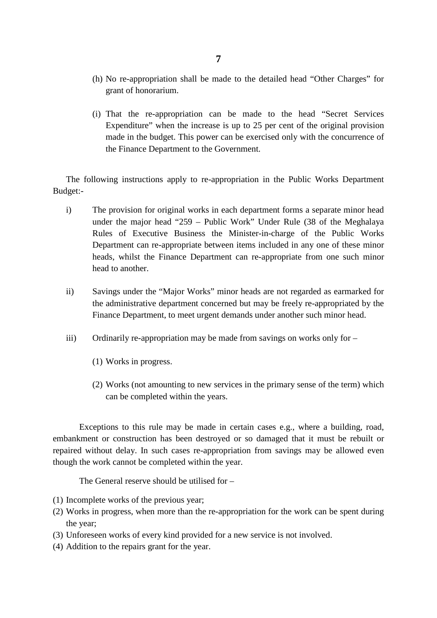- (h) No re-appropriation shall be made to the detailed head "Other Charges" for grant of honorarium.
- (i) That the re-appropriation can be made to the head "Secret Services Expenditure" when the increase is up to 25 per cent of the original provision made in the budget. This power can be exercised only with the concurrence of the Finance Department to the Government.

The following instructions apply to re-appropriation in the Public Works Department Budget:-

- i) The provision for original works in each department forms a separate minor head under the major head "259 – Public Work" Under Rule (38 of the Meghalaya Rules of Executive Business the Minister-in-charge of the Public Works Department can re-appropriate between items included in any one of these minor heads, whilst the Finance Department can re-appropriate from one such minor head to another.
- ii) Savings under the "Major Works" minor heads are not regarded as earmarked for the administrative department concerned but may be freely re-appropriated by the Finance Department, to meet urgent demands under another such minor head.
- iii) Ordinarily re-appropriation may be made from savings on works only for
	- (1) Works in progress.
	- (2) Works (not amounting to new services in the primary sense of the term) which can be completed within the years.

Exceptions to this rule may be made in certain cases e.g., where a building, road, embankment or construction has been destroyed or so damaged that it must be rebuilt or repaired without delay. In such cases re-appropriation from savings may be allowed even though the work cannot be completed within the year.

The General reserve should be utilised for –

- (1) Incomplete works of the previous year;
- (2) Works in progress, when more than the re-appropriation for the work can be spent during the year;
- (3) Unforeseen works of every kind provided for a new service is not involved.
- (4) Addition to the repairs grant for the year.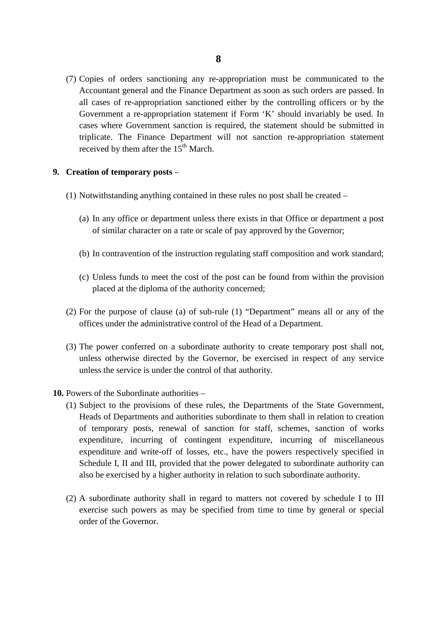(7) Copies of orders sanctioning any re-appropriation must be communicated to the Accountant general and the Finance Department as soon as such orders are passed. In all cases of re-appropriation sanctioned either by the controlling officers or by the Government a re-appropriation statement if Form 'K' should invariably be used. In cases where Government sanction is required, the statement should be submitted in triplicate. The Finance Department will not sanction re-appropriation statement received by them after the 15<sup>th</sup> March.

### **9. Creation of temporary posts** –

- (1) Notwithstanding anything contained in these rules no post shall be created
	- (a) In any office or department unless there exists in that Office or department a post of similar character on a rate or scale of pay approved by the Governor;
	- (b) In contravention of the instruction regulating staff composition and work standard;
	- (c) Unless funds to meet the cost of the post can be found from within the provision placed at the diploma of the authority concerned;
- (2) For the purpose of clause (a) of sub-rule (1) "Department" means all or any of the offices under the administrative control of the Head of a Department.
- (3) The power conferred on a subordinate authority to create temporary post shall not, unless otherwise directed by the Governor, be exercised in respect of any service unless the service is under the control of that authority.
- **10.** Powers of the Subordinate authorities
	- (1) Subject to the provisions of these rules, the Departments of the State Government, Heads of Departments and authorities subordinate to them shall in relation to creation of temporary posts, renewal of sanction for staff, schemes, sanction of works expenditure, incurring of contingent expenditure, incurring of miscellaneous expenditure and write-off of losses, etc., have the powers respectively specified in Schedule I, II and III, provided that the power delegated to subordinate authority can also be exercised by a higher authority in relation to such subordinate authority.
	- (2) A subordinate authority shall in regard to matters not covered by schedule I to III exercise such powers as may be specified from time to time by general or special order of the Governor.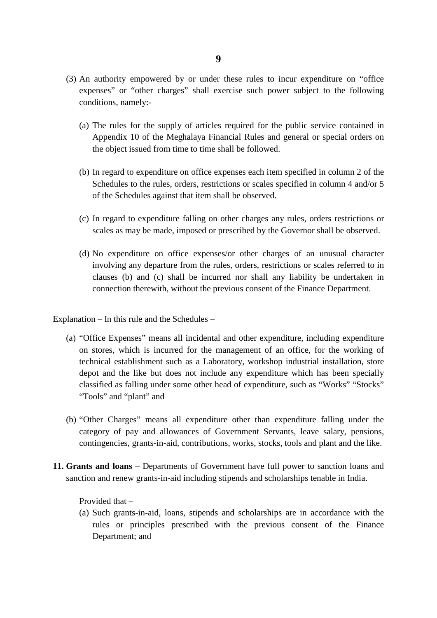- (3) An authority empowered by or under these rules to incur expenditure on "office expenses" or "other charges" shall exercise such power subject to the following conditions, namely:-
	- (a) The rules for the supply of articles required for the public service contained in Appendix 10 of the Meghalaya Financial Rules and general or special orders on the object issued from time to time shall be followed.
	- (b) In regard to expenditure on office expenses each item specified in column 2 of the Schedules to the rules, orders, restrictions or scales specified in column 4 and/or 5 of the Schedules against that item shall be observed.
	- (c) In regard to expenditure falling on other charges any rules, orders restrictions or scales as may be made, imposed or prescribed by the Governor shall be observed.
	- (d) No expenditure on office expenses/or other charges of an unusual character involving any departure from the rules, orders, restrictions or scales referred to in clauses (b) and (c) shall be incurred nor shall any liability be undertaken in connection therewith, without the previous consent of the Finance Department.

Explanation – In this rule and the Schedules –

- (a) "Office Expenses" means all incidental and other expenditure, including expenditure on stores, which is incurred for the management of an office, for the working of technical establishment such as a Laboratory, workshop industrial installation, store depot and the like but does not include any expenditure which has been specially classified as falling under some other head of expenditure, such as "Works" "Stocks" "Tools" and "plant" and
- (b) "Other Charges" means all expenditure other than expenditure falling under the category of pay and allowances of Government Servants, leave salary, pensions, contingencies, grants-in-aid, contributions, works, stocks, tools and plant and the like.
- **11. Grants and loans** Departments of Government have full power to sanction loans and sanction and renew grants-in-aid including stipends and scholarships tenable in India.

Provided that –

(a) Such grants-in-aid, loans, stipends and scholarships are in accordance with the rules or principles prescribed with the previous consent of the Finance Department; and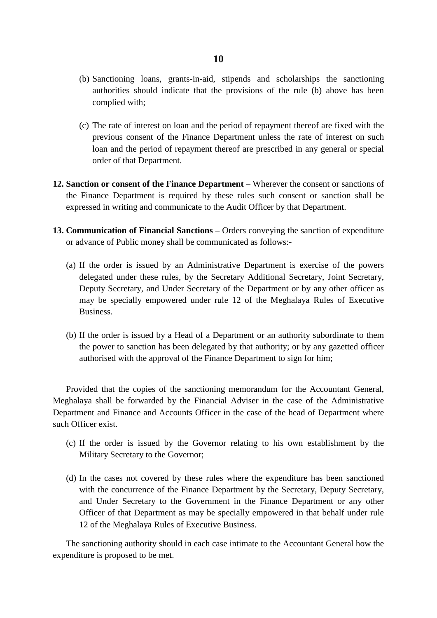- (b) Sanctioning loans, grants-in-aid, stipends and scholarships the sanctioning authorities should indicate that the provisions of the rule (b) above has been complied with;
- (c) The rate of interest on loan and the period of repayment thereof are fixed with the previous consent of the Finance Department unless the rate of interest on such loan and the period of repayment thereof are prescribed in any general or special order of that Department.
- **12. Sanction or consent of the Finance Department** Wherever the consent or sanctions of the Finance Department is required by these rules such consent or sanction shall be expressed in writing and communicate to the Audit Officer by that Department.
- **13. Communication of Financial Sanctions** Orders conveying the sanction of expenditure or advance of Public money shall be communicated as follows:-
	- (a) If the order is issued by an Administrative Department is exercise of the powers delegated under these rules, by the Secretary Additional Secretary, Joint Secretary, Deputy Secretary, and Under Secretary of the Department or by any other officer as may be specially empowered under rule 12 of the Meghalaya Rules of Executive Business.
	- (b) If the order is issued by a Head of a Department or an authority subordinate to them the power to sanction has been delegated by that authority; or by any gazetted officer authorised with the approval of the Finance Department to sign for him;

Provided that the copies of the sanctioning memorandum for the Accountant General, Meghalaya shall be forwarded by the Financial Adviser in the case of the Administrative Department and Finance and Accounts Officer in the case of the head of Department where such Officer exist.

- (c) If the order is issued by the Governor relating to his own establishment by the Military Secretary to the Governor;
- (d) In the cases not covered by these rules where the expenditure has been sanctioned with the concurrence of the Finance Department by the Secretary, Deputy Secretary, and Under Secretary to the Government in the Finance Department or any other Officer of that Department as may be specially empowered in that behalf under rule 12 of the Meghalaya Rules of Executive Business.

The sanctioning authority should in each case intimate to the Accountant General how the expenditure is proposed to be met.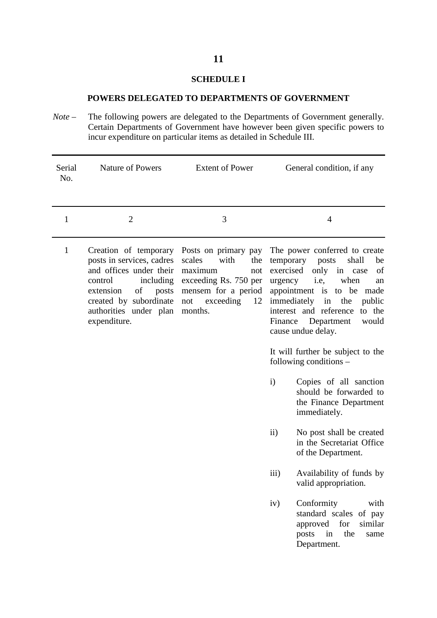### **SCHEDULE I**

### **POWERS DELEGATED TO DEPARTMENTS OF GOVERNMENT**

*Note* – The following powers are delegated to the Departments of Government generally. Certain Departments of Government have however been given specific powers to incur expenditure on particular items as detailed in Schedule III.

| Serial<br>No. | <b>Nature of Powers</b>                                                                                                                                                                               | <b>Extent of Power</b>                                                                                                                               | General condition, if any                                                                                                                                                                                                                                                                                                                                              |
|---------------|-------------------------------------------------------------------------------------------------------------------------------------------------------------------------------------------------------|------------------------------------------------------------------------------------------------------------------------------------------------------|------------------------------------------------------------------------------------------------------------------------------------------------------------------------------------------------------------------------------------------------------------------------------------------------------------------------------------------------------------------------|
| 1             | $\overline{2}$                                                                                                                                                                                        | 3                                                                                                                                                    | 4                                                                                                                                                                                                                                                                                                                                                                      |
| $\mathbf{1}$  | Creation of temporary<br>posts in services, cadres<br>and offices under their<br>including<br>control<br>of<br>extension<br>posts<br>created by subordinate<br>authorities under plan<br>expenditure. | Posts on primary pay<br>scales<br>with<br>the<br>maximum<br>not<br>exceeding Rs. 750 per<br>mensem for a period<br>exceeding<br>not<br>12<br>months. | The power conferred to create<br>shall<br>temporary posts<br>be<br>exercised<br>only<br>in<br>of<br>case<br>i.e,<br>when<br>urgency<br>an<br>appointment is to be made<br>immediately<br>in<br>the<br>public<br>interest and reference<br>to the<br>Finance Department<br>would<br>cause undue delay.<br>It will further be subject to the<br>following conditions $-$ |
|               |                                                                                                                                                                                                       |                                                                                                                                                      | $\mathbf{i}$<br>Copies of all sanction<br>should be forwarded to<br>the Finance Department<br>immediately.                                                                                                                                                                                                                                                             |
|               |                                                                                                                                                                                                       |                                                                                                                                                      | $\rm ii)$<br>No post shall be created<br>in the Secretariat Office<br>of the Department.                                                                                                                                                                                                                                                                               |
|               |                                                                                                                                                                                                       |                                                                                                                                                      | iii)<br>Availability of funds by<br>valid appropriation.                                                                                                                                                                                                                                                                                                               |
|               |                                                                                                                                                                                                       |                                                                                                                                                      | Conformity<br>iv)<br>with<br>standard scales of pay<br>approved for<br>similar<br>posts<br>in<br>the<br>same<br>Department.                                                                                                                                                                                                                                            |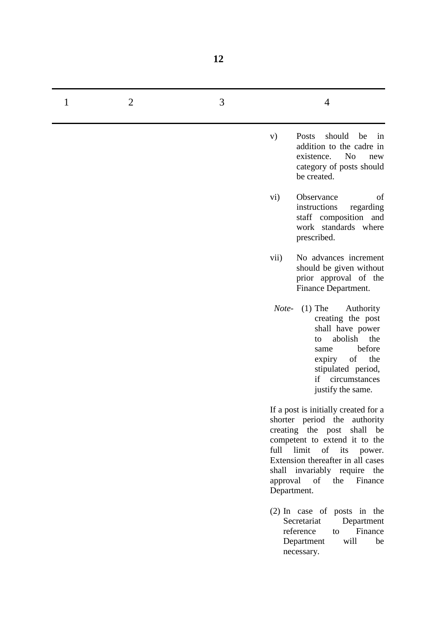| 1 | $\overline{2}$ | 3 | $\overline{4}$                                                                                                                                                                                                                                                                 |
|---|----------------|---|--------------------------------------------------------------------------------------------------------------------------------------------------------------------------------------------------------------------------------------------------------------------------------|
|   |                |   | should<br>Posts<br>be<br>V)<br>in<br>addition to the cadre in<br>N <sub>o</sub><br>existence.<br>new<br>category of posts should<br>be created.                                                                                                                                |
|   |                |   | Observance<br>vi)<br>of<br>instructions<br>regarding<br>staff composition and<br>work standards where<br>prescribed.                                                                                                                                                           |
|   |                |   | No advances increment<br>vii)<br>should be given without<br>prior approval of the<br>Finance Department.                                                                                                                                                                       |
|   |                |   | $(1)$ The<br>Note-<br>Authority<br>creating the post<br>shall have power<br>abolish<br>the<br>to<br>before<br>same<br>of<br>the<br>expiry<br>stipulated period,<br>if circumstances<br>justify the same.                                                                       |
|   |                |   | If a post is initially created for a<br>shorter period the authority<br>creating the post shall be<br>competent to extend it to the<br>full limit of its power.<br>Extension thereafter in all cases<br>shall invariably require the<br>approval of the Finance<br>Department. |
|   |                |   | $(2)$ In case of posts in the<br>Secretariat<br>Department<br>reference<br>Finance<br>to<br>will<br>Department<br>be<br>necessary.                                                                                                                                             |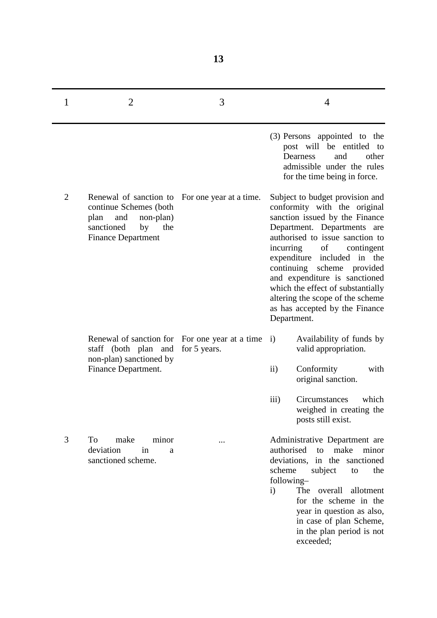| 1              | 2                                                                                                                                                            | 3            | 4                                                                                                                                                                                                                                                                                                                                                                                                                               |
|----------------|--------------------------------------------------------------------------------------------------------------------------------------------------------------|--------------|---------------------------------------------------------------------------------------------------------------------------------------------------------------------------------------------------------------------------------------------------------------------------------------------------------------------------------------------------------------------------------------------------------------------------------|
|                |                                                                                                                                                              |              | (3) Persons appointed to the<br>post will be entitled to<br>and<br>Dearness<br>other<br>admissible under the rules<br>for the time being in force.                                                                                                                                                                                                                                                                              |
| $\overline{2}$ | Renewal of sanction to For one year at a time.<br>continue Schemes (both<br>plan<br>and<br>non-plan)<br>sanctioned<br>by<br>the<br><b>Finance Department</b> |              | Subject to budget provision and<br>conformity with the original<br>sanction issued by the Finance<br>Department. Departments are<br>authorised to issue sanction to<br>incurring<br>of<br>contingent<br>expenditure included in the<br>continuing<br>scheme provided<br>and expenditure is sanctioned<br>which the effect of substantially<br>altering the scope of the scheme<br>as has accepted by the Finance<br>Department. |
|                | Renewal of sanction for For one year at a time<br>staff (both plan and<br>non-plan) sanctioned by                                                            | for 5 years. | Availability of funds by<br>$\mathbf{i}$<br>valid appropriation.                                                                                                                                                                                                                                                                                                                                                                |
|                | Finance Department.                                                                                                                                          |              | Conformity<br>$\rm ii)$<br>with<br>original sanction.                                                                                                                                                                                                                                                                                                                                                                           |
|                |                                                                                                                                                              |              | which<br>$\overline{iii}$<br>Circumstances<br>weighed in creating the<br>posts still exist.                                                                                                                                                                                                                                                                                                                                     |
| 3              | make<br>minor<br>To<br>deviation<br>in<br>a<br>sanctioned scheme.                                                                                            |              | Administrative Department are<br>authorised<br>make<br>minor<br>to<br>deviations, in the sanctioned<br>scheme<br>subject<br>the<br>to<br>following-<br>The<br>overall<br>allotment<br>$\mathbf{i}$<br>for the scheme in the<br>year in question as also,<br>in case of plan Scheme,<br>in the plan period is not<br>exceeded;                                                                                                   |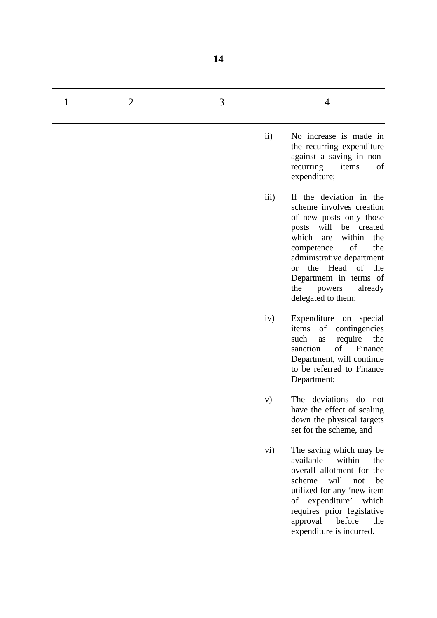| 1 | $\overline{2}$ | 3 | 4                                                                                                                                                                                                                                                                                                                           |
|---|----------------|---|-----------------------------------------------------------------------------------------------------------------------------------------------------------------------------------------------------------------------------------------------------------------------------------------------------------------------------|
|   |                |   | No increase is made in<br>$\rm ii)$<br>the recurring expenditure<br>against a saving in non-<br>recurring<br>of<br>items<br>expenditure;                                                                                                                                                                                    |
|   |                |   | iii)<br>If the deviation in the<br>scheme involves creation<br>of new posts only those<br>posts will be created<br>which<br>within<br>the<br>are<br>of<br>the<br>competence<br>administrative department<br>the Head of<br>the<br><sub>or</sub><br>Department in terms of<br>the<br>already<br>powers<br>delegated to them; |
|   |                |   | iv)<br>Expenditure on special<br>of<br>items<br>contingencies<br>such<br>the<br>require<br>as<br>of<br>sanction<br>Finance<br>Department, will continue<br>to be referred to Finance<br>Department;                                                                                                                         |
|   |                |   | The deviations do not<br>V)<br>have the effect of scaling<br>down the physical targets<br>set for the scheme, and                                                                                                                                                                                                           |
|   |                |   | The saving which may be<br>vi)<br>available<br>within<br>the<br>overall allotment for the<br>will<br>scheme<br>be<br>not<br>utilized for any 'new item<br>of expenditure' which<br>requires prior legislative<br>before<br>approval<br>the<br>expenditure is incurred.                                                      |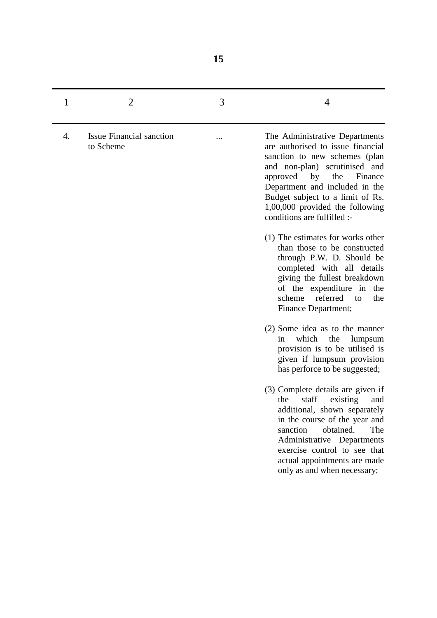| 1  | $\overline{2}$                               | 3 | 4                                                                                                                                                                                                                                                                                                                 |
|----|----------------------------------------------|---|-------------------------------------------------------------------------------------------------------------------------------------------------------------------------------------------------------------------------------------------------------------------------------------------------------------------|
| 4. | <b>Issue Financial sanction</b><br>to Scheme |   | The Administrative Departments<br>are authorised to issue financial<br>sanction to new schemes (plan<br>and non-plan) scrutinised and<br>by<br>approved<br>the<br>Finance<br>Department and included in the<br>Budget subject to a limit of Rs.<br>1,00,000 provided the following<br>conditions are fulfilled :- |
|    |                                              |   | (1) The estimates for works other<br>than those to be constructed<br>through P.W. D. Should be<br>completed with all details<br>giving the fullest breakdown<br>of the expenditure in the<br>referred<br>scheme<br>the<br>to<br>Finance Department;                                                               |
|    |                                              |   | (2) Some idea as to the manner<br>which<br>the<br>lumpsum<br>in<br>provision is to be utilised is<br>given if lumpsum provision<br>has perforce to be suggested;                                                                                                                                                  |
|    |                                              |   | (3) Complete details are given if<br>staff<br>existing<br>the<br>and<br>additional, shown separately<br>in the course of the year and<br>obtained.<br>sanction<br>The<br>Administrative Departments<br>exercise control to see that<br>actual appointments are made<br>only as and when necessary;                |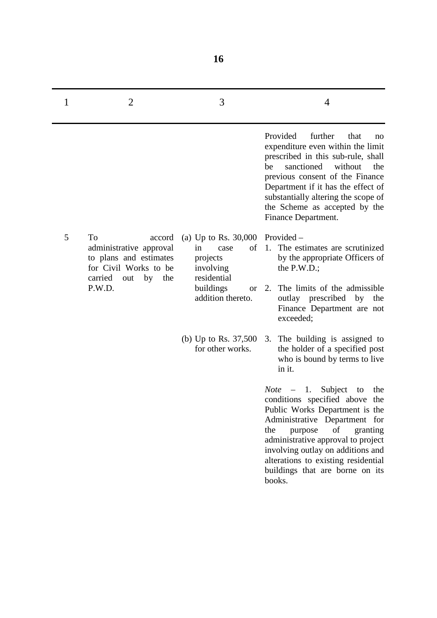| 1 | $\overline{2}$                                                                                                                   | 3                                                                                                                                            | 4                                                                                                                                                                                                                                                                                                                                            |
|---|----------------------------------------------------------------------------------------------------------------------------------|----------------------------------------------------------------------------------------------------------------------------------------------|----------------------------------------------------------------------------------------------------------------------------------------------------------------------------------------------------------------------------------------------------------------------------------------------------------------------------------------------|
|   |                                                                                                                                  |                                                                                                                                              | further<br>Provided<br>that<br>no<br>expenditure even within the limit<br>prescribed in this sub-rule, shall<br>sanctioned<br>without<br>be<br>the<br>previous consent of the Finance<br>Department if it has the effect of<br>substantially altering the scope of<br>the Scheme as accepted by the<br>Finance Department.                   |
| 5 | To<br>accord<br>administrative approval<br>to plans and estimates<br>for Civil Works to be<br>carried<br>by the<br>out<br>P.W.D. | (a) Up to Rs. $30,000$ Provided –<br>in<br>of<br>case<br>projects<br>involving<br>residential<br>buildings<br><b>or</b><br>addition thereto. | The estimates are scrutinized<br>1.<br>by the appropriate Officers of<br>the $P.W.D.$ ;<br>The limits of the admissible<br>2.<br>outlay prescribed by<br>the<br>Finance Department are not<br>exceeded;                                                                                                                                      |
|   |                                                                                                                                  | (b) Up to Rs. $37,500$<br>for other works.                                                                                                   | The building is assigned to<br>3.<br>the holder of a specified post<br>who is bound by terms to live<br>in it.                                                                                                                                                                                                                               |
|   |                                                                                                                                  |                                                                                                                                              | 1.<br>Subject<br>the<br>Note –<br>to<br>conditions specified above the<br>Public Works Department is the<br>Administrative Department for<br>of<br>the<br>granting<br>purpose<br>administrative approval to project<br>involving outlay on additions and<br>alterations to existing residential<br>buildings that are borne on its<br>books. |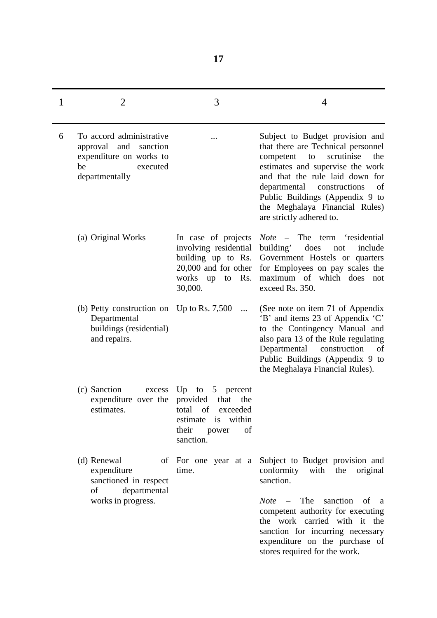| 1 | 2                                                                                                                   | 3                                                                                                                                                     | 4                                                                                                                                                                                                                                                                                                                            |
|---|---------------------------------------------------------------------------------------------------------------------|-------------------------------------------------------------------------------------------------------------------------------------------------------|------------------------------------------------------------------------------------------------------------------------------------------------------------------------------------------------------------------------------------------------------------------------------------------------------------------------------|
| 6 | To accord administrative<br>approval and<br>sanction<br>expenditure on works to<br>be<br>executed<br>departmentally | .                                                                                                                                                     | Subject to Budget provision and<br>that there are Technical personnel<br>the<br>scrutinise<br>competent<br>to<br>estimates and supervise the work<br>and that the rule laid down for<br>departmental<br>constructions<br>of<br>Public Buildings (Appendix 9 to<br>the Meghalaya Financial Rules)<br>are strictly adhered to. |
|   | (a) Original Works                                                                                                  | In case of projects<br>involving residential<br>building up to Rs.<br>$20,000$ and for other<br>Rs.<br>works up<br>to<br>30,000.                      | - The term<br>'residential<br><b>Note</b><br>does<br>building'<br>include<br>not<br>Government Hostels or quarters<br>for Employees on pay scales the<br>maximum of which does<br>not<br>exceed Rs. 350.                                                                                                                     |
|   | (b) Petty construction on Up to Rs. $7,500$<br>Departmental<br>buildings (residential)<br>and repairs.              |                                                                                                                                                       | (See note on item 71 of Appendix<br>'B' and items 23 of Appendix 'C'<br>to the Contingency Manual and<br>also para 13 of the Rule regulating<br>Departmental construction<br>of<br>Public Buildings (Appendix 9 to<br>the Meghalaya Financial Rules).                                                                        |
|   | (c) Sanction<br>excess<br>expenditure over the<br>estimates.                                                        | $Up$ to<br>5 <sup>5</sup><br>percent<br>provided<br>that<br>the<br>total<br>of<br>exceeded<br>estimate is within<br>their<br>of<br>power<br>sanction. |                                                                                                                                                                                                                                                                                                                              |
|   | (d) Renewal<br>expenditure<br>sanctioned in respect<br>departmental<br>of<br>works in progress.                     | of For one year at a<br>time.                                                                                                                         | Subject to Budget provision and<br>conformity with the original<br>sanction.<br>$Note$ – The<br>sanction<br>of a<br>competent authority for executing<br>the work carried with it the<br>sanction for incurring necessary<br>expenditure on the purchase of<br>stores required for the work.                                 |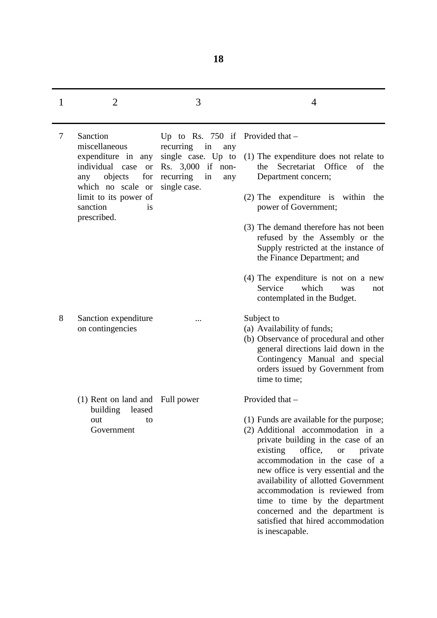| 1 | $\overline{2}$                                                                        | 3                                                                                                           | $\overline{4}$                                                                                                                                                                                                                                                                                                                                                                                                                                      |
|---|---------------------------------------------------------------------------------------|-------------------------------------------------------------------------------------------------------------|-----------------------------------------------------------------------------------------------------------------------------------------------------------------------------------------------------------------------------------------------------------------------------------------------------------------------------------------------------------------------------------------------------------------------------------------------------|
| 7 | Sanction                                                                              | Up to Rs. 750 if Provided that $-$                                                                          |                                                                                                                                                                                                                                                                                                                                                                                                                                                     |
|   | miscellaneous<br>expenditure in any<br>individual<br>case or<br>for<br>objects<br>any | recurring<br>in<br>any<br>single case. Up to<br>Rs. 3,000 if non-<br>recurring<br>in<br>any<br>single case. | (1) The expenditure does not relate to<br>Secretariat Office<br>of<br>the<br>the<br>Department concern;                                                                                                                                                                                                                                                                                                                                             |
|   | which no scale or<br>limit to its power of<br>sanction<br><i>is</i>                   |                                                                                                             | $(2)$ The expenditure is within<br>the<br>power of Government;                                                                                                                                                                                                                                                                                                                                                                                      |
|   | prescribed.                                                                           |                                                                                                             | (3) The demand therefore has not been<br>refused by the Assembly or the<br>Supply restricted at the instance of<br>the Finance Department; and                                                                                                                                                                                                                                                                                                      |
|   |                                                                                       |                                                                                                             | $(4)$ The expenditure is not on a new<br>Service<br>which<br>was<br>not<br>contemplated in the Budget.                                                                                                                                                                                                                                                                                                                                              |
| 8 | Sanction expenditure<br>on contingencies                                              |                                                                                                             | Subject to<br>(a) Availability of funds;<br>(b) Observance of procedural and other<br>general directions laid down in the<br>Contingency Manual and special<br>orders issued by Government from<br>time to time;                                                                                                                                                                                                                                    |
|   | (1) Rent on land and<br>building<br>leased                                            | Full power                                                                                                  | Provided that -                                                                                                                                                                                                                                                                                                                                                                                                                                     |
|   | out<br>to<br>Government                                                               |                                                                                                             | (1) Funds are available for the purpose;<br>(2) Additional accommodation in a<br>private building in the case of an<br>existing<br>office,<br><b>or</b><br>private<br>accommodation in the case of a<br>new office is very essential and the<br>availability of allotted Government<br>accommodation is reviewed from<br>time to time by the department<br>concerned and the department is<br>satisfied that hired accommodation<br>is inescapable. |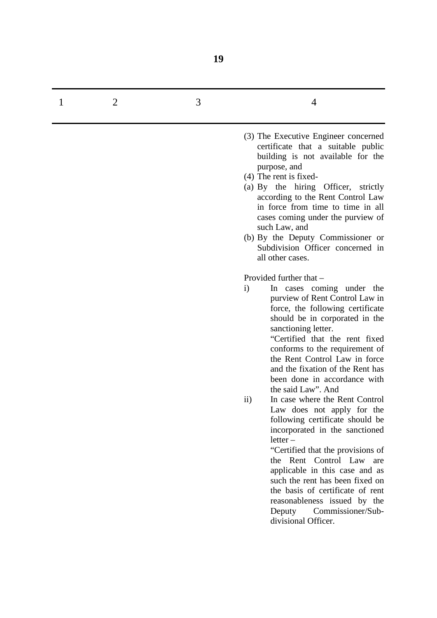| 1 | 2 | 3 | 4                                                                                                                                                                                                                                                                                                                                                                                                                                                                                                                                                                                                                                                                                                                                                                                                           |
|---|---|---|-------------------------------------------------------------------------------------------------------------------------------------------------------------------------------------------------------------------------------------------------------------------------------------------------------------------------------------------------------------------------------------------------------------------------------------------------------------------------------------------------------------------------------------------------------------------------------------------------------------------------------------------------------------------------------------------------------------------------------------------------------------------------------------------------------------|
|   |   |   | (3) The Executive Engineer concerned<br>certificate that a suitable public<br>building is not available for the<br>purpose, and<br>$(4)$ The rent is fixed-<br>(a) By the hiring Officer, strictly<br>according to the Rent Control Law<br>in force from time to time in all<br>cases coming under the purview of<br>such Law, and<br>(b) By the Deputy Commissioner or<br>Subdivision Officer concerned in<br>all other cases.                                                                                                                                                                                                                                                                                                                                                                             |
|   |   |   | Provided further that -<br>$\mathbf{i}$<br>In cases coming under the<br>purview of Rent Control Law in<br>force, the following certificate<br>should be in corporated in the<br>sanctioning letter.<br>"Certified that the rent fixed<br>conforms to the requirement of<br>the Rent Control Law in force<br>and the fixation of the Rent has<br>been done in accordance with<br>the said Law". And<br>In case where the Rent Control<br>$\rm ii)$<br>Law does not apply for the<br>following certificate should be<br>incorporated in the sanctioned<br>$letter -$<br>"Certified that the provisions of<br>the Rent Control Law<br>are<br>applicable in this case and as<br>such the rent has been fixed on<br>the basis of certificate of rent<br>reasonableness issued by the<br>Deputy Commissioner/Sub- |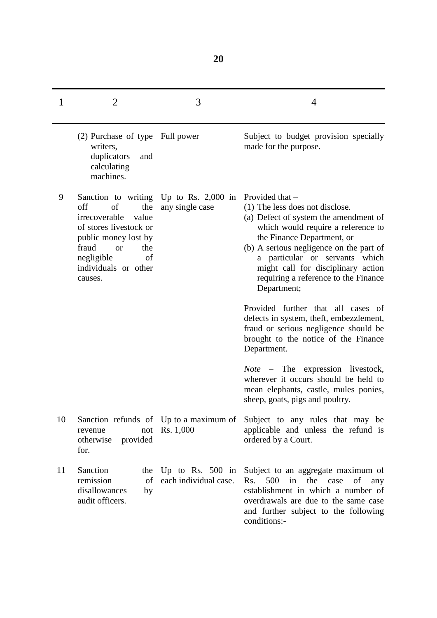| 1  | $\overline{2}$                                                                                                                                                                                          | 3                                                   | 4                                                                                                                                                                                                                                                                                                                                         |
|----|---------------------------------------------------------------------------------------------------------------------------------------------------------------------------------------------------------|-----------------------------------------------------|-------------------------------------------------------------------------------------------------------------------------------------------------------------------------------------------------------------------------------------------------------------------------------------------------------------------------------------------|
|    | (2) Purchase of type Full power<br>writers,<br>duplicators<br>and<br>calculating<br>machines.                                                                                                           |                                                     | Subject to budget provision specially<br>made for the purpose.                                                                                                                                                                                                                                                                            |
| 9  | Sanction to writing<br>off<br>of<br>the<br>irrecoverable<br>value<br>of stores livestock or<br>public money lost by<br>fraud<br>the<br><b>or</b><br>negligible<br>of<br>individuals or other<br>causes. | Up to Rs. $2,000$ in<br>any single case             | Provided that -<br>(1) The less does not disclose.<br>(a) Defect of system the amendment of<br>which would require a reference to<br>the Finance Department, or<br>(b) A serious negligence on the part of<br>a particular or servants which<br>might call for disciplinary action<br>requiring a reference to the Finance<br>Department; |
|    |                                                                                                                                                                                                         |                                                     | Provided further that all cases of<br>defects in system, theft, embezzlement,<br>fraud or serious negligence should be<br>brought to the notice of the Finance<br>Department.                                                                                                                                                             |
|    |                                                                                                                                                                                                         |                                                     | <i>Note</i> – The expression livestock,<br>wherever it occurs should be held to<br>mean elephants, castle, mules ponies,<br>sheep, goats, pigs and poultry.                                                                                                                                                                               |
| 10 | not<br>revenue<br>otherwise<br>provided<br>for.                                                                                                                                                         | Sanction refunds of Up to a maximum of<br>Rs. 1,000 | Subject to any rules that may be<br>applicable and unless the refund is<br>ordered by a Court.                                                                                                                                                                                                                                            |
| 11 | Sanction<br>the<br>remission<br>of<br>disallowances<br>by<br>audit officers.                                                                                                                            | Up to Rs. $500$ in<br>each individual case.         | Subject to an aggregate maximum of<br>500<br>the case<br>Rs.<br>in<br>of<br>any<br>establishment in which a number of<br>overdrawals are due to the same case<br>and further subject to the following<br>conditions:-                                                                                                                     |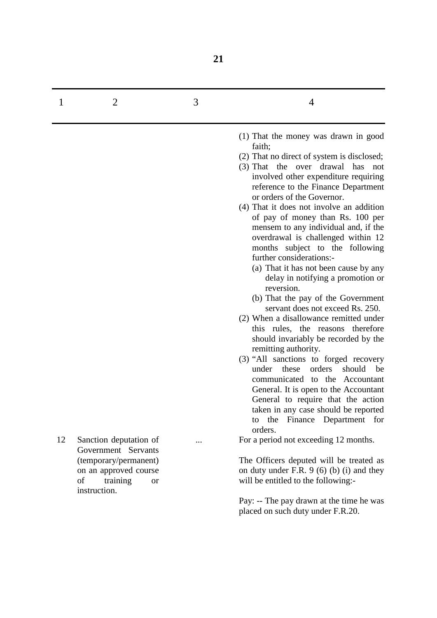| 1  | $\overline{2}$                                                                                                                 | 3 | 4                                                                                                                                                                                                                                                                                                                                                                                                                                                                                                                                                                                                                                                                                                                                                                                                                                                                                                                                                                                                                                                                                                  |
|----|--------------------------------------------------------------------------------------------------------------------------------|---|----------------------------------------------------------------------------------------------------------------------------------------------------------------------------------------------------------------------------------------------------------------------------------------------------------------------------------------------------------------------------------------------------------------------------------------------------------------------------------------------------------------------------------------------------------------------------------------------------------------------------------------------------------------------------------------------------------------------------------------------------------------------------------------------------------------------------------------------------------------------------------------------------------------------------------------------------------------------------------------------------------------------------------------------------------------------------------------------------|
|    |                                                                                                                                |   | (1) That the money was drawn in good<br>faith;<br>(2) That no direct of system is disclosed;<br>(3) That the over drawal<br>has<br>not<br>involved other expenditure requiring<br>reference to the Finance Department<br>or orders of the Governor.<br>(4) That it does not involve an addition<br>of pay of money than Rs. 100 per<br>mensem to any individual and, if the<br>overdrawal is challenged within 12<br>months subject to the following<br>further considerations:-<br>(a) That it has not been cause by any<br>delay in notifying a promotion or<br>reversion.<br>(b) That the pay of the Government<br>servant does not exceed Rs. 250.<br>(2) When a disallowance remitted under<br>this rules, the reasons therefore<br>should invariably be recorded by the<br>remitting authority.<br>(3) "All sanctions to forged recovery<br>these<br>orders<br>under<br>should<br>be<br>communicated to the Accountant<br>General. It is open to the Accountant<br>General to require that the action<br>taken in any case should be reported<br>the Finance Department for<br>to<br>orders. |
| 12 | Sanction deputation of<br>Government Servants<br>(temporary/permanent)<br>on an approved course<br>of<br>training<br><b>or</b> |   | For a period not exceeding 12 months.<br>The Officers deputed will be treated as<br>on duty under F.R. $9(6)(b)(i)$ and they<br>will be entitled to the following:-                                                                                                                                                                                                                                                                                                                                                                                                                                                                                                                                                                                                                                                                                                                                                                                                                                                                                                                                |
|    | instruction.                                                                                                                   |   | Pay: -- The pay drawn at the time he was<br>placed on such duty under F.R.20.                                                                                                                                                                                                                                                                                                                                                                                                                                                                                                                                                                                                                                                                                                                                                                                                                                                                                                                                                                                                                      |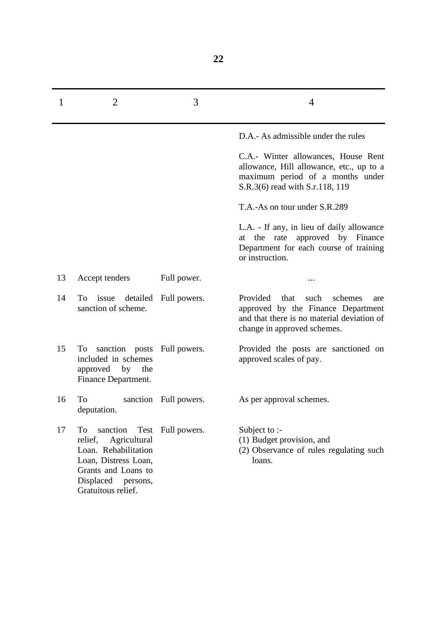| 1  | 2                                                                                                                                                                       | 3                     | 4                                                                                                                                                          |
|----|-------------------------------------------------------------------------------------------------------------------------------------------------------------------------|-----------------------|------------------------------------------------------------------------------------------------------------------------------------------------------------|
|    |                                                                                                                                                                         |                       | D.A.- As admissible under the rules                                                                                                                        |
|    |                                                                                                                                                                         |                       | C.A.- Winter allowances, House Rent<br>allowance, Hill allowance, etc., up to a<br>maximum period of a months under<br>S.R.3(6) read with S.r.118, 119     |
|    |                                                                                                                                                                         |                       | T.A.-As on tour under S.R.289                                                                                                                              |
|    |                                                                                                                                                                         |                       | L.A. - If any, in lieu of daily allowance<br>rate approved by Finance<br>at the<br>Department for each course of training<br>or instruction.               |
| 13 | Accept tenders                                                                                                                                                          | Full power.           |                                                                                                                                                            |
| 14 | To issue detailed Full powers.<br>sanction of scheme.                                                                                                                   |                       | Provided that<br>such<br>schemes<br>are<br>approved by the Finance Department<br>and that there is no material deviation of<br>change in approved schemes. |
| 15 | To sanction posts<br>included in schemes<br>approved by the<br>Finance Department.                                                                                      | Full powers.          | Provided the posts are sanctioned on<br>approved scales of pay.                                                                                            |
| 16 | To<br>deputation.                                                                                                                                                       | sanction Full powers. | As per approval schemes.                                                                                                                                   |
| 17 | Test<br>To<br>sanction<br>relief,<br>Agricultural<br>Loan. Rehabilitation<br>Loan, Distress Loan,<br>Grants and Loans to<br>Displaced<br>persons,<br>Gratuitous relief. | Full powers.          | Subject to :-<br>(1) Budget provision, and<br>(2) Observance of rules regulating such<br>loans.                                                            |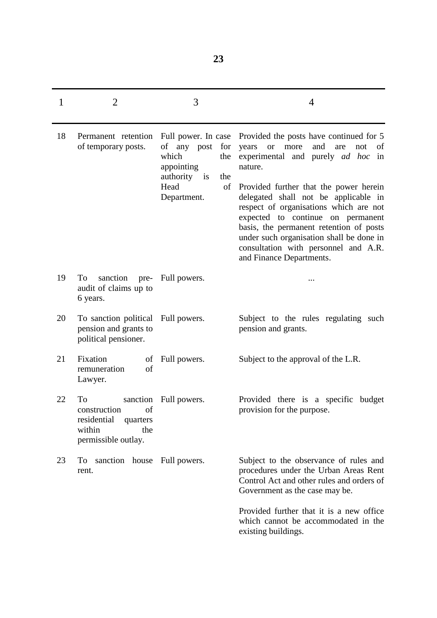| 1  | $\overline{2}$                                                                                          | 3                                                                                                                           | $\overline{4}$                                                                                                                                                                                                                                                                                                                                                                                                                                                                      |
|----|---------------------------------------------------------------------------------------------------------|-----------------------------------------------------------------------------------------------------------------------------|-------------------------------------------------------------------------------------------------------------------------------------------------------------------------------------------------------------------------------------------------------------------------------------------------------------------------------------------------------------------------------------------------------------------------------------------------------------------------------------|
| 18 | Permanent retention<br>of temporary posts.                                                              | Full power. In case<br>of any post<br>for<br>which<br>the<br>appointing<br>authority is<br>the<br>Head<br>of<br>Department. | Provided the posts have continued for 5<br>and<br>years<br>more<br>of<br><b>or</b><br>are<br>not<br>experimental and purely <i>ad hoc</i> in<br>nature.<br>Provided further that the power herein<br>delegated shall not be applicable in<br>respect of organisations which are not<br>expected to continue on permanent<br>basis, the permanent retention of posts<br>under such organisation shall be done in<br>consultation with personnel and A.R.<br>and Finance Departments. |
| 19 | sanction pre- Full powers.<br>To<br>audit of claims up to<br>6 years.                                   |                                                                                                                             |                                                                                                                                                                                                                                                                                                                                                                                                                                                                                     |
| 20 | To sanction political Full powers.<br>pension and grants to<br>political pensioner.                     |                                                                                                                             | Subject to the rules regulating such<br>pension and grants.                                                                                                                                                                                                                                                                                                                                                                                                                         |
| 21 | Fixation<br>of<br>of<br>remuneration<br>Lawyer.                                                         | Full powers.                                                                                                                | Subject to the approval of the L.R.                                                                                                                                                                                                                                                                                                                                                                                                                                                 |
| 22 | To<br>sanction<br>of<br>construction<br>residential<br>quarters<br>within<br>the<br>permissible outlay. | Full powers.                                                                                                                | Provided there is a specific budget<br>provision for the purpose.                                                                                                                                                                                                                                                                                                                                                                                                                   |
| 23 | sanction house<br>To<br>rent.                                                                           | Full powers.                                                                                                                | Subject to the observance of rules and<br>procedures under the Urban Areas Rent<br>Control Act and other rules and orders of<br>Government as the case may be.                                                                                                                                                                                                                                                                                                                      |
|    |                                                                                                         |                                                                                                                             | Provided further that it is a new office.<br>which cannot be accommodated in the<br>existing buildings.                                                                                                                                                                                                                                                                                                                                                                             |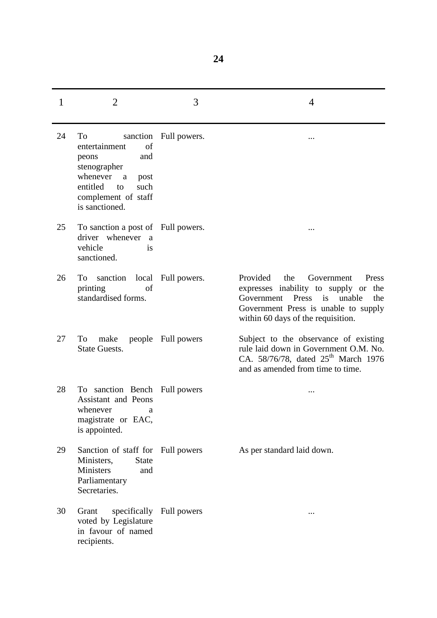| 1  | $\overline{2}$                                                                                                                                     | 3                        | 4                                                                                                                                                                                                    |
|----|----------------------------------------------------------------------------------------------------------------------------------------------------|--------------------------|------------------------------------------------------------------------------------------------------------------------------------------------------------------------------------------------------|
| 24 | To<br>of<br>entertainment<br>peons<br>and<br>stenographer<br>whenever a<br>post<br>such<br>entitled<br>to<br>complement of staff<br>is sanctioned. | sanction Full powers.    | .                                                                                                                                                                                                    |
| 25 | To sanction a post of Full powers.<br>driver whenever a<br>vehicle<br>is<br>sanctioned.                                                            |                          |                                                                                                                                                                                                      |
| 26 | sanction<br>To<br>of<br>printing<br>standardised forms.                                                                                            | local Full powers.       | Provided<br>the<br>Government<br>Press<br>expresses inability to supply or<br>the<br>Government Press is unable<br>the<br>Government Press is unable to supply<br>within 60 days of the requisition. |
| 27 | make<br>To<br><b>State Guests.</b>                                                                                                                 | people Full powers       | Subject to the observance of existing<br>rule laid down in Government O.M. No.<br>CA. 58/76/78, dated 25 <sup>th</sup> March 1976<br>and as amended from time to time.                               |
| 28 | To sanction Bench Full powers<br><b>Assistant</b> and Peons<br>whenever<br>a<br>magistrate or EAC,<br>is appointed.                                |                          |                                                                                                                                                                                                      |
| 29 | Sanction of staff for Full powers<br>Ministers,<br><b>State</b><br>Ministers<br>and<br>Parliamentary<br>Secretaries.                               |                          | As per standard laid down.                                                                                                                                                                           |
| 30 | Grant<br>voted by Legislature<br>in favour of named<br>recipients.                                                                                 | specifically Full powers | $\cdots$                                                                                                                                                                                             |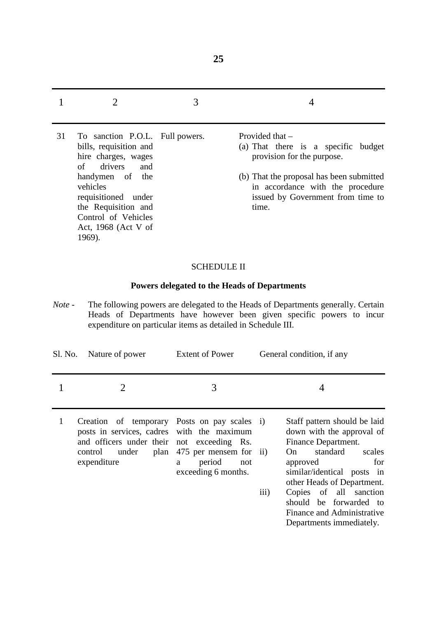|    |                                                                                                                                                                                                                                            | 3 |                                                                                                                                                                                                                      |
|----|--------------------------------------------------------------------------------------------------------------------------------------------------------------------------------------------------------------------------------------------|---|----------------------------------------------------------------------------------------------------------------------------------------------------------------------------------------------------------------------|
| 31 | To sanction P.O.L. Full powers.<br>bills, requisition and<br>hire charges, wages<br>of drivers<br>and<br>handymen of the<br>vehicles<br>requisitioned under<br>the Requisition and<br>Control of Vehicles<br>Act, 1968 (Act V of<br>1969). |   | Provided that $-$<br>(a) That there is a specific budget<br>provision for the purpose.<br>(b) That the proposal has been submitted<br>in accordance with the procedure<br>issued by Government from time to<br>time. |

### SCHEDULE II

# **Powers delegated to the Heads of Departments**

*Note* - The following powers are delegated to the Heads of Departments generally. Certain Heads of Departments have however been given specific powers to incur expenditure on particular items as detailed in Schedule III.

| Sl. No. | Nature of power                                                                                                                                                                     | <b>Extent of Power</b>                                              | General condition, if any                                                                                                                                                                                                                                                                                          |
|---------|-------------------------------------------------------------------------------------------------------------------------------------------------------------------------------------|---------------------------------------------------------------------|--------------------------------------------------------------------------------------------------------------------------------------------------------------------------------------------------------------------------------------------------------------------------------------------------------------------|
|         |                                                                                                                                                                                     | 3                                                                   |                                                                                                                                                                                                                                                                                                                    |
|         | Creation of temporary Posts on pay scales i)<br>posts in services, cadres with the maximum<br>and officers under their not exceeding Rs.<br>under<br>plan<br>control<br>expenditure | 475 per mensem for ii)<br>period<br>not<br>a<br>exceeding 6 months. | Staff pattern should be laid<br>down with the approval of<br>Finance Department.<br>standard<br>scales<br>On.<br>for<br>approved<br>similar/identical posts in<br>other Heads of Department.<br>iii)<br>Copies of all sanction<br>should be forwarded to<br>Finance and Administrative<br>Departments immediately. |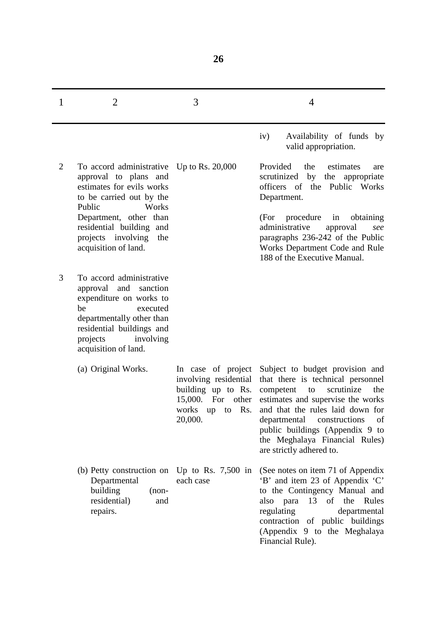| 1              | $\overline{2}$                                                                                                                                                                                                                                            | 3                                                                                                                             | 4                                                                                                                                                                                                                                                                                                                             |
|----------------|-----------------------------------------------------------------------------------------------------------------------------------------------------------------------------------------------------------------------------------------------------------|-------------------------------------------------------------------------------------------------------------------------------|-------------------------------------------------------------------------------------------------------------------------------------------------------------------------------------------------------------------------------------------------------------------------------------------------------------------------------|
|                |                                                                                                                                                                                                                                                           |                                                                                                                               | Availability of funds by<br>iv)<br>valid appropriation.                                                                                                                                                                                                                                                                       |
| $\overline{2}$ | To accord administrative Up to Rs. 20,000<br>approval to plans and<br>estimates for evils works<br>to be carried out by the<br>Public<br>Works<br>Department, other than<br>residential building and<br>projects involving<br>the<br>acquisition of land. |                                                                                                                               | Provided<br>the<br>estimates<br>are<br>scrutinized<br>by the appropriate<br>officers of the Public Works<br>Department.<br>(For<br>procedure<br>obtaining<br>in<br>administrative<br>approval<br>see<br>paragraphs 236-242 of the Public<br>Works Department Code and Rule<br>188 of the Executive Manual.                    |
| 3              | To accord administrative<br>approval<br>and<br>sanction<br>expenditure on works to<br>be<br>executed<br>departmentally other than<br>residential buildings and<br>involving<br>projects<br>acquisition of land.                                           |                                                                                                                               |                                                                                                                                                                                                                                                                                                                               |
|                | (a) Original Works.                                                                                                                                                                                                                                       | In case of project<br>involving residential<br>building up to Rs.<br>15,000. For other<br>Rs.<br>works<br>to<br>up<br>20,000. | Subject to budget provision and<br>that there is technical personnel<br>scrutinize<br>competent<br>the<br>to<br>estimates and supervise the works<br>and that the rules laid down for<br>departmental<br>constructions<br>of<br>public buildings (Appendix 9 to<br>the Meghalaya Financial Rules)<br>are strictly adhered to. |
|                | (b) Petty construction on<br>Departmental<br>building<br>$(non-$<br>residential)<br>and<br>repairs.                                                                                                                                                       | Up to Rs. $7,500$ in<br>each case                                                                                             | (See notes on item 71 of Appendix<br>'B' and item 23 of Appendix 'C'<br>to the Contingency Manual and<br>also para 13 of the Rules<br>regulating<br>departmental<br>contraction of public buildings<br>(Appendix 9 to the Meghalaya<br>Financial Rule).                                                                       |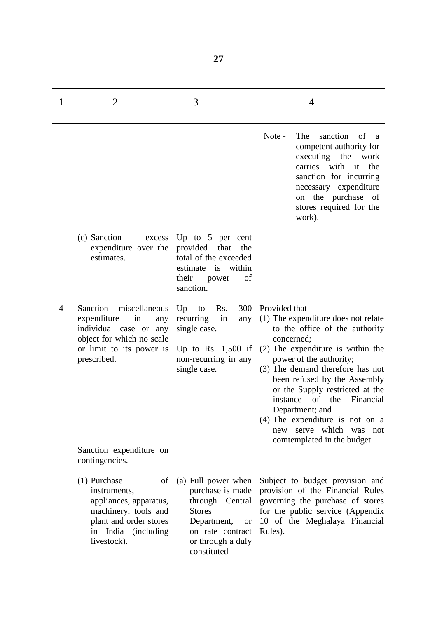| 1 | $\overline{2}$                                                                                                                                                                                       | 3                                                                                                                                                               | 4                                                                                                                                                                                                                                                                                                                                                                                                                                        |
|---|------------------------------------------------------------------------------------------------------------------------------------------------------------------------------------------------------|-----------------------------------------------------------------------------------------------------------------------------------------------------------------|------------------------------------------------------------------------------------------------------------------------------------------------------------------------------------------------------------------------------------------------------------------------------------------------------------------------------------------------------------------------------------------------------------------------------------------|
|   |                                                                                                                                                                                                      |                                                                                                                                                                 | Note -<br>The<br>sanction of a<br>competent authority for<br>executing the work<br>carries with<br>it<br>the<br>sanction for incurring<br>necessary expenditure<br>on the purchase of<br>stores required for the<br>work).                                                                                                                                                                                                               |
|   | (c) Sanction<br>excess<br>expenditure over the<br>estimates.                                                                                                                                         | Up to $5$ per cent<br>provided<br>that<br>the<br>total of the exceeded<br>estimate is within<br>their<br>of<br>power<br>sanction.                               |                                                                                                                                                                                                                                                                                                                                                                                                                                          |
| 4 | Sanction<br>miscellaneous<br>expenditure<br>in<br>any<br>individual case or any<br>object for which no scale<br>or limit to its power is<br>prescribed.<br>Sanction expenditure on<br>contingencies. | Rs.<br>300<br>Up<br>to<br>recurring<br>in<br>any<br>single case.<br>Up to Rs. $1,500$ if<br>non-recurring in any<br>single case.                                | Provided that -<br>(1) The expenditure does not relate<br>to the office of the authority<br>concerned;<br>(2) The expenditure is within the<br>power of the authority;<br>(3) The demand therefore has not<br>been refused by the Assembly<br>or the Supply restricted at the<br>of<br>the<br>Financial<br>instance<br>Department; and<br>$(4)$ The expenditure is not on a<br>serve which was not<br>new<br>comtemplated in the budget. |
|   | (1) Purchase<br>of<br>instruments,<br>appliances, apparatus,<br>machinery, tools and<br>plant and order stores<br>in India (including<br>livestock).                                                 | (a) Full power when<br>purchase is made<br>through Central<br><b>Stores</b><br>Department,<br><b>or</b><br>on rate contract<br>or through a duly<br>constituted | Subject to budget provision and<br>provision of the Financial Rules<br>governing the purchase of stores<br>for the public service (Appendix<br>10 of the Meghalaya Financial<br>Rules).                                                                                                                                                                                                                                                  |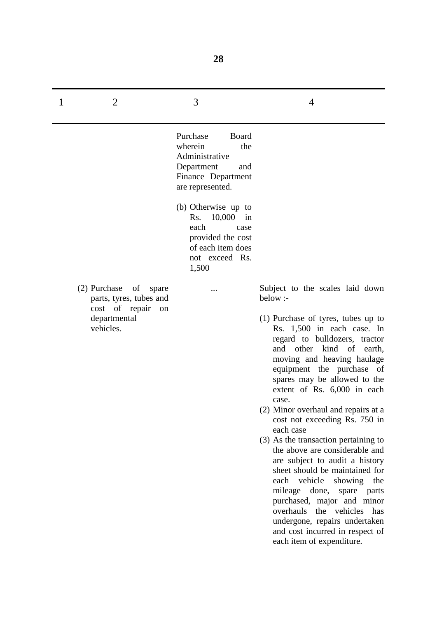| 1 | $\overline{2}$                                                                                        | 3                                                                                                                                                                                                                                                 | 4                                                                                                                                                                                                                                                                                                                                                                                                                                                                                                                                                                                                                                                                                                                                                                                    |
|---|-------------------------------------------------------------------------------------------------------|---------------------------------------------------------------------------------------------------------------------------------------------------------------------------------------------------------------------------------------------------|--------------------------------------------------------------------------------------------------------------------------------------------------------------------------------------------------------------------------------------------------------------------------------------------------------------------------------------------------------------------------------------------------------------------------------------------------------------------------------------------------------------------------------------------------------------------------------------------------------------------------------------------------------------------------------------------------------------------------------------------------------------------------------------|
|   |                                                                                                       | Purchase<br>Board<br>wherein<br>the<br>Administrative<br>Department<br>and<br>Finance Department<br>are represented.<br>(b) Otherwise up to<br>Rs. 10,000 in<br>each<br>case<br>provided the cost<br>of each item does<br>not exceed Rs.<br>1,500 |                                                                                                                                                                                                                                                                                                                                                                                                                                                                                                                                                                                                                                                                                                                                                                                      |
|   | (2) Purchase of spare<br>parts, tyres, tubes and<br>cost of repair<br>on<br>departmental<br>vehicles. |                                                                                                                                                                                                                                                   | Subject to the scales laid down<br>below :-<br>(1) Purchase of tyres, tubes up to<br>Rs. 1,500 in each case. In<br>regard to bulldozers, tractor<br>and other kind of earth,<br>moving and heaving haulage<br>equipment the purchase of<br>spares may be allowed to the<br>extent of Rs. 6,000 in each<br>case.<br>(2) Minor overhaul and repairs at a<br>cost not exceeding Rs. 750 in<br>each case<br>(3) As the transaction pertaining to<br>the above are considerable and<br>are subject to audit a history<br>sheet should be maintained for<br>each vehicle showing the<br>mileage done,<br>spare<br>parts<br>purchased, major and minor<br>overhauls<br>the vehicles<br>has<br>undergone, repairs undertaken<br>and cost incurred in respect of<br>each item of expenditure. |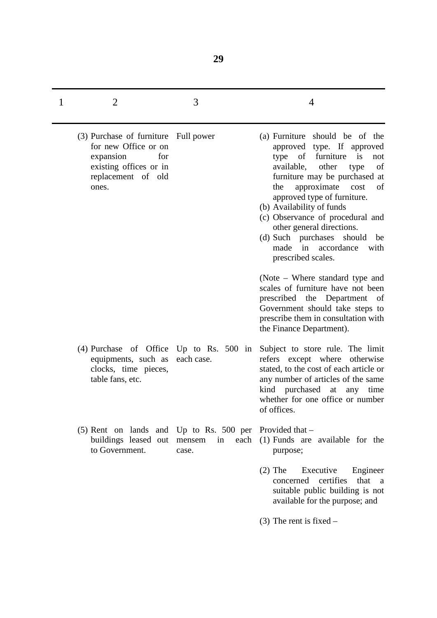| 1 | $\overline{2}$                                                                                                                            | 3                             | 4                                                                                                                                                                                                                                                                                                                                                                                                                               |
|---|-------------------------------------------------------------------------------------------------------------------------------------------|-------------------------------|---------------------------------------------------------------------------------------------------------------------------------------------------------------------------------------------------------------------------------------------------------------------------------------------------------------------------------------------------------------------------------------------------------------------------------|
|   | (3) Purchase of furniture Full power<br>for new Office or on<br>expansion<br>for<br>existing offices or in<br>replacement of old<br>ones. |                               | should be of the<br>(a) Furniture<br>approved type. If approved<br>of furniture is<br>type<br>not<br>available,<br>other<br>of<br>type<br>furniture may be purchased at<br>approximate<br>the<br>of<br>cost<br>approved type of furniture.<br>(b) Availability of funds<br>(c) Observance of procedural and<br>other general directions.<br>(d) Such purchases should<br>be<br>made in accordance<br>with<br>prescribed scales. |
|   |                                                                                                                                           |                               | (Note – Where standard type and<br>scales of furniture have not been<br>prescribed the Department of<br>Government should take steps to<br>prescribe them in consultation with<br>the Finance Department).                                                                                                                                                                                                                      |
|   | $(4)$ Purchase of Office Up to Rs. 500 in<br>equipments, such as<br>clocks, time pieces,<br>table fans, etc.                              | each case.                    | Subject to store rule. The limit<br>refers except where otherwise<br>stated, to the cost of each article or<br>any number of articles of the same<br>kind purchased at any time<br>whether for one office or number<br>of offices.                                                                                                                                                                                              |
|   | $(5)$ Rent on lands and Up to Rs. 500 per<br>buildings leased out<br>to Government.                                                       | each<br>mensem<br>in<br>case. | Provided that –<br>(1) Funds are available for the<br>purpose;                                                                                                                                                                                                                                                                                                                                                                  |
|   |                                                                                                                                           |                               | $(2)$ The<br>Executive<br>Engineer<br>concerned<br>certifies<br>that<br><sub>a</sub><br>suitable public building is not<br>available for the purpose; and                                                                                                                                                                                                                                                                       |
|   |                                                                                                                                           |                               | $(3)$ The rent is fixed –                                                                                                                                                                                                                                                                                                                                                                                                       |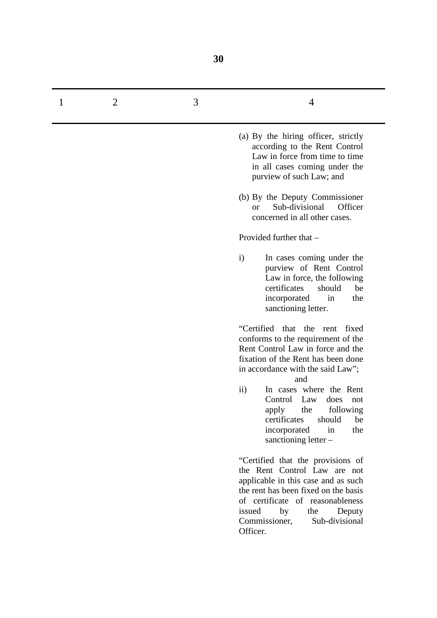| 2 | 3 | 4                                                                                                                                                                                                                                                                                                                                                                                   |
|---|---|-------------------------------------------------------------------------------------------------------------------------------------------------------------------------------------------------------------------------------------------------------------------------------------------------------------------------------------------------------------------------------------|
|   |   | (a) By the hiring officer, strictly<br>according to the Rent Control<br>Law in force from time to time<br>in all cases coming under the<br>purview of such Law; and                                                                                                                                                                                                                 |
|   |   | (b) By the Deputy Commissioner<br>Sub-divisional<br>Officer<br><sub>or</sub><br>concerned in all other cases.                                                                                                                                                                                                                                                                       |
|   |   | Provided further that -                                                                                                                                                                                                                                                                                                                                                             |
|   |   | $\mathbf{i}$<br>In cases coming under the<br>purview of Rent Control<br>Law in force, the following<br>certificates<br>should<br>be<br>incorporated<br>the<br>in<br>sanctioning letter.                                                                                                                                                                                             |
|   |   | "Certified that the rent fixed<br>conforms to the requirement of the<br>Rent Control Law in force and the<br>fixation of the Rent has been done<br>in accordance with the said Law";<br>and<br>In cases where the Rent<br>$\rm ii)$<br>Control Law<br>does<br>not<br>following<br>apply<br>the<br>should<br>be<br>certificates<br>incorporated<br>the<br>in<br>sanctioning letter - |
|   |   | "Certified that the provisions of<br>the Rent Control Law are not<br>applicable in this case and as such<br>the rent has been fixed on the basis<br>of certificate of reasonableness<br>issued<br>by<br>the<br>Deputy<br>Commissioner,<br>Sub-divisional<br>Officer.                                                                                                                |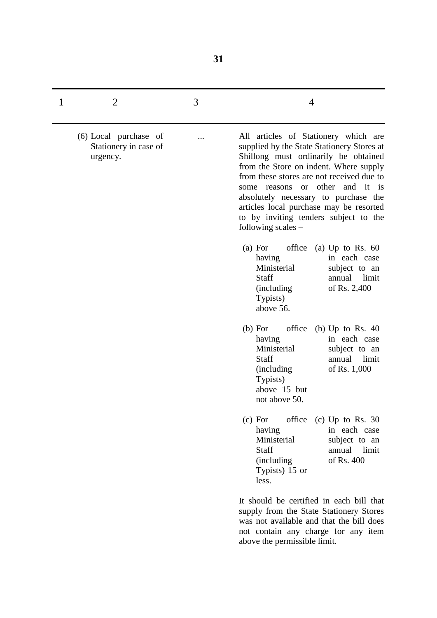| 1 | $\overline{2}$                                             | 3 | 4                                                                                                                                                                                                                                                                                                                                                                                                            |
|---|------------------------------------------------------------|---|--------------------------------------------------------------------------------------------------------------------------------------------------------------------------------------------------------------------------------------------------------------------------------------------------------------------------------------------------------------------------------------------------------------|
|   | (6) Local purchase of<br>Stationery in case of<br>urgency. |   | All articles of Stationery which are<br>supplied by the State Stationery Stores at<br>Shillong must ordinarily be obtained<br>from the Store on indent. Where supply<br>from these stores are not received due to<br>or other and it is<br>reasons<br>some<br>absolutely necessary to purchase the<br>articles local purchase may be resorted<br>to by inviting tenders subject to the<br>following scales - |
|   |                                                            |   | office<br>(a) For<br>(a) Up to Rs. $60$<br>in each case<br>having<br>Ministerial<br>subject to an<br>Staff<br>annual limit<br>of Rs. 2,400<br><i>(including)</i><br>Typists)<br>above 56.                                                                                                                                                                                                                    |
|   |                                                            |   | (b) For<br>office<br>(b) Up to Rs. $40$<br>in each case<br>having<br>Ministerial<br>subject to an<br>Staff<br>limit<br>annual<br>(including)<br>of Rs. 1,000<br>Typists)<br>above 15 but<br>not above 50.                                                                                                                                                                                                    |
|   |                                                            |   | office (c) Up to Rs. 30<br>(c) For<br>having<br>in each case<br>Ministerial<br>subject to an<br>Staff<br>annual limit<br>of Rs. 400<br>(including)<br>Typists) 15 or<br>less.                                                                                                                                                                                                                                |
|   |                                                            |   | It should be certified in each bill that<br>supply from the State Stationery Stores<br>was not available and that the bill does<br>not contain any charge for any item<br>above the permissible limit.                                                                                                                                                                                                       |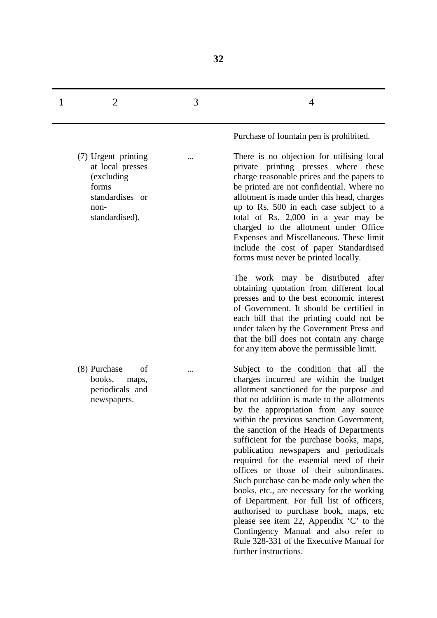| $\mathbf{1}$ |  |  |
|--------------|--|--|
|              |  |  |

...

...

(7) Urgent printing at local presses (excluding forms standardises or nonstandardised).

(8) Purchase of books, maps, periodicals and newspapers.

Purchase of fountain pen is prohibited.

There is no objection for utilising local private printing presses where these charge reasonable prices and the papers to be printed are not confidential. Where no allotment is made under this head, charges up to Rs. 500 in each case subject to a total of Rs. 2,000 in a year may be charged to the allotment under Office Expenses and Miscellaneous. These limit include the cost of paper Standardised forms must never be printed locally.

The work may be distributed after obtaining quotation from different local presses and to the best economic interest of Government. It should be certified in each bill that the printing could not be under taken by the Government Press and that the bill does not contain any charge for any item above the permissible limit.

Subject to the condition that all the charges incurred are within the budget allotment sanctioned for the purpose and that no addition is made to the allotments by the appropriation from any source within the previous sanction Government, the sanction of the Heads of Departments sufficient for the purchase books, maps, publication newspapers and periodicals required for the essential need of their offices or those of their subordinates. Such purchase can be made only when the books, etc., are necessary for the working of Department. For full list of officers, authorised to purchase book, maps, etc please see item 22, Appendix 'C' to the Contingency Manual and also refer to Rule 328-331 of the Executive Manual for further instructions.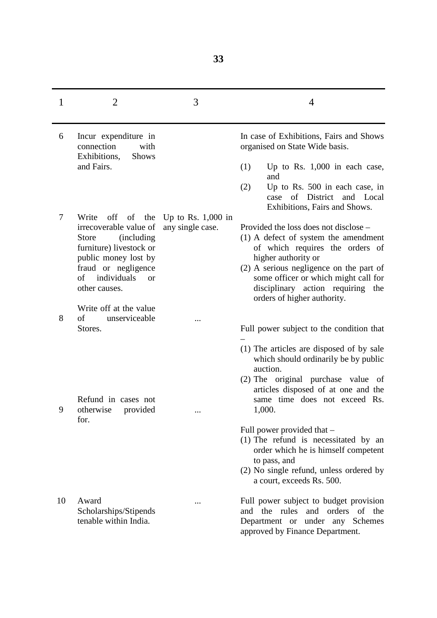| 1  | $\overline{2}$                                                                                                                                                                                     | 3                                                   | 4                                                                                                                                                                                                                                                                                                                                   |
|----|----------------------------------------------------------------------------------------------------------------------------------------------------------------------------------------------------|-----------------------------------------------------|-------------------------------------------------------------------------------------------------------------------------------------------------------------------------------------------------------------------------------------------------------------------------------------------------------------------------------------|
| 6  | Incur expenditure in<br>connection<br>with<br>Exhibitions,<br><b>Shows</b><br>and Fairs.                                                                                                           |                                                     | In case of Exhibitions, Fairs and Shows<br>organised on State Wide basis.<br>(1)<br>Up to Rs. $1,000$ in each case,<br>and<br>(2)<br>Up to Rs. 500 in each case, in<br>of<br>District<br>case<br>and Local                                                                                                                          |
| 7  | Write<br>irrecoverable value of<br><i>(including)</i><br><b>Store</b><br>furniture) livestock or<br>public money lost by<br>fraud or negligence<br>individuals<br>of<br><b>or</b><br>other causes. | off of the Up to Rs. $1,000$ in<br>any single case. | Exhibitions, Fairs and Shows.<br>Provided the loss does not disclose –<br>$(1)$ A defect of system the amendment<br>of which requires the orders of<br>higher authority or<br>$(2)$ A serious negligence on the part of<br>some officer or which might call for<br>disciplinary action requiring the<br>orders of higher authority. |
| 8  | Write off at the value<br>of<br>unserviceable<br>Stores.                                                                                                                                           |                                                     | Full power subject to the condition that                                                                                                                                                                                                                                                                                            |
| 9  | Refund in cases not<br>otherwise provided<br>for.                                                                                                                                                  |                                                     | (1) The articles are disposed of by sale<br>which should ordinarily be by public<br>auction.<br>(2) The original purchase value of<br>articles disposed of at one and the<br>same time does not exceed Rs.<br>1,000.<br>Full power provided that –<br>$(1)$ The refund is necessitated by an                                        |
| 10 | Award<br>Scholarships/Stipends<br>tenable within India.                                                                                                                                            |                                                     | order which he is himself competent<br>to pass, and<br>(2) No single refund, unless ordered by<br>a court, exceeds Rs. 500.<br>Full power subject to budget provision<br>and the rules and orders of the<br>Department or under any Schemes<br>approved by Finance Department.                                                      |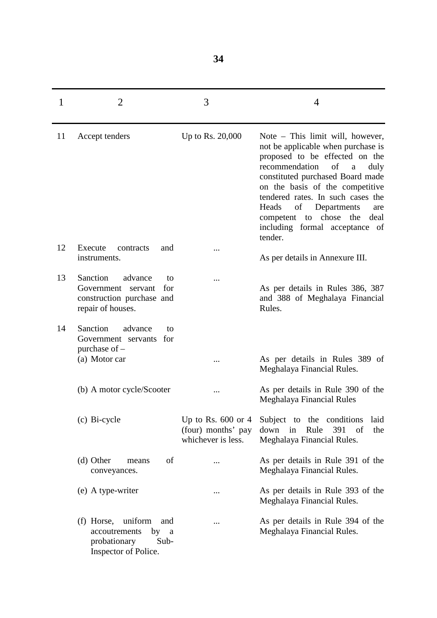| 1  | $\overline{2}$                                                                                              | 3                                                                | 4                                                                                                                                                                                                                                                                                                                                                                        |
|----|-------------------------------------------------------------------------------------------------------------|------------------------------------------------------------------|--------------------------------------------------------------------------------------------------------------------------------------------------------------------------------------------------------------------------------------------------------------------------------------------------------------------------------------------------------------------------|
| 11 | Accept tenders                                                                                              | Up to Rs. 20,000                                                 | Note – This limit will, however,<br>not be applicable when purchase is<br>proposed to be effected on the<br>recommendation<br>of<br>duly<br>a<br>constituted purchased Board made<br>on the basis of the competitive<br>tendered rates. In such cases the<br>of<br>Heads<br>Departments<br>are<br>chose<br>the<br>deal<br>competent to<br>including formal acceptance of |
| 12 | Execute<br>contracts<br>and<br>instruments.                                                                 |                                                                  | tender.<br>As per details in Annexure III.                                                                                                                                                                                                                                                                                                                               |
| 13 | Sanction<br>advance<br>to<br>Government<br>for<br>servant<br>construction purchase and<br>repair of houses. |                                                                  | As per details in Rules 386, 387<br>and 388 of Meghalaya Financial<br>Rules.                                                                                                                                                                                                                                                                                             |
| 14 | Sanction<br>advance<br>to<br>Government servants for<br>purchase of -<br>(a) Motor car                      |                                                                  | As per details in Rules 389 of                                                                                                                                                                                                                                                                                                                                           |
|    | (b) A motor cycle/Scooter                                                                                   |                                                                  | Meghalaya Financial Rules.<br>As per details in Rule 390 of the<br>Meghalaya Financial Rules                                                                                                                                                                                                                                                                             |
|    | (c) Bi-cycle                                                                                                | Up to Rs. $600$ or 4<br>(four) months' pay<br>whichever is less. | the conditions<br>Subject to<br>laid<br>down in<br>391<br>Rule<br>of<br>the<br>Meghalaya Financial Rules.                                                                                                                                                                                                                                                                |
|    | (d) Other<br>of<br>means<br>conveyances.                                                                    |                                                                  | As per details in Rule 391 of the<br>Meghalaya Financial Rules.                                                                                                                                                                                                                                                                                                          |
|    | (e) A type-writer                                                                                           |                                                                  | As per details in Rule 393 of the<br>Meghalaya Financial Rules.                                                                                                                                                                                                                                                                                                          |
|    | uniform<br>(f) Horse,<br>and<br>accoutrements<br>by<br>a<br>probationary<br>Sub-<br>Inspector of Police.    |                                                                  | As per details in Rule 394 of the<br>Meghalaya Financial Rules.                                                                                                                                                                                                                                                                                                          |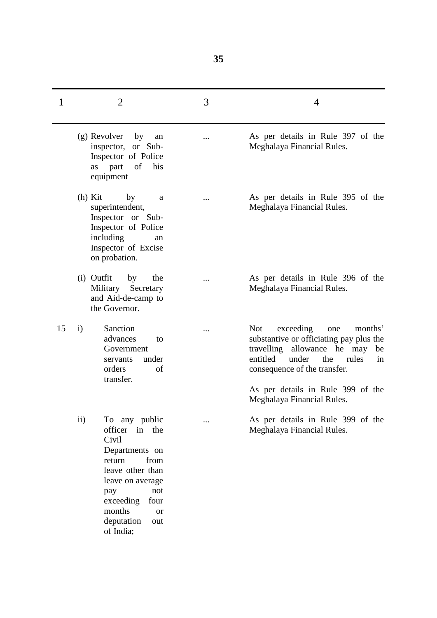| 1  | $\overline{2}$                                                                                                                                                                                                                | 3 | $\overline{4}$                                                                                                                                                                                       |
|----|-------------------------------------------------------------------------------------------------------------------------------------------------------------------------------------------------------------------------------|---|------------------------------------------------------------------------------------------------------------------------------------------------------------------------------------------------------|
|    | (g) Revolver<br>by<br>an<br>inspector, or Sub-<br>Inspector of Police<br>of<br>as part<br>his<br>equipment                                                                                                                    |   | As per details in Rule 397 of the<br>Meghalaya Financial Rules.                                                                                                                                      |
|    | $(h)$ Kit<br>by<br>a<br>superintendent,<br>Inspector or Sub-<br>Inspector of Police<br>including<br>an<br>Inspector of Excise<br>on probation.                                                                                |   | As per details in Rule 395 of the<br>Meghalaya Financial Rules.                                                                                                                                      |
|    | (i) Outfit<br>by<br>the<br>Military Secretary<br>and Aid-de-camp to<br>the Governor.                                                                                                                                          |   | As per details in Rule 396 of the<br>Meghalaya Financial Rules.                                                                                                                                      |
| 15 | Sanction<br>$\mathbf{i}$<br>advances<br>to<br>Government<br>under<br>servants<br>orders<br>of<br>transfer.                                                                                                                    |   | exceeding<br><b>Not</b><br>one<br>months'<br>substantive or officiating pay plus the<br>travelling allowance he may<br>be<br>entitled<br>under<br>the<br>rules<br>in<br>consequence of the transfer. |
|    |                                                                                                                                                                                                                               |   | As per details in Rule 399 of the<br>Meghalaya Financial Rules.                                                                                                                                      |
|    | $\rm ii)$<br>To any public<br>officer in the<br>Civil<br>Departments on<br>from<br>return<br>leave other than<br>leave on average<br>not<br>pay<br>exceeding<br>four<br>months<br><b>or</b><br>deputation<br>out<br>of India; |   | As per details in Rule 399 of the<br>Meghalaya Financial Rules.                                                                                                                                      |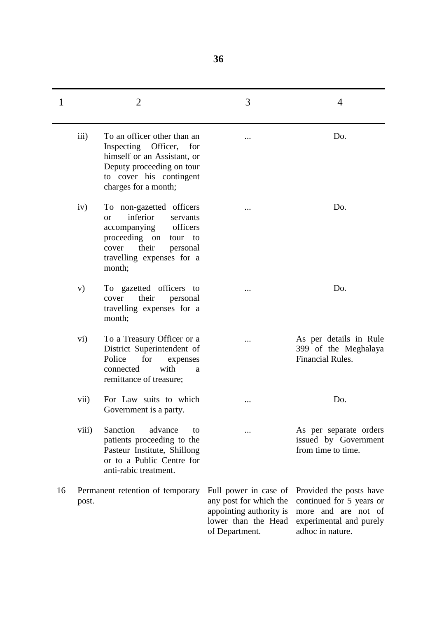| $\mathbf{1}$ |                  | $\overline{2}$                                                                                                                                                                                | 3                                                                                                                   | 4                                                                                                                         |
|--------------|------------------|-----------------------------------------------------------------------------------------------------------------------------------------------------------------------------------------------|---------------------------------------------------------------------------------------------------------------------|---------------------------------------------------------------------------------------------------------------------------|
|              | $\overline{iii}$ | To an officer other than an<br>Inspecting Officer, for<br>himself or an Assistant, or<br>Deputy proceeding on tour<br>to cover his contingent<br>charges for a month;                         |                                                                                                                     | Do.                                                                                                                       |
|              | iv)              | To non-gazetted officers<br>inferior<br>servants<br><b>or</b><br>officers<br>accompanying<br>proceeding on<br>tour<br>to<br>their<br>cover<br>personal<br>travelling expenses for a<br>month; |                                                                                                                     | Do.                                                                                                                       |
|              | V)               | To gazetted officers to<br>their<br>cover<br>personal<br>travelling expenses for a<br>month;                                                                                                  | $\cdots$                                                                                                            | Do.                                                                                                                       |
|              | $\rm vi)$        | To a Treasury Officer or a<br>District Superintendent of<br>Police<br>for<br>expenses<br>with<br>connected<br>a<br>remittance of treasure;                                                    |                                                                                                                     | As per details in Rule<br>399 of the Meghalaya<br>Financial Rules.                                                        |
|              | vii)             | For Law suits to which<br>Government is a party.                                                                                                                                              |                                                                                                                     | Do.                                                                                                                       |
|              | viii)            | Sanction<br>advance<br>to<br>patients proceeding to the<br>Pasteur Institute, Shillong<br>or to a Public Centre for<br>anti-rabic treatment.                                                  |                                                                                                                     | As per separate orders<br>issued by Government<br>from time to time.                                                      |
| 16           | post.            | Permanent retention of temporary                                                                                                                                                              | Full power in case of<br>any post for which the<br>appointing authority is<br>lower than the Head<br>of Department. | Provided the posts have<br>continued for 5 years or<br>more and are not of<br>experimental and purely<br>adhoc in nature. |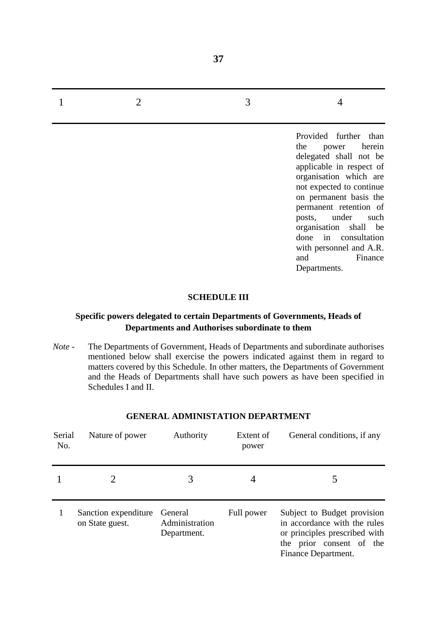Provided further than the power herein delegated shall not be applicable in respect of organisation which are not expected to continue on permanent basis the permanent retention of posts, under such organisation shall be done in consultation with personnel and A.R. and Finance Departments.

#### **SCHEDULE III**

### **Specific powers delegated to certain Departments of Governments, Heads of Departments and Authorises subordinate to them**

*Note* - The Departments of Government, Heads of Departments and subordinate authorises mentioned below shall exercise the powers indicated against them in regard to matters covered by this Schedule. In other matters, the Departments of Government and the Heads of Departments shall have such powers as have been specified in Schedules I and II.

| Serial<br>No. | Nature of power                         | Authority                                | Extent of<br>power | General conditions, if any                                                                                                                      |
|---------------|-----------------------------------------|------------------------------------------|--------------------|-------------------------------------------------------------------------------------------------------------------------------------------------|
|               |                                         |                                          |                    |                                                                                                                                                 |
|               | Sanction expenditure<br>on State guest. | General<br>Administration<br>Department. | Full power         | Subject to Budget provision<br>in accordance with the rules<br>or principles prescribed with<br>the prior consent of the<br>Finance Department. |

#### **GENERAL ADMINISTATION DEPARTMENT**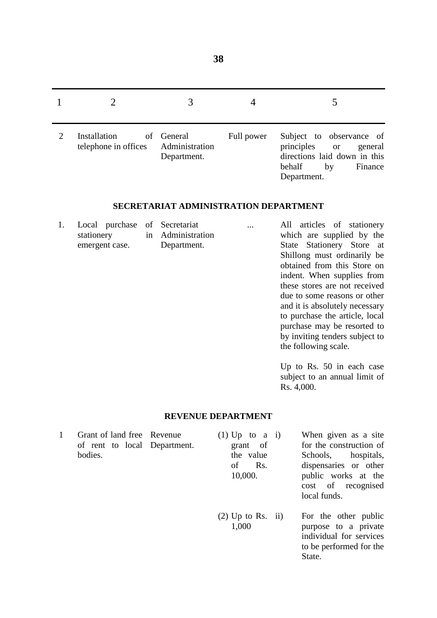| Installation<br>telephone in offices | of General<br>Administration<br>Department. | Full power | Subject to observance of<br>principles or<br>general<br>directions laid down in this<br>behalf<br>by<br>Finance<br>Department. |
|--------------------------------------|---------------------------------------------|------------|--------------------------------------------------------------------------------------------------------------------------------|

### **SECRETARIAT ADMINISTRATION DEPARTMENT**

| 1. Local purchase of Secretariat |             | $\cdots$ | All articles of stationery  |
|----------------------------------|-------------|----------|-----------------------------|
| stationery in Administration     |             |          | which are supplied by the   |
| emergent case.                   | Department. |          | State Stationery Store at   |
|                                  |             |          | Shillong must ordinarily he |

State Stationery Store at Shillong must ordinarily be obtained from this Store on indent. When supplies from these stores are not received due to some reasons or other and it is absolutely necessary to purchase the article, local purchase may be resorted to by inviting tenders subject to the following scale.

Up to Rs. 50 in each case subject to an annual limit of Rs. 4,000.

State.

#### **REVENUE DEPARTMENT**

| 1 | Grant of land free Revenue   | $(1)$ Up to a i)    | When given as a site    |
|---|------------------------------|---------------------|-------------------------|
|   | of rent to local Department. | grant of            | for the construction of |
|   | bodies.                      | the value           | Schools, hospitals,     |
|   |                              | Rs.<br>of           | dispensaries or other   |
|   |                              | 10,000.             | public works at the     |
|   |                              |                     | cost of recognised      |
|   |                              |                     | local funds.            |
|   |                              | $(2)$ Up to Rs. ii) | For the other public    |
|   |                              | 1,000               | purpose to a private    |
|   |                              |                     | individual for services |
|   |                              |                     | to be performed for the |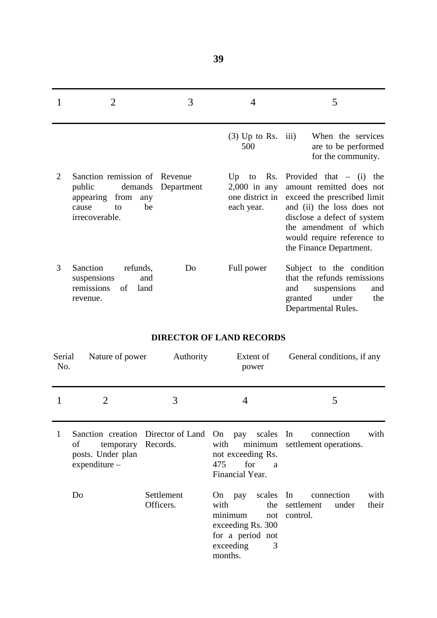|                | 2                                                                                                                     | 3          | 4                                                                  | 5                                                                                                                                                                                                                                       |
|----------------|-----------------------------------------------------------------------------------------------------------------------|------------|--------------------------------------------------------------------|-----------------------------------------------------------------------------------------------------------------------------------------------------------------------------------------------------------------------------------------|
|                |                                                                                                                       |            | $(3)$ Up to Rs. iii)<br>500                                        | When the services<br>are to be performed<br>for the community.                                                                                                                                                                          |
| $\overline{2}$ | Sanction remission of Revenue<br>public<br>demands<br>appearing<br>from<br>any<br>be<br>to<br>cause<br>irrecoverable. | Department | Up<br>Rs.<br>to<br>$2,000$ in any<br>one district in<br>each year. | Provided that $-$ (i)<br>the<br>amount remitted does not<br>exceed the prescribed limit<br>and (ii) the loss does not<br>disclose a defect of system<br>the amendment of which<br>would require reference to<br>the Finance Department. |
| 3              | Sanction<br>refunds,<br>suspensions<br>and<br>remissions<br>of<br>land<br>revenue.                                    | Do         | Full power                                                         | Subject to the condition<br>that the refunds remissions<br>suspensions<br>and<br>and<br>under<br>granted<br>the<br>Departmental Rules.                                                                                                  |

## **DIRECTOR OF LAND RECORDS**

| Serial<br>No. | Nature of power                                        | Authority               | Extent of<br>power                                                                                                                | General conditions, if any                                         |
|---------------|--------------------------------------------------------|-------------------------|-----------------------------------------------------------------------------------------------------------------------------------|--------------------------------------------------------------------|
|               | 2                                                      | 3                       | 4                                                                                                                                 | 5                                                                  |
| 1             | οf<br>temporary<br>posts. Under plan<br>$expenditure-$ | Records.                | Sanction creation Director of Land On pay scales In<br>with<br>minimum<br>not exceeding Rs.<br>475<br>for<br>a<br>Financial Year. | with<br>connection<br>settlement operations.                       |
|               | Do                                                     | Settlement<br>Officers. | scales In<br>On pay<br>with<br>minimum<br>not<br>exceeding Rs. 300<br>for a period not<br>exceeding<br>3<br>months.               | connection<br>with<br>the settlement<br>their<br>under<br>control. |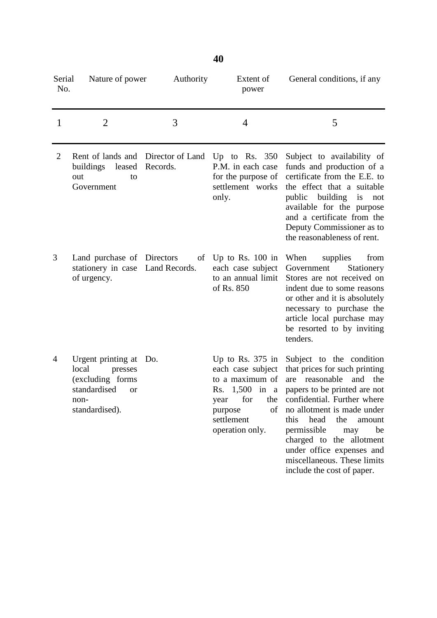| Serial<br>No.  | Nature of power                                                                                                   | Authority | Extent of<br>power                                                                                                                       | General conditions, if any                                                                                                                                                                                                                                                                                                                     |
|----------------|-------------------------------------------------------------------------------------------------------------------|-----------|------------------------------------------------------------------------------------------------------------------------------------------|------------------------------------------------------------------------------------------------------------------------------------------------------------------------------------------------------------------------------------------------------------------------------------------------------------------------------------------------|
| 1              | $\overline{2}$                                                                                                    | 3         | $\overline{4}$                                                                                                                           | 5                                                                                                                                                                                                                                                                                                                                              |
| $\overline{2}$ | Rent of lands and Director of Land<br>buildings leased<br>out<br>to<br>Government                                 | Records.  | Up to Rs. $350$<br>P.M. in each case<br>for the purpose of<br>settlement works<br>only.                                                  | Subject to availability of<br>funds and production of a<br>certificate from the E.E. to<br>the effect that a suitable<br>building<br>public<br>is<br>not<br>available for the purpose<br>and a certificate from the<br>Deputy Commissioner as to<br>the reasonableness of rent.                                                                |
| 3              | Land purchase of Directors<br>stationery in case Land Records.<br>of urgency.                                     | of        | Up to Rs. $100$ in<br>each case subject<br>to an annual limit<br>of Rs. 850                                                              | When<br>supplies<br>from<br>Government<br>Stationery<br>Stores are not received on<br>indent due to some reasons<br>or other and it is absolutely<br>necessary to purchase the<br>article local purchase may<br>be resorted to by inviting<br>tenders.                                                                                         |
| $\overline{4}$ | Urgent printing at<br>local<br>presses<br>(excluding forms<br>standardised<br><b>or</b><br>non-<br>standardised). | Do.       | Up to Rs. $375$ in<br>each case subject<br>to a maximum of<br>Rs. 1,500 in a<br>year for the<br>purpose<br>settlement<br>operation only. | Subject to the condition<br>that prices for such printing<br>reasonable and<br>the<br>are<br>papers to be printed are not<br>confidential. Further where<br>of no allotment is made under<br>this<br>head<br>the<br>amount<br>permissible<br>be<br>may<br>charged to the allotment<br>under office expenses and<br>miscellaneous. These limits |

include the cost of paper.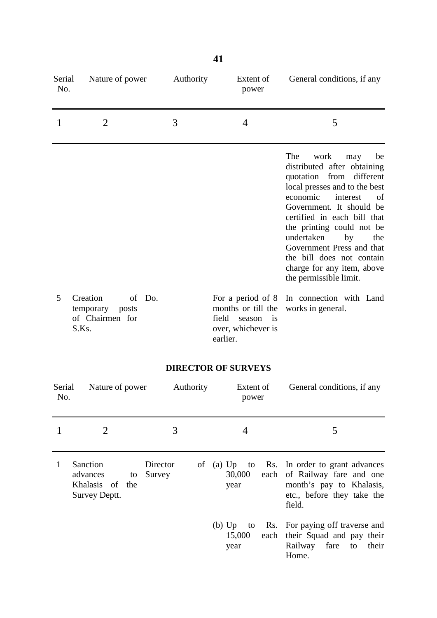| Serial<br>No. | Nature of power                                                      | Authority | Extent of<br>power                                                                                        | General conditions, if any                                                                                                                                                                                                                                                                                                                                                                 |
|---------------|----------------------------------------------------------------------|-----------|-----------------------------------------------------------------------------------------------------------|--------------------------------------------------------------------------------------------------------------------------------------------------------------------------------------------------------------------------------------------------------------------------------------------------------------------------------------------------------------------------------------------|
| 1             | 2                                                                    | 3         | 4                                                                                                         | 5                                                                                                                                                                                                                                                                                                                                                                                          |
|               |                                                                      |           |                                                                                                           | The<br>work<br>may<br>be<br>distributed after obtaining<br>quotation from<br>different<br>local presses and to the best<br>economic<br>interest<br>of<br>Government. It should be<br>certified in each bill that<br>the printing could not be<br>undertaken<br>by<br>the<br>Government Press and that<br>the bill does not contain<br>charge for any item, above<br>the permissible limit. |
| 5             | Creation<br>of Do.<br>temporary<br>posts<br>of Chairmen for<br>S.Ks. |           | For a period of 8<br>months or till the<br>field<br>season<br><i>is</i><br>over, whichever is<br>earlier. | In connection with Land<br>works in general.                                                                                                                                                                                                                                                                                                                                               |

## **DIRECTOR OF SURVEYS**

| Serial<br>No. | Nature of power                                                | Authority          | Extent of<br>power | General conditions, if any                                                                                                                      |
|---------------|----------------------------------------------------------------|--------------------|--------------------|-------------------------------------------------------------------------------------------------------------------------------------------------|
|               |                                                                | 3                  | 4                  | 5                                                                                                                                               |
| 1             | Sanction<br>advances<br>to<br>Khalasis of the<br>Survey Deptt. | Director<br>Survey | 30,000<br>year     | of (a) Up to Rs. In order to grant advances<br>each of Railway fare and one<br>month's pay to Khalasis,<br>etc., before they take the<br>field. |
|               |                                                                |                    | 15,000<br>year     | (b) Up to Rs. For paying off traverse and<br>each their Squad and pay their<br>Railway fare<br>their<br>to<br>Home.                             |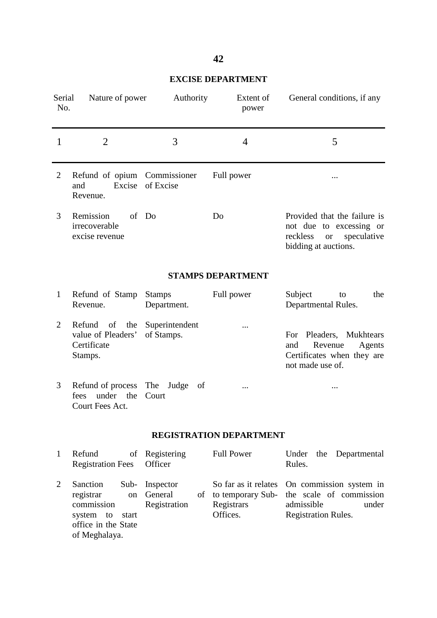## **EXCISE DEPARTMENT**

| Serial<br>No.            | Nature of power                                                                                                               | Authority                                  | Extent of<br>power                                                  | General conditions, if any                                                                                                  |  |  |  |  |
|--------------------------|-------------------------------------------------------------------------------------------------------------------------------|--------------------------------------------|---------------------------------------------------------------------|-----------------------------------------------------------------------------------------------------------------------------|--|--|--|--|
| 1                        | 3<br>$\overline{2}$<br>$\overline{4}$                                                                                         |                                            |                                                                     | 5                                                                                                                           |  |  |  |  |
| 2                        | Refund of opium Commissioner<br>Excise<br>and<br>Revenue.                                                                     | of Excise                                  | Full power                                                          |                                                                                                                             |  |  |  |  |
| 3                        | Remission<br>irrecoverable<br>excise revenue                                                                                  | of Do                                      | Do                                                                  | Provided that the failure is<br>not due to excessing or<br>speculative<br>reckless<br><sub>or</sub><br>bidding at auctions. |  |  |  |  |
| <b>STAMPS DEPARTMENT</b> |                                                                                                                               |                                            |                                                                     |                                                                                                                             |  |  |  |  |
| 1                        | Refund of Stamp<br>Revenue.                                                                                                   | <b>Stamps</b><br>Department.               | Full power                                                          | Subject<br>the<br>to<br>Departmental Rules.                                                                                 |  |  |  |  |
| $\overline{2}$           | Refund<br>of<br>the<br>value of Pleaders'<br>Certificate<br>Stamps.                                                           | Superintendent<br>of Stamps.               | .                                                                   | Pleaders, Mukhtears<br>For<br>and<br>Revenue<br>Agents<br>Certificates when they are<br>not made use of.                    |  |  |  |  |
| 3                        | Refund of process The<br>under the<br>fees<br>Court Fees Act.                                                                 | Judge<br>of<br>Court                       |                                                                     |                                                                                                                             |  |  |  |  |
|                          |                                                                                                                               |                                            | <b>REGISTRATION DEPARTMENT</b>                                      |                                                                                                                             |  |  |  |  |
| 1                        | Refund<br>of<br><b>Registration Fees</b>                                                                                      | Registering<br>Officer                     | <b>Full Power</b>                                                   | Under<br>Departmental<br>the<br>Rules.                                                                                      |  |  |  |  |
| 2                        | Sanction<br>Sub-<br>registrar<br><sub>on</sub><br>commission<br>system<br>to<br>start<br>office in the State<br>of Meghalaya. | Inspector<br>General<br>of<br>Registration | So far as it relates<br>to temporary Sub-<br>Registrars<br>Offices. | On commission system in<br>the scale of commission<br>admissible<br>under<br><b>Registration Rules.</b>                     |  |  |  |  |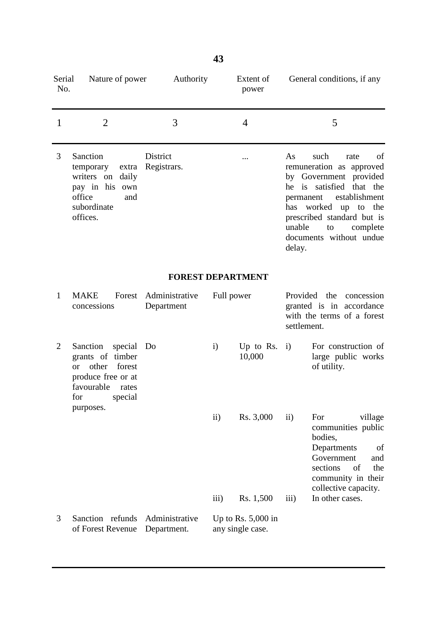| Serial<br>No.  | Nature of power                                                                                                                                     | Authority                     |                     | Extent of<br>power                       |                                     | General conditions, if any                                                                                                                                                                                                     |
|----------------|-----------------------------------------------------------------------------------------------------------------------------------------------------|-------------------------------|---------------------|------------------------------------------|-------------------------------------|--------------------------------------------------------------------------------------------------------------------------------------------------------------------------------------------------------------------------------|
| 1              | $\overline{2}$                                                                                                                                      | 3                             |                     | $\overline{4}$                           |                                     | 5                                                                                                                                                                                                                              |
| 3              | Sanction<br>temporary<br>extra<br>writers on daily<br>pay in his own<br>office<br>and<br>subordinate<br>offices.                                    | District<br>Registrars.       |                     |                                          | As<br>permanent<br>unable<br>delay. | such<br>rate<br>of<br>remuneration as approved<br>by Government provided<br>he is satisfied that the<br>establishment<br>has worked<br>up to<br>the<br>prescribed standard but is<br>to<br>complete<br>documents without undue |
|                |                                                                                                                                                     | <b>FOREST DEPARTMENT</b>      |                     |                                          |                                     |                                                                                                                                                                                                                                |
| $\mathbf{1}$   | <b>MAKE</b><br>Forest<br>concessions                                                                                                                | Administrative<br>Department  |                     | Full power                               | settlement.                         | Provided the<br>concession<br>granted is in accordance<br>with the terms of a forest                                                                                                                                           |
| $\overline{2}$ | Sanction<br>special<br>grants of timber<br>other<br>forest<br><b>or</b><br>produce free or at<br>favourable<br>rates<br>for<br>special<br>purposes. | Do                            | $\mathbf{i}$        | Up to Rs.<br>10,000                      | $\mathbf{i}$                        | For construction of<br>large public works<br>of utility.                                                                                                                                                                       |
|                |                                                                                                                                                     |                               | $\ddot{\text{ii}})$ | Rs. 3,000                                | $\rm ii)$                           | For<br>village<br>communities public<br>bodies,<br>Departments<br>of<br>Government<br>and<br>sections<br>of<br>the<br>community in their<br>collective capacity.                                                               |
|                |                                                                                                                                                     |                               | $\overline{iii}$    | Rs. 1,500                                | iii)                                | In other cases.                                                                                                                                                                                                                |
| 3              | Sanction refunds<br>of Forest Revenue                                                                                                               | Administrative<br>Department. |                     | Up to Rs. $5,000$ in<br>any single case. |                                     |                                                                                                                                                                                                                                |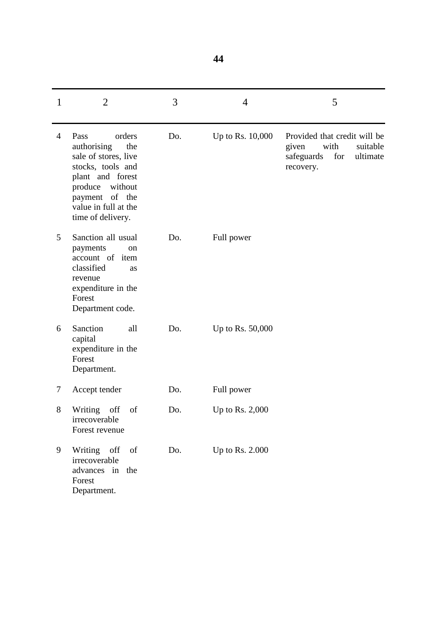| 1 | $\overline{2}$                                                                                                                                                                             | 3   | $\overline{4}$    | 5                                                                                                       |
|---|--------------------------------------------------------------------------------------------------------------------------------------------------------------------------------------------|-----|-------------------|---------------------------------------------------------------------------------------------------------|
| 4 | Pass<br>orders<br>authorising<br>the<br>sale of stores, live<br>stocks, tools and<br>plant and forest<br>without<br>produce<br>payment of the<br>value in full at the<br>time of delivery. | Do. | Up to Rs. 10,000  | Provided that credit will be<br>with<br>given<br>suitable<br>for<br>safeguards<br>ultimate<br>recovery. |
| 5 | Sanction all usual<br>payments<br>on<br>account of item<br>classified<br>as<br>revenue<br>expenditure in the<br>Forest<br>Department code.                                                 | Do. | Full power        |                                                                                                         |
| 6 | Sanction<br>all<br>capital<br>expenditure in the<br>Forest<br>Department.                                                                                                                  | Do. | Up to Rs. 50,000  |                                                                                                         |
| 7 | Accept tender                                                                                                                                                                              | Do. | Full power        |                                                                                                         |
| 8 | Writing<br>off<br>of<br>irrecoverable<br>Forest revenue                                                                                                                                    | Do. | Up to Rs. $2,000$ |                                                                                                         |
| 9 | Writing off<br>of<br>irrecoverable<br>advances in the<br>Forest<br>Department.                                                                                                             | Do. | Up to Rs. 2.000   |                                                                                                         |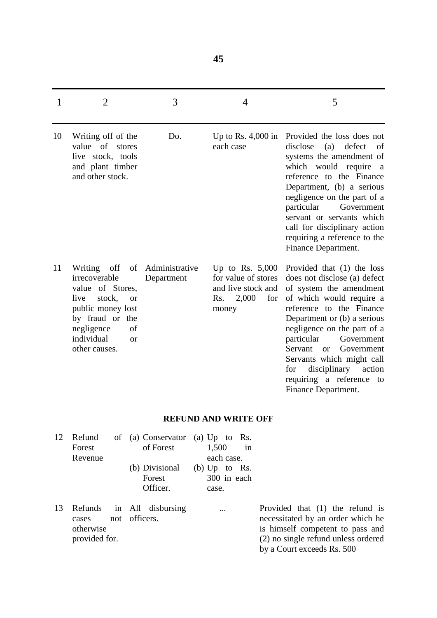$1 \t 2 \t 3 \t 4 \t 5$ 10 11 Writing off of the value of stores live stock, tools and plant timber and other stock. Writing off of irrecoverable value of Stores, live stock, or public money lost by fraud or the negligence of individual or other causes. Do. Administrative Department Up to Rs. 4,000 in Provided the loss does not each case Up to Rs. 5,000 for value of stores and live stock and Rs. 2,000 for money disclose (a) defect of systems the amendment of which would require a reference to the Finance Department, (b) a serious negligence on the part of a particular Government servant or servants which call for disciplinary action requiring a reference to the Finance Department. Provided that (1) the loss does not disclose (a) defect of system the amendment of which would require a reference to the Finance Department or (b) a serious negligence on the part of a particular Government Servant or Government Servants which might call for disciplinary action requiring a reference to Finance Department.

#### **REFUND AND WRITE OFF**

|    | Forest<br>Revenue | 12 Refund of (a) Conservator (a) Up to Rs.<br>of Forest | 1,500<br>in<br>each case.               |          |
|----|-------------------|---------------------------------------------------------|-----------------------------------------|----------|
|    |                   | (b) Divisional<br>Forest<br>Officer.                    | (b) $Up$ to Rs.<br>300 in each<br>case. |          |
| 13 | cases             | Refunds in All disbursing<br>not officers.              |                                         | Pr<br>ne |

otherwise provided for.

rovided that  $(1)$  the refund is necessitated by an order which he is himself competent to pass and (2) no single refund unless ordered by a Court exceeds Rs. 500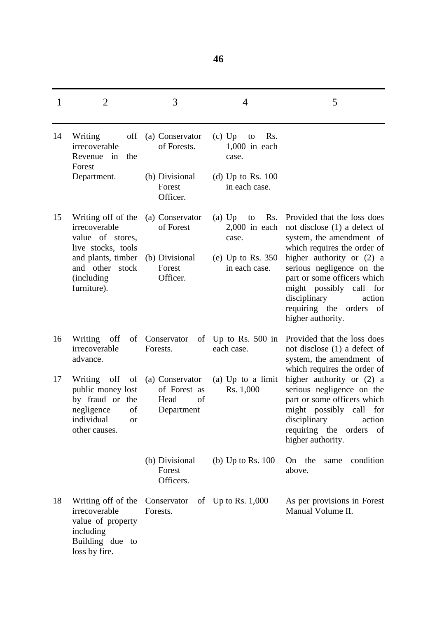| 1  | $\overline{2}$                                                                                                        | 3                                                           | 4                                                 | 5                                                                                                                                                                                                |
|----|-----------------------------------------------------------------------------------------------------------------------|-------------------------------------------------------------|---------------------------------------------------|--------------------------------------------------------------------------------------------------------------------------------------------------------------------------------------------------|
| 14 | off<br>Writing<br>irrecoverable<br>Revenue<br>in<br>the<br>Forest                                                     | (a) Conservator<br>of Forests.                              | $(c)$ Up<br>Rs.<br>to<br>$1,000$ in each<br>case. |                                                                                                                                                                                                  |
|    | Department.                                                                                                           | (b) Divisional<br>Forest<br>Officer.                        | (d) Up to Rs. $100$<br>in each case.              |                                                                                                                                                                                                  |
| 15 | Writing off of the<br>irrecoverable<br>value of stores,<br>live stocks, tools                                         | (a) Conservator<br>of Forest                                | Rs.<br>$(a)$ Up<br>to<br>$2,000$ in each<br>case. | Provided that the loss does<br>not disclose $(1)$ a defect of<br>system, the amendment of<br>which requires the order of                                                                         |
|    | and plants, timber<br>and other stock<br>(including)<br>furniture).                                                   | (b) Divisional<br>Forest<br>Officer.                        | (e) Up to Rs. $350$<br>in each case.              | higher authority or (2) a<br>serious negligence on the<br>part or some officers which<br>might possibly call<br>for<br>disciplinary<br>action<br>requiring the orders of<br>higher authority.    |
| 16 | Writing<br>off<br>irrecoverable<br>advance.                                                                           | of Conservator<br>Forests.                                  | of Up to Rs. 500 in<br>each case.                 | Provided that the loss does<br>not disclose $(1)$ a defect of<br>system, the amendment of<br>which requires the order of                                                                         |
| 17 | off<br>of<br>Writing<br>public money lost<br>by fraud or the<br>negligence<br>of<br>individual<br>or<br>other causes. | (a) Conservator<br>of Forest as<br>Head<br>of<br>Department | (a) Up to a limit<br>Rs. 1,000                    | higher authority or (2) a<br>serious negligence on the<br>part or some officers which<br>might possibly call for<br>action<br>disciplinary<br>requiring the<br>of<br>orders<br>higher authority. |
|    |                                                                                                                       | (b) Divisional<br>Forest<br>Officers.                       | (b) Up to Rs. $100$                               | On the<br>condition<br>same<br>above.                                                                                                                                                            |
| 18 | Writing off of the<br>irrecoverable<br>value of property<br>including<br>Building due to<br>loss by fire.             | Conservator<br>Forests.                                     | of Up to Rs. $1,000$                              | As per provisions in Forest<br>Manual Volume II.                                                                                                                                                 |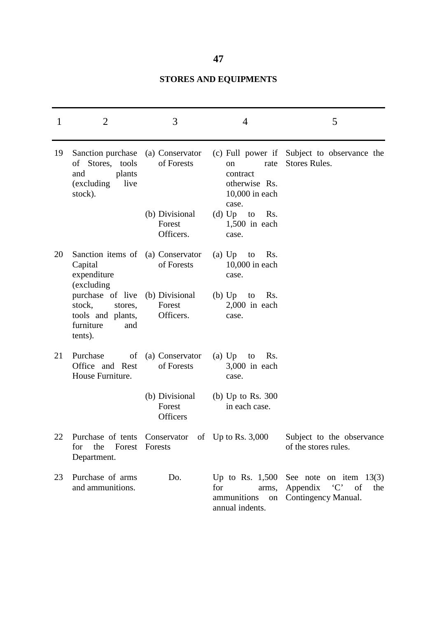# **STORES AND EQUIPMENTS**

| 1  | $\overline{2}$                                                                                           | 3                                     | 4                                                                             | 5                                                                                                       |
|----|----------------------------------------------------------------------------------------------------------|---------------------------------------|-------------------------------------------------------------------------------|---------------------------------------------------------------------------------------------------------|
| 19 | Sanction purchase (a) Conservator<br>of Stores, tools<br>plants<br>and<br>(excluding<br>live<br>stock).  | of Forests                            | rate<br><sub>on</sub><br>contract<br>otherwise Rs.<br>10,000 in each<br>case. | (c) Full power if Subject to observance the<br>Stores Rules.                                            |
|    |                                                                                                          | (b) Divisional<br>Forest<br>Officers. | (d) Up to<br>Rs.<br>$1,500$ in each<br>case.                                  |                                                                                                         |
| 20 | Sanction items of (a) Conservator<br>Capital<br>expenditure<br>(excluding                                | of Forests                            | (a) $Up$ to<br>Rs.<br>10,000 in each<br>case.                                 |                                                                                                         |
|    | purchase of live (b) Divisional<br>stock,<br>stores,<br>tools and plants,<br>furniture<br>and<br>tents). | Forest<br>Officers.                   | $(b)$ Up<br>Rs.<br>to<br>$2,000$ in each<br>case.                             |                                                                                                         |
| 21 | Purchase<br>of<br>Office and Rest<br>House Furniture.                                                    | (a) Conservator<br>of Forests         | (a) $Up$ to<br>Rs.<br>$3,000$ in each<br>case.                                |                                                                                                         |
|    |                                                                                                          | (b) Divisional<br>Forest<br>Officers  | (b) Up to Rs. $300$<br>in each case.                                          |                                                                                                         |
| 22 | Purchase of tents Conservator of Up to Rs. 3,000<br>Forest Forests<br>for<br>the<br>Department.          |                                       |                                                                               | Subject to the observance<br>of the stores rules.                                                       |
| 23 | Purchase of arms<br>and ammunitions.                                                                     | Do.                                   | for<br>ammunitions<br>annual indents.                                         | Up to Rs. $1,500$ See note on item $13(3)$<br>arms, Appendix 'C'<br>of<br>the<br>on Contingency Manual. |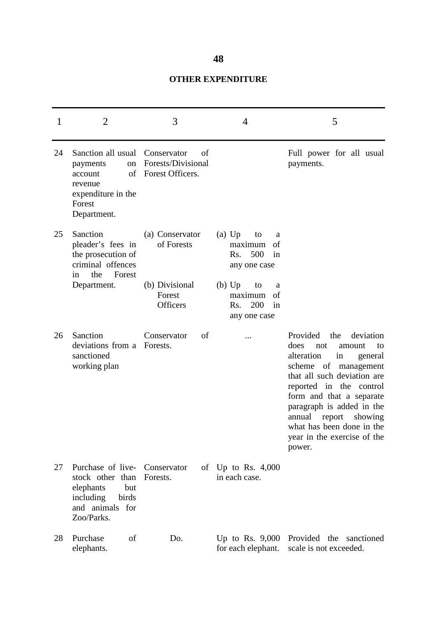## **OTHER EXPENDITURE**

| 1  | 2                                                                                                                | 3                                                                     | 4                                                                                                                                                    | 5                                                                                                                                                                                                                                                                                                                                       |
|----|------------------------------------------------------------------------------------------------------------------|-----------------------------------------------------------------------|------------------------------------------------------------------------------------------------------------------------------------------------------|-----------------------------------------------------------------------------------------------------------------------------------------------------------------------------------------------------------------------------------------------------------------------------------------------------------------------------------------|
| 24 | Sanction all usual<br>payments<br>on<br>of<br>account<br>revenue<br>expenditure in the<br>Forest<br>Department.  | Conservator<br>of<br>Forests/Divisional<br>Forest Officers.           |                                                                                                                                                      | Full power for all usual<br>payments.                                                                                                                                                                                                                                                                                                   |
| 25 | Sanction<br>pleader's fees in<br>the prosecution of<br>criminal offences<br>the<br>Forest<br>in<br>Department.   | (a) Conservator<br>of Forests<br>(b) Divisional<br>Forest<br>Officers | $(a)$ Up<br>to<br>a<br>maximum<br>of<br>500<br>Rs.<br>in<br>any one case<br>$(b)$ Up<br>to<br>a<br>maximum<br>of<br>200<br>in<br>Rs.<br>any one case |                                                                                                                                                                                                                                                                                                                                         |
| 26 | Sanction<br>deviations from a<br>sanctioned<br>working plan                                                      | Conservator<br>of<br>Forests.                                         |                                                                                                                                                      | Provided<br>the<br>deviation<br>does<br>not<br>amount<br>to<br>alteration<br>in<br>general<br>scheme of management<br>that all such deviation are<br>reported in the control<br>form and that a separate<br>paragraph is added in the<br>annual report<br>showing<br>what has been done in the<br>year in the exercise of the<br>power. |
| 27 | Purchase of live-<br>stock other than<br>but<br>elephants<br>including<br>birds<br>and animals for<br>Zoo/Parks. | Conservator<br>Forests.                                               | of Up to Rs. $4,000$<br>in each case.                                                                                                                |                                                                                                                                                                                                                                                                                                                                         |
| 28 | Purchase<br>of<br>elephants.                                                                                     | Do.                                                                   | Up to Rs. $9,000$<br>for each elephant.                                                                                                              | Provided the sanctioned<br>scale is not exceeded.                                                                                                                                                                                                                                                                                       |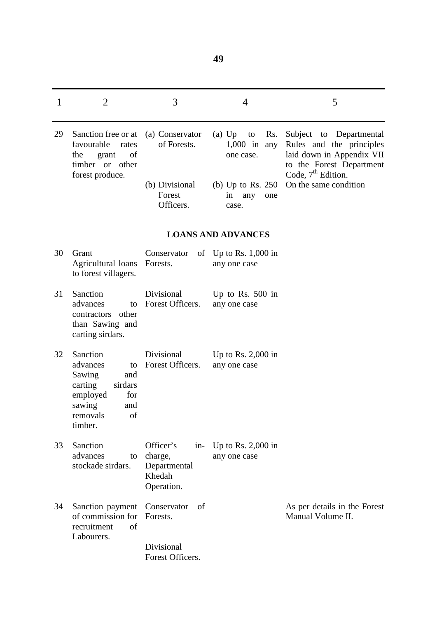| 1  | $\overline{2}$                                                                                                                     | 3                                                                      | $\overline{4}$                                       | 5                                                                                                            |
|----|------------------------------------------------------------------------------------------------------------------------------------|------------------------------------------------------------------------|------------------------------------------------------|--------------------------------------------------------------------------------------------------------------|
| 29 | Sanction free or at<br>favourable<br>rates<br>the<br>of<br>grant<br>timber or other                                                | (a) Conservator<br>of Forests.                                         | $(a)$ Up<br>Rs.<br>to<br>$1,000$ in any<br>one case. | Subject to Departmental<br>Rules and the principles<br>laid down in Appendix VII<br>to the Forest Department |
|    | forest produce.                                                                                                                    | (b) Divisional<br>Forest<br>Officers.                                  | (b) Up to Rs. $250$<br>in<br>any<br>one<br>case.     | Code, 7 <sup>th</sup> Edition.<br>On the same condition                                                      |
|    |                                                                                                                                    |                                                                        | <b>LOANS AND ADVANCES</b>                            |                                                                                                              |
| 30 | Grant<br>Agricultural loans<br>to forest villagers.                                                                                | Conservator<br>Forests.                                                | of Up to Rs. $1,000$ in<br>any one case              |                                                                                                              |
| 31 | Sanction<br>advances<br>to<br>other<br>contractors<br>than Sawing and<br>carting sirdars.                                          | Divisional<br>Forest Officers.                                         | Up to Rs. $500$ in<br>any one case                   |                                                                                                              |
| 32 | Sanction<br>advances<br>to<br>Sawing<br>and<br>carting<br>sirdars<br>employed<br>for<br>sawing<br>and<br>removals<br>of<br>timber. | Divisional<br>Forest Officers.                                         | Up to Rs. $2,000$ in<br>any one case                 |                                                                                                              |
| 33 | Sanction<br>advances<br>to<br>stockade sirdars.                                                                                    | Officer's<br>$in$ -<br>charge,<br>Departmental<br>Khedah<br>Operation. | Up to Rs. $2,000$ in<br>any one case                 |                                                                                                              |
| 34 | Sanction payment<br>of commission for<br>recruitment<br>of<br>Labourers.                                                           | Conservator<br>of<br>Forests.                                          |                                                      | As per details in the Forest<br>Manual Volume II.                                                            |
|    |                                                                                                                                    | Divisional<br>Forest Officers.                                         |                                                      |                                                                                                              |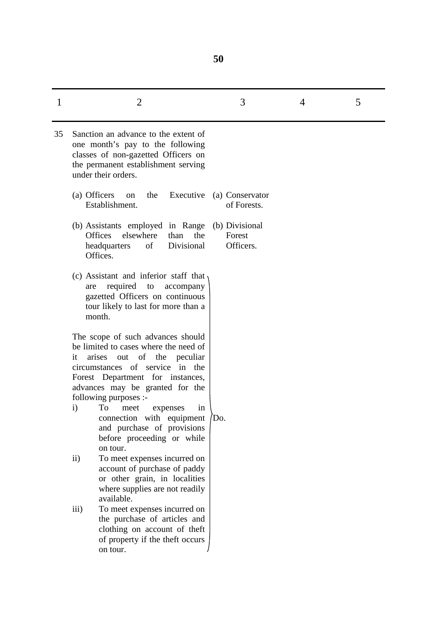| 1  | $\overline{2}$                                                                                                                                                                                                                                             | 3                                     | 4 | 5 |
|----|------------------------------------------------------------------------------------------------------------------------------------------------------------------------------------------------------------------------------------------------------------|---------------------------------------|---|---|
| 35 | Sanction an advance to the extent of<br>one month's pay to the following<br>classes of non-gazetted Officers on<br>the permanent establishment serving<br>under their orders.                                                                              |                                       |   |   |
|    | (a) Officers<br>Executive<br>the<br><sub>on</sub><br>Establishment.                                                                                                                                                                                        | (a) Conservator<br>of Forests.        |   |   |
|    | (b) Assistants employed in Range<br><b>Offices</b><br>elsewhere<br>than<br>the<br>Divisional<br>of<br>headquarters<br>Offices.                                                                                                                             | (b) Divisional<br>Forest<br>Officers. |   |   |
|    | (c) Assistant and inferior staff that<br>required<br>to<br>accompany<br>are<br>gazetted Officers on continuous<br>tour likely to last for more than a<br>month.                                                                                            |                                       |   |   |
|    | The scope of such advances should<br>be limited to cases where the need of<br>of the<br>arises<br>out<br>peculiar<br>it<br>circumstances of service in the<br>Forest Department for instances,<br>advances may be granted for the<br>following purposes :- |                                       |   |   |
|    | $\mathbf{i}$<br>To<br>meet<br>expenses<br>in<br>connection with equipment<br>and purchase of provisions<br>before proceeding or while<br>on tour.                                                                                                          | Do.                                   |   |   |
|    | $\ddot{\text{1}}$<br>To meet expenses incurred on<br>account of purchase of paddy<br>or other grain, in localities<br>where supplies are not readily<br>available.                                                                                         |                                       |   |   |
|    | To meet expenses incurred on<br>$\overline{iii}$<br>the purchase of articles and<br>clothing on account of theft<br>of property if the theft occurs<br>on tour.                                                                                            |                                       |   |   |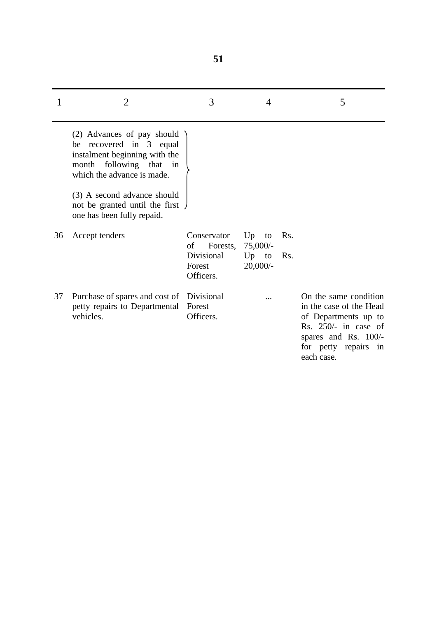|    | 2                                                                                                                                                                                                                                                | 3                                                                  | 4                                            | 5                                                                                                                                                                   |
|----|--------------------------------------------------------------------------------------------------------------------------------------------------------------------------------------------------------------------------------------------------|--------------------------------------------------------------------|----------------------------------------------|---------------------------------------------------------------------------------------------------------------------------------------------------------------------|
|    | (2) Advances of pay should<br>be recovered in 3 equal<br>instalment beginning with the<br>month following that in<br>which the advance is made.<br>(3) A second advance should<br>not be granted until the first )<br>one has been fully repaid. |                                                                    |                                              |                                                                                                                                                                     |
| 36 | Accept tenders                                                                                                                                                                                                                                   | Conservator<br>of<br>Forests,<br>Divisional<br>Forest<br>Officers. | $Up$ to<br>75,000/<br>$Up$ to<br>$20,000/$ - | Rs.<br>Rs.                                                                                                                                                          |
| 37 | Purchase of spares and cost of Divisional<br>petty repairs to Departmental<br>vehicles.                                                                                                                                                          | Forest<br>Officers.                                                |                                              | On the same condition<br>in the case of the Head<br>of Departments up to<br>Rs. $250/-$ in case of<br>spares and Rs. 100/-<br>for petty repairs<br>in<br>each case. |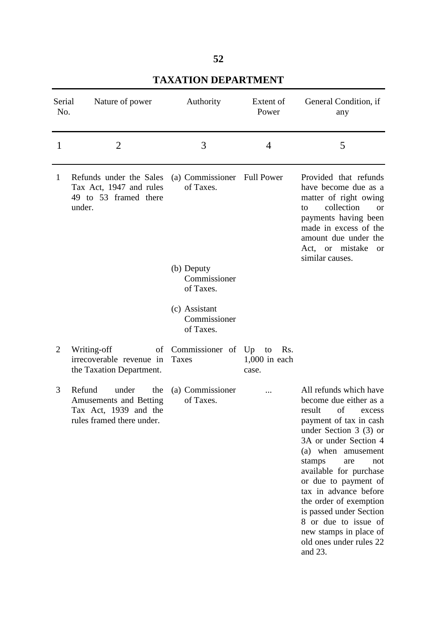| Serial<br>No.  | Nature of power                                                                                        | Authority                                  | Extent of<br>Power                    | General Condition, if<br>any                                                                                                                                                                                                                                                                                                                                                                                             |
|----------------|--------------------------------------------------------------------------------------------------------|--------------------------------------------|---------------------------------------|--------------------------------------------------------------------------------------------------------------------------------------------------------------------------------------------------------------------------------------------------------------------------------------------------------------------------------------------------------------------------------------------------------------------------|
| 1              | $\overline{2}$                                                                                         | 3                                          | $\overline{4}$                        | 5                                                                                                                                                                                                                                                                                                                                                                                                                        |
| 1              | Refunds under the Sales<br>Tax Act, 1947 and rules<br>49 to 53 framed there<br>under.                  | (a) Commissioner Full Power<br>of Taxes.   |                                       | Provided that refunds<br>have become due as a<br>matter of right owing<br>collection<br>to<br><b>or</b><br>payments having been<br>made in excess of the<br>amount due under the<br>Act, or mistake<br><sub>or</sub><br>similar causes.                                                                                                                                                                                  |
|                |                                                                                                        | (b) Deputy<br>Commissioner<br>of Taxes.    |                                       |                                                                                                                                                                                                                                                                                                                                                                                                                          |
|                |                                                                                                        | (c) Assistant<br>Commissioner<br>of Taxes. |                                       |                                                                                                                                                                                                                                                                                                                                                                                                                          |
| $\overline{2}$ | Writing-off<br>irrecoverable revenue in<br>the Taxation Department.                                    | of Commissioner of Up<br>Taxes             | to<br>Rs.<br>$1,000$ in each<br>case. |                                                                                                                                                                                                                                                                                                                                                                                                                          |
| 3              | Refund<br>under<br>the<br>Amusements and Betting<br>Tax Act, 1939 and the<br>rules framed there under. | (a) Commissioner<br>of Taxes.              |                                       | All refunds which have<br>become due either as a<br>result of excess<br>payment of tax in cash<br>under Section $3(3)$ or<br>3A or under Section 4<br>(a) when amusement<br>stamps<br>are<br>not<br>available for purchase<br>or due to payment of<br>tax in advance before<br>the order of exemption<br>is passed under Section<br>8 or due to issue of<br>new stamps in place of<br>old ones under rules 22<br>and 23. |

# **TAXATION DEPARTMENT**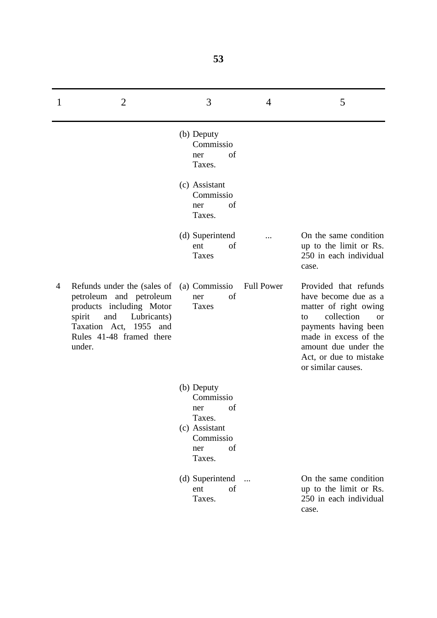| 1 | $\overline{2}$                                                                                                                                                                     | 3                                                                                                   | $\overline{4}$    | 5                                                                                                                                                                                                                         |
|---|------------------------------------------------------------------------------------------------------------------------------------------------------------------------------------|-----------------------------------------------------------------------------------------------------|-------------------|---------------------------------------------------------------------------------------------------------------------------------------------------------------------------------------------------------------------------|
|   |                                                                                                                                                                                    | (b) Deputy<br>Commissio<br>of<br>ner<br>Taxes.                                                      |                   |                                                                                                                                                                                                                           |
|   |                                                                                                                                                                                    | (c) Assistant<br>Commissio<br>of<br>ner<br>Taxes.                                                   |                   |                                                                                                                                                                                                                           |
|   |                                                                                                                                                                                    | (d) Superintend<br>ent<br>οf<br><b>Taxes</b>                                                        |                   | On the same condition<br>up to the limit or Rs.<br>250 in each individual<br>case.                                                                                                                                        |
| 4 | Refunds under the (sales of<br>petroleum and petroleum<br>products including Motor<br>spirit<br>and<br>Lubricants)<br>Taxation Act, 1955 and<br>Rules 41-48 framed there<br>under. | (a) Commissio<br>of<br>ner<br>Taxes                                                                 | <b>Full Power</b> | Provided that refunds<br>have become due as a<br>matter of right owing<br>collection<br>to<br>or<br>payments having been<br>made in excess of the<br>amount due under the<br>Act, or due to mistake<br>or similar causes. |
|   |                                                                                                                                                                                    | (b) Deputy<br>Commissio<br>of<br>ner<br>Taxes.<br>(c) Assistant<br>Commissio<br>of<br>ner<br>Taxes. |                   |                                                                                                                                                                                                                           |
|   |                                                                                                                                                                                    | (d) Superintend<br>of<br>ent<br>Taxes.                                                              | $\dddotsc$        | On the same condition<br>up to the limit or Rs.<br>250 in each individual<br>case.                                                                                                                                        |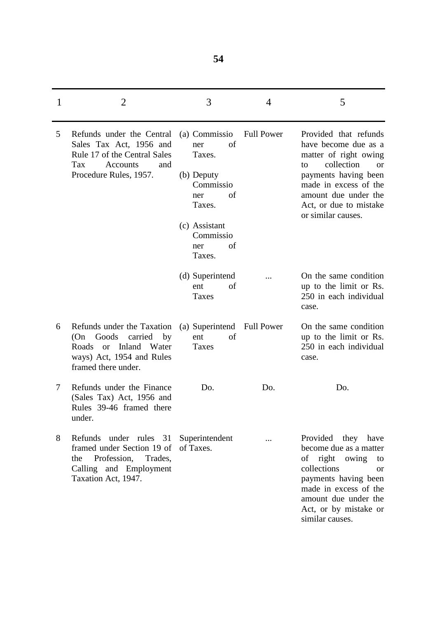|   | $\overline{2}$                                                                                                                                               | 3                                                                                                                                           | 4                 | 5                                                                                                                                                                                                                                |
|---|--------------------------------------------------------------------------------------------------------------------------------------------------------------|---------------------------------------------------------------------------------------------------------------------------------------------|-------------------|----------------------------------------------------------------------------------------------------------------------------------------------------------------------------------------------------------------------------------|
| 5 | Refunds under the Central<br>Sales Tax Act, 1956 and<br>Rule 17 of the Central Sales<br>Tax<br><b>Accounts</b><br>and<br>Procedure Rules, 1957.              | (a) Commissio<br>of<br>ner<br>Taxes.<br>(b) Deputy<br>Commissio<br>οf<br>ner<br>Taxes.<br>(c) Assistant<br>Commissio<br>of<br>ner<br>Taxes. | <b>Full Power</b> | Provided that refunds<br>have become due as a<br>matter of right owing<br>collection<br>to<br><b>or</b><br>payments having been<br>made in excess of the<br>amount due under the<br>Act, or due to mistake<br>or similar causes. |
|   |                                                                                                                                                              | (d) Superintend<br>of<br>ent<br>Taxes                                                                                                       |                   | On the same condition<br>up to the limit or Rs.<br>250 in each individual<br>case.                                                                                                                                               |
| 6 | Refunds under the Taxation<br>(On Goods<br>carried<br>by<br>Roads or Inland<br>Water<br>ways) Act, 1954 and Rules<br>framed there under.                     | (a) Superintend Full Power<br>of<br>ent<br>Taxes                                                                                            |                   | On the same condition<br>up to the limit or Rs.<br>250 in each individual<br>case.                                                                                                                                               |
| 7 | Refunds under the Finance<br>(Sales Tax) Act, 1956 and<br>Rules 39-46 framed there<br>under.                                                                 | Do.                                                                                                                                         | Do.               | Do.                                                                                                                                                                                                                              |
| 8 | Refunds under rules 31 Superintendent<br>framed under Section 19 of of Taxes.<br>Profession, Trades,<br>the<br>Calling and Employment<br>Taxation Act, 1947. |                                                                                                                                             |                   | Provided they have<br>become due as a matter<br>of right owing<br>to<br>collections<br><sub>or</sub><br>payments having been<br>made in excess of the<br>amount due under the<br>Act, or by mistake or<br>similar causes.        |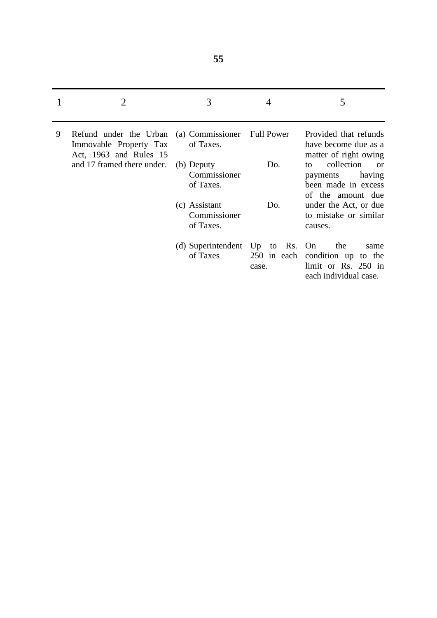|   | 2                                                                                           | 3                                           |                      | 5                                                                                               |
|---|---------------------------------------------------------------------------------------------|---------------------------------------------|----------------------|-------------------------------------------------------------------------------------------------|
| 9 | Refund under the Urban (a) Commissioner<br>Immovable Property Tax<br>Act, 1963 and Rules 15 | of Taxes.                                   | <b>Full Power</b>    | Provided that refunds<br>have become due as a<br>matter of right owing                          |
|   | and 17 framed there under.                                                                  | (b) Deputy<br>Commissioner<br>of Taxes.     | Do.                  | collection<br>tΩ<br><b>or</b><br>having<br>payments<br>been made in excess<br>of the amount due |
|   |                                                                                             | (c) Assistant<br>Commissioner<br>of Taxes.  | Do.                  | under the Act, or due<br>to mistake or similar<br>causes.                                       |
|   |                                                                                             | (d) Superintendent Up to Rs. On<br>of Taxes | 250 in each<br>case. | the<br>same<br>condition up to the<br>limit or Rs. 250 in<br>each individual case.              |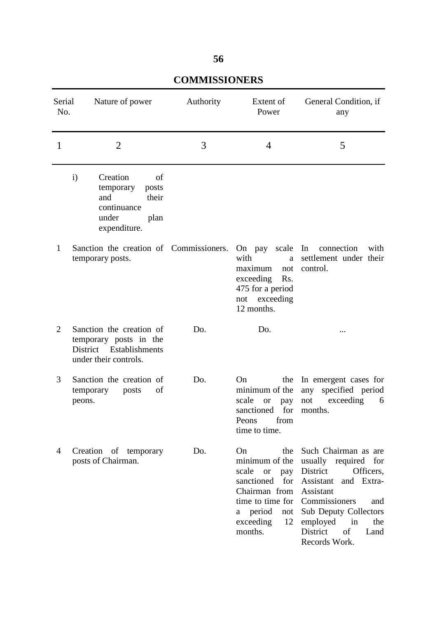| Serial<br>No.  | Nature of power                                                                                                      | Authority | Extent of<br>Power                                                                                                                                                                    | General Condition, if<br>any                                                                                                                                                                                             |
|----------------|----------------------------------------------------------------------------------------------------------------------|-----------|---------------------------------------------------------------------------------------------------------------------------------------------------------------------------------------|--------------------------------------------------------------------------------------------------------------------------------------------------------------------------------------------------------------------------|
| 1              | $\overline{2}$                                                                                                       | 3         | $\overline{4}$                                                                                                                                                                        | 5                                                                                                                                                                                                                        |
|                | $\mathbf{i}$<br>Creation<br>of<br>temporary<br>posts<br>and<br>their<br>continuance<br>under<br>plan<br>expenditure. |           |                                                                                                                                                                                       |                                                                                                                                                                                                                          |
| $\mathbf{1}$   | Sanction the creation of Commissioners.<br>temporary posts.                                                          |           | On pay scale<br>with<br>a<br>maximum<br>not<br>exceeding<br>Rs.<br>475 for a period<br>not exceeding<br>12 months.                                                                    | In<br>connection<br>with<br>settlement under their<br>control.                                                                                                                                                           |
| $\overline{2}$ | Sanction the creation of<br>temporary posts in the<br>District Establishments<br>under their controls.               | Do.       | Do.                                                                                                                                                                                   |                                                                                                                                                                                                                          |
| 3              | Sanction the creation of<br>of<br>temporary<br>posts<br>peons.                                                       | Do.       | On<br>the<br>minimum of the<br>scale<br><b>or</b><br>pay<br>for<br>sanctioned<br>Peons<br>from<br>time to time.                                                                       | In emergent cases for<br>any specified period<br>exceeding<br>6<br>not<br>months.                                                                                                                                        |
| 4              | Creation of temporary<br>posts of Chairman.                                                                          | Do.       | On<br>the<br>minimum of the<br>scale<br><sub>or</sub><br>pay<br>for<br>sanctioned<br>Chairman from<br>time to time for Commissioners<br>a period<br>not<br>exceeding<br>12<br>months. | Such Chairman as are<br>usually required for<br>District<br>Officers,<br>Assistant<br>and Extra-<br>Assistant<br>and<br><b>Sub Deputy Collectors</b><br>employed<br>in<br>the<br>District<br>of<br>Land<br>Records Work. |

# **COMMISSIONERS**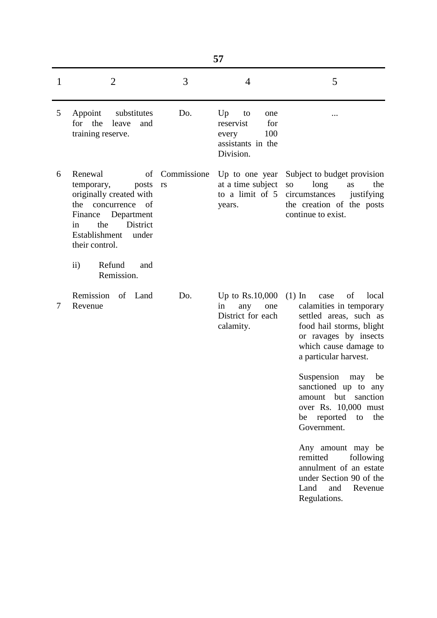|   |                                                                                                                                                                                  |                   | 57                                                                                    |                                                                                                                                                                                                                                                                                                                                          |
|---|----------------------------------------------------------------------------------------------------------------------------------------------------------------------------------|-------------------|---------------------------------------------------------------------------------------|------------------------------------------------------------------------------------------------------------------------------------------------------------------------------------------------------------------------------------------------------------------------------------------------------------------------------------------|
| 1 | $\overline{2}$                                                                                                                                                                   | 3                 | 4                                                                                     | 5                                                                                                                                                                                                                                                                                                                                        |
| 5 | Appoint<br>substitutes<br>for the<br>leave<br>and<br>training reserve.                                                                                                           | Do.               | Up<br>to<br>one<br>reservist<br>for<br>100<br>every<br>assistants in the<br>Division. |                                                                                                                                                                                                                                                                                                                                          |
| 6 | Renewal<br>of<br>temporary,<br>posts<br>originally created with<br>the concurrence of<br>Finance Department<br>District<br>the<br>in<br>Establishment<br>under<br>their control. | Commissione<br>rs | Up to one year<br>at a time subject<br>to a limit of 5<br>years.                      | Subject to budget provision<br>long<br>the<br>${\bf SO}$<br>as<br>circumstances<br>justifying<br>the creation of the posts<br>continue to exist.                                                                                                                                                                                         |
|   | Refund<br>$\rm ii)$<br>and<br>Remission.                                                                                                                                         |                   |                                                                                       |                                                                                                                                                                                                                                                                                                                                          |
| 7 | Remission of Land<br>Revenue                                                                                                                                                     | Do.               | Up to Rs.10,000<br>in<br>any<br>one<br>District for each<br>calamity.                 | $(1)$ In<br>of<br>local<br>case<br>calamities in temporary<br>settled areas, such as<br>food hail storms, blight<br>or ravages by insects<br>which cause damage to<br>a particular harvest.<br>Suspension<br>be<br>may<br>sanctioned up to any<br>amount but sanction<br>over Rs. 10,000 must<br>be reported<br>to<br>the<br>Government. |
|   |                                                                                                                                                                                  |                   |                                                                                       | Any amount may be<br>remitted<br>following<br>annulment of an estate<br>under Section 90 of the<br>Land<br>and<br>Revenue<br>Regulations.                                                                                                                                                                                                |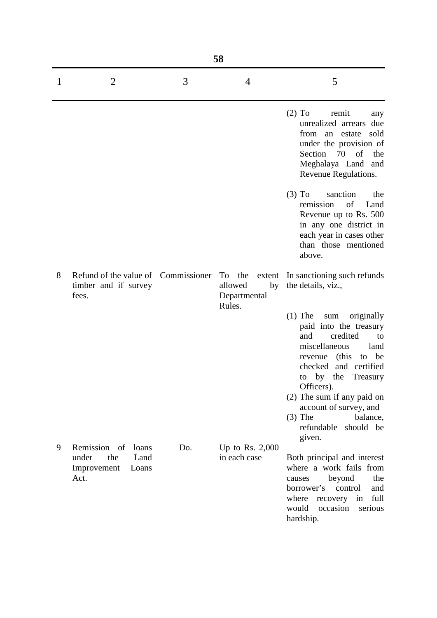|   | 58                                                                         |     |                                                   |                                                                                                                                                                                                                                                                                                                                             |  |  |
|---|----------------------------------------------------------------------------|-----|---------------------------------------------------|---------------------------------------------------------------------------------------------------------------------------------------------------------------------------------------------------------------------------------------------------------------------------------------------------------------------------------------------|--|--|
| 1 | $\overline{2}$                                                             | 3   | 4                                                 | 5                                                                                                                                                                                                                                                                                                                                           |  |  |
|   |                                                                            |     |                                                   | $(2)$ To<br>remit<br>any<br>unrealized arrears due<br>from an<br>estate sold<br>under the provision of<br>Section 70<br>of<br>the<br>Meghalaya Land and<br>Revenue Regulations.                                                                                                                                                             |  |  |
|   |                                                                            |     |                                                   | $(3)$ To<br>sanction<br>the<br>remission<br>of<br>Land<br>Revenue up to Rs. 500<br>in any one district in<br>each year in cases other<br>than those mentioned<br>above.                                                                                                                                                                     |  |  |
| 8 | Refund of the value of Commissioner<br>timber and if survey<br>fees.       |     | To the<br>allowed<br>by<br>Departmental<br>Rules. | extent In sanctioning such refunds<br>the details, viz.,                                                                                                                                                                                                                                                                                    |  |  |
|   |                                                                            |     |                                                   | $(1)$ The<br>$\operatorname{sum}$<br>originally<br>paid into the treasury<br>credited<br>and<br>to<br>miscellaneous<br>land<br>revenue (this<br>be<br>to<br>checked and certified<br>to by the Treasury<br>Officers).<br>(2) The sum if any paid on<br>account of survey, and<br>$(3)$ The<br>balance,<br>refundable<br>should be<br>given. |  |  |
| 9 | Remission of loans<br>under<br>the<br>Land<br>Improvement<br>Loans<br>Act. | Do. | Up to Rs. $2,000$<br>in each case                 | Both principal and interest<br>where a work fails from<br>beyond<br>the<br>causes<br>borrower's<br>control<br>and<br>full<br>where<br>recovery<br>in<br>would<br>occasion<br>serious<br>hardship.                                                                                                                                           |  |  |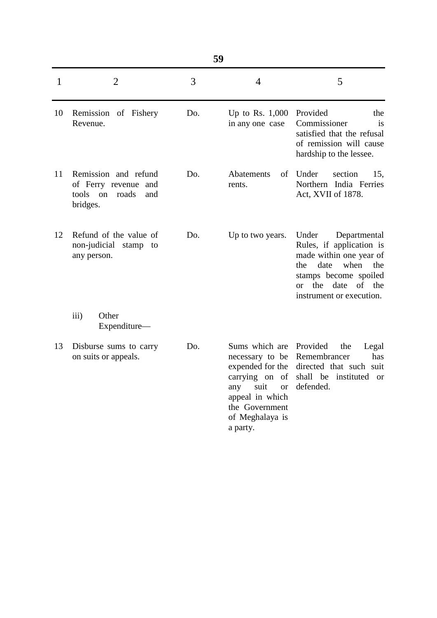| $\mathbf{1}$ | $\overline{2}$                                                                             | 3   | $\overline{4}$                                                                                                                                                          | 5                                                                                                                                                                                                       |
|--------------|--------------------------------------------------------------------------------------------|-----|-------------------------------------------------------------------------------------------------------------------------------------------------------------------------|---------------------------------------------------------------------------------------------------------------------------------------------------------------------------------------------------------|
| 10           | Remission of Fishery<br>Revenue.                                                           | Do. | Up to Rs. 1,000<br>in any one case                                                                                                                                      | Provided<br>the<br>Commissioner<br>is<br>satisfied that the refusal<br>of remission will cause<br>hardship to the lessee.                                                                               |
| 11           | Remission and refund<br>of Ferry revenue<br>and<br>tools<br>roads<br>on<br>and<br>bridges. | Do. | Abatements<br>of<br>rents.                                                                                                                                              | Under<br>section<br>15,<br>Northern India Ferries<br>Act, XVII of 1878.                                                                                                                                 |
| 12           | Refund of the value of<br>non-judicial<br>stamp to<br>any person.                          | Do. | Up to two years.                                                                                                                                                        | Under<br>Departmental<br>Rules, if application is<br>made within one year of<br>date<br>when<br>the<br>the<br>stamps become spoiled<br>the<br>date<br>of<br>the<br>$\alpha$<br>instrument or execution. |
|              | Other<br>iii)<br>Expenditure-                                                              |     |                                                                                                                                                                         |                                                                                                                                                                                                         |
| 13           | Disburse sums to carry<br>on suits or appeals.                                             | Do. | Sums which are<br>necessary to be<br>expended for the<br>carrying on of<br>suit<br>any<br><b>or</b><br>appeal in which<br>the Government<br>of Meghalaya is<br>a party. | Provided<br>the<br>Legal<br>Remembrancer<br>has<br>directed that such suit<br>shall be instituted<br>- or<br>defended.                                                                                  |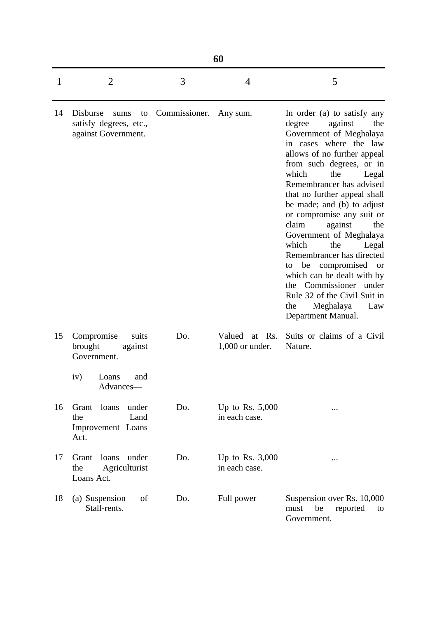|    | 60                                                                                           |                        |                                       |                                                                                                                                                                                                                                                                                                                                                                                                                                                                                                                                                                                                                          |  |  |
|----|----------------------------------------------------------------------------------------------|------------------------|---------------------------------------|--------------------------------------------------------------------------------------------------------------------------------------------------------------------------------------------------------------------------------------------------------------------------------------------------------------------------------------------------------------------------------------------------------------------------------------------------------------------------------------------------------------------------------------------------------------------------------------------------------------------------|--|--|
| 1  | $\overline{2}$                                                                               | 3                      | 4                                     | 5                                                                                                                                                                                                                                                                                                                                                                                                                                                                                                                                                                                                                        |  |  |
| 14 | Disburse<br>sums<br>to<br>satisfy degrees, etc.,<br>against Government.                      | Commissioner. Any sum. |                                       | In order (a) to satisfy any<br>against<br>degree<br>the<br>Government of Meghalaya<br>in cases where the law<br>allows of no further appeal<br>from such degrees, or in<br>which<br>the<br>Legal<br>Remembrancer has advised<br>that no further appeal shall<br>be made; and (b) to adjust<br>or compromise any suit or<br>claim<br>against<br>the<br>Government of Meghalaya<br>which<br>the<br>Legal<br>Remembrancer has directed<br>be compromised<br><sub>or</sub><br>to<br>which can be dealt with by<br>Commissioner under<br>the<br>Rule 32 of the Civil Suit in<br>Meghalaya<br>the<br>Law<br>Department Manual. |  |  |
| 15 | Compromise<br>suits<br>brought<br>against<br>Government.<br>iv)<br>and<br>Loans<br>Advances— | Do.                    | Valued<br>at Rs.<br>$1,000$ or under. | Suits or claims of a Civil<br>Nature.                                                                                                                                                                                                                                                                                                                                                                                                                                                                                                                                                                                    |  |  |
| 16 | Grant<br>loans<br>under<br>Land<br>the<br>Improvement Loans<br>Act.                          | Do.                    | Up to Rs. $5,000$<br>in each case.    |                                                                                                                                                                                                                                                                                                                                                                                                                                                                                                                                                                                                                          |  |  |
| 17 | loans<br>under<br>Grant<br>Agriculturist<br>the<br>Loans Act.                                | Do.                    | Up to Rs. $3,000$<br>in each case.    |                                                                                                                                                                                                                                                                                                                                                                                                                                                                                                                                                                                                                          |  |  |
| 18 | (a) Suspension<br>of<br>Stall-rents.                                                         | Do.                    | Full power                            | Suspension over Rs. 10,000<br>be<br>must<br>reported<br>to<br>Government.                                                                                                                                                                                                                                                                                                                                                                                                                                                                                                                                                |  |  |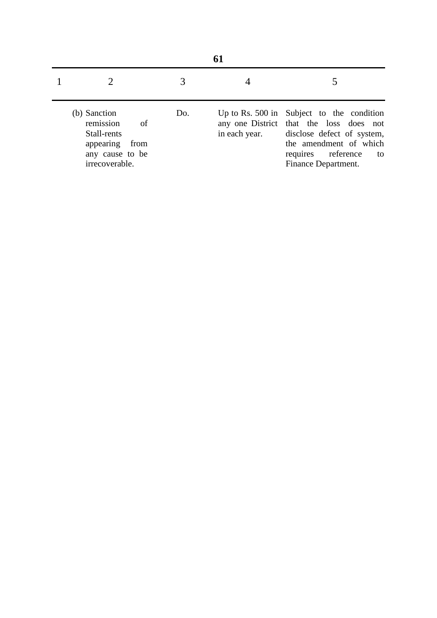|  | (b) Sanction<br>remission<br>- of<br>Stall-rents<br>appearing from<br>any cause to be<br>irrecoverable. | Do. | in each year. | Up to Rs. 500 in Subject to the condition<br>any one District that the loss does not<br>disclose defect of system,<br>the amendment of which<br>requires reference<br>to<br>Finance Department. |  |
|--|---------------------------------------------------------------------------------------------------------|-----|---------------|-------------------------------------------------------------------------------------------------------------------------------------------------------------------------------------------------|--|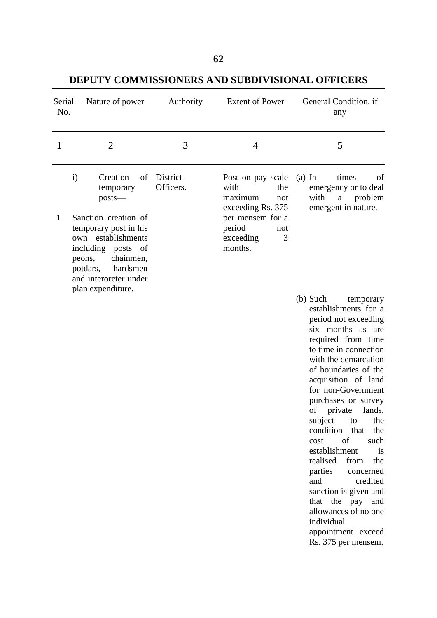**DEPUTY COMMISSIONERS AND SUBDIVISIONAL OFFICERS** 

| Serial<br>No. | Nature of power                                                                                                                                                                                                                                    | Authority             | <b>Extent of Power</b>                                                                                                                    | General Condition, if<br>any                                                                                                                                                                                                                                                                                                                                                                                                                                                                                                                |
|---------------|----------------------------------------------------------------------------------------------------------------------------------------------------------------------------------------------------------------------------------------------------|-----------------------|-------------------------------------------------------------------------------------------------------------------------------------------|---------------------------------------------------------------------------------------------------------------------------------------------------------------------------------------------------------------------------------------------------------------------------------------------------------------------------------------------------------------------------------------------------------------------------------------------------------------------------------------------------------------------------------------------|
| 1             | $\overline{2}$                                                                                                                                                                                                                                     | 3                     | 4                                                                                                                                         | 5                                                                                                                                                                                                                                                                                                                                                                                                                                                                                                                                           |
| 1             | $\mathbf{i}$<br>Creation<br>of<br>temporary<br>$posts$ —<br>Sanction creation of<br>temporary post in his<br>own establishments<br>including posts of<br>chainmen,<br>peons,<br>hardsmen<br>potdars,<br>and interoreter under<br>plan expenditure. | District<br>Officers. | Post on pay scale<br>with<br>the<br>maximum<br>not<br>exceeding Rs. 375<br>per mensem for a<br>period<br>not<br>3<br>exceeding<br>months. | times<br>$(a)$ In<br>of<br>emergency or to deal<br>with<br>a problem<br>emergent in nature.<br>$(b)$ Such<br>temporary<br>establishments for a                                                                                                                                                                                                                                                                                                                                                                                              |
|               |                                                                                                                                                                                                                                                    |                       |                                                                                                                                           | period not exceeding<br>six months as are<br>required from time<br>to time in connection<br>with the demarcation<br>of boundaries of the<br>acquisition of land<br>for non-Government<br>purchases or survey<br>private<br>lands,<br>of<br>subject<br>to<br>the<br>condition that<br>the<br>of<br>cost<br>such<br>establishment<br>is<br>realised<br>from<br>the<br>parties<br>concerned<br>credited<br>and<br>sanction is given and<br>that the pay and<br>allowances of no one<br>individual<br>appointment exceed<br>Rs. 375 per mensem. |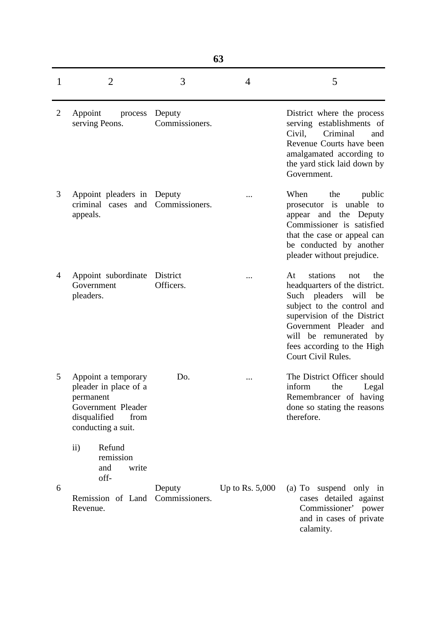| 63             |                                                                                                                               |                          |                   |                                                                                                                                                                                                                                                                |  |
|----------------|-------------------------------------------------------------------------------------------------------------------------------|--------------------------|-------------------|----------------------------------------------------------------------------------------------------------------------------------------------------------------------------------------------------------------------------------------------------------------|--|
| 1              | $\overline{2}$                                                                                                                | 3                        | 4                 | 5                                                                                                                                                                                                                                                              |  |
| $\overline{2}$ | Appoint<br>process<br>serving Peons.                                                                                          | Deputy<br>Commissioners. |                   | District where the process<br>serving establishments of<br>Criminal<br>Civil,<br>and<br>Revenue Courts have been<br>amalgamated according to<br>the yard stick laid down by<br>Government.                                                                     |  |
| 3              | Appoint pleaders in Deputy<br>criminal cases and<br>appeals.                                                                  | Commissioners.           |                   | When<br>the<br>public<br>prosecutor is<br>unable<br>to<br>appear and the Deputy<br>Commissioner is satisfied<br>that the case or appeal can<br>be conducted by another<br>pleader without prejudice.                                                           |  |
| $\overline{4}$ | Appoint subordinate<br>Government<br>pleaders.                                                                                | District<br>Officers.    |                   | stations<br>the<br>At<br>not<br>headquarters of the district.<br>Such pleaders will<br>be<br>subject to the control and<br>supervision of the District<br>Government Pleader and<br>will be remunerated by<br>fees according to the High<br>Court Civil Rules. |  |
| 5.             | Appoint a temporary<br>pleader in place of a<br>permanent<br>Government Pleader<br>disqualified<br>from<br>conducting a suit. | Do.                      |                   | The District Officer should<br>inform<br>the<br>Legal<br>Remembrancer of having<br>done so stating the reasons<br>therefore.                                                                                                                                   |  |
| 6              | Refund<br>$\mathbf{ii}$<br>remission<br>and<br>write<br>off-<br>Remission of Land<br>Revenue.                                 | Deputy<br>Commissioners. | Up to Rs. $5,000$ | (a) To suspend only in<br>cases detailed against<br>Commissioner' power<br>and in cases of private<br>calamity.                                                                                                                                                |  |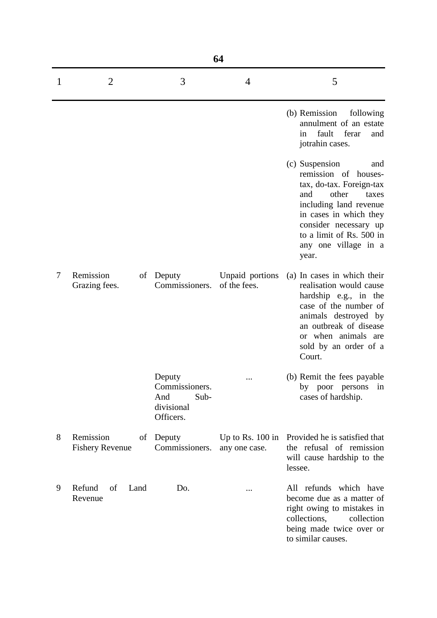| 64 |                                           |                                                                    |                                     |                                                                                                                                                                                                                                              |  |
|----|-------------------------------------------|--------------------------------------------------------------------|-------------------------------------|----------------------------------------------------------------------------------------------------------------------------------------------------------------------------------------------------------------------------------------------|--|
| T  | $\overline{2}$                            | 3                                                                  | 4                                   | 5                                                                                                                                                                                                                                            |  |
|    |                                           |                                                                    |                                     | (b) Remission<br>following<br>annulment of an estate<br>fault<br>ferar<br>and<br>in<br>jotrahin cases.                                                                                                                                       |  |
|    |                                           |                                                                    |                                     | (c) Suspension<br>and<br>remission of houses-<br>tax, do-tax. Foreign-tax<br>other<br>and<br>taxes<br>including land revenue<br>in cases in which they<br>consider necessary up<br>to a limit of Rs. 500 in<br>any one village in a<br>year. |  |
| 7  | Remission<br>of<br>Grazing fees.          | Deputy<br>Commissioners.                                           | Unpaid portions<br>of the fees.     | (a) In cases in which their<br>realisation would cause<br>hardship e.g., in the<br>case of the number of<br>animals destroyed by<br>an outbreak of disease<br>or when animals are<br>sold by an order of a<br>Court.                         |  |
|    |                                           | Deputy<br>Commissioners.<br>And<br>Sub-<br>divisional<br>Officers. |                                     | (b) Remit the fees payable<br>by poor persons<br>in<br>cases of hardship.                                                                                                                                                                    |  |
| 8  | Remission<br>of<br><b>Fishery Revenue</b> | Deputy<br>Commissioners.                                           | Up to Rs. $100$ in<br>any one case. | Provided he is satisfied that<br>the refusal of remission<br>will cause hardship to the<br>lessee.                                                                                                                                           |  |
| 9  | Refund<br>of<br>Land<br>Revenue           | Do.                                                                |                                     | All refunds which have<br>become due as a matter of<br>right owing to mistakes in<br>collections,<br>collection<br>being made twice over or<br>to similar causes.                                                                            |  |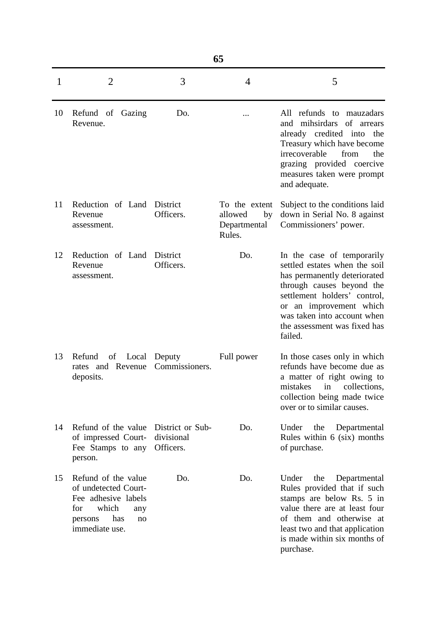|    | 65                                                                                                                                  |                                             |                                                          |                                                                                                                                                                                                                                                               |  |  |
|----|-------------------------------------------------------------------------------------------------------------------------------------|---------------------------------------------|----------------------------------------------------------|---------------------------------------------------------------------------------------------------------------------------------------------------------------------------------------------------------------------------------------------------------------|--|--|
| 1  | $\overline{2}$                                                                                                                      | 3                                           | 4                                                        | 5                                                                                                                                                                                                                                                             |  |  |
| 10 | Refund of Gazing<br>Revenue.                                                                                                        | Do.                                         |                                                          | All refunds to mauzadars<br>mihsirdars<br>of arrears<br>and<br>already credited into<br>the<br>Treasury which have become<br>irrecoverable<br>from<br>the<br>grazing provided coercive<br>measures taken were prompt<br>and adequate.                         |  |  |
| 11 | Reduction of Land<br>Revenue<br>assessment.                                                                                         | District<br>Officers.                       | To the extent<br>allowed<br>by<br>Departmental<br>Rules. | Subject to the conditions laid<br>down in Serial No. 8 against<br>Commissioners' power.                                                                                                                                                                       |  |  |
| 12 | Reduction of Land<br>Revenue<br>assessment.                                                                                         | District<br>Officers.                       | Do.                                                      | In the case of temporarily<br>settled estates when the soil<br>has permanently deteriorated<br>through causes beyond the<br>settlement holders' control,<br>or an improvement which<br>was taken into account when<br>the assessment was fixed has<br>failed. |  |  |
| 13 | Refund<br>of Local<br>rates and Revenue<br>deposits.                                                                                | Deputy<br>Commissioners.                    | Full power                                               | In those cases only in which<br>refunds have become due as<br>a matter of right owing to<br>mistakes<br>collections,<br>in<br>collection being made twice<br>over or to similar causes.                                                                       |  |  |
| 14 | Refund of the value<br>of impressed Court-<br>Fee Stamps to any<br>person.                                                          | District or Sub-<br>divisional<br>Officers. | Do.                                                      | Under<br>the<br>Departmental<br>Rules within 6 (six) months<br>of purchase.                                                                                                                                                                                   |  |  |
| 15 | Refund of the value<br>of undetected Court-<br>Fee adhesive labels<br>which<br>for<br>any<br>has<br>persons<br>no<br>immediate use. | Do.                                         | Do.                                                      | Under<br>the<br>Departmental<br>Rules provided that if such<br>stamps are below Rs. 5 in<br>value there are at least four<br>of them and otherwise at<br>least two and that application<br>is made within six months of<br>purchase.                          |  |  |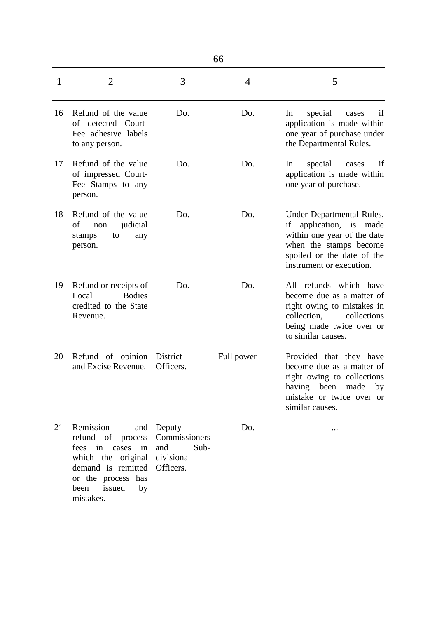| 1  | $\overline{2}$                                                                                                                                                               | 3                            | 4          | 5                                                                                                                                                                       |
|----|------------------------------------------------------------------------------------------------------------------------------------------------------------------------------|------------------------------|------------|-------------------------------------------------------------------------------------------------------------------------------------------------------------------------|
| 16 | Refund of the value<br>of detected Court-<br>Fee adhesive labels<br>to any person.                                                                                           | Do.                          | Do.        | In<br>special<br>cases<br>if<br>application is made within<br>one year of purchase under<br>the Departmental Rules.                                                     |
| 17 | Refund of the value<br>of impressed Court-<br>Fee Stamps to any<br>person.                                                                                                   | Do.                          | Do.        | In<br>special<br>if<br>cases<br>application is made within<br>one year of purchase.                                                                                     |
| 18 | Refund of the value<br>of<br>judicial<br>non<br>to<br>stamps<br>any<br>person.                                                                                               | Do.                          | Do.        | Under Departmental Rules,<br>if application, is made<br>within one year of the date<br>when the stamps become<br>spoiled or the date of the<br>instrument or execution. |
| 19 | Refund or receipts of<br><b>Bodies</b><br>Local<br>credited to the State<br>Revenue.                                                                                         | Do.                          | Do.        | All refunds which have<br>become due as a matter of<br>right owing to mistakes in<br>collection,<br>collections<br>being made twice over or<br>to similar causes.       |
| 20 | Refund of opinion District<br>and Excise Revenue.                                                                                                                            | Officers.                    | Full power | Provided that they have<br>become due as a matter of<br>right owing to collections<br>having<br>been<br>made<br>by<br>mistake or twice over or<br>similar causes.       |
| 21 | Remission<br>refund of process Commissioners<br>fees in<br>cases<br>which the original divisional<br>demand is remitted Officers.<br>or the process has<br>issued by<br>been | and Deputy<br>in and<br>Sub- | Do.        |                                                                                                                                                                         |

mistakes.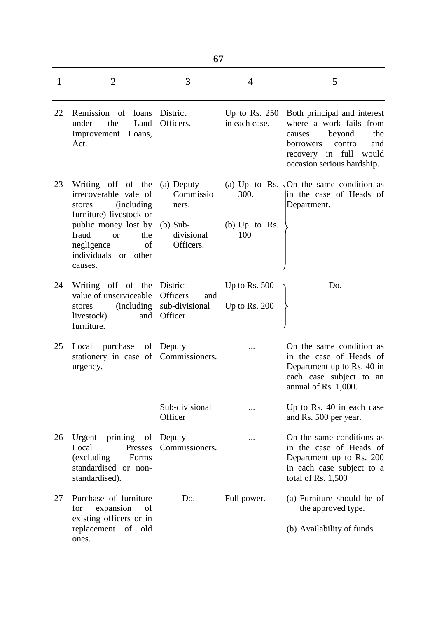| 1  | $\overline{2}$                                                                                                                            | 3                                                   | $\overline{4}$                   | 5                                                                                                                                                                           |
|----|-------------------------------------------------------------------------------------------------------------------------------------------|-----------------------------------------------------|----------------------------------|-----------------------------------------------------------------------------------------------------------------------------------------------------------------------------|
| 22 | Remission of loans<br>under<br>the<br>Land<br>Improvement Loans,<br>Act.                                                                  | District<br>Officers.                               | Up to Rs. $250$<br>in each case. | Both principal and interest<br>where a work fails from<br>beyond<br>the<br>causes<br>control<br>borrowers<br>and<br>recovery in full<br>would<br>occasion serious hardship. |
| 23 | Writing off of the<br>irrecoverable vale of<br><i>(including)</i><br>stores                                                               | (a) Deputy<br>Commissio<br>ners.                    | 300.                             | (a) Up to Rs. $\sqrt{On}$ the same condition as<br>in the case of Heads of<br>Department.                                                                                   |
|    | furniture) livestock or<br>public money lost by<br>fraud<br>the<br><b>or</b><br>of<br>negligence<br>individuals<br>other<br>or<br>causes. | $(b)$ Sub-<br>divisional<br>Officers.               | (b) $Up$ to Rs.<br>100           |                                                                                                                                                                             |
| 24 | Writing off of the                                                                                                                        | District                                            | Up to Rs. $500$                  | Do.                                                                                                                                                                         |
|    | value of unserviceable<br><i>(including)</i><br>stores<br>livestock)<br>and<br>furniture.                                                 | <b>Officers</b><br>and<br>sub-divisional<br>Officer | Up to Rs. $200$                  |                                                                                                                                                                             |
| 25 | purchase<br>Local<br>stationery in case of Commissioners.<br>urgency.                                                                     | of Deputy                                           |                                  | On the same condition as<br>in the case of Heads of<br>Department up to Rs. 40 in<br>each case subject to<br>an<br>annual of Rs. $1,000$ .                                  |
|    |                                                                                                                                           | Sub-divisional<br>Officer                           |                                  | Up to Rs. 40 in each case<br>and Rs. 500 per year.                                                                                                                          |
| 26 | Urgent<br>printing<br>of<br>Local<br>Presses<br>(excluding)<br>Forms<br>standardised or non-<br>standardised).                            | Deputy<br>Commissioners.                            |                                  | On the same conditions as<br>in the case of Heads of<br>Department up to Rs. 200<br>in each case subject to a<br>total of Rs. $1,500$                                       |
| 27 | Purchase of furniture<br>expansion<br>of<br>for<br>existing officers or in                                                                | Do.                                                 | Full power.                      | (a) Furniture should be of<br>the approved type.                                                                                                                            |
|    | replacement of<br>old<br>ones.                                                                                                            |                                                     |                                  | (b) Availability of funds.                                                                                                                                                  |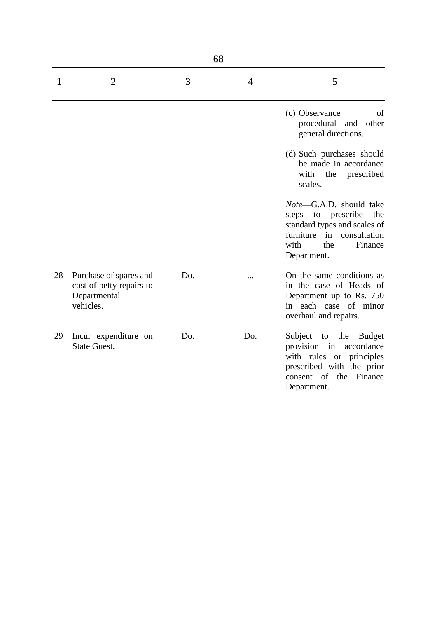| 68 |                                                                                 |     |                |                                                                                                                                                            |  |
|----|---------------------------------------------------------------------------------|-----|----------------|------------------------------------------------------------------------------------------------------------------------------------------------------------|--|
| 1  | $\overline{2}$                                                                  | 3   | $\overline{4}$ | 5                                                                                                                                                          |  |
|    |                                                                                 |     |                | (c) Observance<br>of<br>procedural and other<br>general directions.                                                                                        |  |
|    |                                                                                 |     |                | (d) Such purchases should<br>be made in accordance<br>with<br>the<br>prescribed<br>scales.                                                                 |  |
|    |                                                                                 |     |                | Note-G.A.D. should take<br>steps to prescribe<br>the<br>standard types and scales of<br>furniture in consultation<br>with<br>Finance<br>the<br>Department. |  |
| 28 | Purchase of spares and<br>cost of petty repairs to<br>Departmental<br>vehicles. | Do. |                | On the same conditions as<br>in the case of Heads of<br>Department up to Rs. 750<br>in each case of minor<br>overhaul and repairs.                         |  |
| 29 | Incur expenditure on<br><b>State Guest.</b>                                     | Do. | Do.            | Subject to the Budget<br>provision in<br>accordance<br>with rules or principles<br>prescribed with the prior<br>consent of the Finance<br>Department.      |  |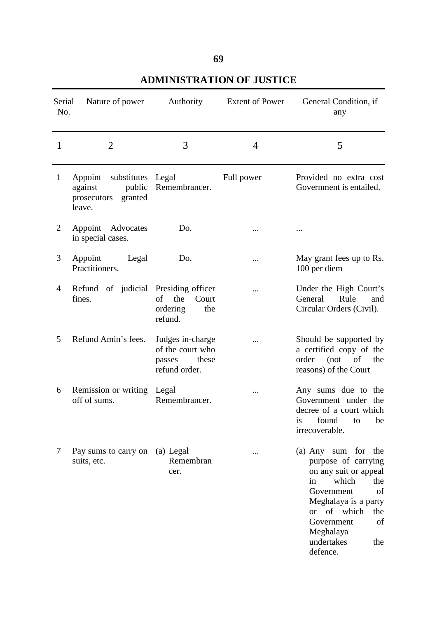# **69**

| <b>ADMINISTRATION OF JUSTICE</b> |  |  |
|----------------------------------|--|--|
|----------------------------------|--|--|

| Serial<br>No. | Nature of power                                                                 | Authority                                                                | <b>Extent of Power</b> | General Condition, if<br>any                                                                                                                                                                                                                |
|---------------|---------------------------------------------------------------------------------|--------------------------------------------------------------------------|------------------------|---------------------------------------------------------------------------------------------------------------------------------------------------------------------------------------------------------------------------------------------|
| 1             | $\overline{2}$                                                                  | 3                                                                        | 4                      | 5                                                                                                                                                                                                                                           |
| $\mathbf{1}$  | Appoint substitutes Legal<br>public<br>against<br>prosecutors granted<br>leave. | Remembrancer.                                                            | Full power             | Provided no extra cost<br>Government is entailed.                                                                                                                                                                                           |
| 2             | Appoint Advocates<br>in special cases.                                          | Do.                                                                      |                        |                                                                                                                                                                                                                                             |
| 3             | Appoint<br>Legal<br>Practitioners.                                              | Do.                                                                      |                        | May grant fees up to Rs.<br>100 per diem                                                                                                                                                                                                    |
| 4             | Refund of judicial Presiding officer<br>fines.                                  | the<br>of<br>Court<br>ordering<br>the<br>refund.                         |                        | Under the High Court's<br>General<br>Rule<br>and<br>Circular Orders (Civil).                                                                                                                                                                |
| 5             | Refund Amin's fees.                                                             | Judges in-charge<br>of the court who<br>passes<br>these<br>refund order. |                        | Should be supported by<br>a certified copy of the<br>order (not of<br>the<br>reasons) of the Court                                                                                                                                          |
| 6             | Remission or writing Legal<br>off of sums.                                      | Remembrancer.                                                            |                        | Any sums due to the<br>Government under the<br>decree of a court which<br>is found to be<br>irrecoverable.                                                                                                                                  |
| 7             | Pay sums to carry on<br>suits, etc.                                             | (a) Legal<br>Remembran<br>cer.                                           |                        | (a) Any sum for the<br>purpose of carrying<br>on any suit or appeal<br>which<br>the<br>in<br>of<br>Government<br>Meghalaya is a party<br>of which<br><sub>or</sub><br>the<br>of<br>Government<br>Meghalaya<br>undertakes<br>the<br>defence. |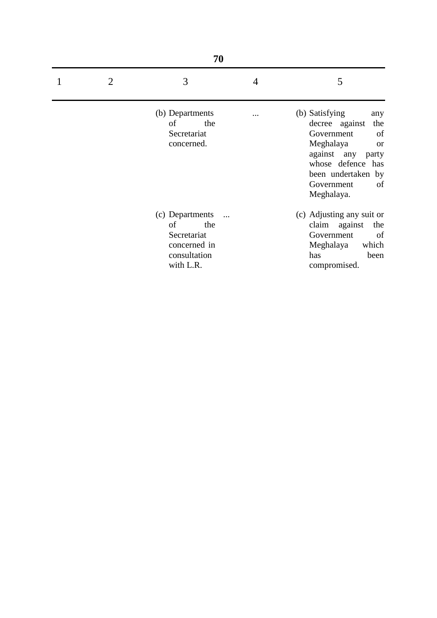| 70             |                                                                                          |   |                                                                                                                                                                                                |  |
|----------------|------------------------------------------------------------------------------------------|---|------------------------------------------------------------------------------------------------------------------------------------------------------------------------------------------------|--|
| $\overline{2}$ | 3                                                                                        | 4 | 5                                                                                                                                                                                              |  |
|                | (b) Departments<br>of<br>the<br>Secretariat<br>concerned.                                |   | (b) Satisfying<br>any<br>decree against<br>the<br>Government<br>of<br>Meghalaya<br><b>or</b><br>against any party<br>whose defence has<br>been undertaken by<br>Government<br>of<br>Meghalaya. |  |
|                | (c) Departments<br>of<br>the<br>Secretariat<br>concerned in<br>consultation<br>with L.R. |   | (c) Adjusting any suit or<br>claim against<br>the<br>Government<br>of<br>which<br>Meghalaya<br>has<br>been<br>compromised.                                                                     |  |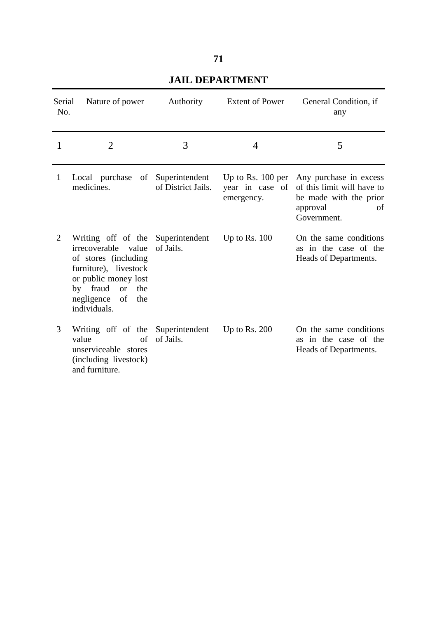| Serial<br>No.  | Nature of power                                                                                                                                                                                                  | Authority          | <b>Extent of Power</b>                               | General Condition, if<br>any                                                                                    |
|----------------|------------------------------------------------------------------------------------------------------------------------------------------------------------------------------------------------------------------|--------------------|------------------------------------------------------|-----------------------------------------------------------------------------------------------------------------|
|                | $\overline{2}$                                                                                                                                                                                                   | 3                  | 4                                                    | 5                                                                                                               |
| $\mathbf{1}$   | Local purchase of Superintendent<br>medicines.                                                                                                                                                                   | of District Jails. | Up to Rs. $100$ per<br>year in case of<br>emergency. | Any purchase in excess<br>of this limit will have to<br>be made with the prior<br>approval<br>of<br>Government. |
| $\overline{2}$ | Writing off of the Superintendent<br>irrecoverable value<br>of stores (including<br>furniture), livestock<br>or public money lost<br>by fraud<br><sub>or</sub><br>the<br>negligence<br>of<br>the<br>individuals. | of Jails.          | Up to Rs. $100$                                      | On the same conditions<br>as in the case of the<br>Heads of Departments.                                        |
| 3              | Writing off of the Superintendent<br>value<br>of<br>unserviceable stores<br>(including livestock)<br>and furniture.                                                                                              | of Jails.          | Up to Rs. $200$                                      | On the same conditions<br>as in the case of the<br>Heads of Departments.                                        |

## **JAIL DEPARTMENT**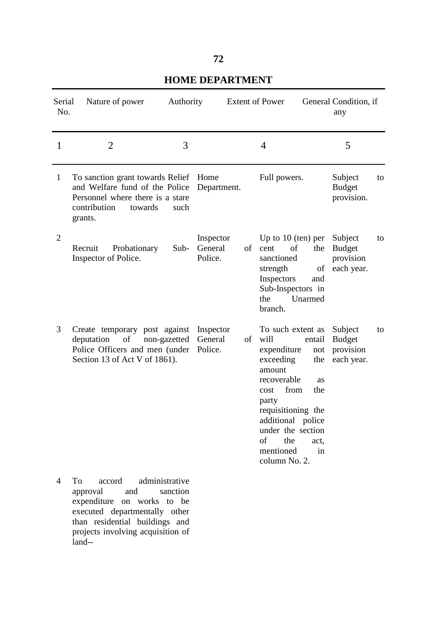### **72**

#### Serial No. Nature of power Authority Extent of Power General Condition, if any  $1 \t 2 \t 3 \t 4 \t 5$ 1 2 3 4 To sanction grant towards Relief Home and Welfare fund of the Police Personnel where there is a stare contribution towards such grants. Recruit Probationary Sub-Inspector of Police. Create temporary post against deputation of non-gazetted Police Officers and men (under Police. Section 13 of Act V of 1861). To accord administrative approval and sanction Department. Inspector General Police. Inspector General of Full powers. Up to 10 (ten) per cent of the sanctioned strength of Inspectors and Sub-Inspectors in the Unarmed branch. To such extent as will entail expenditure not exceeding the amount recoverable as cost from the party requisitioning the additional police under the section of the act, mentioned in column No. 2. Subject to Budget provision. Subject to Budget provision each year. Subject to Budget provision each year.

### **HOME DEPARTMENT**

expenditure on works to be executed departmentally other than residential buildings and projects involving acquisition of land--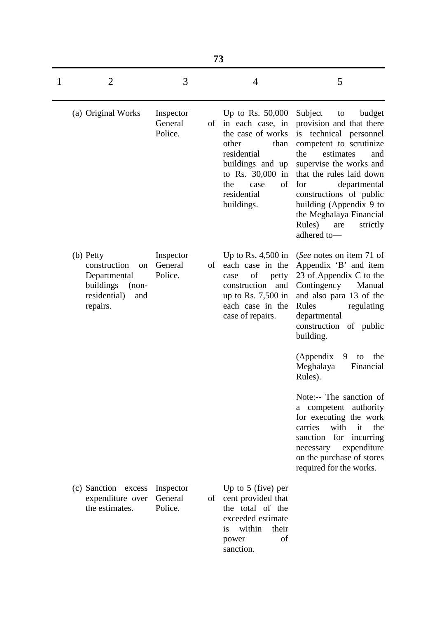|   | 73                                                                                                                    |                                 |    |                                                                                                                                                                                       |                                                                                                                                                                                                                                                                                                                                                   |  |
|---|-----------------------------------------------------------------------------------------------------------------------|---------------------------------|----|---------------------------------------------------------------------------------------------------------------------------------------------------------------------------------------|---------------------------------------------------------------------------------------------------------------------------------------------------------------------------------------------------------------------------------------------------------------------------------------------------------------------------------------------------|--|
| 1 | $\overline{2}$                                                                                                        | 3                               |    | $\overline{4}$                                                                                                                                                                        | 5                                                                                                                                                                                                                                                                                                                                                 |  |
|   | (a) Original Works                                                                                                    | Inspector<br>General<br>Police. | οf | Up to Rs. $50,000$<br>in each case, in<br>the case of works<br>other<br>than<br>residential<br>buildings and up<br>to Rs. 30,000 in<br>of<br>the<br>case<br>residential<br>buildings. | Subject<br>budget<br>to<br>provision and that there<br>is<br>technical personnel<br>competent to scrutinize<br>estimates<br>the<br>and<br>supervise the works and<br>that the rules laid down<br>for<br>departmental<br>constructions of public<br>building (Appendix 9 to<br>the Meghalaya Financial<br>Rules)<br>are<br>strictly<br>adhered to- |  |
|   | (b) Petty<br>construction<br><sub>on</sub><br>Departmental<br>buildings<br>$(non-$<br>residential)<br>and<br>repairs. | Inspector<br>General<br>Police. | οf | Up to Rs. $4,500$ in<br>each case in the<br>of<br>case<br>petty<br>construction<br>and<br>up to Rs. 7,500 in<br>each case in the<br>case of repairs.                                  | (See notes on item 71 of<br>Appendix 'B' and item<br>23 of Appendix C to the<br>Contingency<br>Manual<br>and also para 13 of the<br>Rules<br>regulating<br>departmental<br>construction of public<br>building.<br>(Appendix<br>the<br>9<br>to<br>Meghalaya<br>Financial                                                                           |  |
|   |                                                                                                                       |                                 |    |                                                                                                                                                                                       | Rules).<br>Note:-- The sanction of<br>a competent authority<br>for executing the work<br>with it<br>carries<br>the<br>for incurring<br>sanction<br>expenditure<br>necessary<br>on the purchase of stores<br>required for the works.                                                                                                               |  |
|   | (c) Sanction excess<br>expenditure over<br>the estimates.                                                             | Inspector<br>General<br>Police. |    | Up to $5$ (five) per<br>of cent provided that<br>the total of the<br>exceeded estimate<br>within<br>their<br>1S<br>of<br>power<br>sanction.                                           |                                                                                                                                                                                                                                                                                                                                                   |  |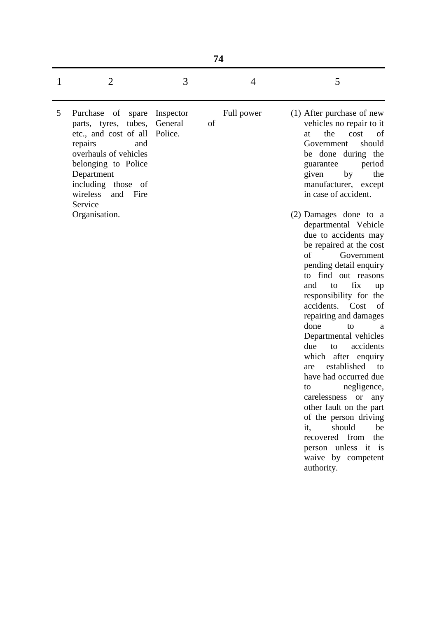|   | 74                                                                                                                                                                                                                                               |                      |    |            |                                                                                                                                                                                                                                                                                                                                                                                                                                                                                                                                                                                                                                                                                                                                                                                                                                                                               |  |  |  |  |  |
|---|--------------------------------------------------------------------------------------------------------------------------------------------------------------------------------------------------------------------------------------------------|----------------------|----|------------|-------------------------------------------------------------------------------------------------------------------------------------------------------------------------------------------------------------------------------------------------------------------------------------------------------------------------------------------------------------------------------------------------------------------------------------------------------------------------------------------------------------------------------------------------------------------------------------------------------------------------------------------------------------------------------------------------------------------------------------------------------------------------------------------------------------------------------------------------------------------------------|--|--|--|--|--|
| 1 | $\overline{2}$                                                                                                                                                                                                                                   | 3                    |    | 4          | 5                                                                                                                                                                                                                                                                                                                                                                                                                                                                                                                                                                                                                                                                                                                                                                                                                                                                             |  |  |  |  |  |
| 5 | Purchase<br>of<br>spare<br>tubes,<br>parts, tyres,<br>etc., and cost of all Police.<br>repairs<br>and<br>overhauls of vehicles<br>belonging to Police<br>Department<br>including those of<br>wireless<br>and<br>Fire<br>Service<br>Organisation. | Inspector<br>General | of | Full power | (1) After purchase of new<br>vehicles no repair to it<br>the<br>of<br>at<br>cost<br>should<br>Government<br>be done during the<br>period<br>guarantee<br>by<br>the<br>given<br>manufacturer, except<br>in case of accident.<br>(2) Damages done to a<br>departmental Vehicle<br>due to accidents may<br>be repaired at the cost<br>of<br>Government<br>pending detail enquiry<br>to find out reasons<br>fix<br>and<br>to<br>up<br>responsibility for the<br>accidents.<br>Cost<br>of<br>repairing and damages<br>done<br>to<br>a<br>Departmental vehicles<br>accidents<br>due<br>to<br>which after enquiry<br>established<br>to<br>are<br>have had occurred due<br>negligence,<br>to<br>carelessness or<br>any<br>other fault on the part<br>of the person driving<br>should<br>be<br>it,<br>recovered from<br>the<br>person unless it is<br>waive by competent<br>authority. |  |  |  |  |  |
|   |                                                                                                                                                                                                                                                  |                      |    |            |                                                                                                                                                                                                                                                                                                                                                                                                                                                                                                                                                                                                                                                                                                                                                                                                                                                                               |  |  |  |  |  |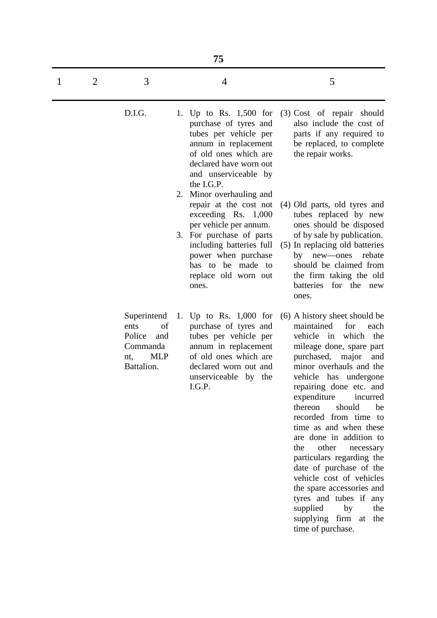|   | 75             |                                                                                           |    |                                                                                                                                                                                                                       |                                                                                                                                                                                                                                                                                                                                                                                                                                                                                                                                                                                                                         |  |  |  |
|---|----------------|-------------------------------------------------------------------------------------------|----|-----------------------------------------------------------------------------------------------------------------------------------------------------------------------------------------------------------------------|-------------------------------------------------------------------------------------------------------------------------------------------------------------------------------------------------------------------------------------------------------------------------------------------------------------------------------------------------------------------------------------------------------------------------------------------------------------------------------------------------------------------------------------------------------------------------------------------------------------------------|--|--|--|
| 1 | $\overline{2}$ | 3                                                                                         |    | $\overline{4}$                                                                                                                                                                                                        | 5                                                                                                                                                                                                                                                                                                                                                                                                                                                                                                                                                                                                                       |  |  |  |
|   |                | D.I.G.                                                                                    |    | 1. Up to Rs. 1,500 for<br>purchase of tyres and<br>tubes per vehicle per<br>annum in replacement<br>of old ones which are<br>declared have worn out<br>and unserviceable by<br>the I.G.P.<br>2. Minor overhauling and | (3) Cost of repair should<br>also include the cost of<br>parts if any required to<br>be replaced, to complete<br>the repair works.                                                                                                                                                                                                                                                                                                                                                                                                                                                                                      |  |  |  |
|   |                |                                                                                           |    | repair at the cost not<br>exceeding $Rs. 1,000$<br>per vehicle per annum.<br>3. For purchase of parts<br>including batteries full<br>power when purchase<br>has to be made to<br>replace old worn out<br>ones.        | (4) Old parts, old tyres and<br>tubes replaced by new<br>ones should be disposed<br>of by sale by publication.<br>(5) In replacing old batteries<br>new—ones<br>rebate<br>by<br>should be claimed from<br>the firm taking the old<br>batteries<br>for the new<br>ones.                                                                                                                                                                                                                                                                                                                                                  |  |  |  |
|   |                | Superintend<br>of<br>ents<br>Police<br>and<br>Commanda<br><b>MLP</b><br>nt,<br>Battalion. | 1. | Up to Rs. $1,000$ for<br>purchase of tyres and<br>tubes per vehicle per<br>annum in replacement<br>of old ones which are<br>declared worn out and<br>unserviceable by the<br>I.G.P.                                   | (6) A history sheet should be<br>maintained<br>for<br>each<br>which<br>vehicle in<br>the<br>mileage done, spare part<br>purchased,<br>major<br>and<br>minor overhauls and the<br>vehicle has undergone<br>repairing done etc. and<br>expenditure<br>incurred<br>should<br>thereon<br>be<br>recorded from time to<br>time as and when these<br>are done in addition to<br>other<br>the<br>necessary<br>particulars regarding the<br>date of purchase of the<br>vehicle cost of vehicles<br>the spare accessories and<br>tyres and tubes if any<br>supplied<br>by<br>the<br>supplying firm at<br>the<br>time of purchase. |  |  |  |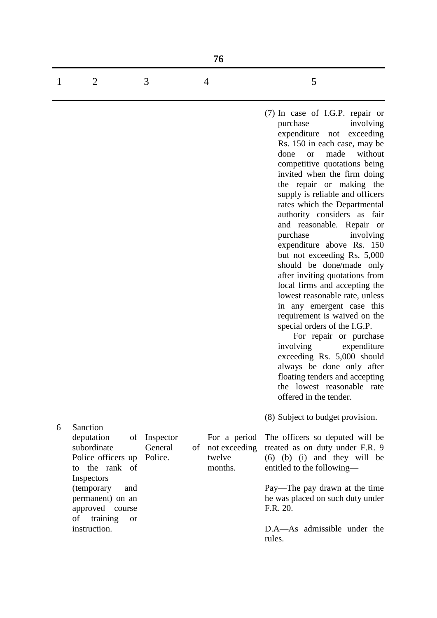| 76 |   |  |                                                                                                                                                                                                                                                                                                                                                                                                                                                                         |  |  |  |
|----|---|--|-------------------------------------------------------------------------------------------------------------------------------------------------------------------------------------------------------------------------------------------------------------------------------------------------------------------------------------------------------------------------------------------------------------------------------------------------------------------------|--|--|--|
|    | 3 |  | 5                                                                                                                                                                                                                                                                                                                                                                                                                                                                       |  |  |  |
|    |   |  | $(7)$ In case of I.G.P. repair or<br>purchase<br>involving<br>expenditure not exceeding<br>Rs. 150 in each case, may be<br>made without<br>done<br>or or<br>competitive quotations being<br>invited when the firm doing<br>the repair or making the<br>supply is reliable and officers<br>rates which the Departmental<br>authority considers as fair<br>and reasonable. Repair or<br>involving<br>purchase<br>expenditure above Rs. 150<br>but not exceeding Rs. 5,000 |  |  |  |

special orders of the I.G.P. For repair or purchase involving expenditure exceeding Rs. 5,000 should always be done only after floating tenders and accepting the lowest reasonable rate offered in the tender.

should be done/made only after inviting quotations from local firms and accepting the lowest reasonable rate, unless in any emergent case this requirement is waived on the

(8) Subject to budget provision.

6 Sanction deputation subordinate Police officers up to the rank of Inspectors (temporary and permanent) on an approved course of training or instruction. of Inspector Police.

General of

not exceeding twelve months.

For a period

The officers so deputed will be treated as on duty under F.R. 9 (6) (b) (i) and they will be entitled to the following—

Pay—The pay drawn at the time he was placed on such duty under F.R. 20.

D.A—As admissible under the rules.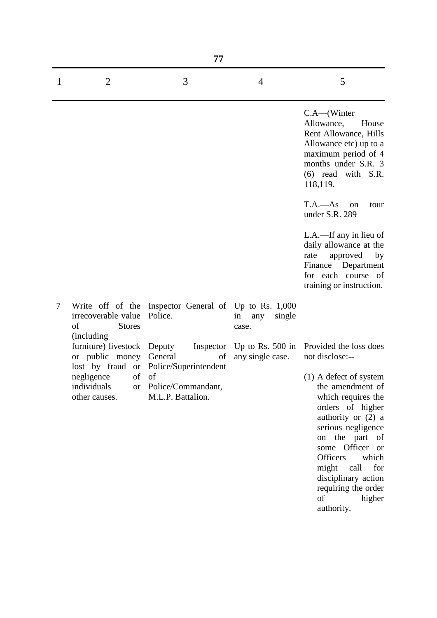|   |                                                               | 77                                                               |                              |                                                                                                                                                                                                                                                                           |
|---|---------------------------------------------------------------|------------------------------------------------------------------|------------------------------|---------------------------------------------------------------------------------------------------------------------------------------------------------------------------------------------------------------------------------------------------------------------------|
| 1 | $\overline{2}$                                                | 3                                                                | $\overline{4}$               | 5                                                                                                                                                                                                                                                                         |
|   |                                                               |                                                                  |                              | $C.A$ —(Winter<br>Allowance,<br>House<br>Rent Allowance, Hills<br>Allowance etc) up to a<br>maximum period of 4<br>months under S.R. 3<br>$(6)$ read with S.R.<br>118,119.                                                                                                |
|   |                                                               |                                                                  |                              | $T.A. - As$<br><sub>on</sub><br>tour<br>under S.R. 289                                                                                                                                                                                                                    |
|   |                                                               |                                                                  |                              | L.A.—If any in lieu of<br>daily allowance at the<br>approved<br>rate<br>by<br>Department<br>Finance<br>for each course of<br>training or instruction.                                                                                                                     |
| 7 | irrecoverable value<br>of<br><b>Stores</b>                    | Write off of the Inspector General of Up to Rs. 1,000<br>Police. | single<br>in<br>any<br>case. |                                                                                                                                                                                                                                                                           |
|   | (including)<br>furniture) livestock Deputy<br>or public money | General<br>of<br>lost by fraud or Police/Superintendent          | any single case.             | Inspector Up to Rs. 500 in Provided the loss does<br>not disclose:--                                                                                                                                                                                                      |
|   | negligence of of<br>individuals<br>other causes.              | or Police/Commandant,<br>M.L.P. Battalion.                       |                              | (1) A defect of system<br>the amendment of<br>which requires the<br>orders of higher<br>authority or $(2)$ a<br>serious negligence<br>on the part of<br>some Officer or<br><b>Officers</b><br>which<br>might<br>call<br>for<br>disciplinary action<br>requiring the order |

of higher

authority.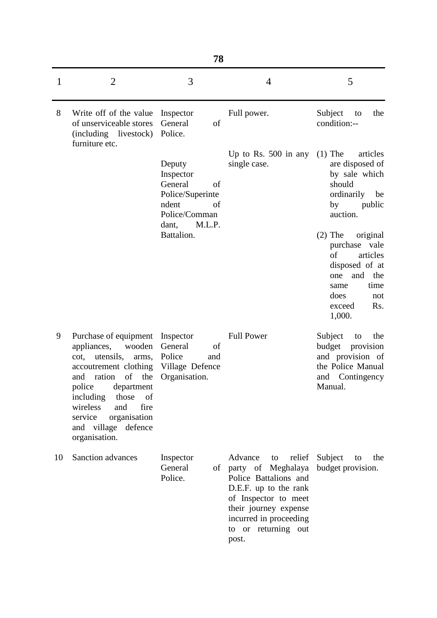|    | 78                                                                                                                                                                                                                                                                                       |                                                                                                             |                                                                                                                                                                                                               |                                                                                                                                                           |  |  |  |  |
|----|------------------------------------------------------------------------------------------------------------------------------------------------------------------------------------------------------------------------------------------------------------------------------------------|-------------------------------------------------------------------------------------------------------------|---------------------------------------------------------------------------------------------------------------------------------------------------------------------------------------------------------------|-----------------------------------------------------------------------------------------------------------------------------------------------------------|--|--|--|--|
| 1  | $\overline{2}$                                                                                                                                                                                                                                                                           | 3                                                                                                           | $\overline{4}$                                                                                                                                                                                                | 5                                                                                                                                                         |  |  |  |  |
| 8  | Write off of the value<br>of unserviceable stores<br>(including livestock)<br>furniture etc.                                                                                                                                                                                             | Inspector<br>General<br>of<br>Police.                                                                       | Full power.                                                                                                                                                                                                   | Subject<br>the<br>to<br>condition:--                                                                                                                      |  |  |  |  |
|    |                                                                                                                                                                                                                                                                                          | Deputy<br>Inspector<br>General<br>of<br>Police/Superinte<br>ndent<br>of<br>Police/Comman<br>M.L.P.<br>dant, | Up to Rs. $500$ in any<br>single case.                                                                                                                                                                        | articles<br>$(1)$ The<br>are disposed of<br>by sale which<br>should<br>ordinarily<br>be<br>by<br>public<br>auction.                                       |  |  |  |  |
|    |                                                                                                                                                                                                                                                                                          | Battalion.                                                                                                  |                                                                                                                                                                                                               | $(2)$ The<br>original<br>purchase vale<br>of<br>articles<br>disposed of at<br>and<br>the<br>one<br>time<br>same<br>does<br>not<br>Rs.<br>exceed<br>1,000. |  |  |  |  |
| 9  | Purchase of equipment<br>appliances,<br>wooden<br>utensils,<br>cot,<br>arms,<br>accoutrement clothing<br>ration<br>of<br>and<br>the<br>police<br>department<br>including<br>those<br>of<br>wireless<br>and<br>fire<br>service<br>organisation<br>and village<br>defence<br>organisation. | Inspector<br>General<br>of<br>Police<br>and<br>Village Defence<br>Organisation.                             | <b>Full Power</b>                                                                                                                                                                                             | Subject<br>the<br>to<br>budget<br>provision<br>and provision of<br>the Police Manual<br>Contingency<br>and<br>Manual.                                     |  |  |  |  |
| 10 | Sanction advances                                                                                                                                                                                                                                                                        | Inspector<br>General<br>Police.                                                                             | Advance<br>relief<br>to<br>of party of Meghalaya<br>Police Battalions and<br>D.E.F. up to the rank<br>of Inspector to meet<br>their journey expense<br>incurred in proceeding<br>to or returning out<br>post. | Subject<br>the<br>to<br>budget provision.                                                                                                                 |  |  |  |  |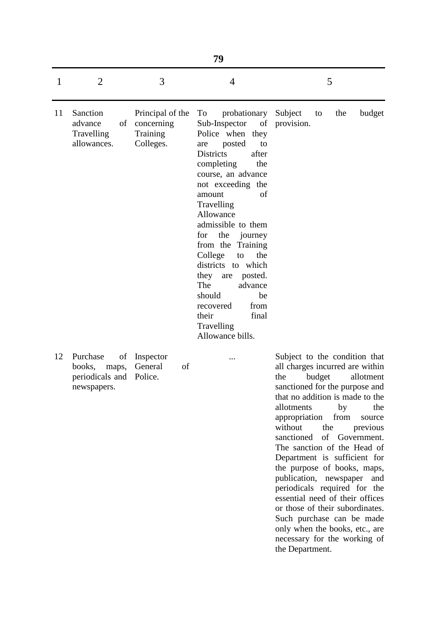|    |                                                                     |                                                         | 79                                                                                                                                                                                                                                                                                                                                                                                                                                                                                     |                                                                                                                                                                                                                                                                                                                                                                                                                                                                                                                                                                   |
|----|---------------------------------------------------------------------|---------------------------------------------------------|----------------------------------------------------------------------------------------------------------------------------------------------------------------------------------------------------------------------------------------------------------------------------------------------------------------------------------------------------------------------------------------------------------------------------------------------------------------------------------------|-------------------------------------------------------------------------------------------------------------------------------------------------------------------------------------------------------------------------------------------------------------------------------------------------------------------------------------------------------------------------------------------------------------------------------------------------------------------------------------------------------------------------------------------------------------------|
| 1  | $\overline{2}$                                                      | 3                                                       | 4                                                                                                                                                                                                                                                                                                                                                                                                                                                                                      | 5                                                                                                                                                                                                                                                                                                                                                                                                                                                                                                                                                                 |
| 11 | Sanction<br>advance<br>of<br>Travelling<br>allowances.              | Principal of the<br>concerning<br>Training<br>Colleges. | To<br>probationary<br>Sub-Inspector<br>of<br>Police when they<br>posted<br>to<br>are<br><b>Districts</b><br>after<br>completing<br>the<br>course, an advance<br>not exceeding the<br>of<br>amount<br>Travelling<br>Allowance<br>admissible to them<br>the<br>for<br>journey<br>from the<br>Training<br>College<br>the<br>to<br>districts to which<br>they<br>posted.<br>are<br>The<br>advance<br>should<br>be<br>from<br>recovered<br>final<br>their<br>Travelling<br>Allowance bills. | Subject<br>the<br>budget<br>to<br>provision.                                                                                                                                                                                                                                                                                                                                                                                                                                                                                                                      |
| 12 | Purchase<br>of<br>books,<br>maps,<br>periodicals and<br>newspapers. | Inspector<br>General<br>of<br>Police.                   |                                                                                                                                                                                                                                                                                                                                                                                                                                                                                        | Subject to the condition that<br>all charges incurred are within<br>the<br>budget<br>allotment<br>sanctioned for the purpose and<br>that no addition is made to the<br>allotments<br>by<br>the<br>appropriation<br>from<br>source<br>without<br>the<br>previous<br>of Government.<br>sanctioned<br>The sanction of the Head of<br>Department is sufficient for<br>the purpose of books, maps,<br>publication, newspaper<br>and<br>periodicals required for the<br>essential need of their offices<br>or those of their subordinates.<br>Such purchase can be made |

only when the books, etc., are necessary for the working of

the Department.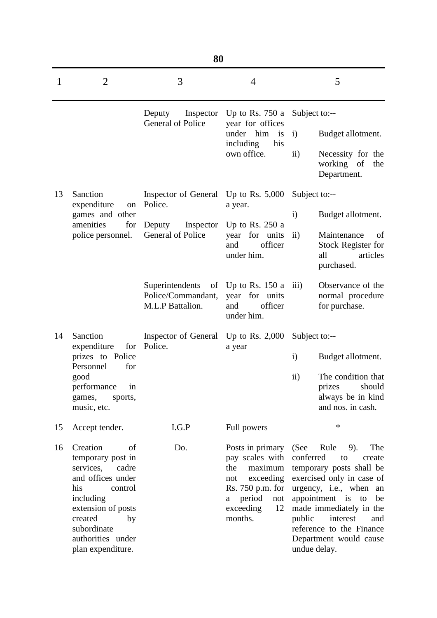|    | 80                                                                                                                                                                                                            |                                                           |                                                                                                                                                   |                                                                                                                                                                                                                                                                                                           |  |  |  |  |  |
|----|---------------------------------------------------------------------------------------------------------------------------------------------------------------------------------------------------------------|-----------------------------------------------------------|---------------------------------------------------------------------------------------------------------------------------------------------------|-----------------------------------------------------------------------------------------------------------------------------------------------------------------------------------------------------------------------------------------------------------------------------------------------------------|--|--|--|--|--|
| 1  | $\overline{2}$                                                                                                                                                                                                | 3                                                         | 4                                                                                                                                                 | 5                                                                                                                                                                                                                                                                                                         |  |  |  |  |  |
|    |                                                                                                                                                                                                               | Deputy<br>Inspector<br>General of Police                  | Up to Rs. $750a$<br>year for offices                                                                                                              | Subject to:--                                                                                                                                                                                                                                                                                             |  |  |  |  |  |
|    |                                                                                                                                                                                                               |                                                           | under him<br>is<br>including<br>his                                                                                                               | Budget allotment.<br>$\mathbf{i}$                                                                                                                                                                                                                                                                         |  |  |  |  |  |
|    |                                                                                                                                                                                                               |                                                           | own office.                                                                                                                                       | $\mathbf{ii}$<br>Necessity for the<br>working of<br>the<br>Department.                                                                                                                                                                                                                                    |  |  |  |  |  |
| 13 | Sanction                                                                                                                                                                                                      | Inspector of General<br>Police.                           | Up to Rs. $5,000$                                                                                                                                 | Subject to:--                                                                                                                                                                                                                                                                                             |  |  |  |  |  |
|    | expenditure<br>on<br>games and other                                                                                                                                                                          |                                                           | a year.                                                                                                                                           | $\mathbf{i}$<br>Budget allotment.                                                                                                                                                                                                                                                                         |  |  |  |  |  |
|    | amenities<br>for<br>police personnel.                                                                                                                                                                         | Deputy<br>Inspector<br>General of Police                  | Up to Rs. $250a$<br>year for units<br>officer<br>and<br>under him.                                                                                | $\rm ii)$<br>Maintenance<br>of<br>Stock Register for<br>all<br>articles<br>purchased.                                                                                                                                                                                                                     |  |  |  |  |  |
|    |                                                                                                                                                                                                               | Superintendents<br>Police/Commandant,<br>M.L.P Battalion. | of Up to Rs. $150a$<br>year for units<br>officer<br>and<br>under him.                                                                             | Observance of the<br>$\overline{111}$<br>normal procedure<br>for purchase.                                                                                                                                                                                                                                |  |  |  |  |  |
| 14 | Sanction<br>expenditure<br>for                                                                                                                                                                                | Inspector of General<br>Police.                           | Up to Rs. $2,000$<br>a year                                                                                                                       | Subject to:--                                                                                                                                                                                                                                                                                             |  |  |  |  |  |
|    | prizes to Police                                                                                                                                                                                              |                                                           |                                                                                                                                                   | $\mathbf{i}$<br>Budget allotment.                                                                                                                                                                                                                                                                         |  |  |  |  |  |
|    | Personnel<br>for<br>good<br>performance<br>in<br>games,<br>sports,<br>music, etc.                                                                                                                             |                                                           |                                                                                                                                                   | $\rm ii)$<br>The condition that<br>should<br>prizes<br>always be in kind<br>and nos. in cash.                                                                                                                                                                                                             |  |  |  |  |  |
| 15 | Accept tender.                                                                                                                                                                                                | I.G.P                                                     | Full powers                                                                                                                                       | $\ast$                                                                                                                                                                                                                                                                                                    |  |  |  |  |  |
| 16 | Creation<br>of<br>temporary post in<br>services,<br>cadre<br>and offices under<br>his<br>control<br>including<br>extension of posts<br>created<br>by<br>subordinate<br>authorities under<br>plan expenditure. | Do.                                                       | Posts in primary<br>pay scales with<br>the<br>maximum<br>exceeding<br>not<br>Rs. 750 p.m. for<br>period<br>not<br>a<br>exceeding<br>12<br>months. | (See<br>Rule<br>The<br>9).<br>conferred<br>to<br>create<br>temporary posts shall be<br>exercised only in case of<br>urgency, i.e., when<br>an<br>appointment is<br>be<br>to<br>made immediately in the<br>public<br>interest<br>and<br>reference to the Finance<br>Department would cause<br>undue delay. |  |  |  |  |  |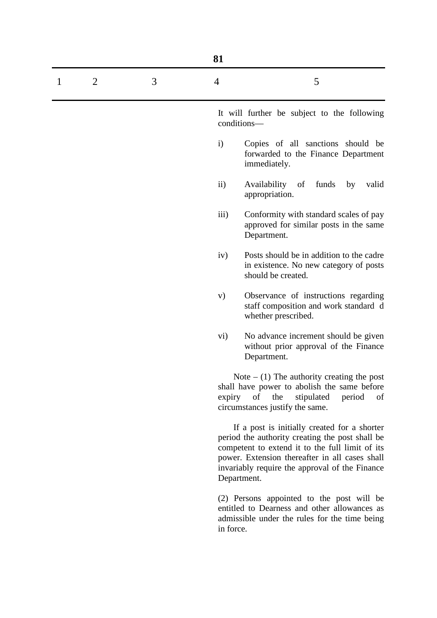|                     |   | 81                |                                                                                                                                                                                                                                                                       |
|---------------------|---|-------------------|-----------------------------------------------------------------------------------------------------------------------------------------------------------------------------------------------------------------------------------------------------------------------|
| $\overline{2}$<br>1 | 3 | $\overline{4}$    | 5                                                                                                                                                                                                                                                                     |
|                     |   |                   | It will further be subject to the following<br>conditions-                                                                                                                                                                                                            |
|                     |   | $\mathbf{i}$      | Copies of all sanctions should be<br>forwarded to the Finance Department<br>immediately.                                                                                                                                                                              |
|                     |   | $\ddot{\text{1}}$ | Availability<br>funds<br>of<br>by<br>valid<br>appropriation.                                                                                                                                                                                                          |
|                     |   | iii)              | Conformity with standard scales of pay<br>approved for similar posts in the same<br>Department.                                                                                                                                                                       |
|                     |   | iv)               | Posts should be in addition to the cadre<br>in existence. No new category of posts<br>should be created.                                                                                                                                                              |
|                     |   | V)                | Observance of instructions regarding<br>staff composition and work standard d<br>whether prescribed.                                                                                                                                                                  |
|                     |   | vi)               | No advance increment should be given<br>without prior approval of the Finance<br>Department.                                                                                                                                                                          |
|                     |   |                   | Note $-$ (1) The authority creating the post<br>shall have power to abolish the same before<br>expiry of<br>the<br>stipulated<br>period<br>of<br>circumstances justify the same.                                                                                      |
|                     |   |                   | If a post is initially created for a shorter<br>period the authority creating the post shall be<br>competent to extend it to the full limit of its<br>power. Extension thereafter in all cases shall<br>invariably require the approval of the Finance<br>Department. |
|                     |   | in force.         | (2) Persons appointed to the post will be<br>entitled to Dearness and other allowances as<br>admissible under the rules for the time being                                                                                                                            |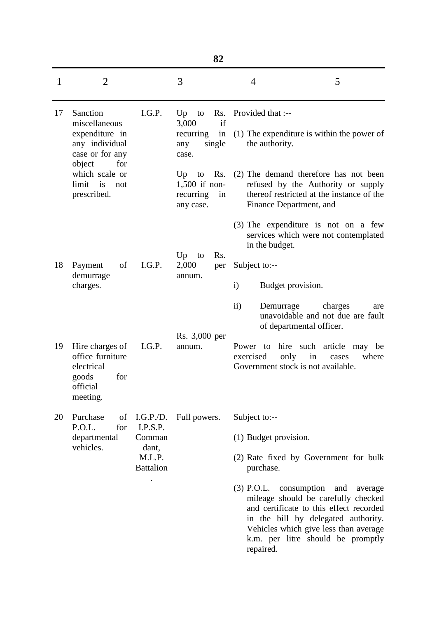|              |                                                                                           |                                               | 82                                                                          |                                                                                                                                                                                                                                                                   |       |
|--------------|-------------------------------------------------------------------------------------------|-----------------------------------------------|-----------------------------------------------------------------------------|-------------------------------------------------------------------------------------------------------------------------------------------------------------------------------------------------------------------------------------------------------------------|-------|
| $\mathbf{1}$ | $\overline{2}$                                                                            |                                               | 3                                                                           | 5<br>$\overline{4}$                                                                                                                                                                                                                                               |       |
| 17           | Sanction<br>miscellaneous<br>expenditure in<br>any individual<br>case or for any<br>for   | I.G.P.                                        | Up<br>Rs.<br>to<br>if<br>3,000<br>recurring<br>in<br>single<br>any<br>case. | Provided that :--<br>(1) The expenditure is within the power of<br>the authority.                                                                                                                                                                                 |       |
|              | object<br>which scale or<br>limit is<br>not<br>prescribed.                                |                                               | Rs.<br>$Up$ to<br>$1,500$ if non-<br>recurring<br>in<br>any case.           | (2) The demand therefore has not been<br>refused by the Authority or supply<br>thereof restricted at the instance of the<br>Finance Department, and                                                                                                               |       |
|              |                                                                                           |                                               |                                                                             | $(3)$ The expenditure is not on a few<br>services which were not contemplated<br>in the budget.                                                                                                                                                                   |       |
| 18           | Payment<br>of                                                                             | I.G.P.                                        | Up<br>Rs.<br>to<br>2,000<br>per                                             | Subject to:--                                                                                                                                                                                                                                                     |       |
|              | demurrage<br>charges.                                                                     |                                               | annum.                                                                      | $\mathbf{i}$<br>Budget provision.                                                                                                                                                                                                                                 |       |
|              |                                                                                           |                                               |                                                                             | $\rm ii)$<br>Demurrage<br>charges<br>unavoidable and not due are fault<br>of departmental officer.                                                                                                                                                                | are   |
| 19           | Hire charges of<br>office furniture<br>electrical<br>for<br>goods<br>official<br>meeting. | I.G.P.                                        | Rs. 3,000 per<br>annum.                                                     | hire such article<br>Power to<br>may be<br>only<br>exercised<br>in<br>cases<br>Government stock is not available.                                                                                                                                                 | where |
| 20           | Purchase<br>of<br>P.O.L.<br>for                                                           | I.G.P.D.<br>I.P.S.P.                          | Full powers.                                                                | Subject to:--                                                                                                                                                                                                                                                     |       |
|              | departmental<br>vehicles.                                                                 | Comman<br>dant,<br>M.L.P.<br><b>Battalion</b> |                                                                             | (1) Budget provision.                                                                                                                                                                                                                                             |       |
|              |                                                                                           |                                               |                                                                             | (2) Rate fixed by Government for bulk<br>purchase.                                                                                                                                                                                                                |       |
|              |                                                                                           |                                               |                                                                             | consumption<br>$(3)$ P.O.L.<br>and<br>average<br>mileage should be carefully checked<br>and certificate to this effect recorded<br>in the bill by delegated authority.<br>Vehicles which give less than average<br>k.m. per litre should be promptly<br>repaired. |       |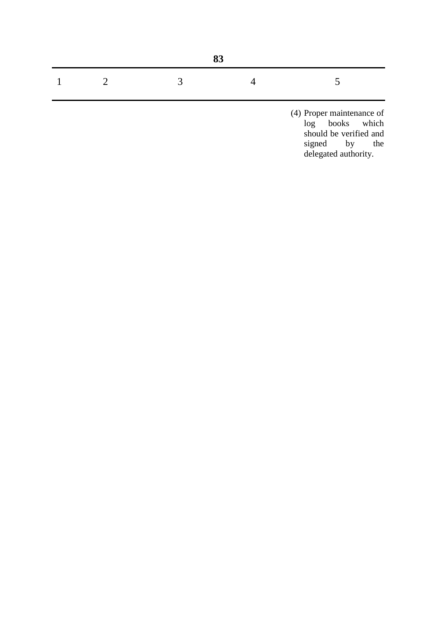| $\overline{3}$<br>$\overline{2}$ | $\perp$ |  |
|----------------------------------|---------|--|

(4) Proper maintenance of log books which should be verified and signed by the delegated authority.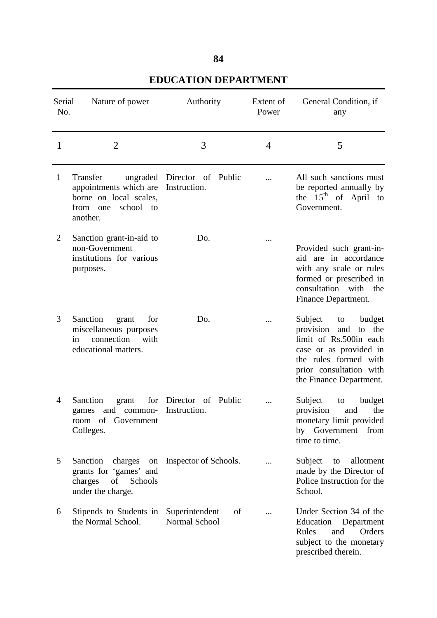| ۰,<br>۰.<br>M. |
|----------------|
|----------------|

| Serial<br>No. | Nature of power                                                                                                | Authority                             | Extent of<br>Power | General Condition, if<br>any                                                                                                                                                                |
|---------------|----------------------------------------------------------------------------------------------------------------|---------------------------------------|--------------------|---------------------------------------------------------------------------------------------------------------------------------------------------------------------------------------------|
| $\mathbf{1}$  | $\overline{2}$                                                                                                 | 3                                     | 4                  | 5                                                                                                                                                                                           |
| $\mathbf{1}$  | Transfer<br>appointments which are Instruction.<br>borne on local scales,<br>from one<br>school to<br>another. | ungraded Director of Public           |                    | All such sanctions must<br>be reported annually by<br>the $15th$ of April to<br>Government.                                                                                                 |
| 2             | Sanction grant-in-aid to<br>non-Government<br>institutions for various<br>purposes.                            | Do.                                   |                    | Provided such grant-in-<br>aid are in accordance<br>with any scale or rules<br>formed or prescribed in<br>consultation with the<br>Finance Department.                                      |
| 3             | Sanction<br>for<br>grant<br>miscellaneous purposes<br>connection<br>with<br>in<br>educational matters.         | D <sub>0</sub> .                      |                    | Subject<br>budget<br>to<br>provision<br>the<br>and<br>to<br>limit of Rs.500in each<br>case or as provided in<br>the rules formed with<br>prior consultation with<br>the Finance Department. |
| 4             | Sanction<br>grant<br>games and common- Instruction.<br>room of Government<br>Colleges.                         | for Director of Public                |                    | Subject<br>budget<br>to<br>provision<br>and<br>the<br>monetary limit provided<br>Government<br>from<br>by<br>time to time.                                                                  |
| 5             | Sanction<br>charges<br>on<br>grants for 'games' and<br>charges<br>of<br>Schools<br>under the charge.           | Inspector of Schools.                 |                    | Subject<br>allotment<br>to<br>made by the Director of<br>Police Instruction for the<br>School.                                                                                              |
| 6             | Stipends to Students in<br>the Normal School.                                                                  | Superintendent<br>of<br>Normal School |                    | Under Section 34 of the<br>Education<br>Department<br>Orders<br>Rules<br>and<br>subject to the monetary<br>prescribed therein.                                                              |

## **EDUCATION DEPARTMENT**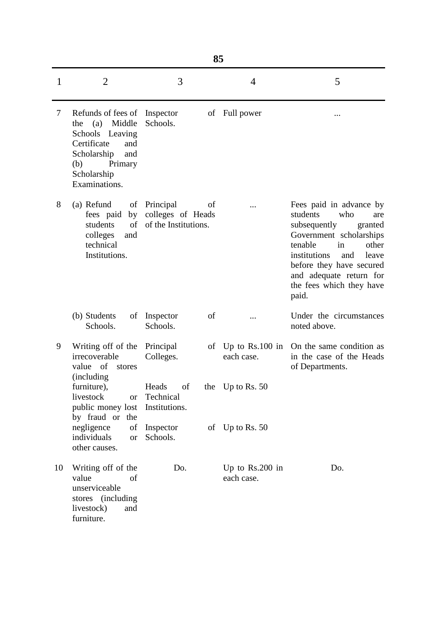|              | 85                                                                                                                                                          |                                                              |                                 |                                                                                                                                                                                                                                                               |  |  |  |
|--------------|-------------------------------------------------------------------------------------------------------------------------------------------------------------|--------------------------------------------------------------|---------------------------------|---------------------------------------------------------------------------------------------------------------------------------------------------------------------------------------------------------------------------------------------------------------|--|--|--|
| $\mathbf{1}$ | $\overline{2}$                                                                                                                                              | 3                                                            | 4                               | 5                                                                                                                                                                                                                                                             |  |  |  |
| 7            | Refunds of fees of<br>Middle<br>(a)<br>the<br>Schools Leaving<br>Certificate<br>and<br>Scholarship<br>and<br>(b)<br>Primary<br>Scholarship<br>Examinations. | Inspector<br>Schools.                                        | of Full power                   |                                                                                                                                                                                                                                                               |  |  |  |
| 8            | (a) Refund<br>of<br>fees paid<br>by<br>of<br>students<br>colleges<br>and<br>technical<br>Institutions.                                                      | Principal<br>οf<br>colleges of Heads<br>of the Institutions. |                                 | Fees paid in advance by<br>students<br>who<br>are<br>subsequently<br>granted<br>Government scholarships<br>tenable<br>in<br>other<br>institutions<br>and<br>leave<br>before they have secured<br>and adequate return for<br>the fees which they have<br>paid. |  |  |  |
|              | (b) Students<br>of<br>Schools.                                                                                                                              | of<br>Inspector<br>Schools.                                  |                                 | Under the circumstances<br>noted above.                                                                                                                                                                                                                       |  |  |  |
| 9            | Writing off of the<br>irrecoverable<br>of<br>value<br>stores<br><i>(including)</i>                                                                          | Principal<br>οf<br>Colleges.                                 | Up to $Rs.100$ in<br>each case. | On the same condition as<br>in the case of the Heads<br>of Departments.                                                                                                                                                                                       |  |  |  |
|              | furniture),<br>livestock<br><b>or</b><br>public money lost<br>by fraud or the                                                                               | Heads<br>of<br>Technical<br>Institutions.                    | the Up to Rs. $50$              |                                                                                                                                                                                                                                                               |  |  |  |
|              | negligence<br>of<br>individuals<br><b>or</b><br>other causes.                                                                                               | Inspector<br>Schools.                                        | of Up to Rs. 50                 |                                                                                                                                                                                                                                                               |  |  |  |
| 10           | Writing off of the<br>value<br>of<br>unserviceable<br><i>(including)</i><br>stores<br>livestock)<br>and<br>furniture.                                       | Do.                                                          | Up to $Rs.200$ in<br>each case. | Do.                                                                                                                                                                                                                                                           |  |  |  |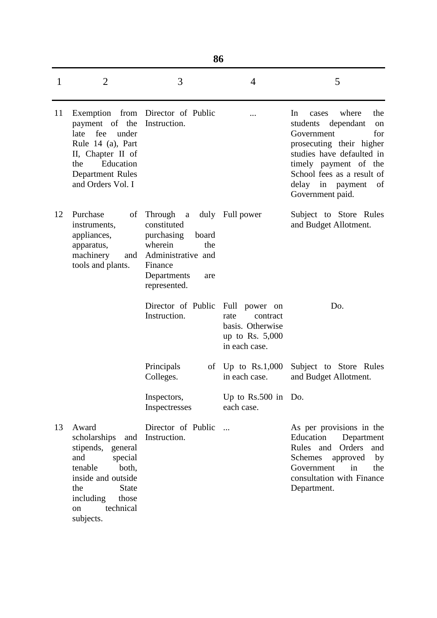|    | 86                                                                                                                                                                                         |                                                                                                                                                        |                                                                                             |                                                                                                                                                                                                                                               |
|----|--------------------------------------------------------------------------------------------------------------------------------------------------------------------------------------------|--------------------------------------------------------------------------------------------------------------------------------------------------------|---------------------------------------------------------------------------------------------|-----------------------------------------------------------------------------------------------------------------------------------------------------------------------------------------------------------------------------------------------|
| 1  | $\overline{2}$                                                                                                                                                                             | 3                                                                                                                                                      | 4                                                                                           | 5                                                                                                                                                                                                                                             |
| 11 | payment of the<br>fee<br>late<br>under<br>Rule 14 (a), Part<br>II, Chapter II of<br>Education<br>the<br><b>Department Rules</b><br>and Orders Vol. I                                       | Exemption from Director of Public<br>Instruction.                                                                                                      |                                                                                             | where<br>the<br>In<br>cases<br>dependant<br>students<br>on<br>Government<br>for<br>prosecuting their higher<br>studies have defaulted in<br>timely payment of the<br>School fees as a result of<br>delay in payment<br>of<br>Government paid. |
| 12 | Purchase<br>of<br>instruments,<br>appliances,<br>apparatus,<br>machinery<br>and<br>tools and plants.                                                                                       | Through<br>$\mathbf{a}$<br>constituted<br>purchasing<br>board<br>wherein<br>the<br>Administrative and<br>Finance<br>Departments<br>are<br>represented. | duly Full power                                                                             | Subject to Store Rules<br>and Budget Allotment.                                                                                                                                                                                               |
|    |                                                                                                                                                                                            | Director of Public<br>Instruction.                                                                                                                     | Full power on<br>rate<br>contract<br>basis. Otherwise<br>up to Rs. $5,000$<br>in each case. | Do.                                                                                                                                                                                                                                           |
|    |                                                                                                                                                                                            | Principals<br>of<br>Colleges.                                                                                                                          | Up to $Rs.1,000$<br>in each case.                                                           | Subject to Store Rules<br>and Budget Allotment.                                                                                                                                                                                               |
|    |                                                                                                                                                                                            | Inspectors,<br>Inspectresses                                                                                                                           | Up to $Rs.500$ in Do.<br>each case.                                                         |                                                                                                                                                                                                                                               |
| 13 | Award<br>scholarships<br>and<br>stipends, general<br>and<br>special<br>both,<br>tenable<br>inside and outside<br>the<br><b>State</b><br>including<br>those<br>technical<br>on<br>subjects. | Director of Public<br>Instruction.                                                                                                                     | $\dddotsc$                                                                                  | As per provisions in the<br>Education<br>Department<br>Orders<br><b>Rules</b><br>and<br>and<br>Schemes<br>approved<br>by<br>Government<br>in<br>the<br>consultation with Finance<br>Department.                                               |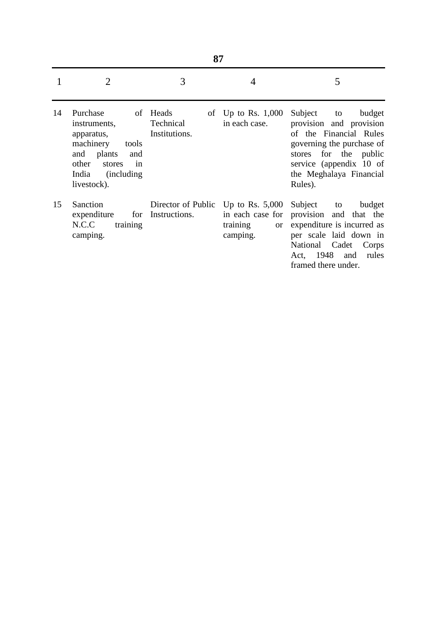|    | 87                                                                                                                                                       |                                        |                                                                                |                                                                                                                                                                                                        |  |
|----|----------------------------------------------------------------------------------------------------------------------------------------------------------|----------------------------------------|--------------------------------------------------------------------------------|--------------------------------------------------------------------------------------------------------------------------------------------------------------------------------------------------------|--|
|    | $\overline{2}$                                                                                                                                           | 3                                      | 4                                                                              | 5                                                                                                                                                                                                      |  |
| 14 | Purchase<br>instruments,<br>apparatus,<br>machinery<br>tools<br>and plants<br>and<br>in<br>other<br>stores<br>India<br><i>(including)</i><br>livestock). | of Heads<br>Technical<br>Institutions. | of Up to Rs. $1,000$<br>in each case.                                          | Subject<br>budget<br>to<br>provision and provision<br>of the Financial Rules<br>governing the purchase of<br>for the public<br>stores<br>service (appendix 10 of<br>the Meghalaya Financial<br>Rules). |  |
| 15 | Sanction<br>expenditure<br>for<br>N.C.C<br>training<br>camping.                                                                                          | Director of Public<br>Instructions.    | Up to Rs. $5,000$<br>in each case for<br>training<br><sub>or</sub><br>camping. | Subject<br>budget<br>to<br>provision and that the<br>expenditure is incurred as<br>per scale laid down in<br>Cadet<br>National<br>Corps<br>Act, 1948<br>rules<br>and<br>framed there under.            |  |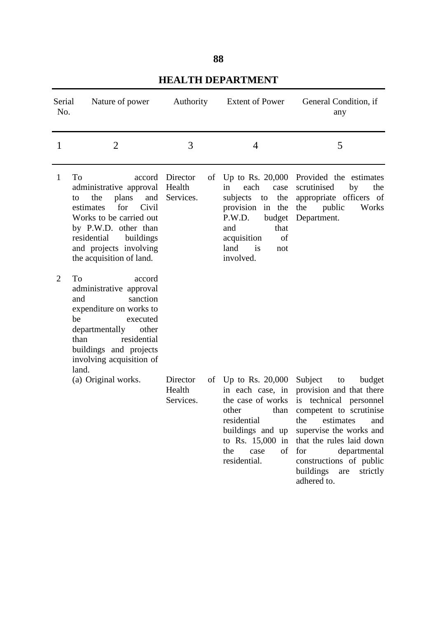| ۰.<br>I<br>M.<br>M. |
|---------------------|
|---------------------|

| Serial<br>No.                  | Nature of power                                                                                                                                                                                                                              |                                              | Authority Extent of Power                                                                                                                                                           | General Condition, if<br>any                                                                                                                                                                                                                                               |
|--------------------------------|----------------------------------------------------------------------------------------------------------------------------------------------------------------------------------------------------------------------------------------------|----------------------------------------------|-------------------------------------------------------------------------------------------------------------------------------------------------------------------------------------|----------------------------------------------------------------------------------------------------------------------------------------------------------------------------------------------------------------------------------------------------------------------------|
| 1                              | $\overline{2}$                                                                                                                                                                                                                               | 3                                            | 4                                                                                                                                                                                   | 5                                                                                                                                                                                                                                                                          |
| $\mathbf{1}$<br>$\overline{2}$ | To<br>administrative approval<br>plans<br>the<br>and<br>to<br>estimates<br>for<br>Civil<br>Works to be carried out<br>by P.W.D. other than<br>residential<br>buildings<br>and projects involving<br>the acquisition of land.<br>To<br>accord | accord Director<br>of<br>Health<br>Services. | each<br>case<br>in<br>the<br>subjects<br>to<br>provision in the<br>P.W.D.<br>budget<br>that<br>and<br>acquisition<br>of<br>land is<br>not<br>involved.                              | Up to Rs. 20,000 Provided the estimates<br>scrutinised<br>by<br>the<br>appropriate officers of<br>the public<br>Works<br>Department.                                                                                                                                       |
|                                | administrative approval<br>sanction<br>and<br>expenditure on works to<br>be<br>executed<br>other<br>departmentally<br>residential<br>than<br>buildings and projects<br>involving acquisition of<br>land.                                     |                                              |                                                                                                                                                                                     |                                                                                                                                                                                                                                                                            |
|                                | (a) Original works.                                                                                                                                                                                                                          | Director<br>Health<br>Services.              | of Up to Rs. 20,000 Subject<br>in each case, in<br>the case of works<br>than<br>other<br>residential<br>buildings and up<br>to Rs. $15,000$ in<br>of<br>the<br>case<br>residential. | budget<br>to<br>provision and that there<br>is technical personnel<br>competent to scrutinise<br>the estimates and<br>supervise the works and<br>that the rules laid down<br>for<br>departmental<br>constructions of public<br>buildings<br>strictly<br>are<br>adhered to. |

## **HEALTH DEPARTMENT**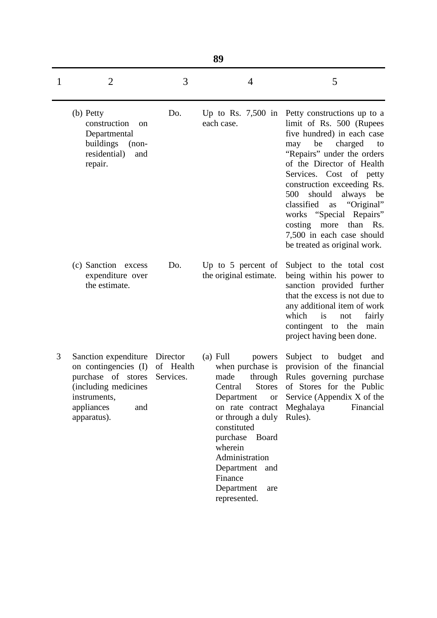|   | 89                                                                                                                                                      |                        |                                                                                                                                                                                                                                                                                                   |                                                                                                                                                                                                                                                                                                                                                                                                                                    |  |  |
|---|---------------------------------------------------------------------------------------------------------------------------------------------------------|------------------------|---------------------------------------------------------------------------------------------------------------------------------------------------------------------------------------------------------------------------------------------------------------------------------------------------|------------------------------------------------------------------------------------------------------------------------------------------------------------------------------------------------------------------------------------------------------------------------------------------------------------------------------------------------------------------------------------------------------------------------------------|--|--|
| 1 | $\overline{2}$                                                                                                                                          | 3                      | 4                                                                                                                                                                                                                                                                                                 | 5                                                                                                                                                                                                                                                                                                                                                                                                                                  |  |  |
|   | (b) Petty<br>construction<br><sub>on</sub><br>Departmental<br>buildings<br>$(non-$<br>residential)<br>and<br>repair.                                    | Do.                    | Up to Rs. $7,500$ in<br>each case.                                                                                                                                                                                                                                                                | Petty constructions up to a<br>limit of Rs. 500 (Rupees<br>five hundred) in each case<br>be<br>charged<br>may<br>to<br>"Repairs" under the orders<br>of the Director of Health<br>Services. Cost of petty<br>construction exceeding Rs.<br>500<br>should<br>always<br>be<br>"Original"<br>classified<br>as<br>works "Special"<br>Repairs"<br>more than Rs.<br>costing<br>7,500 in each case should<br>be treated as original work. |  |  |
|   | (c) Sanction excess<br>expenditure over<br>the estimate.                                                                                                | Do.                    | Up to $5$ percent of<br>the original estimate.                                                                                                                                                                                                                                                    | Subject to the total cost<br>being within his power to<br>sanction provided further<br>that the excess is not due to<br>any additional item of work<br>which<br>is<br>fairly<br>not<br>contingent to the<br>main<br>project having been done.                                                                                                                                                                                      |  |  |
| 3 | Sanction expenditure Director<br>on contingencies (I)<br>purchase of stores<br>(including medicines<br>instruments,<br>appliances<br>and<br>apparatus). | of Health<br>Services. | $(a)$ Full<br>powers<br>when purchase is<br>made<br>through<br>Central<br><b>Stores</b><br>Department<br><b>or</b><br>on rate contract<br>or through a duly<br>constituted<br>purchase<br>Board<br>wherein<br>Administration<br>Department<br>and<br>Finance<br>Department<br>are<br>represented. | Subject<br>to<br>budget<br>and<br>provision of the financial<br>Rules governing purchase<br>of Stores for the Public<br>Service (Appendix X of the<br>Meghalaya<br>Financial<br>Rules).                                                                                                                                                                                                                                            |  |  |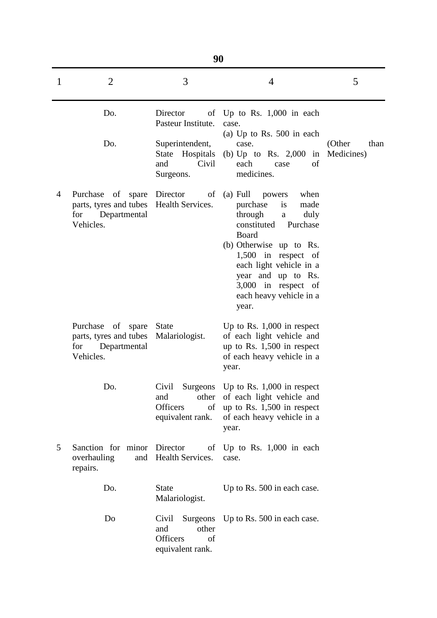|   | 90                                                                                                           |                                                                                |                                                                                                                                                                                                                                                                               |                              |  |  |  |
|---|--------------------------------------------------------------------------------------------------------------|--------------------------------------------------------------------------------|-------------------------------------------------------------------------------------------------------------------------------------------------------------------------------------------------------------------------------------------------------------------------------|------------------------------|--|--|--|
| 1 | $\overline{2}$                                                                                               | 3                                                                              | 4                                                                                                                                                                                                                                                                             | 5                            |  |  |  |
|   | Do.                                                                                                          | Director<br>Pasteur Institute.                                                 | of Up to Rs. 1,000 in each<br>case.<br>(a) Up to Rs. $500$ in each                                                                                                                                                                                                            |                              |  |  |  |
|   | Do.                                                                                                          | Superintendent,<br>State Hospitals<br>Civil<br>and<br>Surgeons.                | case.<br>(b) Up to Rs. $2,000$ in<br>each<br>of<br>case<br>medicines.                                                                                                                                                                                                         | (Other<br>than<br>Medicines) |  |  |  |
| 4 | Purchase of spare Director of<br>parts, tyres and tubes Health Services.<br>for<br>Departmental<br>Vehicles. |                                                                                | $(a)$ Full<br>powers when<br>purchase<br>is<br>made<br>through<br>duly<br>a<br>constituted<br>Purchase<br>Board<br>(b) Otherwise up to Rs.<br>1,500 in respect of<br>each light vehicle in a<br>year and up to Rs.<br>3,000 in respect of<br>each heavy vehicle in a<br>year. |                              |  |  |  |
|   | Purchase<br>of spare<br>parts, tyres and tubes<br>Departmental<br>for<br>Vehicles.                           | <b>State</b><br>Malariologist.                                                 | Up to Rs. $1,000$ in respect<br>of each light vehicle and<br>up to Rs. $1,500$ in respect<br>of each heavy vehicle in a<br>year.                                                                                                                                              |                              |  |  |  |
|   | Do.                                                                                                          | Civil<br>Surgeons<br>and<br>other<br><b>Officers</b><br>of<br>equivalent rank. | Up to Rs. $1,000$ in respect<br>of each light vehicle and<br>up to Rs. $1,500$ in respect<br>of each heavy vehicle in a<br>year.                                                                                                                                              |                              |  |  |  |
| 5 | Sanction for minor Director<br>overhauling<br>and<br>repairs.                                                | of<br>Health Services.                                                         | Up to Rs. $1,000$ in each<br>case.                                                                                                                                                                                                                                            |                              |  |  |  |
|   | Do.                                                                                                          | <b>State</b><br>Malariologist.                                                 | Up to Rs. 500 in each case.                                                                                                                                                                                                                                                   |                              |  |  |  |
|   | Do                                                                                                           | Civil<br>Surgeons<br>and<br>other<br><b>Officers</b><br>of<br>equivalent rank. | Up to Rs. 500 in each case.                                                                                                                                                                                                                                                   |                              |  |  |  |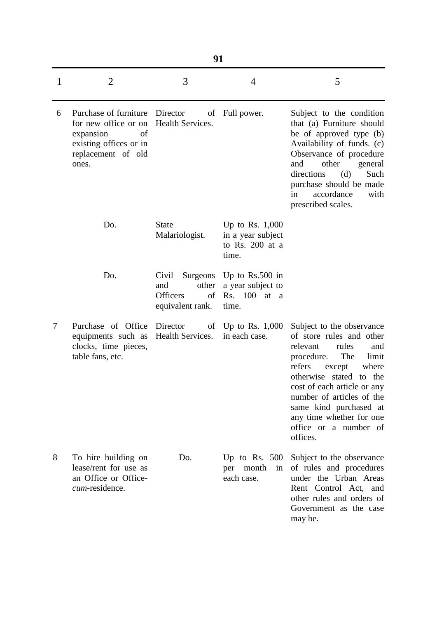|   | 91                                                                                                                                 |                                                                                |                                                                    |                                                                                                                                                                                                                                                                                                                                |  |  |
|---|------------------------------------------------------------------------------------------------------------------------------------|--------------------------------------------------------------------------------|--------------------------------------------------------------------|--------------------------------------------------------------------------------------------------------------------------------------------------------------------------------------------------------------------------------------------------------------------------------------------------------------------------------|--|--|
| 1 | $\overline{2}$                                                                                                                     | 3                                                                              | $\overline{4}$                                                     | 5                                                                                                                                                                                                                                                                                                                              |  |  |
| 6 | Purchase of furniture Director<br>for new office or on<br>expansion<br>of<br>existing offices or in<br>replacement of old<br>ones. | of<br>Health Services.                                                         | Full power.                                                        | Subject to the condition<br>that (a) Furniture should<br>be of approved type (b)<br>Availability of funds. (c)<br>Observance of procedure<br>and<br>other<br>general<br>directions<br>(d)<br>Such<br>purchase should be made<br>accordance<br>with<br>in<br>prescribed scales.                                                 |  |  |
|   | Do.                                                                                                                                | <b>State</b><br>Malariologist.                                                 | Up to Rs. $1,000$<br>in a year subject<br>to Rs. 200 at a<br>time. |                                                                                                                                                                                                                                                                                                                                |  |  |
|   | Do.                                                                                                                                | Surgeons<br>Civil<br>other<br>and<br><b>Officers</b><br>of<br>equivalent rank. | Up to $Rs.500$ in<br>a year subject to<br>Rs. 100 at a<br>time.    |                                                                                                                                                                                                                                                                                                                                |  |  |
| 7 | Purchase of Office Director<br>equipments such as<br>clocks, time pieces,<br>table fans, etc.                                      | Health Services.                                                               | of Up to Rs. $1,000$<br>in each case.                              | Subject to the observance<br>of store rules and other<br>rules<br>relevant<br>and<br>procedure.<br>The<br>limit<br>refers<br>where<br>except<br>otherwise stated to the<br>cost of each article or any<br>number of articles of the<br>same kind purchased at<br>any time whether for one<br>office or a number of<br>offices. |  |  |
| 8 | To hire building on<br>lease/rent for use as<br>an Office or Office-<br>cum-residence.                                             | Do.                                                                            | Up to Rs. $500$<br>per month<br>in<br>each case.                   | Subject to the observance<br>of rules and procedures<br>under the Urban Areas<br>Rent Control Act, and<br>other rules and orders of<br>Government as the case<br>may be.                                                                                                                                                       |  |  |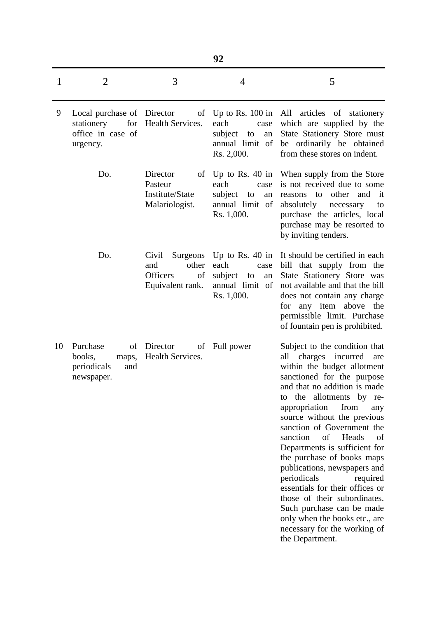|    |                                                                                  |                                                                                | 92                                                                                         |                                                                                                                                                                                                                                                                                                                                                                                                                                                                                                                                                                                                                                         |
|----|----------------------------------------------------------------------------------|--------------------------------------------------------------------------------|--------------------------------------------------------------------------------------------|-----------------------------------------------------------------------------------------------------------------------------------------------------------------------------------------------------------------------------------------------------------------------------------------------------------------------------------------------------------------------------------------------------------------------------------------------------------------------------------------------------------------------------------------------------------------------------------------------------------------------------------------|
| 1  | $\overline{2}$                                                                   | 3                                                                              | $\overline{4}$                                                                             | 5                                                                                                                                                                                                                                                                                                                                                                                                                                                                                                                                                                                                                                       |
| 9  | Local purchase of Director<br>for<br>stationery<br>office in case of<br>urgency. | <b>Health Services.</b>                                                        | each<br>case<br>subject<br>an<br>to<br>annual limit of<br>Rs. 2,000.                       | of Up to Rs. 100 in All articles of stationery<br>which are supplied by the<br>State Stationery Store must<br>be ordinarily be obtained<br>from these stores on indent.                                                                                                                                                                                                                                                                                                                                                                                                                                                                 |
|    | Do.                                                                              | Director<br>Pasteur<br>Institute/State<br>Malariologist.                       | of Up to Rs. 40 in<br>each<br>case<br>subject<br>to<br>an<br>annual limit of<br>Rs. 1,000. | When supply from the Store<br>is not received due to some<br>other<br>and<br>it<br>reasons to<br>absolutely<br>necessary<br>to<br>purchase the articles, local<br>purchase may be resorted to<br>by inviting tenders.                                                                                                                                                                                                                                                                                                                                                                                                                   |
|    | Do.                                                                              | Surgeons<br>Civil<br>other<br>and<br><b>Officers</b><br>of<br>Equivalent rank. | Up to Rs. $40$ in<br>each<br>case<br>subject<br>to<br>an<br>annual limit of<br>Rs. 1,000.  | It should be certified in each<br>bill that supply from the<br>State Stationery Store was<br>not available and that the bill<br>does not contain any charge<br>for any item above the<br>permissible limit. Purchase<br>of fountain pen is prohibited.                                                                                                                                                                                                                                                                                                                                                                                  |
| 10 | Purchase<br>of<br>books,<br>maps,<br>periodicals<br>and<br>newspaper.            | Director<br>of<br>Health Services.                                             | Full power                                                                                 | Subject to the condition that<br>all charges incurred<br>are<br>within the budget allotment<br>sanctioned for the purpose<br>and that no addition is made<br>the allotments by<br>to<br>re-<br>appropriation<br>from<br>any<br>source without the previous<br>sanction of Government the<br>sanction<br>of<br>Heads<br>of<br>Departments is sufficient for<br>the purchase of books maps<br>publications, newspapers and<br>periodicals<br>required<br>essentials for their offices or<br>those of their subordinates.<br>Such purchase can be made<br>only when the books etc., are<br>necessary for the working of<br>the Department. |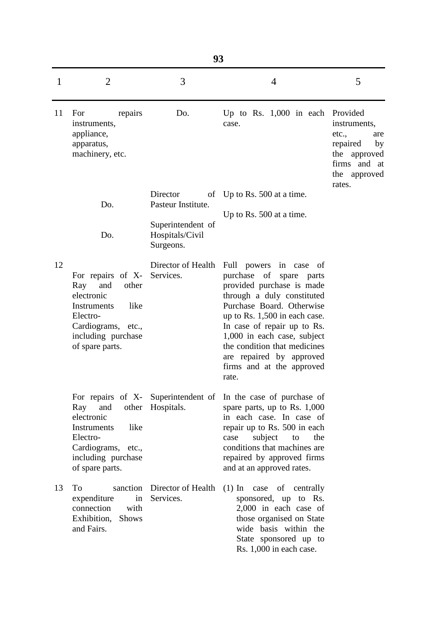|    | 93                                                                                                                                                              |                                                   |                                                                                                                                                                                                                                                                                                                                                  |                                                                                                          |  |  |  |
|----|-----------------------------------------------------------------------------------------------------------------------------------------------------------------|---------------------------------------------------|--------------------------------------------------------------------------------------------------------------------------------------------------------------------------------------------------------------------------------------------------------------------------------------------------------------------------------------------------|----------------------------------------------------------------------------------------------------------|--|--|--|
| 1  | $\overline{2}$                                                                                                                                                  | 3                                                 | $\overline{4}$                                                                                                                                                                                                                                                                                                                                   | 5                                                                                                        |  |  |  |
| 11 | For<br>repairs<br>instruments,<br>appliance,<br>apparatus,<br>machinery, etc.                                                                                   | Do.                                               | Up to Rs. $1,000$ in each Provided<br>case.                                                                                                                                                                                                                                                                                                      | instruments,<br>etc.,<br>are<br>repaired<br>by<br>the approved<br>firms and at<br>the approved<br>rates. |  |  |  |
|    | Do.                                                                                                                                                             | Director<br>οf<br>Pasteur Institute.              | Up to Rs. $500$ at a time.                                                                                                                                                                                                                                                                                                                       |                                                                                                          |  |  |  |
|    | Do.                                                                                                                                                             | Superintendent of<br>Hospitals/Civil<br>Surgeons. | Up to Rs. $500$ at a time.                                                                                                                                                                                                                                                                                                                       |                                                                                                          |  |  |  |
| 12 | For repairs of X-<br>and<br>other<br>Ray<br>electronic<br>like<br><b>Instruments</b><br>Electro-<br>Cardiograms, etc.,<br>including purchase<br>of spare parts. | Director of Health<br>Services.                   | Full<br>powers in case of<br>purchase of<br>spare parts<br>provided purchase is made<br>through a duly constituted<br>Purchase Board. Otherwise<br>up to Rs. 1,500 in each case.<br>In case of repair up to Rs.<br>1,000 in each case, subject<br>the condition that medicines<br>are repaired by approved<br>firms and at the approved<br>rate. |                                                                                                          |  |  |  |
|    | and<br>Ray<br>electronic<br>like<br>Instruments<br>Electro-<br>Cardiograms, etc.,<br>including purchase<br>of spare parts.                                      | other Hospitals.                                  | For repairs of X- Superintendent of In the case of purchase of<br>spare parts, up to Rs. $1,000$<br>in each case. In case of<br>repair up to Rs. 500 in each<br>subject<br>the<br>case<br>to<br>conditions that machines are<br>repaired by approved firms<br>and at an approved rates.                                                          |                                                                                                          |  |  |  |
| 13 | Tо<br>expenditure<br>in<br>connection<br>with<br>Exhibition, Shows<br>and Fairs.                                                                                | sanction Director of Health<br>Services.          | $(1)$ In<br>case of centrally<br>sponsored, up to Rs.<br>$2,000$ in each case of<br>those organised on State<br>wide basis within the<br>State sponsored up to<br>Rs. 1,000 in each case.                                                                                                                                                        |                                                                                                          |  |  |  |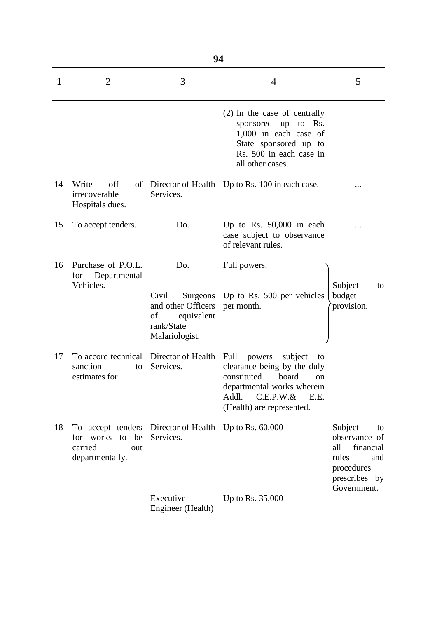|              | 94                                                                        |                                                                                                    |                                                                                                                                                                                          |                                                                                                                  |  |  |  |
|--------------|---------------------------------------------------------------------------|----------------------------------------------------------------------------------------------------|------------------------------------------------------------------------------------------------------------------------------------------------------------------------------------------|------------------------------------------------------------------------------------------------------------------|--|--|--|
| $\mathbf{1}$ | $\overline{2}$                                                            | 3                                                                                                  | 4                                                                                                                                                                                        | 5                                                                                                                |  |  |  |
|              |                                                                           |                                                                                                    | (2) In the case of centrally<br>sponsored up to Rs.<br>$1,000$ in each case of<br>State sponsored up to<br>Rs. 500 in each case in<br>all other cases.                                   |                                                                                                                  |  |  |  |
| 14           | Write<br>off<br>irrecoverable<br>Hospitals dues.                          | Services.                                                                                          | of Director of Health Up to Rs. 100 in each case.                                                                                                                                        |                                                                                                                  |  |  |  |
| 15           | To accept tenders.                                                        | Do.                                                                                                | Up to Rs. $50,000$ in each<br>case subject to observance<br>of relevant rules.                                                                                                           |                                                                                                                  |  |  |  |
| 16           | Purchase of P.O.L.<br>Departmental<br>for<br>Vehicles.                    | Do.<br>Civil<br>Surgeons<br>and other Officers<br>of<br>equivalent<br>rank/State<br>Malariologist. | Full powers.<br>Up to Rs. 500 per vehicles<br>per month.                                                                                                                                 | Subject<br>to<br>budget<br>provision.                                                                            |  |  |  |
| 17           | To accord technical<br>sanction<br>to<br>estimates for                    | Director of Health<br>Services.                                                                    | Full<br>subject<br>powers<br>to<br>clearance being by the duly<br>constituted<br>board<br>on<br>departmental works wherein<br>Addl.<br>$C.E.P.W.\&$<br>E.E.<br>(Health) are represented. |                                                                                                                  |  |  |  |
| 18           | To accept tenders<br>for works to be<br>carried<br>out<br>departmentally. | Director of Health<br>Services.                                                                    | Up to Rs. $60,000$                                                                                                                                                                       | Subject<br>to<br>observance of<br>financial<br>all<br>rules<br>and<br>procedures<br>prescribes by<br>Government. |  |  |  |
|              |                                                                           | Executive<br>Engineer (Health)                                                                     | Up to Rs. 35,000                                                                                                                                                                         |                                                                                                                  |  |  |  |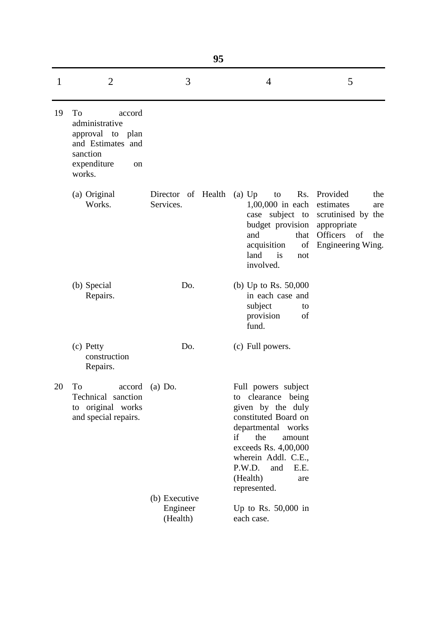|    | 95                                                                                                                            |                                 |                                                                                                                                                                                                                                                   |                                                                                                                                         |  |  |
|----|-------------------------------------------------------------------------------------------------------------------------------|---------------------------------|---------------------------------------------------------------------------------------------------------------------------------------------------------------------------------------------------------------------------------------------------|-----------------------------------------------------------------------------------------------------------------------------------------|--|--|
| 1  | $\overline{2}$                                                                                                                | 3                               | $\overline{4}$                                                                                                                                                                                                                                    | 5                                                                                                                                       |  |  |
| 19 | To<br>accord<br>administrative<br>approval to plan<br>and Estimates and<br>sanction<br>expenditure<br><sub>on</sub><br>works. |                                 |                                                                                                                                                                                                                                                   |                                                                                                                                         |  |  |
|    | (a) Original<br>Works.                                                                                                        | Director of Health<br>Services. | $(a)$ Up<br>to<br>1,00,000 in each<br>budget provision<br>and<br>that<br>acquisition<br>of<br>land<br>is<br>not<br>involved.                                                                                                                      | Rs. Provided<br>the<br>estimates<br>are<br>case subject to scrutinised by the<br>appropriate<br>Officers of<br>the<br>Engineering Wing. |  |  |
|    | (b) Special<br>Repairs.                                                                                                       | Do.                             | (b) Up to Rs. $50,000$<br>in each case and<br>subject<br>to<br>provision<br>of<br>fund.                                                                                                                                                           |                                                                                                                                         |  |  |
|    | (c) Petty<br>construction<br>Repairs.                                                                                         | Do.                             | (c) Full powers.                                                                                                                                                                                                                                  |                                                                                                                                         |  |  |
| 20 | To<br>accord<br>Technical sanction<br>to original works<br>and special repairs.                                               | $(a)$ Do.<br>(b) Executive      | Full powers subject<br>clearance being<br>to<br>given by the duly<br>constituted Board on<br>departmental works<br>the<br>if<br>amount<br>exceeds Rs. 4,00,000<br>wherein Addl. C.E.,<br>P.W.D.<br>and<br>E.E.<br>(Health)<br>are<br>represented. |                                                                                                                                         |  |  |
|    |                                                                                                                               | Engineer<br>(Health)            | Up to Rs. $50,000$ in<br>each case.                                                                                                                                                                                                               |                                                                                                                                         |  |  |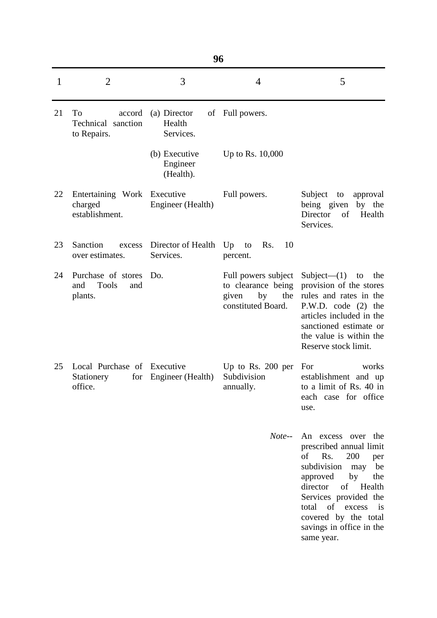|              | 96                                                          |                                        |                                                                                       |                                                                                                                                                                                                                                                                                       |  |  |
|--------------|-------------------------------------------------------------|----------------------------------------|---------------------------------------------------------------------------------------|---------------------------------------------------------------------------------------------------------------------------------------------------------------------------------------------------------------------------------------------------------------------------------------|--|--|
| $\mathbf{1}$ | $\overline{2}$                                              | 3                                      | $\overline{4}$                                                                        | 5                                                                                                                                                                                                                                                                                     |  |  |
| 21           | To<br>accord<br>Technical sanction<br>to Repairs.           | (a) Director<br>Health<br>Services.    | of Full powers.                                                                       |                                                                                                                                                                                                                                                                                       |  |  |
|              |                                                             | (b) Executive<br>Engineer<br>(Health). | Up to Rs. 10,000                                                                      |                                                                                                                                                                                                                                                                                       |  |  |
| 22           | Entertaining Work Executive<br>charged<br>establishment.    | Engineer (Health)                      | Full powers.                                                                          | Subject<br>to<br>approval<br>being given<br>by the<br>Director<br>of<br>Health<br>Services.                                                                                                                                                                                           |  |  |
| 23           | Sanction<br>excess<br>over estimates.                       | Director of Health<br>Services.        | Up<br>Rs.<br>10<br>to<br>percent.                                                     |                                                                                                                                                                                                                                                                                       |  |  |
| 24           | Purchase of stores<br><b>Tools</b><br>and<br>and<br>plants. | Do.                                    | Full powers subject<br>to clearance being<br>by<br>the<br>given<br>constituted Board. | Subject— $(1)$ to<br>the<br>provision of the stores<br>rules and rates in the<br>P.W.D. code (2) the<br>articles included in the<br>sanctioned estimate or<br>the value is within the<br>Reserve stock limit.                                                                         |  |  |
| 25           | Local Purchase of<br>Stationery<br>office.                  | Executive<br>for Engineer (Health)     | Up to Rs. $200$ per<br>Subdivision<br>annually.                                       | For<br>works<br>establishment and up<br>to a limit of Rs. 40 in<br>each case for office<br>use.                                                                                                                                                                                       |  |  |
|              |                                                             |                                        | Note--                                                                                | An excess over the<br>prescribed annual limit<br>of Rs.<br>200<br>per<br>subdivision<br>may<br>be<br>by<br>approved<br>the<br>director<br>of Health<br>Services provided the<br>total<br>of excess<br>$\frac{1}{1}$<br>covered by the total<br>savings in office in the<br>same year. |  |  |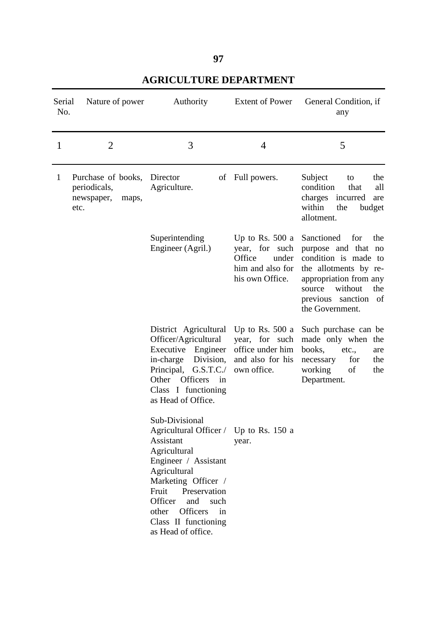**97**

| Serial<br>No.                                                                                                                                                                                           | Nature of power                                                   | Authority                                                                                                                                                                                                                                                                               | <b>Extent of Power</b>                                                                                                                 | General Condition, if<br>any                                                                                                                                                                      |
|---------------------------------------------------------------------------------------------------------------------------------------------------------------------------------------------------------|-------------------------------------------------------------------|-----------------------------------------------------------------------------------------------------------------------------------------------------------------------------------------------------------------------------------------------------------------------------------------|----------------------------------------------------------------------------------------------------------------------------------------|---------------------------------------------------------------------------------------------------------------------------------------------------------------------------------------------------|
| $\mathbf{1}$                                                                                                                                                                                            | $\overline{2}$                                                    | 3                                                                                                                                                                                                                                                                                       | 4                                                                                                                                      | 5                                                                                                                                                                                                 |
| $\mathbf{1}$                                                                                                                                                                                            | Purchase of books,<br>periodicals,<br>newspaper,<br>maps,<br>etc. | Director<br>οf<br>Agriculture.                                                                                                                                                                                                                                                          | Full powers.                                                                                                                           | the<br>Subject<br>to<br>condition<br>that<br>all<br>charges incurred<br>are<br>within<br>the<br>budget<br>allotment.                                                                              |
|                                                                                                                                                                                                         |                                                                   | Superintending<br>Engineer (Agril.)                                                                                                                                                                                                                                                     | Up to Rs. $500a$<br>year, for such<br>Office<br>under<br>him and also for<br>his own Office.                                           | Sanctioned<br>for<br>the<br>purpose and that no<br>condition is made to<br>the allotments by re-<br>appropriation from any<br>without<br>the<br>source<br>previous sanction of<br>the Government. |
| District Agricultural<br>Officer/Agricultural<br>Executive<br>Engineer<br>Division,<br>in-charge<br>Principal, G.S.T.C./<br>Other<br><b>Officers</b><br>in<br>Class I functioning<br>as Head of Office. |                                                                   | Up to Rs. $500a$<br>year, for such<br>office under him<br>and also for his<br>own office.                                                                                                                                                                                               | Such purchase can be<br>made only when the<br>books,<br>etc.,<br>are<br>necessary<br>for<br>the<br>of<br>working<br>the<br>Department. |                                                                                                                                                                                                   |
|                                                                                                                                                                                                         |                                                                   | Sub-Divisional<br>Agricultural Officer / Up to Rs. 150 a<br>Assistant<br>Agricultural<br>Engineer / Assistant<br>Agricultural<br>Marketing Officer /<br>Preservation<br>Fruit<br>such<br>Officer<br>and<br><b>Officers</b><br>other<br>in<br>Class II functioning<br>as Head of office. | year.                                                                                                                                  |                                                                                                                                                                                                   |

**AGRICULTURE DEPARTMENT**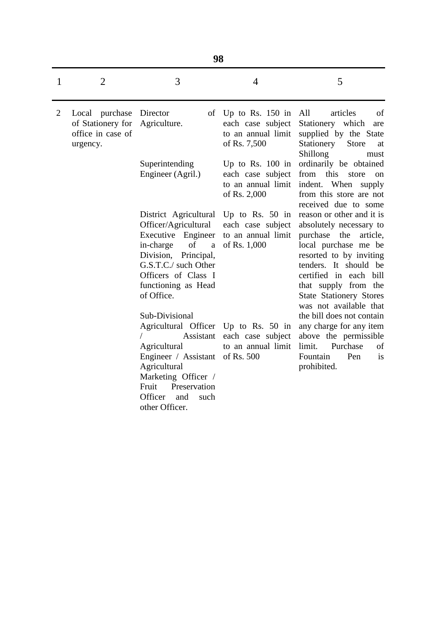|                | 98                                                                   |                                                                                                                                                                                                                              |                                                                               |                                                                                                                                                                                                                                                                                                            |  |
|----------------|----------------------------------------------------------------------|------------------------------------------------------------------------------------------------------------------------------------------------------------------------------------------------------------------------------|-------------------------------------------------------------------------------|------------------------------------------------------------------------------------------------------------------------------------------------------------------------------------------------------------------------------------------------------------------------------------------------------------|--|
| 1              | $\overline{2}$                                                       | 3                                                                                                                                                                                                                            | $\overline{4}$                                                                | 5                                                                                                                                                                                                                                                                                                          |  |
| $\overline{2}$ | Local purchase<br>of Stationery for<br>office in case of<br>urgency. | Director<br>οf<br>Agriculture.                                                                                                                                                                                               | Up to Rs. $150$ in<br>each case subject<br>to an annual limit<br>of Rs. 7,500 | All<br>articles<br>of<br>Stationery which<br>are<br>supplied by the State<br>Stationery<br><b>Store</b><br>at<br>Shillong<br>must                                                                                                                                                                          |  |
|                |                                                                      | Superintending<br>Engineer (Agril.)                                                                                                                                                                                          | Up to Rs. 100 in<br>each case subject<br>to an annual limit<br>of Rs. 2,000   | ordinarily be obtained<br>this<br>from<br>store<br><sub>on</sub><br>indent. When<br>supply<br>from this store are not<br>received due to some                                                                                                                                                              |  |
|                |                                                                      | District Agricultural<br>Officer/Agricultural<br>Executive Engineer<br>of<br>in-charge<br>a<br>Division,<br>Principal,<br>G.S.T.C./ such Other<br>Officers of Class I<br>functioning as Head<br>of Office.<br>Sub-Divisional | Up to Rs. $50$ in<br>each case subject<br>to an annual limit<br>of Rs. 1,000  | reason or other and it is<br>absolutely necessary to<br>purchase<br>the<br>article,<br>local purchase me be<br>resorted to by inviting<br>tenders. It should be<br>certified in each bill<br>that supply from the<br><b>State Stationery Stores</b><br>was not available that<br>the bill does not contain |  |
|                |                                                                      | Agricultural Officer Up to Rs. 50 in<br>Assistant<br>Agricultural<br>Engineer / Assistant<br>Agricultural<br>Marketing Officer /<br>Fruit<br>Preservation<br>Officer<br>and<br>such<br>other Officer.                        | each case subject<br>to an annual limit<br>of Rs. 500                         | any charge for any item<br>above the permissible<br>Purchase<br>limit.<br>οf<br>Fountain<br>Pen<br><i>is</i><br>prohibited.                                                                                                                                                                                |  |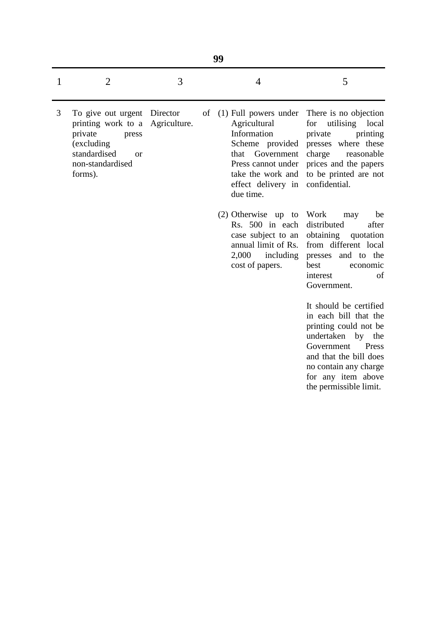- 3 To give out urgent Director of printing work to a Agriculture. private press (excluding standardised or non-standardised forms).
- (1) Full powers under There is no objection Agricultural Information Scheme provided that Government Press cannot under take the work and effect delivery in confidential. due time.
- (2) Otherwise up to Rs. 500 in each case subject to an annual limit of Rs. 2,000 including cost of papers.

for utilising local private printing presses where these charge reasonable prices and the papers to be printed are not

Work may be distributed after obtaining quotation from different local presses and to the best economic interest of Government.

It should be certified in each bill that the printing could not be undertaken by the Government Press and that the bill does no contain any charge for any item above the permissible limit.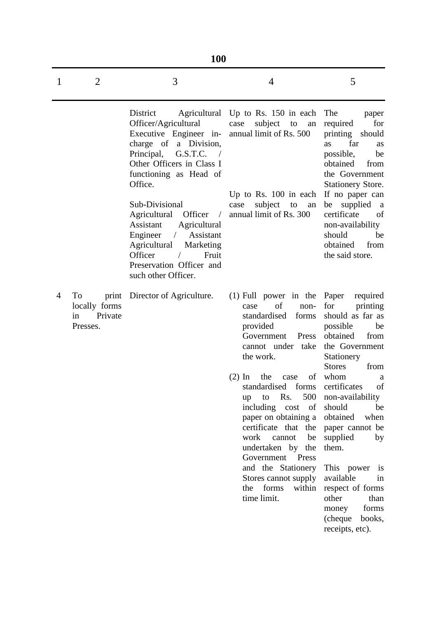|   | <b>100</b>                                       |                                                                                                                                                                                                                                                                                                                                                                                                                    |                                                                                                                                                                                                                                                                                                                                                                                                                                                              |                                                                                                                                                                                                                                                                                                                                                                                                                                           |  |  |
|---|--------------------------------------------------|--------------------------------------------------------------------------------------------------------------------------------------------------------------------------------------------------------------------------------------------------------------------------------------------------------------------------------------------------------------------------------------------------------------------|--------------------------------------------------------------------------------------------------------------------------------------------------------------------------------------------------------------------------------------------------------------------------------------------------------------------------------------------------------------------------------------------------------------------------------------------------------------|-------------------------------------------------------------------------------------------------------------------------------------------------------------------------------------------------------------------------------------------------------------------------------------------------------------------------------------------------------------------------------------------------------------------------------------------|--|--|
| 1 | 2                                                | 3                                                                                                                                                                                                                                                                                                                                                                                                                  | $\overline{4}$                                                                                                                                                                                                                                                                                                                                                                                                                                               | 5                                                                                                                                                                                                                                                                                                                                                                                                                                         |  |  |
|   |                                                  | District<br>Officer/Agricultural<br>Executive Engineer in-<br>charge of a Division,<br>G.S.T.C.<br>Principal,<br>Other Officers in Class I<br>functioning as Head of<br>Office.<br>Sub-Divisional<br>Agricultural<br>Officer<br>$\sqrt{2}$<br>Agricultural<br>Assistant<br>Engineer<br>Assistant<br>$\sqrt{2}$<br>Agricultural<br>Marketing<br>Officer<br>Fruit<br>Preservation Officer and<br>such other Officer. | Agricultural Up to Rs. 150 in each<br>subject<br>case<br>to<br>an<br>annual limit of Rs. 500<br>Up to Rs. $100$ in each<br>subject<br>case<br>to<br>an<br>annual limit of Rs. 300                                                                                                                                                                                                                                                                            | The<br>paper<br>required<br>for<br>printing<br>should<br>far<br>as<br>as<br>possible,<br>be<br>obtained<br>from<br>the Government<br><b>Stationery Store.</b><br>If no paper can<br>supplied<br>be<br><sub>a</sub><br>certificate<br>of<br>non-availability<br>should<br>be<br>obtained<br>from<br>the said store.                                                                                                                        |  |  |
| 4 | To<br>locally forms<br>Private<br>in<br>Presses. | print Director of Agriculture.                                                                                                                                                                                                                                                                                                                                                                                     | $(1)$ Full power in the Paper<br>of<br>non-<br>case<br>standardised<br>forms<br>provided<br>Government<br>Press<br>cannot under take<br>the work.<br>$(2)$ In<br>the<br>case<br>standardised<br>forms<br>500<br>Rs.<br>to<br>up<br>including cost of<br>paper on obtaining a<br>certificate that the<br>work<br>be<br>cannot<br>undertaken by the<br>Government Press<br>and the Stationery<br>Stores cannot supply<br>forms<br>the<br>within<br>time limit. | required<br>for<br>printing<br>should as far as<br>possible<br>be<br>obtained<br>from<br>the Government<br>Stationery<br><b>Stores</b><br>from<br>of whom<br>a<br>certificates<br>of<br>non-availability<br>should<br>be<br>obtained<br>when<br>paper cannot be<br>supplied<br>by<br>them.<br>This power<br>$\overline{1}$<br>available<br>in<br>respect of forms<br>other<br>than<br>forms<br>money<br>(cheque books,<br>receipts, etc). |  |  |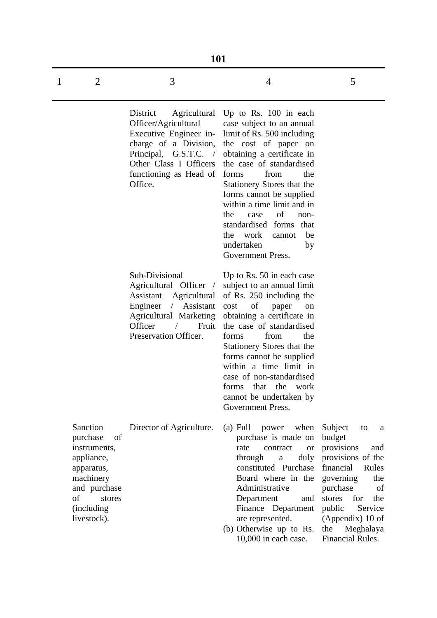|   | <b>101</b>                                                                                                                                       |                                                                                                                                                                                                                      |                                                                                                                                                                                                                                                                                                                                                                                                                         |                                                                                                                                                                                                                                             |  |  |
|---|--------------------------------------------------------------------------------------------------------------------------------------------------|----------------------------------------------------------------------------------------------------------------------------------------------------------------------------------------------------------------------|-------------------------------------------------------------------------------------------------------------------------------------------------------------------------------------------------------------------------------------------------------------------------------------------------------------------------------------------------------------------------------------------------------------------------|---------------------------------------------------------------------------------------------------------------------------------------------------------------------------------------------------------------------------------------------|--|--|
| 1 | $\overline{2}$                                                                                                                                   | 3                                                                                                                                                                                                                    | 4                                                                                                                                                                                                                                                                                                                                                                                                                       | 5                                                                                                                                                                                                                                           |  |  |
|   |                                                                                                                                                  | District<br>Agricultural<br>Officer/Agricultural<br>Executive Engineer in-<br>charge of a Division,<br>Principal,<br>G.S.T.C.<br>$\sqrt{2}$<br>Other Class I Officers<br>functioning as Head of<br>Office.           | Up to Rs. $100$ in each<br>case subject to an annual<br>limit of Rs. 500 including<br>the cost of paper on<br>obtaining a certificate in<br>the case of standardised<br>from<br>the<br>forms<br>Stationery Stores that the<br>forms cannot be supplied<br>within a time limit and in<br>of<br>the<br>case<br>non-<br>standardised forms<br>that<br>the<br>work<br>cannot<br>be<br>undertaken<br>by<br>Government Press. |                                                                                                                                                                                                                                             |  |  |
|   |                                                                                                                                                  | Sub-Divisional<br>Agricultural Officer<br>$\overline{\phantom{a}}$<br>Assistant<br>Agricultural<br>Assistant<br>Engineer<br>$\sqrt{2}$<br><b>Agricultural Marketing</b><br>Officer<br>Fruit<br>Preservation Officer. | Up to Rs. 50 in each case<br>subject to an annual limit<br>of Rs. 250 including the<br>of<br>cost<br>paper<br>on<br>obtaining a certificate in<br>the case of standardised<br>from<br>the<br>forms<br>Stationery Stores that the<br>forms cannot be supplied<br>within a time limit in<br>case of non-standardised<br>that<br>forms<br>the<br>work<br>cannot be undertaken by<br>Government Press.                      |                                                                                                                                                                                                                                             |  |  |
|   | Sanction<br>purchase<br>of<br>instruments,<br>appliance,<br>apparatus,<br>machinery<br>and purchase<br>of<br>stores<br>(including<br>livestock). | Director of Agriculture.                                                                                                                                                                                             | $(a)$ Full<br>power<br>when<br>purchase is made on<br>rate<br>contract<br><b>or</b><br>duly<br>through<br>$\rm{a}$<br>constituted Purchase<br>Board where in the<br>Administrative<br>Department<br>and<br>Finance Department<br>are represented.<br>(b) Otherwise up to Rs.<br>10,000 in each case.                                                                                                                    | Subject<br>to<br>a<br>budget<br>provisions<br>and<br>provisions of the<br>financial<br>Rules<br>governing<br>the<br>purchase<br>of<br>for<br>the<br>stores<br>public<br>Service<br>(Appendix) 10 of<br>the<br>Meghalaya<br>Financial Rules. |  |  |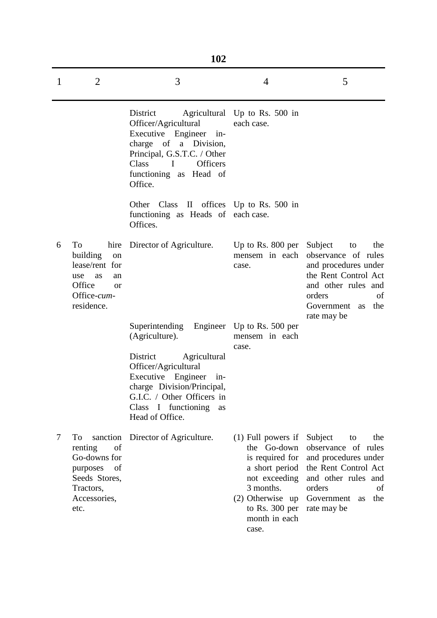|   |                                                                                                                         | 102                                                                                                                                                                                          |                                                                                                                                                                            |                                                                                                                                                                               |  |
|---|-------------------------------------------------------------------------------------------------------------------------|----------------------------------------------------------------------------------------------------------------------------------------------------------------------------------------------|----------------------------------------------------------------------------------------------------------------------------------------------------------------------------|-------------------------------------------------------------------------------------------------------------------------------------------------------------------------------|--|
| 1 | $\overline{2}$                                                                                                          | 3                                                                                                                                                                                            | 4                                                                                                                                                                          | 5                                                                                                                                                                             |  |
|   |                                                                                                                         | District<br>Officer/Agricultural<br>Executive Engineer in-<br>charge of a Division,<br>Principal, G.S.T.C. / Other<br>Class<br><b>Officers</b><br>I<br>functioning as Head of<br>Office.     | Agricultural Up to Rs. 500 in<br>each case.                                                                                                                                |                                                                                                                                                                               |  |
|   |                                                                                                                         | Other<br>Class<br>functioning as Heads of each case.<br>Offices.                                                                                                                             | II offices Up to Rs. 500 in                                                                                                                                                |                                                                                                                                                                               |  |
| 6 | To<br>hire<br>building<br>on<br>lease/rent for<br>use<br>as<br>an<br>Office<br>or<br>Office-cum-<br>residence.          | Director of Agriculture.                                                                                                                                                                     | Up to Rs. 800 per Subject<br>case.                                                                                                                                         | the<br>to<br>mensem in each observance of rules<br>and procedures under<br>the Rent Control Act<br>and other rules and<br>orders<br>of<br>Government as<br>the<br>rate may be |  |
|   |                                                                                                                         | Superintending Engineer Up to Rs. 500 per<br>(Agriculture).                                                                                                                                  | mensem in each<br>case.                                                                                                                                                    |                                                                                                                                                                               |  |
|   |                                                                                                                         | District<br>Agricultural<br>Officer/Agricultural<br>Executive Engineer<br>$in$ -<br>charge Division/Principal,<br>G.I.C. / Other Officers in<br>Class I functioning<br>as<br>Head of Office. |                                                                                                                                                                            |                                                                                                                                                                               |  |
| 7 | To<br>sanction<br>renting<br>of<br>Go-downs for<br>of<br>purposes<br>Seeds Stores,<br>Tractors,<br>Accessories,<br>etc. | Director of Agriculture.                                                                                                                                                                     | $(1)$ Full powers if<br>the Go-down<br>is required for<br>a short period<br>not exceeding<br>3 months.<br>$(2)$ Otherwise up<br>to Rs. $300$ per<br>month in each<br>case. | Subject<br>the<br>to<br>observance of rules<br>and procedures under<br>the Rent Control Act<br>and other rules and<br>orders<br>of<br>Government as<br>the<br>rate may be     |  |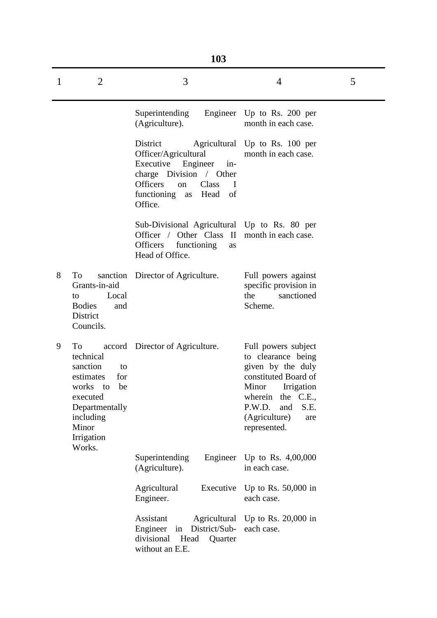|              | 103                                                                                                                                                    |                                                                                                                                                                                         |                                                                                                                                                                                                        |   |  |  |  |
|--------------|--------------------------------------------------------------------------------------------------------------------------------------------------------|-----------------------------------------------------------------------------------------------------------------------------------------------------------------------------------------|--------------------------------------------------------------------------------------------------------------------------------------------------------------------------------------------------------|---|--|--|--|
| $\mathbf{1}$ | $\overline{2}$                                                                                                                                         | 3                                                                                                                                                                                       | $\overline{4}$                                                                                                                                                                                         | 5 |  |  |  |
|              |                                                                                                                                                        | Superintending<br>(Agriculture).                                                                                                                                                        | Engineer Up to Rs. 200 per<br>month in each case.                                                                                                                                                      |   |  |  |  |
|              |                                                                                                                                                        | District<br>Officer/Agricultural<br>Executive<br>Engineer<br>in-<br>charge Division / Other<br><b>Officers</b><br>Class<br>$\mathbf I$<br>on<br>functioning<br>as Head<br>of<br>Office. | Agricultural Up to Rs. 100 per<br>month in each case.                                                                                                                                                  |   |  |  |  |
|              |                                                                                                                                                        | Sub-Divisional Agricultural Up to Rs. 80 per<br>Officer / Other Class II<br>Officers<br>functioning<br>as<br>Head of Office.                                                            | month in each case.                                                                                                                                                                                    |   |  |  |  |
| 8            | To<br>Grants-in-aid<br>Local<br>to<br><b>Bodies</b><br>and<br>District<br>Councils.                                                                    | sanction Director of Agriculture.                                                                                                                                                       | Full powers against<br>specific provision in<br>the<br>sanctioned<br>Scheme.                                                                                                                           |   |  |  |  |
| 9            | To<br>technical<br>sanction<br>to<br>estimates<br>for<br>works<br>be<br>to<br>executed<br>Departmentally<br>including<br>Minor<br>Irrigation<br>Works. | accord Director of Agriculture.                                                                                                                                                         | Full powers subject<br>to clearance being<br>given by the duly<br>constituted Board of<br>Minor<br>Irrigation<br>wherein<br>the C.E.,<br>P.W.D.<br>S.E.<br>and<br>(Agriculture)<br>are<br>represented. |   |  |  |  |
|              |                                                                                                                                                        | Superintending<br>Engineer<br>(Agriculture).                                                                                                                                            | Up to Rs. 4,00,000<br>in each case.                                                                                                                                                                    |   |  |  |  |
|              |                                                                                                                                                        | Agricultural<br>Executive<br>Engineer.                                                                                                                                                  | Up to Rs. $50,000$ in<br>each case.                                                                                                                                                                    |   |  |  |  |
|              |                                                                                                                                                        | Assistant<br>Agricultural<br>Engineer<br>District/Sub-<br>in<br>divisional<br>Head<br>Quarter<br>without an E.E.                                                                        | Up to Rs. $20,000$ in<br>each case.                                                                                                                                                                    |   |  |  |  |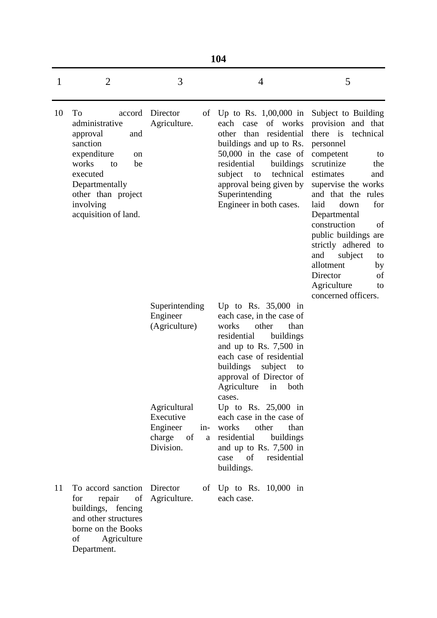|    | 104                                                                                                                                                                                              |                                                                 |                                                                                                                                                                                                                                                                             |                                                                                                                                                                                                                                                                                                                                                                                                                  |  |  |
|----|--------------------------------------------------------------------------------------------------------------------------------------------------------------------------------------------------|-----------------------------------------------------------------|-----------------------------------------------------------------------------------------------------------------------------------------------------------------------------------------------------------------------------------------------------------------------------|------------------------------------------------------------------------------------------------------------------------------------------------------------------------------------------------------------------------------------------------------------------------------------------------------------------------------------------------------------------------------------------------------------------|--|--|
| 1  | $\overline{2}$                                                                                                                                                                                   | 3                                                               | $\overline{4}$                                                                                                                                                                                                                                                              | 5                                                                                                                                                                                                                                                                                                                                                                                                                |  |  |
| 10 | To<br>accord<br>administrative<br>approval<br>and<br>sanction<br>expenditure<br>on<br>works<br>be<br>to<br>executed<br>Departmentally<br>other than project<br>involving<br>acquisition of land. | Director<br>of<br>Agriculture.                                  | Up to Rs. $1,00,000$ in<br>each<br>of works<br>case<br>residential<br>other<br>than<br>buildings and up to Rs.<br>$50,000$ in the case of<br>residential<br>buildings<br>technical<br>subject<br>to<br>approval being given by<br>Superintending<br>Engineer in both cases. | Subject to Building<br>provision and that<br>there is<br>technical<br>personnel<br>competent<br>to<br>scrutinize<br>the<br>estimates<br>and<br>supervise the works<br>and that the rules<br>laid<br>down<br>for<br>Departmental<br>construction<br>of<br>public buildings are<br>strictly adhered<br>to<br>and<br>subject<br>to<br>allotment<br>by<br>Director<br>of<br>Agriculture<br>to<br>concerned officers. |  |  |
|    |                                                                                                                                                                                                  | Superintending<br>Engineer<br>(Agriculture)                     | Up to Rs. $35,000$ in<br>each case, in the case of<br>other<br>works<br>than<br>residential<br>buildings<br>and up to Rs. $7,500$ in<br>each case of residential<br>buildings<br>subject<br>to<br>approval of Director of<br>Agriculture<br>both<br>in<br>cases.            |                                                                                                                                                                                                                                                                                                                                                                                                                  |  |  |
|    |                                                                                                                                                                                                  | Agricultural<br>Executive<br>Engineer<br>charge of<br>Division. | Up to Rs. $25,000$ in<br>each case in the case of<br>other<br>in- works<br>than<br>a residential buildings<br>and up to Rs. $7,500$ in<br>case<br>of<br>residential<br>buildings.                                                                                           |                                                                                                                                                                                                                                                                                                                                                                                                                  |  |  |
| 11 | To accord sanction Director<br>for<br>repair of<br>buildings, fencing<br>and other structures<br>borne on the Books<br>Agriculture<br>of<br>Department.                                          | Agriculture.                                                    | of $Up$ to Rs. $10,000$ in<br>each case.                                                                                                                                                                                                                                    |                                                                                                                                                                                                                                                                                                                                                                                                                  |  |  |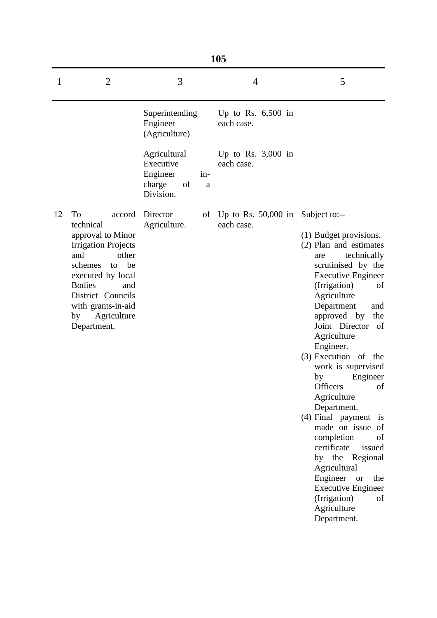|    | 105                                                                                                                                                                                                                                             |                                                                    |            |                                        |                                                                                                                                                                                                                                                                                                                                                                                                                                                                                                                                                                                                                                  |  |
|----|-------------------------------------------------------------------------------------------------------------------------------------------------------------------------------------------------------------------------------------------------|--------------------------------------------------------------------|------------|----------------------------------------|----------------------------------------------------------------------------------------------------------------------------------------------------------------------------------------------------------------------------------------------------------------------------------------------------------------------------------------------------------------------------------------------------------------------------------------------------------------------------------------------------------------------------------------------------------------------------------------------------------------------------------|--|
| 1  | $\overline{2}$                                                                                                                                                                                                                                  | 3                                                                  |            | 4                                      | 5                                                                                                                                                                                                                                                                                                                                                                                                                                                                                                                                                                                                                                |  |
|    |                                                                                                                                                                                                                                                 | Superintending<br>Engineer<br>(Agriculture)                        |            | Up to Rs. $6,500$ in<br>each case.     |                                                                                                                                                                                                                                                                                                                                                                                                                                                                                                                                                                                                                                  |  |
|    |                                                                                                                                                                                                                                                 | Agricultural<br>Executive<br>Engineer<br>charge<br>of<br>Division. | $in-$<br>a | Up to Rs. $3,000$ in<br>each case.     |                                                                                                                                                                                                                                                                                                                                                                                                                                                                                                                                                                                                                                  |  |
| 12 | To<br>accord<br>technical<br>approval to Minor<br><b>Irrigation Projects</b><br>and<br>other<br>be<br>schemes<br>to<br>executed by local<br><b>Bodies</b><br>and<br>District Councils<br>with grants-in-aid<br>Agriculture<br>by<br>Department. | Director<br>Agriculture.                                           |            | of Up to Rs. $50,000$ in<br>each case. | Subject to:--<br>(1) Budget provisions.<br>(2) Plan and estimates<br>technically<br>are<br>scrutinised by the<br><b>Executive Engineer</b><br>(Irrigation)<br>of<br>Agriculture<br>Department<br>and<br>approved by<br>the<br>Joint Director of<br>Agriculture<br>Engineer.<br>$(3)$ Execution of the<br>work is supervised<br>Engineer<br>by<br>Officers<br>of<br>Agriculture<br>Department.<br>(4) Final payment is<br>made on issue of<br>completion<br>of<br>certificate<br>issued<br>by the Regional<br>Agricultural<br>Engineer or<br>the<br><b>Executive Engineer</b><br>(Irrigation)<br>of<br>Agriculture<br>Department. |  |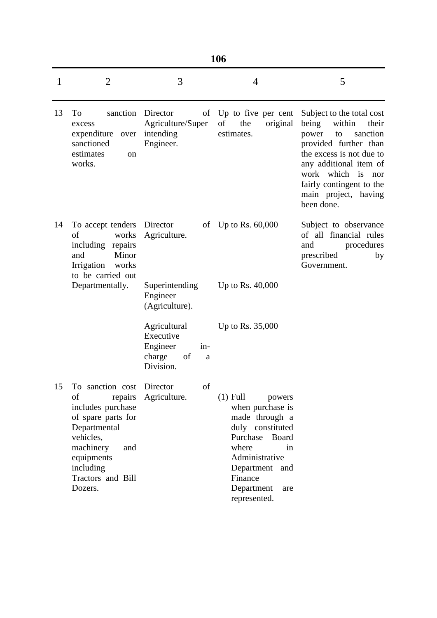|  | ۰.<br>× | ۰, |
|--|---------|----|
|  |         |    |

| 1  | $\overline{2}$                                                                                                                                                                         | 3                                                                              | $\overline{4}$                                                                                                                                                                                         | 5                                                                                                                                                                                                                                                            |
|----|----------------------------------------------------------------------------------------------------------------------------------------------------------------------------------------|--------------------------------------------------------------------------------|--------------------------------------------------------------------------------------------------------------------------------------------------------------------------------------------------------|--------------------------------------------------------------------------------------------------------------------------------------------------------------------------------------------------------------------------------------------------------------|
| 13 | sanction<br>To<br>excess<br>expenditure<br>over<br>sanctioned<br>estimates<br>on<br>works.                                                                                             | Director<br>of<br>Agriculture/Super<br>intending<br>Engineer.                  | Up to five per cent<br>of<br>the<br>original<br>estimates.                                                                                                                                             | Subject to the total cost<br>within<br>being<br>their<br>sanction<br>power<br>to<br>provided further than<br>the excess is not due to<br>any additional item of<br>work which<br>is<br>nor<br>fairly contingent to the<br>main project, having<br>been done. |
| 14 | To accept tenders<br>works<br>of<br>including repairs<br>and<br>Minor<br>Irrigation<br>works<br>to be carried out                                                                      | Director<br>Agriculture.                                                       | of Up to Rs. $60,000$                                                                                                                                                                                  | Subject to observance<br>of all financial rules<br>and<br>procedures<br>prescribed<br>by<br>Government.                                                                                                                                                      |
|    | Departmentally.                                                                                                                                                                        | Superintending<br>Engineer<br>(Agriculture).                                   | Up to Rs. $40,000$                                                                                                                                                                                     |                                                                                                                                                                                                                                                              |
|    |                                                                                                                                                                                        | Agricultural<br>Executive<br>Engineer<br>in-<br>charge<br>of<br>a<br>Division. | Up to Rs. 35,000                                                                                                                                                                                       |                                                                                                                                                                                                                                                              |
| 15 | To sanction cost Director<br>of<br>includes purchase<br>of spare parts for<br>Departmental<br>vehicles,<br>machinery<br>and<br>equipments<br>including<br>Tractors and Bill<br>Dozers. | of<br>repairs Agriculture.                                                     | $(1)$ Full<br>powers<br>when purchase is<br>made through a<br>duly constituted<br>Purchase<br>Board<br>where<br>in<br>Administrative<br>Department and<br>Finance<br>Department<br>are<br>represented. |                                                                                                                                                                                                                                                              |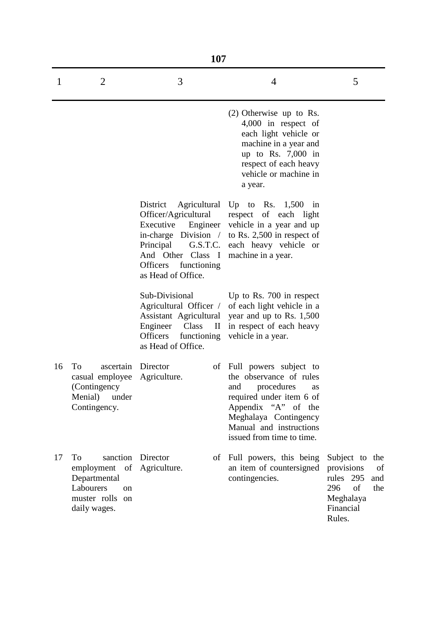|    | 107                                                                                                              |                                                                                                                                                          |                                                                                                                                                                                                                  |                                                                                                                   |  |  |  |
|----|------------------------------------------------------------------------------------------------------------------|----------------------------------------------------------------------------------------------------------------------------------------------------------|------------------------------------------------------------------------------------------------------------------------------------------------------------------------------------------------------------------|-------------------------------------------------------------------------------------------------------------------|--|--|--|
| 1  | 2                                                                                                                | 3                                                                                                                                                        | 4                                                                                                                                                                                                                | 5                                                                                                                 |  |  |  |
|    |                                                                                                                  |                                                                                                                                                          | $(2)$ Otherwise up to Rs.<br>4,000 in respect of<br>each light vehicle or<br>machine in a year and<br>up to Rs. $7,000$ in<br>respect of each heavy<br>vehicle or machine in<br>a year.                          |                                                                                                                   |  |  |  |
|    |                                                                                                                  | District<br>Officer/Agricultural<br>Executive<br>Engineer<br>G.S.T.C.<br>Principal<br>And Other Class I<br>Officers<br>functioning<br>as Head of Office. | Agricultural Up to Rs. 1,500<br>in<br>respect of each light<br>vehicle in a year and up<br>in-charge Division $/$ to Rs. 2,500 in respect of<br>each heavy vehicle or<br>machine in a year.                      |                                                                                                                   |  |  |  |
|    |                                                                                                                  | Sub-Divisional<br>Agricultural Officer /<br>Assistant Agricultural<br>Engineer<br>Class<br>$\mathbf H$<br>Officers<br>functioning<br>as Head of Office.  | Up to Rs. 700 in respect<br>of each light vehicle in a<br>year and up to Rs. 1,500<br>in respect of each heavy<br>vehicle in a year.                                                                             |                                                                                                                   |  |  |  |
| 16 | To<br>ascertain<br>casual employee<br>(Contingency)<br>Menial)<br>under<br>Contingency.                          | Director<br>οf<br>Agriculture.                                                                                                                           | Full powers subject to<br>the observance of rules<br>procedures<br>and<br>as<br>required under item 6 of<br>Appendix "A" of the<br>Meghalaya Contingency<br>Manual and instructions<br>issued from time to time. |                                                                                                                   |  |  |  |
| 17 | To<br>sanction<br>employment of<br>Departmental<br>Labourers<br><sub>on</sub><br>muster rolls on<br>daily wages. | Director<br>Agriculture.                                                                                                                                 | of Full powers, this being<br>an item of countersigned<br>contingencies.                                                                                                                                         | Subject to<br>the<br>provisions<br>of<br>rules 295<br>and<br>of<br>296<br>the<br>Meghalaya<br>Financial<br>Rules. |  |  |  |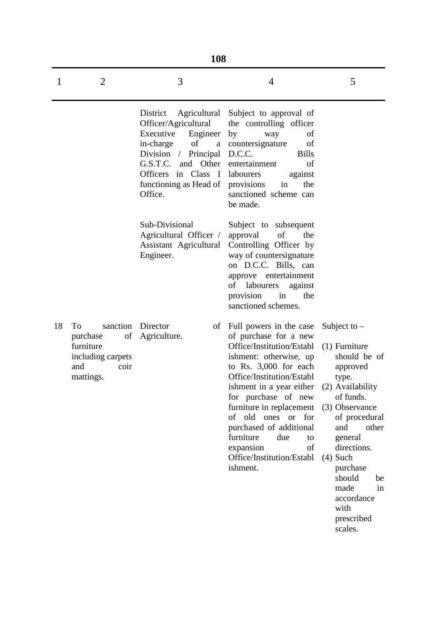|    | 108                                                                                      |                                                                                                                                                                                                                       |                                                                                                                                                                                                                                                                                                                                                                                     |                                                                                                                                                                                                                                                                                             |  |  |  |
|----|------------------------------------------------------------------------------------------|-----------------------------------------------------------------------------------------------------------------------------------------------------------------------------------------------------------------------|-------------------------------------------------------------------------------------------------------------------------------------------------------------------------------------------------------------------------------------------------------------------------------------------------------------------------------------------------------------------------------------|---------------------------------------------------------------------------------------------------------------------------------------------------------------------------------------------------------------------------------------------------------------------------------------------|--|--|--|
| 1  | $\overline{2}$                                                                           | 3                                                                                                                                                                                                                     | $\overline{4}$                                                                                                                                                                                                                                                                                                                                                                      | 5                                                                                                                                                                                                                                                                                           |  |  |  |
|    |                                                                                          | District<br>Agricultural<br>Officer/Agricultural<br>Executive<br>Engineer<br>of<br>in-charge<br>$\rm{a}$<br>Division / Principal<br>G.S.T.C.<br>and Other<br>Officers in Class I<br>functioning as Head of<br>Office. | Subject to approval of<br>the controlling officer<br>by<br>of<br>way<br>of<br>countersignature<br>D.C.C.<br><b>Bills</b><br>of<br>entertainment<br>labourers<br>against<br>provisions<br>in<br>the<br>sanctioned scheme can<br>be made.                                                                                                                                             |                                                                                                                                                                                                                                                                                             |  |  |  |
|    |                                                                                          | Sub-Divisional<br>Agricultural Officer /<br>Assistant Agricultural<br>Engineer.                                                                                                                                       | Subject to subsequent<br>of<br>the<br>approval<br>Controlling Officer by<br>way of countersignature<br>on D.C.C. Bills, can<br>approve entertainment<br>labourers<br>οf<br>against<br>provision<br>in<br>the<br>sanctioned schemes.                                                                                                                                                 |                                                                                                                                                                                                                                                                                             |  |  |  |
| 18 | To<br>sanction<br>purchase<br>furniture<br>including carpets<br>and<br>coir<br>mattings. | Director<br>of<br>of Agriculture.                                                                                                                                                                                     | Full powers in the case<br>of purchase for a new<br>Office/Institution/Establ<br>ishment: otherwise, up<br>to Rs. 3,000 for each<br>Office/Institution/Establ<br>ishment in a year either<br>for purchase of new<br>furniture in replacement<br>of old ones or for<br>purchased of additional<br>furniture<br>due<br>to<br>expansion<br>of<br>Office/Institution/Establ<br>ishment. | Subject to $-$<br>$(1)$ Furniture<br>should be of<br>approved<br>type.<br>(2) Availability<br>of funds.<br>(3) Observance<br>of procedural<br>and<br>other<br>general<br>directions.<br>$(4)$ Such<br>purchase<br>should<br>be<br>made<br>in<br>accordance<br>with<br>prescribed<br>scales. |  |  |  |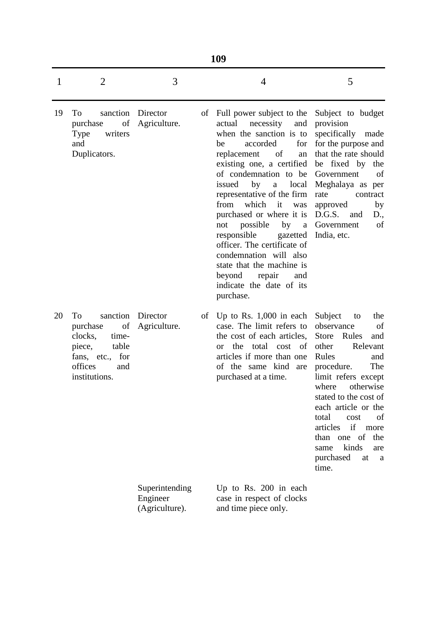|    | 109                                                                                                                           |                                              |    |                                                                                                                                                                                                                                                                                                                                                                                                                                                                                                                                                                    |                                                                                                                                                                                                                                                                                                                                                                 |  |
|----|-------------------------------------------------------------------------------------------------------------------------------|----------------------------------------------|----|--------------------------------------------------------------------------------------------------------------------------------------------------------------------------------------------------------------------------------------------------------------------------------------------------------------------------------------------------------------------------------------------------------------------------------------------------------------------------------------------------------------------------------------------------------------------|-----------------------------------------------------------------------------------------------------------------------------------------------------------------------------------------------------------------------------------------------------------------------------------------------------------------------------------------------------------------|--|
| 1  | $\overline{2}$                                                                                                                | 3                                            |    | 4                                                                                                                                                                                                                                                                                                                                                                                                                                                                                                                                                                  | 5                                                                                                                                                                                                                                                                                                                                                               |  |
| 19 | To<br>sanction<br>of<br>purchase<br>Type<br>writers<br>and<br>Duplicators.                                                    | Director<br>Agriculture.                     | of | Full power subject to the<br>actual<br>necessity<br>and<br>when the sanction is to<br>for<br>accorded<br>be<br>replacement<br>of<br>an<br>existing one, a certified be fixed by the<br>of condemnation to be<br>issued<br>local<br>by<br>$\mathbf{a}$<br>representative of the firm<br>from<br>which<br>it<br>was<br>purchased or where it is D.G.S.<br>possible<br>by<br>not<br>responsible<br>gazetted<br>officer. The certificate of<br>condemnation will also<br>state that the machine is<br>beyond<br>repair<br>and<br>indicate the date of its<br>purchase. | Subject to budget<br>provision<br>specifically<br>made<br>for the purpose and<br>that the rate should<br>Government<br>of<br>Meghalaya as per<br>rate<br>contract<br>approved<br>by<br>and<br>D.,<br>a Government<br>of<br>India, etc.                                                                                                                          |  |
| 20 | sanction<br>Tо<br>of<br>purchase<br>clocks,<br>time-<br>piece,<br>table<br>fans, etc., for<br>offices<br>and<br>institutions. | Director<br>Agriculture.                     | of | Up to Rs. $1,000$ in each<br>case. The limit refers to<br>the cost of each articles,<br>total<br>the<br>cost of<br><sub>or</sub><br>articles if more than one<br>of the same kind are<br>purchased at a time.                                                                                                                                                                                                                                                                                                                                                      | Subject<br>the<br>to<br>observance<br>of<br><b>Store</b><br>Rules<br>and<br>other<br>Relevant<br>Rules<br>and<br>The<br>procedure.<br>limit refers except<br>where<br>otherwise<br>stated to the cost of<br>each article or the<br>total<br>cost<br>of<br>if<br>articles<br>more<br>than one of<br>the<br>kinds<br>same<br>are<br>purchased<br>at<br>a<br>time. |  |
|    |                                                                                                                               | Superintending<br>Engineer<br>(Agriculture). |    | Up to Rs. $200$ in each<br>case in respect of clocks<br>and time piece only.                                                                                                                                                                                                                                                                                                                                                                                                                                                                                       |                                                                                                                                                                                                                                                                                                                                                                 |  |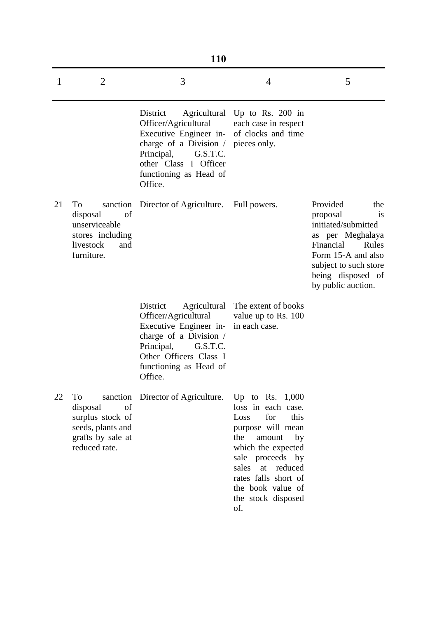|    | <b>110</b>                                                                                          |                                                                                                                                                                                                                     |                                                                                                                                                                                                                                                          |                                                                                                                                                                                                     |  |  |  |  |
|----|-----------------------------------------------------------------------------------------------------|---------------------------------------------------------------------------------------------------------------------------------------------------------------------------------------------------------------------|----------------------------------------------------------------------------------------------------------------------------------------------------------------------------------------------------------------------------------------------------------|-----------------------------------------------------------------------------------------------------------------------------------------------------------------------------------------------------|--|--|--|--|
| 1  | $\overline{2}$                                                                                      | 3                                                                                                                                                                                                                   | $\overline{4}$                                                                                                                                                                                                                                           | 5                                                                                                                                                                                                   |  |  |  |  |
|    |                                                                                                     | District<br>Officer/Agricultural<br>Executive Engineer in- of clocks and time<br>charge of a Division $\prime$ pieces only.<br>Principal,<br>G.S.T.C.<br>other Class I Officer<br>functioning as Head of<br>Office. | Agricultural Up to Rs. 200 in<br>each case in respect                                                                                                                                                                                                    |                                                                                                                                                                                                     |  |  |  |  |
| 21 | To<br>disposal<br>of<br>unserviceable<br>stores including<br>livestock<br>and<br>furniture.         | sanction Director of Agriculture.                                                                                                                                                                                   | Full powers.                                                                                                                                                                                                                                             | Provided<br>the<br>proposal<br><i>is</i><br>initiated/submitted<br>as per Meghalaya<br>Financial<br>Rules<br>Form 15-A and also<br>subject to such store<br>being disposed of<br>by public auction. |  |  |  |  |
|    |                                                                                                     | District<br>Officer/Agricultural<br>Executive Engineer in-<br>charge of a Division /<br>Principal,<br>G.S.T.C.<br>Other Officers Class I<br>functioning as Head of<br>Office.                                       | Agricultural The extent of books<br>value up to Rs. 100<br>in each case.                                                                                                                                                                                 |                                                                                                                                                                                                     |  |  |  |  |
| 22 | To<br>disposal<br>of<br>surplus stock of<br>seeds, plants and<br>grafts by sale at<br>reduced rate. | sanction Director of Agriculture.                                                                                                                                                                                   | Up to Rs. $1,000$<br>loss in each case.<br>for<br>this<br>Loss<br>purpose will mean<br>the<br>amount<br>by<br>which the expected<br>sale proceeds by<br>sales<br>at<br>reduced<br>rates falls short of<br>the book value of<br>the stock disposed<br>of. |                                                                                                                                                                                                     |  |  |  |  |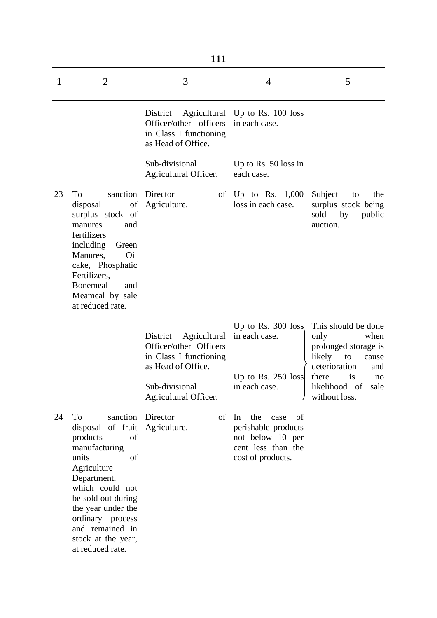| 111         |                                                                                                                                                                                                                                                                        |                                                                                                                                               |                                                                                                               |                                                                                                                                                                          |  |
|-------------|------------------------------------------------------------------------------------------------------------------------------------------------------------------------------------------------------------------------------------------------------------------------|-----------------------------------------------------------------------------------------------------------------------------------------------|---------------------------------------------------------------------------------------------------------------|--------------------------------------------------------------------------------------------------------------------------------------------------------------------------|--|
| $\mathbf 1$ | $\overline{2}$                                                                                                                                                                                                                                                         | 3                                                                                                                                             | 4                                                                                                             | 5                                                                                                                                                                        |  |
|             |                                                                                                                                                                                                                                                                        | District<br>Officer/other officers<br>in Class I functioning<br>as Head of Office.                                                            | Agricultural Up to Rs. 100 loss<br>in each case.                                                              |                                                                                                                                                                          |  |
|             |                                                                                                                                                                                                                                                                        | Sub-divisional<br>Agricultural Officer.                                                                                                       | Up to Rs. $50$ loss in<br>each case.                                                                          |                                                                                                                                                                          |  |
| 23          | To<br>sanction<br>of<br>disposal<br>surplus stock of<br>manures<br>and<br>fertilizers<br>including<br>Green<br>Oil<br>Manures,<br>cake, Phosphatic<br>Fertilizers,<br><b>Bonemeal</b><br>and<br>Meameal by sale<br>at reduced rate.                                    | Director<br>Agriculture.                                                                                                                      | of $Up$ to Rs. $1,000$<br>loss in each case.                                                                  | Subject<br>the<br>to<br>surplus stock being<br>sold<br>by<br>public<br>auction.                                                                                          |  |
|             |                                                                                                                                                                                                                                                                        | District<br>Agricultural<br>Officer/other Officers<br>in Class I functioning<br>as Head of Office.<br>Sub-divisional<br>Agricultural Officer. | Up to Rs. $300 \text{ loss}$<br>in each case.<br>Up to Rs. $250$ loss<br>in each case.                        | This should be done<br>only<br>when<br>prolonged storage is<br>likely<br>to<br>cause<br>deterioration<br>and<br>there<br>is<br>no<br>likelihood of sale<br>without loss. |  |
| 24          | To<br>sanction<br>of fruit<br>disposal<br>products<br>of<br>manufacturing<br>units<br>of<br>Agriculture<br>Department,<br>which could not<br>be sold out during<br>the year under the<br>ordinary process<br>and remained in<br>stock at the year,<br>at reduced rate. | Director<br>of<br>Agriculture.                                                                                                                | In<br>the<br>case<br>of<br>perishable products<br>not below 10 per<br>cent less than the<br>cost of products. |                                                                                                                                                                          |  |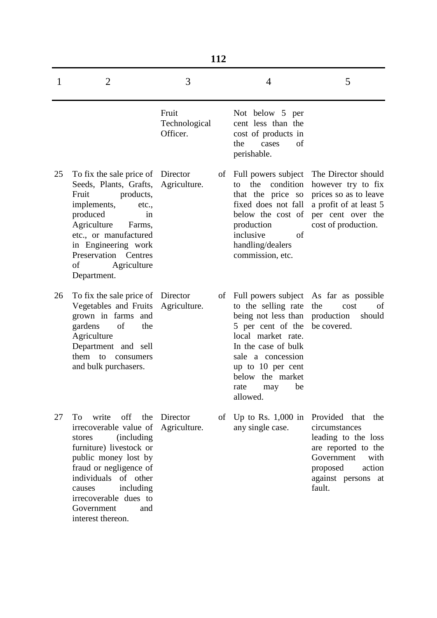|    | 112                                                                                                                                                                                                                                                                             |                                    |    |                                                                                                                                                                                                                                    |                                                                                                                                                                      |  |
|----|---------------------------------------------------------------------------------------------------------------------------------------------------------------------------------------------------------------------------------------------------------------------------------|------------------------------------|----|------------------------------------------------------------------------------------------------------------------------------------------------------------------------------------------------------------------------------------|----------------------------------------------------------------------------------------------------------------------------------------------------------------------|--|
| 1  | $\overline{2}$                                                                                                                                                                                                                                                                  | 3                                  |    | 4                                                                                                                                                                                                                                  | 5                                                                                                                                                                    |  |
|    |                                                                                                                                                                                                                                                                                 | Fruit<br>Technological<br>Officer. |    | Not below 5 per<br>cent less than the<br>cost of products in<br>the<br>of<br>cases<br>perishable.                                                                                                                                  |                                                                                                                                                                      |  |
| 25 | To fix the sale price of<br>Seeds, Plants, Grafts,<br>Fruit<br>products,<br>implements,<br>etc.,<br>produced<br>in<br>Agriculture<br>Farms,<br>etc., or manufactured<br>in Engineering work<br>Preservation Centres<br>Agriculture<br>οf<br>Department.                         | Director<br>Agriculture.           | of | Full powers subject<br>the<br>condition<br>to<br>that the price so<br>fixed does not fall<br>below the cost of<br>production<br>inclusive<br>of<br>handling/dealers<br>commission, etc.                                            | The Director should<br>however try to fix<br>prices so as to leave<br>a profit of at least 5<br>per cent over the<br>cost of production.                             |  |
| 26 | To fix the sale price of<br>Vegetables and Fruits<br>grown in farms and<br>of<br>gardens<br>the<br>Agriculture<br>Department and sell<br>them<br>to consumers<br>and bulk purchasers.                                                                                           | Director<br>Agriculture.           | οf | Full powers subject<br>to the selling rate<br>being not less than<br>5 per cent of the<br>local market rate.<br>In the case of bulk<br>sale a concession<br>up to 10 per cent<br>below the market<br>rate<br>be<br>may<br>allowed. | As far as possible<br>the<br>cost<br>of<br>production<br>should<br>be covered.                                                                                       |  |
| 27 | off the<br>To<br>write<br>irrecoverable value of<br><i>(including)</i><br>stores<br>furniture) livestock or<br>public money lost by<br>fraud or negligence of<br>individuals of other<br>including<br>causes<br>irrecoverable dues to<br>Government<br>and<br>interest thereon. | Director<br>Agriculture.           | of | Up to Rs. $1,000$ in<br>any single case.                                                                                                                                                                                           | Provided that<br>the<br>circumstances<br>leading to the loss<br>are reported to the<br>Government<br>with<br>proposed<br>action<br>against persons<br>- at<br>fault. |  |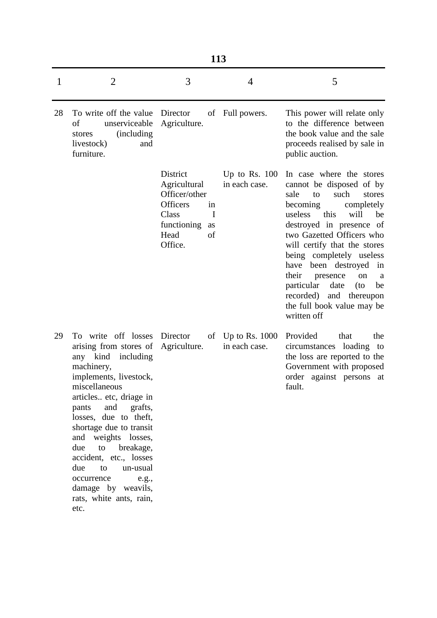|    | 113                                                                                                                                                                                                                                                                                                                                                                                                                        |                                                                                                                    |                                                 |                                                                                                                                                                                                                                                                                                                                                                                                                                                   |  |  |
|----|----------------------------------------------------------------------------------------------------------------------------------------------------------------------------------------------------------------------------------------------------------------------------------------------------------------------------------------------------------------------------------------------------------------------------|--------------------------------------------------------------------------------------------------------------------|-------------------------------------------------|---------------------------------------------------------------------------------------------------------------------------------------------------------------------------------------------------------------------------------------------------------------------------------------------------------------------------------------------------------------------------------------------------------------------------------------------------|--|--|
| 1  | $\overline{2}$                                                                                                                                                                                                                                                                                                                                                                                                             | 3                                                                                                                  | $\overline{4}$                                  | 5                                                                                                                                                                                                                                                                                                                                                                                                                                                 |  |  |
| 28 | To write off the value<br>of<br>unserviceable<br><i>(including)</i><br>stores<br>livestock)<br>and<br>furniture.                                                                                                                                                                                                                                                                                                           | Director<br>Agriculture.                                                                                           | of Full powers.                                 | This power will relate only<br>to the difference between<br>the book value and the sale<br>proceeds realised by sale in<br>public auction.                                                                                                                                                                                                                                                                                                        |  |  |
|    |                                                                                                                                                                                                                                                                                                                                                                                                                            | District<br>Agricultural<br>Officer/other<br>Officers<br>in<br>Class<br>functioning<br>as<br>Head<br>of<br>Office. | Up to Rs. $100$<br>in each case.<br>$\mathbf I$ | In case where the stores<br>cannot be disposed of by<br>sale<br>such<br>to<br>stores<br>becoming<br>completely<br>useless this<br>will<br>be<br>destroyed in presence of<br>two Gazetted Officers who<br>will certify that the stores<br>being completely useless<br>been destroyed<br>have<br>in<br>their<br>presence<br>on<br>a a<br>particular<br>date<br>(to<br>be<br>recorded)<br>and thereupon<br>the full book value may be<br>written off |  |  |
| 29 | To write off losses<br>arising from stores of<br>any kind<br>including<br>machinery,<br>implements, livestock,<br>miscellaneous<br>articles etc, driage in<br>pants and<br>grafts,<br>losses, due to theft,<br>shortage due to transit<br>and weights losses,<br>to<br>breakage,<br>due<br>accident, etc., losses<br>due<br>un-usual<br>to<br>occurrence<br>e.g.,<br>damage by weavils,<br>rats, white ants, rain,<br>etc. | Director<br>Agriculture.                                                                                           | of Up to Rs. $1000$<br>in each case.            | Provided<br>that<br>the<br>circumstances loading to<br>the loss are reported to the<br>Government with proposed<br>order against persons at<br>fault.                                                                                                                                                                                                                                                                                             |  |  |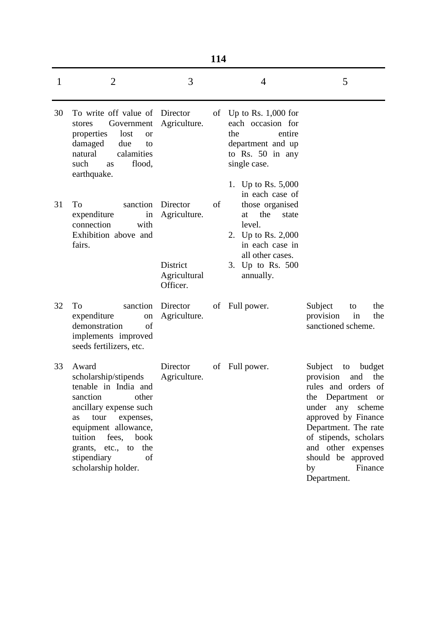|              | 114                                                                                                                                                                                                                                               |                                                                  |    |                                                                                                                                                                                        |                                                                                                                                                                                                                                                                                      |
|--------------|---------------------------------------------------------------------------------------------------------------------------------------------------------------------------------------------------------------------------------------------------|------------------------------------------------------------------|----|----------------------------------------------------------------------------------------------------------------------------------------------------------------------------------------|--------------------------------------------------------------------------------------------------------------------------------------------------------------------------------------------------------------------------------------------------------------------------------------|
| $\mathbf{1}$ | $\overline{2}$                                                                                                                                                                                                                                    | 3                                                                |    | $\overline{4}$                                                                                                                                                                         | 5                                                                                                                                                                                                                                                                                    |
| 30           | To write off value of Director<br>Government<br>stores<br>properties<br>lost<br><sub>or</sub><br>damaged<br>due<br>to<br>natural<br>calamities<br>such<br>flood,<br>as<br>earthquake.                                                             | Agriculture.                                                     |    | of Up to Rs. $1,000$ for<br>each occasion for<br>the<br>entire<br>department and up<br>to Rs. 50 in any<br>single case.                                                                |                                                                                                                                                                                                                                                                                      |
| 31           | sanction<br>To<br>expenditure<br>in<br>connection<br>with<br>Exhibition above and<br>fairs.                                                                                                                                                       | Director<br>Agriculture.<br>District<br>Agricultural<br>Officer. | of | 1. Up to Rs. 5,000<br>in each case of<br>those organised<br>the<br>state<br>at<br>level.<br>2. Up to Rs. 2,000<br>in each case in<br>all other cases.<br>3. Up to Rs. 500<br>annually. |                                                                                                                                                                                                                                                                                      |
| 32           | To<br>sanction<br>expenditure<br>on<br>demonstration<br>of<br>implements improved<br>seeds fertilizers, etc.                                                                                                                                      | Director<br>Agriculture.                                         |    | of Full power.                                                                                                                                                                         | Subject<br>the<br>to<br>provision<br>in<br>the<br>sanctioned scheme.                                                                                                                                                                                                                 |
| 33           | Award<br>scholarship/stipends<br>tenable in India and<br>sanction<br>other<br>ancillary expense such<br>tour<br>expenses,<br>as<br>equipment allowance,<br>tuition fees, book<br>grants, etc., to the<br>stipendiary<br>of<br>scholarship holder. | Director<br>Agriculture.                                         | of | Full power.                                                                                                                                                                            | Subject<br>budget<br>to<br>provision<br>the<br>and<br>rules and orders of<br>the Department<br><sub>or</sub><br>under any scheme<br>approved by Finance<br>Department. The rate<br>of stipends, scholars<br>and other expenses<br>should be approved<br>Finance<br>by<br>Department. |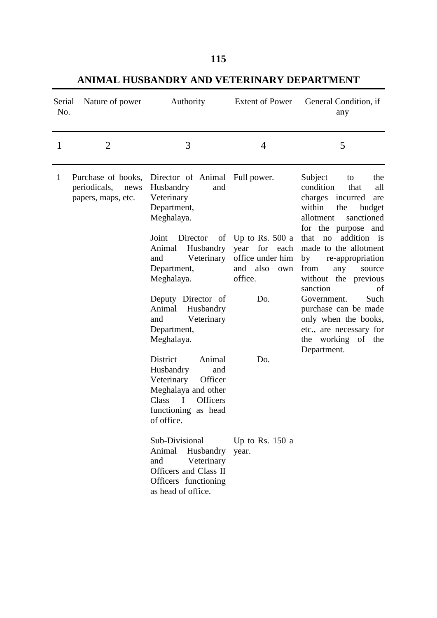| ۰ | ۰ | -        |
|---|---|----------|
|   |   | ٧<br>. . |

**ANIMAL HUSBANDRY AND VETERINARY DEPARTMENT** 

| Serial<br>No. | Nature of power                                               | Authority                                                                                                                                                                                                                                                     | <b>Extent of Power</b>                                                                          | General Condition, if<br>any                                                                                                                                                                                                                                                                                                                                                       |
|---------------|---------------------------------------------------------------|---------------------------------------------------------------------------------------------------------------------------------------------------------------------------------------------------------------------------------------------------------------|-------------------------------------------------------------------------------------------------|------------------------------------------------------------------------------------------------------------------------------------------------------------------------------------------------------------------------------------------------------------------------------------------------------------------------------------------------------------------------------------|
| 1             | $\overline{2}$                                                | 3                                                                                                                                                                                                                                                             | 4                                                                                               | 5                                                                                                                                                                                                                                                                                                                                                                                  |
| 1             | Purchase of books,<br>periodicals, news<br>papers, maps, etc. | Director of Animal Full power.<br>Husbandry<br>and<br>Veterinary<br>Department,<br>Meghalaya.<br>Joint<br>Director<br>Husbandry<br>Animal<br>Veterinary<br>and<br>Department,<br>Meghalaya.<br>Deputy Director of<br>Animal<br>Husbandry<br>Veterinary<br>and | of Up to Rs. 500 a<br>year for each<br>office under him<br>also<br>and<br>own<br>office.<br>Do. | Subject<br>the<br>to<br>condition<br>that<br>all<br>charges incurred<br>are<br>within<br>the<br>budget<br>allotment<br>sanctioned<br>for the purpose and<br>addition is<br>that<br>no<br>made to the allotment<br>by<br>re-appropriation<br>from<br>any<br>source<br>without the previous<br>sanction<br>of<br>Such<br>Government.<br>purchase can be made<br>only when the books, |
|               |                                                               | Department,<br>Meghalaya.                                                                                                                                                                                                                                     |                                                                                                 | etc., are necessary for<br>the working of the<br>Department.                                                                                                                                                                                                                                                                                                                       |
|               |                                                               | District<br>Animal<br>Husbandry<br>and<br>Veterinary<br>Officer<br>Meghalaya and other<br><b>Officers</b><br>Class<br>$\blacksquare$<br>functioning as head<br>of office.                                                                                     | Do.                                                                                             |                                                                                                                                                                                                                                                                                                                                                                                    |
|               |                                                               | Sub-Divisional<br>Animal<br>Husbandry<br>Veterinary<br>and<br>Officers and Class II<br>Officers functioning<br>as head of office.                                                                                                                             | Up to Rs. $150a$<br>year.                                                                       |                                                                                                                                                                                                                                                                                                                                                                                    |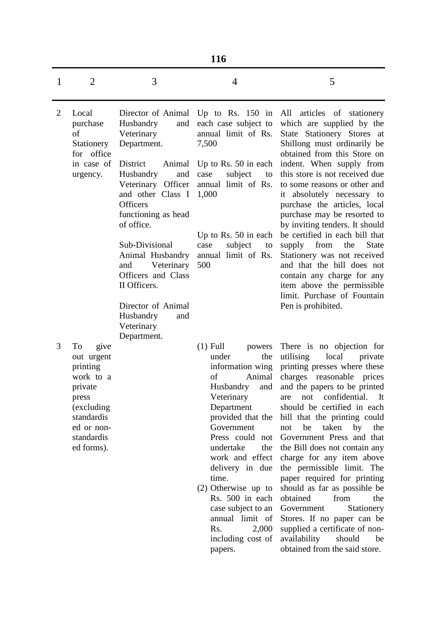|  | ۰, |
|--|----|

| 1              | $\overline{2}$                                                                                                                              | 3                                                                                                                                                                                                                                                                                                                                                                         | 4                                                                                                                                                                                                                                                                                                                                                                                      | 5                                                                                                                                                                                                                                                                                                                                                                                                                                                                                                                                                                                                                                                                              |
|----------------|---------------------------------------------------------------------------------------------------------------------------------------------|---------------------------------------------------------------------------------------------------------------------------------------------------------------------------------------------------------------------------------------------------------------------------------------------------------------------------------------------------------------------------|----------------------------------------------------------------------------------------------------------------------------------------------------------------------------------------------------------------------------------------------------------------------------------------------------------------------------------------------------------------------------------------|--------------------------------------------------------------------------------------------------------------------------------------------------------------------------------------------------------------------------------------------------------------------------------------------------------------------------------------------------------------------------------------------------------------------------------------------------------------------------------------------------------------------------------------------------------------------------------------------------------------------------------------------------------------------------------|
| $\overline{2}$ | Local<br>purchase<br>of<br>Stationery<br>for office<br>in case of<br>urgency.                                                               | Director of Animal<br>Husbandry<br>and<br>Veterinary<br>Department.<br>District<br>Animal<br>Husbandry<br>and<br>Veterinary Officer<br>and other Class I<br><b>Officers</b><br>functioning as head<br>of office.<br>Sub-Divisional<br>Animal Husbandry<br>Veterinary<br>and<br>Officers and Class<br>II Officers.<br>Director of Animal<br>Husbandry<br>and<br>Veterinary | Up to Rs. $150$ in<br>each case subject to<br>annual limit of Rs.<br>7,500<br>Up to Rs. $50$ in each<br>subject<br>case<br>to<br>annual limit of Rs.<br>1,000<br>Up to Rs. 50 in each<br>subject<br>case<br>to<br>annual limit of Rs.<br>500                                                                                                                                           | All articles of stationery<br>which are supplied by the<br>State Stationery Stores at<br>Shillong must ordinarily be<br>obtained from this Store on<br>indent. When supply from<br>this store is not received due<br>to some reasons or other and<br>absolutely necessary to<br>it<br>purchase the articles, local<br>purchase may be resorted to<br>by inviting tenders. It should<br>be certified in each bill that<br><b>State</b><br>supply from<br>the<br>Stationery was not received<br>and that the bill does not<br>contain any charge for any<br>item above the permissible<br>limit. Purchase of Fountain<br>Pen is prohibited.                                      |
| 3              | To<br>give<br>out urgent<br>printing<br>work to a<br>private<br>press<br>(excluding<br>standardis<br>ed or non-<br>standardis<br>ed forms). | Department.                                                                                                                                                                                                                                                                                                                                                               | $(1)$ Full<br>powers<br>the<br>under<br>information wing<br>of<br>Animal<br>and<br>Husbandry<br>Veterinary<br>Department<br>provided that the<br>Government<br>Press could not<br>undertake<br>the<br>work and effect<br>delivery in due<br>time.<br>$(2)$ Otherwise up to<br>Rs. 500 in each<br>case subject to an<br>annual limit of<br>Rs.<br>2,000<br>including cost of<br>papers. | There is no objection for<br>utilising<br>local<br>private<br>printing presses where these<br>charges reasonable prices<br>and the papers to be printed<br>confidential.<br>not<br>It<br>are<br>should be certified in each<br>bill that the printing could<br>taken<br>not<br>be<br>by<br>the<br>Government Press and that<br>the Bill does not contain any<br>charge for any item above<br>the permissible limit. The<br>paper required for printing<br>should as far as possible be<br>obtained<br>from<br>the<br>Government<br>Stationery<br>Stores. If no paper can be<br>supplied a certificate of non-<br>availability<br>should<br>be<br>obtained from the said store. |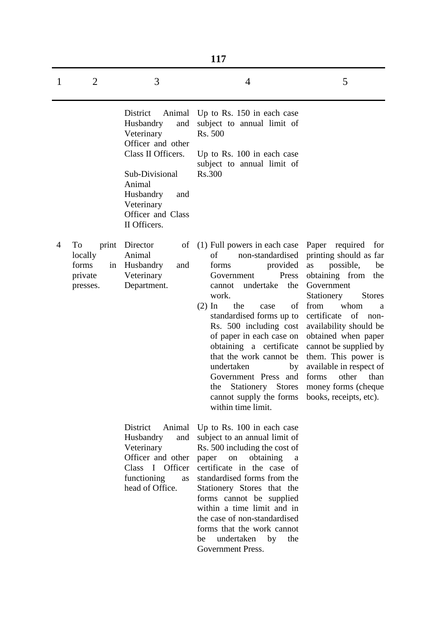|   | 117                                                          |                                                                                                                                                                                                    |                                                                                                                                                                                                                                                                                                                                                                                                                                                            |                                                                                                                                                                                                                                                                                                                                                                                    |  |
|---|--------------------------------------------------------------|----------------------------------------------------------------------------------------------------------------------------------------------------------------------------------------------------|------------------------------------------------------------------------------------------------------------------------------------------------------------------------------------------------------------------------------------------------------------------------------------------------------------------------------------------------------------------------------------------------------------------------------------------------------------|------------------------------------------------------------------------------------------------------------------------------------------------------------------------------------------------------------------------------------------------------------------------------------------------------------------------------------------------------------------------------------|--|
| 1 | $\overline{2}$                                               | 3                                                                                                                                                                                                  | 4                                                                                                                                                                                                                                                                                                                                                                                                                                                          | 5                                                                                                                                                                                                                                                                                                                                                                                  |  |
|   |                                                              | District<br>Animal<br>Husbandry<br>and<br>Veterinary<br>Officer and other<br>Class II Officers.<br>Sub-Divisional<br>Animal<br>Husbandry<br>and<br>Veterinary<br>Officer and Class<br>II Officers. | Up to Rs. 150 in each case<br>subject to annual limit of<br>Rs. 500<br>Up to Rs. 100 in each case<br>subject to annual limit of<br>Rs.300                                                                                                                                                                                                                                                                                                                  |                                                                                                                                                                                                                                                                                                                                                                                    |  |
| 4 | To<br>print<br>locally<br>forms<br>in<br>private<br>presses. | Director<br>of<br>Animal<br>Husbandry<br>and<br>Veterinary<br>Department.                                                                                                                          | (1) Full powers in each case Paper required<br>non-standardised<br>of<br>forms<br>provided<br>Press<br>Government<br>undertake<br>the<br>cannot<br>work.<br>the<br>of<br>$(2)$ In<br>case<br>standardised forms up to<br>Rs. 500 including cost<br>of paper in each case on<br>obtaining a certificate<br>that the work cannot be<br>undertaken<br>by<br>Government Press and<br>the<br>Stationery Stores<br>cannot supply the forms<br>within time limit. | for<br>printing should as far<br>possible,<br>as<br>be<br>obtaining from the<br>Government<br>Stationery<br><b>Stores</b><br>from<br>whom<br>a<br>certificate<br>of<br>non-<br>availability should be<br>obtained when paper<br>cannot be supplied by<br>them. This power is<br>available in respect of<br>forms<br>other<br>than<br>money forms (cheque<br>books, receipts, etc). |  |
|   |                                                              | District<br>Animal<br>Husbandry<br>and<br>Veterinary<br>Officer and other<br>Class I Officer<br>functioning<br>as<br>head of Office.                                                               | Up to Rs. 100 in each case<br>subject to an annual limit of<br>Rs. 500 including the cost of<br>paper<br>on<br>obtaining<br>a<br>certificate in the case of<br>standardised forms from the<br>Stationery Stores that the<br>forms cannot be supplied<br>within a time limit and in<br>the case of non-standardised<br>forms that the work cannot<br>undertaken<br>by<br>the<br>be<br>Government Press.                                                     |                                                                                                                                                                                                                                                                                                                                                                                    |  |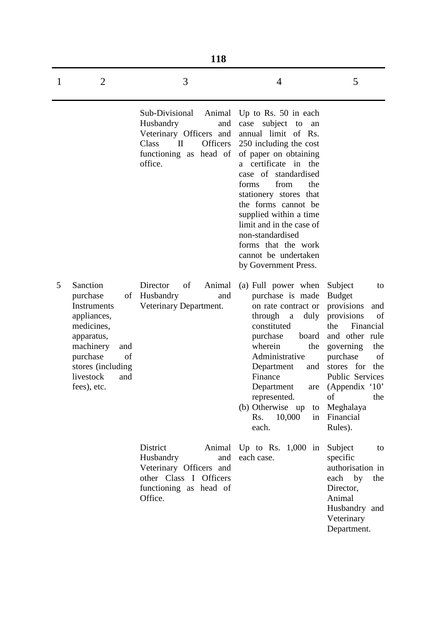|   | <b>118</b>                                                                                                                                                                         |                                                                                                                                                   |                                                                                                                                                                                                                                                                                                                                                                                                     |                                                                                                                                                                                                                                                                  |  |  |
|---|------------------------------------------------------------------------------------------------------------------------------------------------------------------------------------|---------------------------------------------------------------------------------------------------------------------------------------------------|-----------------------------------------------------------------------------------------------------------------------------------------------------------------------------------------------------------------------------------------------------------------------------------------------------------------------------------------------------------------------------------------------------|------------------------------------------------------------------------------------------------------------------------------------------------------------------------------------------------------------------------------------------------------------------|--|--|
| 1 | $\overline{2}$                                                                                                                                                                     | 3                                                                                                                                                 | 4                                                                                                                                                                                                                                                                                                                                                                                                   | 5                                                                                                                                                                                                                                                                |  |  |
|   |                                                                                                                                                                                    | Sub-Divisional<br>Animal<br>Husbandry<br>and<br>Veterinary Officers and<br>Class<br>$\mathbf{I}$<br>Officers<br>functioning as head of<br>office. | Up to Rs. $50$ in each<br>case subject to<br>an<br>annual limit of Rs.<br>250 including the cost<br>of paper on obtaining<br>a certificate in the<br>case of standardised<br>from<br>the<br>forms<br>stationery stores that<br>the forms cannot be<br>supplied within a time<br>limit and in the case of<br>non-standardised<br>forms that the work<br>cannot be undertaken<br>by Government Press. |                                                                                                                                                                                                                                                                  |  |  |
| 5 | Sanction<br>purchase<br>οf<br>Instruments<br>appliances,<br>medicines,<br>apparatus,<br>machinery<br>and<br>purchase<br>of<br>stores (including<br>livestock<br>and<br>fees), etc. | Director<br>of<br>Animal<br>Husbandry<br>and<br>Veterinary Department.                                                                            | (a) Full power when<br>purchase is made<br>on rate contract or<br>through<br>duly<br>$\mathbf{a}$<br>constituted<br>purchase<br>board<br>wherein<br>the<br>Administrative<br>Department<br>and<br>Finance<br>Department<br>represented.<br>(b) Otherwise up<br>to<br>Rs.<br>10,000<br>in<br>each.                                                                                                   | Subject<br>to<br><b>Budget</b><br>provisions<br>and<br>provisions<br>οf<br>Financial<br>the<br>and other rule<br>governing<br>the<br>purchase<br>of<br>stores for the<br>Public Services<br>are (Appendix '10'<br>of<br>the<br>Meghalaya<br>Financial<br>Rules). |  |  |
|   |                                                                                                                                                                                    | District<br>Animal<br>Husbandry<br>and<br>Veterinary Officers and<br>other Class I Officers<br>functioning as head of<br>Office.                  | Up to Rs. $1,000$ in<br>each case.                                                                                                                                                                                                                                                                                                                                                                  | Subject<br>to<br>specific<br>authorisation in<br>each by<br>the<br>Director,<br>Animal<br>Husbandry and<br>Veterinary<br>Department.                                                                                                                             |  |  |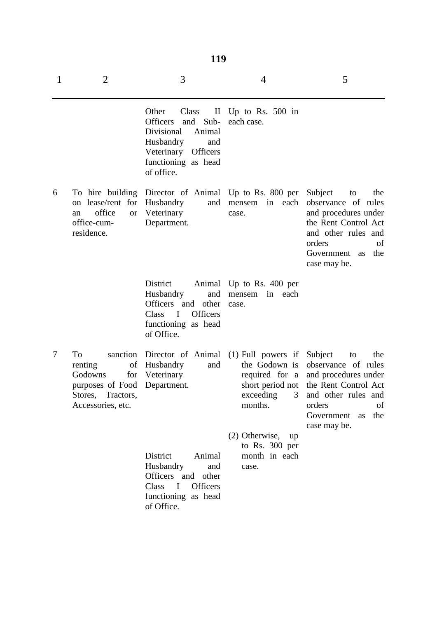| ٠ | ٠ |               |
|---|---|---------------|
|   |   | I<br>۰.<br>۰, |

| 1 | $\overline{2}$                                                                                                     | 3                                                                                                                                                                    | $\overline{4}$                                                                                           | 5                                                                                                                                                                                    |
|---|--------------------------------------------------------------------------------------------------------------------|----------------------------------------------------------------------------------------------------------------------------------------------------------------------|----------------------------------------------------------------------------------------------------------|--------------------------------------------------------------------------------------------------------------------------------------------------------------------------------------|
|   |                                                                                                                    | Other<br>Class<br><b>Officers</b><br>and<br>$Sub-$<br>Divisional<br>Animal<br>Husbandry<br>and<br>Veterinary<br><b>Officers</b><br>functioning as head<br>of office. | II Up to Rs. 500 in<br>each case.                                                                        |                                                                                                                                                                                      |
| 6 | on lease/rent for<br>office<br><b>or</b><br>an<br>office-cum-<br>residence.                                        | To hire building Director of Animal Up to Rs. 800 per<br>Husbandry<br>and<br>Veterinary<br>Department.                                                               | in<br>each<br>mensem<br>case.                                                                            | Subject<br>the<br>to<br>observance of rules<br>and procedures under<br>the Rent Control Act<br>and other rules and<br>orders<br>of<br>Government<br>the<br><b>as</b><br>case may be. |
|   |                                                                                                                    | District<br>and<br>Husbandry<br>Officers and other<br>$\mathbf I$<br><b>Officers</b><br>Class<br>functioning as head<br>of Office.                                   | Animal Up to Rs. 400 per<br>in each<br>mensem<br>case.                                                   |                                                                                                                                                                                      |
| 7 | sanction<br>To<br>of<br>renting<br>Godowns<br>for<br>purposes of Food<br>Tractors,<br>Stores,<br>Accessories, etc. | Director of Animal<br>Husbandry<br>and<br>Veterinary<br>Department.                                                                                                  | $(1)$ Full powers if<br>the Godown is<br>required for a<br>short period not<br>exceeding<br>3<br>months. | Subject<br>the<br>to<br>observance of rules<br>and procedures under<br>the Rent Control Act<br>and other rules and<br>orders<br>of<br>Government<br>the<br><b>as</b><br>case may be. |
|   |                                                                                                                    | District<br>Animal<br>Husbandry<br>and<br>Officers and other<br>Class<br><b>Officers</b><br>$\mathbf I$<br>functioning as head<br>of Office.                         | $(2)$ Otherwise, up<br>to Rs. $300$ per<br>month in each<br>case.                                        |                                                                                                                                                                                      |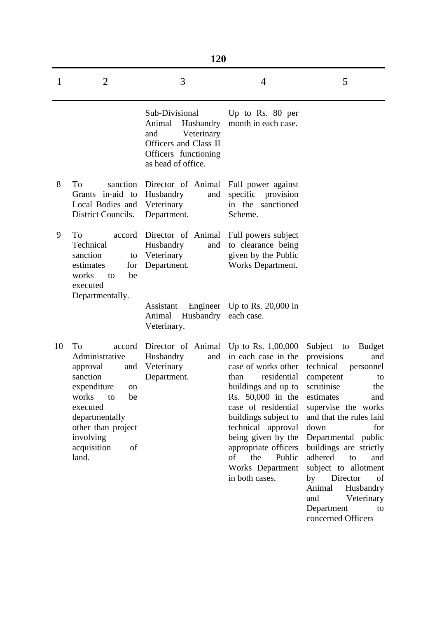|    |                                                                                                                                                                                                        | 120                                                                                                                               |                                                                                                                                                                                                                                                                                               |                                                                                                                                                                                                                                                                                                                                                                          |
|----|--------------------------------------------------------------------------------------------------------------------------------------------------------------------------------------------------------|-----------------------------------------------------------------------------------------------------------------------------------|-----------------------------------------------------------------------------------------------------------------------------------------------------------------------------------------------------------------------------------------------------------------------------------------------|--------------------------------------------------------------------------------------------------------------------------------------------------------------------------------------------------------------------------------------------------------------------------------------------------------------------------------------------------------------------------|
| 1  | $\overline{2}$                                                                                                                                                                                         | 3                                                                                                                                 | 4                                                                                                                                                                                                                                                                                             | 5                                                                                                                                                                                                                                                                                                                                                                        |
|    |                                                                                                                                                                                                        | Sub-Divisional<br>Husbandry<br>Animal<br>Veterinary<br>and<br>Officers and Class II<br>Officers functioning<br>as head of office. | Up to Rs. 80 per<br>month in each case.                                                                                                                                                                                                                                                       |                                                                                                                                                                                                                                                                                                                                                                          |
| 8  | To<br>sanction<br>Grants in-aid to<br>Local Bodies and<br>District Councils.                                                                                                                           | Director of Animal Full power against<br>Husbandry<br>and<br>Veterinary<br>Department.                                            | specific provision<br>in the sanctioned<br>Scheme.                                                                                                                                                                                                                                            |                                                                                                                                                                                                                                                                                                                                                                          |
| 9  | To<br>accord<br>Technical<br>sanction<br>to<br>estimates<br>for<br>works<br>be<br>to<br>executed<br>Departmentally.                                                                                    | Director of Animal<br>Husbandry<br>and<br>Veterinary<br>Department.                                                               | Full powers subject<br>to clearance being<br>given by the Public<br>Works Department.                                                                                                                                                                                                         |                                                                                                                                                                                                                                                                                                                                                                          |
|    |                                                                                                                                                                                                        | Assistant<br>Animal<br>Husbandry<br>Veterinary.                                                                                   | Engineer Up to Rs. 20,000 in<br>each case.                                                                                                                                                                                                                                                    |                                                                                                                                                                                                                                                                                                                                                                          |
| 10 | To<br>accord<br>Administrative<br>approval<br>and<br>sanction<br>expenditure<br>on<br>works<br>to<br>be<br>executed<br>departmentally<br>other than project<br>involving<br>acquisition<br>of<br>land. | Director of Animal Up to Rs. 1,00,000<br>Husbandry<br>and<br>Veterinary<br>Department.                                            | in each case in the<br>case of works other<br>residential<br>than<br>buildings and up to<br>Rs. 50,000 in the<br>case of residential<br>buildings subject to<br>technical approval<br>being given by the<br>appropriate officers<br>the<br>Public<br>οf<br>Works Department<br>in both cases. | Subject<br><b>Budget</b><br>to<br>provisions<br>and<br>technical<br>personnel<br>competent<br>to<br>scrutinise<br>the<br>estimates<br>and<br>supervise the works<br>and that the rules laid<br>down<br>for<br>Departmental public<br>buildings are strictly<br>adhered<br>to<br>and<br>subject to allotment<br>Director<br>by<br>of<br>Animal<br>Husbandry<br>Veterinary |

Department to concerned Officers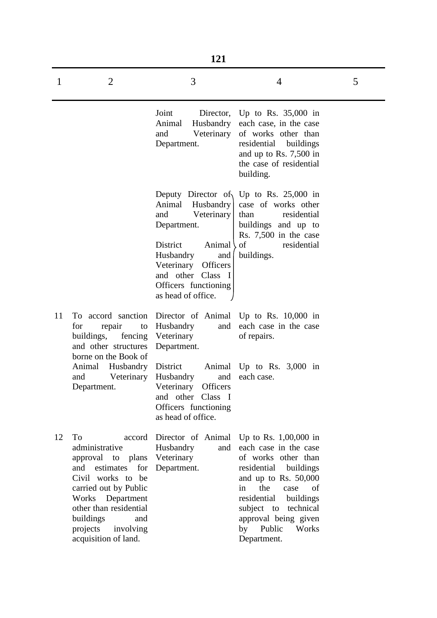|    | 121                                                                                                                                                                                                                                          |                                                                                                                                                                                                                                     |                                                                                                                                                                                                                                                                                             |   |  |  |
|----|----------------------------------------------------------------------------------------------------------------------------------------------------------------------------------------------------------------------------------------------|-------------------------------------------------------------------------------------------------------------------------------------------------------------------------------------------------------------------------------------|---------------------------------------------------------------------------------------------------------------------------------------------------------------------------------------------------------------------------------------------------------------------------------------------|---|--|--|
| 1  | $\overline{2}$                                                                                                                                                                                                                               | 3                                                                                                                                                                                                                                   | $\overline{4}$                                                                                                                                                                                                                                                                              | 5 |  |  |
|    |                                                                                                                                                                                                                                              | Joint<br>Director,<br>Husbandry<br>Animal<br>Veterinary<br>and<br>Department.                                                                                                                                                       | Up to Rs. $35,000$ in<br>each case, in the case<br>of works other than<br>residential<br>buildings<br>and up to Rs. 7,500 in<br>the case of residential<br>building.                                                                                                                        |   |  |  |
|    |                                                                                                                                                                                                                                              | Deputy Director of<br>Animal<br>Husbandry<br>Veterinary<br>and<br>Department.<br>Animal<br><b>District</b><br>Husbandry<br>and<br>Veterinary<br>Officers<br>Class<br>and other<br>- I<br>Officers functioning<br>as head of office. | Up to Rs. $25,000$ in<br>case of works other<br>residential<br>than<br>buildings and up to<br>Rs. 7,500 in the case<br>of<br>residential<br>buildings.                                                                                                                                      |   |  |  |
| 11 | To accord sanction<br>repair<br>for<br>to<br>buildings,<br>fencing<br>and other structures<br>borne on the Book of                                                                                                                           | Husbandry<br>and<br>Veterinary<br>Department.                                                                                                                                                                                       | Director of Animal Up to Rs. 10,000 in<br>each case in the case<br>of repairs.                                                                                                                                                                                                              |   |  |  |
|    | Animal<br>Husbandry<br>Veterinary<br>and<br>Department.                                                                                                                                                                                      | District<br>Husbandry<br>and<br>Veterinary<br><b>Officers</b><br>and other Class I<br>Officers functioning<br>as head of office.                                                                                                    | Animal Up to Rs. 3,000 in<br>each case.                                                                                                                                                                                                                                                     |   |  |  |
| 12 | To<br>accord<br>administrative<br>approval to plans<br>estimates for<br>and<br>Civil works to be<br>carried out by Public<br>Works Department<br>other than residential<br>buildings<br>and<br>projects<br>involving<br>acquisition of land. | Husbandry<br>and<br>Veterinary<br>Department.                                                                                                                                                                                       | Director of Animal Up to Rs. $1,00,000$ in<br>each case in the case<br>of works other than<br>residential buildings<br>and up to Rs. 50,000<br>the<br>case<br>of<br>in.<br>residential<br>buildings<br>subject to<br>technical<br>approval being given<br>by Public<br>Works<br>Department. |   |  |  |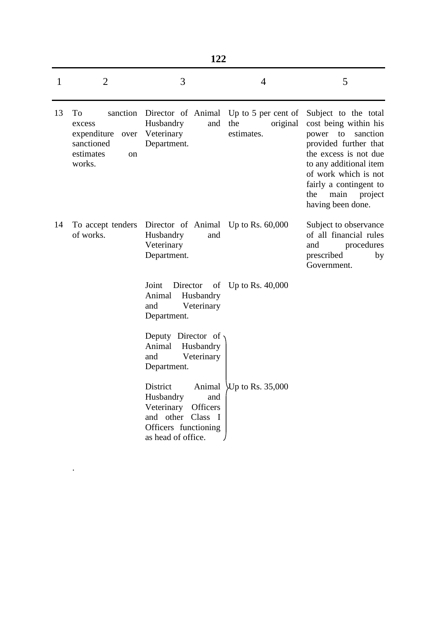| ۹ |  |
|---|--|
|---|--|

| 1  | $\overline{2}$                                                                            | 3                                                                                                                                        | $\overline{4}$                | 5                                                                                                                                                                                                                                                  |
|----|-------------------------------------------------------------------------------------------|------------------------------------------------------------------------------------------------------------------------------------------|-------------------------------|----------------------------------------------------------------------------------------------------------------------------------------------------------------------------------------------------------------------------------------------------|
| 13 | To<br>excess<br>expenditure<br>over<br>sanctioned<br>estimates<br><sub>on</sub><br>works. | sanction Director of Animal Up to 5 per cent of<br>Husbandry<br>and<br>Veterinary<br>Department.                                         | the<br>original<br>estimates. | Subject to the total<br>cost being within his<br>sanction<br>power to<br>provided further that<br>the excess is not due<br>to any additional item<br>of work which is not<br>fairly a contingent to<br>main<br>the<br>project<br>having been done. |
| 14 | To accept tenders<br>of works.                                                            | Director of Animal Up to Rs. 60,000<br>Husbandry<br>and<br>Veterinary<br>Department.                                                     |                               | Subject to observance<br>of all financial rules<br>and<br>procedures<br>prescribed<br>by<br>Government.                                                                                                                                            |
|    |                                                                                           | Joint<br>Director<br>of<br>Animal<br>Husbandry<br>and<br>Veterinary<br>Department.                                                       | Up to Rs. $40,000$            |                                                                                                                                                                                                                                                    |
|    |                                                                                           | Deputy Director of<br>Animal<br>Husbandry<br>and<br>Veterinary<br>Department.                                                            |                               |                                                                                                                                                                                                                                                    |
|    |                                                                                           | District<br>Animal<br>Husbandry<br>and<br>Officers<br>Veterinary<br>and other Class<br>- I<br>Officers functioning<br>as head of office. | VUp to Rs. 35,000             |                                                                                                                                                                                                                                                    |

.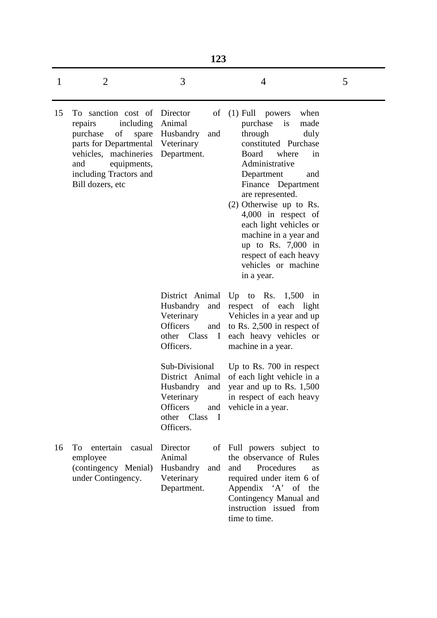|              | 123                                                                                                                                                                                           |                                                                                                           |                                                                                                                                                                                                                                                                                                                                                                                                                 |   |
|--------------|-----------------------------------------------------------------------------------------------------------------------------------------------------------------------------------------------|-----------------------------------------------------------------------------------------------------------|-----------------------------------------------------------------------------------------------------------------------------------------------------------------------------------------------------------------------------------------------------------------------------------------------------------------------------------------------------------------------------------------------------------------|---|
| $\mathbf{1}$ | $\overline{2}$                                                                                                                                                                                | 3                                                                                                         | $\overline{4}$                                                                                                                                                                                                                                                                                                                                                                                                  | 5 |
| 15           | To sanction cost of<br>including<br>repairs<br>purchase<br>of<br>spare<br>parts for Departmental<br>vehicles, machineries<br>and<br>equipments,<br>including Tractors and<br>Bill dozers, etc | Director<br>of<br>Animal<br>Husbandry<br>and<br>Veterinary<br>Department.                                 | $(1)$ Full powers<br>when<br>$\frac{1}{1}$<br>purchase<br>made<br>through<br>duly<br>constituted Purchase<br>Board<br>where<br>in<br>Administrative<br>Department<br>and<br>Finance Department<br>are represented.<br>(2) Otherwise up to Rs.<br>$4,000$ in respect of<br>each light vehicles or<br>machine in a year and<br>up to Rs. $7,000$ in<br>respect of each heavy<br>vehicles or machine<br>in a year. |   |
|              |                                                                                                                                                                                               | Husbandry<br>Veterinary<br><b>Officers</b><br>other Class I<br>Officers.                                  | District Animal Up to Rs. 1,500 in<br>and respect of each light<br>Vehicles in a year and up<br>and to Rs. 2,500 in respect of<br>each heavy vehicles or<br>machine in a year.                                                                                                                                                                                                                                  |   |
|              |                                                                                                                                                                                               | Sub-Divisional<br>District Animal<br>Veterinary<br>Officers<br>other Class<br>$\blacksquare$<br>Officers. | Up to Rs. 700 in respect<br>of each light vehicle in a<br>Husbandry and year and up to Rs. 1,500<br>in respect of each heavy<br>and vehicle in a year.                                                                                                                                                                                                                                                          |   |
| 16           | To<br>entertain casual<br>employee<br>(contingency Menial)<br>under Contingency.                                                                                                              | Director<br>Animal<br>Husbandry<br>and<br>Veterinary<br>Department.                                       | of Full powers subject to<br>the observance of Rules<br>Procedures<br>and<br>as<br>required under item 6 of<br>Appendix 'A' of the<br>Contingency Manual and<br>instruction issued from<br>time to time.                                                                                                                                                                                                        |   |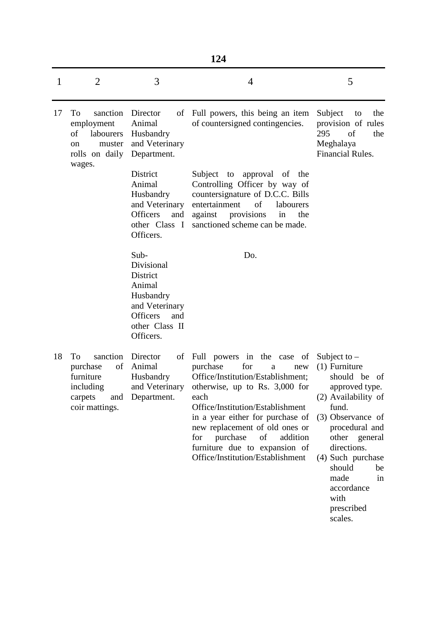|              | 124                                                                                            |                                                                                                                                  |                                                                                                                                                                                                                                                                                                                                                                |                                                                                                                                                                                                                                                                                 |  |  |
|--------------|------------------------------------------------------------------------------------------------|----------------------------------------------------------------------------------------------------------------------------------|----------------------------------------------------------------------------------------------------------------------------------------------------------------------------------------------------------------------------------------------------------------------------------------------------------------------------------------------------------------|---------------------------------------------------------------------------------------------------------------------------------------------------------------------------------------------------------------------------------------------------------------------------------|--|--|
| $\mathbf{1}$ | $\overline{2}$                                                                                 | 3                                                                                                                                | 4                                                                                                                                                                                                                                                                                                                                                              | 5                                                                                                                                                                                                                                                                               |  |  |
| 17           | To<br>sanction<br>employment<br>of<br>labourers<br>muster<br><sub>on</sub><br>rolls on daily   | Director<br>of<br>Animal<br>Husbandry<br>and Veterinary<br>Department.                                                           | Full powers, this being an item<br>of countersigned contingencies.                                                                                                                                                                                                                                                                                             | Subject<br>the<br>to<br>provision of rules<br>295<br>of<br>the<br>Meghalaya<br>Financial Rules.                                                                                                                                                                                 |  |  |
|              | wages.                                                                                         | District<br>Animal<br>Husbandry<br>and Veterinary<br><b>Officers</b><br>and<br>other Class I<br>Officers.                        | approval of the<br>Subject<br>to<br>Controlling Officer by way of<br>countersignature of D.C.C. Bills<br>entertainment<br>of<br>labourers<br>provisions<br>against<br>in<br>the<br>sanctioned scheme can be made.                                                                                                                                              |                                                                                                                                                                                                                                                                                 |  |  |
|              |                                                                                                | Sub-<br>Divisional<br>District<br>Animal<br>Husbandry<br>and Veterinary<br><b>Officers</b><br>and<br>other Class II<br>Officers. | Do.                                                                                                                                                                                                                                                                                                                                                            |                                                                                                                                                                                                                                                                                 |  |  |
| 18           | To<br>sanction<br>of<br>purchase<br>furniture<br>including<br>carpets<br>and<br>coir mattings. | Director<br>of<br>Animal<br>Husbandry<br>and Veterinary<br>Department.                                                           | Full powers in the case of<br>purchase<br>for<br>new<br>a<br>Office/Institution/Establishment;<br>otherwise, up to Rs. $3,000$ for<br>each<br>Office/Institution/Establishment<br>in a year either for purchase of<br>new replacement of old ones or<br>purchase<br>of<br>addition<br>for<br>furniture due to expansion of<br>Office/Institution/Establishment | Subject to $-$<br>$(1)$ Furniture<br>should be<br>of<br>approved type.<br>(2) Availability of<br>fund.<br>(3) Observance of<br>procedural and<br>other general<br>directions.<br>(4) Such purchase<br>should<br>be<br>made<br>in<br>accordance<br>with<br>prescribed<br>scales. |  |  |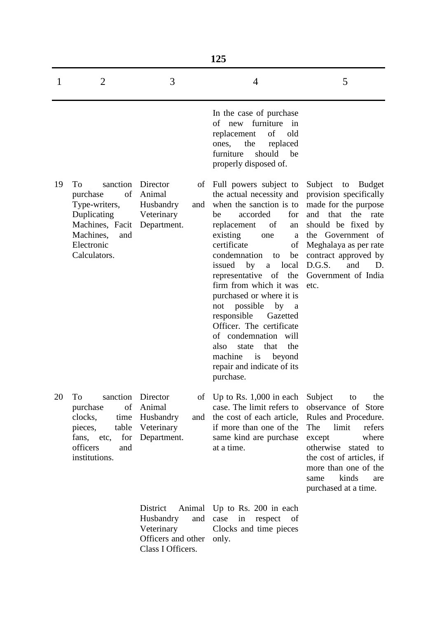|    | 125                                                                                                                                               |                                                                                                 |                                                                                                                                                                                                                                                                                                                                                                                                                                                                                                                                                    |                                                                                                                                                                                                                                                      |  |
|----|---------------------------------------------------------------------------------------------------------------------------------------------------|-------------------------------------------------------------------------------------------------|----------------------------------------------------------------------------------------------------------------------------------------------------------------------------------------------------------------------------------------------------------------------------------------------------------------------------------------------------------------------------------------------------------------------------------------------------------------------------------------------------------------------------------------------------|------------------------------------------------------------------------------------------------------------------------------------------------------------------------------------------------------------------------------------------------------|--|
| 1  | $\overline{2}$                                                                                                                                    | 3                                                                                               | $\overline{4}$                                                                                                                                                                                                                                                                                                                                                                                                                                                                                                                                     | 5                                                                                                                                                                                                                                                    |  |
|    |                                                                                                                                                   |                                                                                                 | In the case of purchase<br>of new furniture in<br>of<br>replacement<br>old<br>the<br>replaced<br>ones,<br>should<br>furniture<br>be<br>properly disposed of.                                                                                                                                                                                                                                                                                                                                                                                       |                                                                                                                                                                                                                                                      |  |
| 19 | sanction<br>To<br>of<br>purchase<br>Type-writers,<br>Duplicating<br>Machines, Facit Department.<br>Machines,<br>and<br>Electronic<br>Calculators. | Director<br>of<br>Animal<br>Husbandry<br>and<br>Veterinary                                      | Full powers subject to<br>the actual necessity and<br>when the sanction is to<br>accorded<br>for<br>be<br>of<br>replacement<br>an<br>existing<br>one<br>a<br>certificate<br>of<br>condemnation<br>be<br>to<br>local<br>issued<br>by<br>a<br>representative of the<br>firm from which it was<br>purchased or where it is<br>possible<br>not<br>by a<br>responsible<br>Gazetted<br>Officer. The certificate<br>of condemnation will<br>that<br>the<br>also<br>state<br>$\frac{1}{1}$<br>machine<br>beyond<br>repair and indicate of its<br>purchase. | Subject to<br><b>Budget</b><br>provision specifically<br>made for the purpose<br>and that the rate<br>should be fixed by<br>the Government of<br>Meghalaya as per rate<br>contract approved by<br>D.G.S.<br>and<br>D.<br>Government of India<br>etc. |  |
| 20 | sanction Director<br>To<br>of<br>purchase<br>clocks,<br>table<br>pieces,<br>fans, etc,<br>for<br>officers<br>and<br>institutions.                 | Animal<br>time Husbandry<br>and<br>Veterinary<br>Department.                                    | of Up to Rs. $1,000$ in each<br>case. The limit refers to<br>the cost of each article,<br>if more than one of the<br>same kind are purchase<br>at a time.                                                                                                                                                                                                                                                                                                                                                                                          | Subject<br>to<br>the<br>observance of Store<br>Rules and Procedure.<br>The<br>limit<br>refers<br>where<br>except<br>otherwise stated to<br>the cost of articles, if<br>more than one of the<br>kinds<br>same<br>are<br>purchased at a time.          |  |
|    |                                                                                                                                                   | District<br>Animal<br>Husbandry<br>and<br>Veterinary<br>Officers and other<br>Class I Officers. | Up to Rs. 200 in each<br>case<br>in<br>respect of<br>Clocks and time pieces<br>only.                                                                                                                                                                                                                                                                                                                                                                                                                                                               |                                                                                                                                                                                                                                                      |  |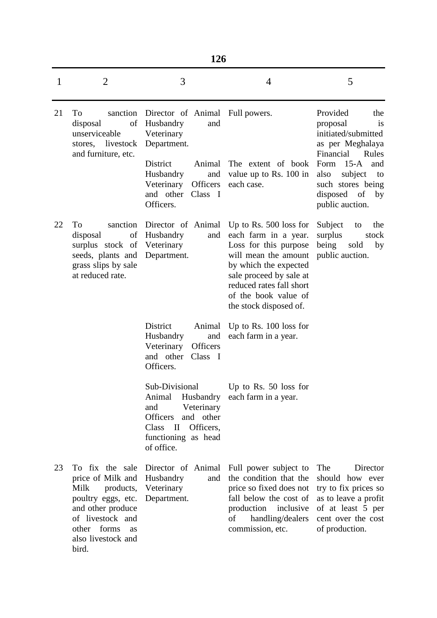| ï<br>۰, |
|---------|
|---------|

| 1  | $\overline{2}$                                                                                                                                                               | 3                                                                                                                                                                                                | $\overline{4}$                                                                                                                                                                                                                      | 5                                                                                                                                                                                                                    |  |
|----|------------------------------------------------------------------------------------------------------------------------------------------------------------------------------|--------------------------------------------------------------------------------------------------------------------------------------------------------------------------------------------------|-------------------------------------------------------------------------------------------------------------------------------------------------------------------------------------------------------------------------------------|----------------------------------------------------------------------------------------------------------------------------------------------------------------------------------------------------------------------|--|
| 21 | To<br>sanction<br>of<br>disposal<br>unserviceable<br>stores, livestock<br>and furniture, etc.                                                                                | Director of Animal Full powers.<br>Husbandry<br>and<br>Veterinary<br>Department.<br><b>District</b><br>Animal<br>Husbandry<br>and<br>Officers<br>Veterinary<br>and other<br>Class I<br>Officers. | The extent of book<br>value up to Rs. 100 in<br>each case.                                                                                                                                                                          | Provided<br>the<br>is<br>proposal<br>initiated/submitted<br>as per Meghalaya<br>Financial<br>Rules<br>$15-A$<br>Form<br>and<br>subject<br>also<br>to<br>such stores being<br>disposed<br>of<br>by<br>public auction. |  |
| 22 | To<br>sanction<br>of<br>disposal<br>surplus stock of<br>seeds, plants and<br>grass slips by sale<br>at reduced rate.                                                         | Director of Animal<br>Husbandry<br>and<br>Veterinary<br>Department.                                                                                                                              | Up to Rs. $500$ loss for<br>each farm in a year.<br>Loss for this purpose<br>will mean the amount<br>by which the expected<br>sale proceed by sale at<br>reduced rates fall short<br>of the book value of<br>the stock disposed of. | Subject<br>the<br>to<br>surplus<br>stock<br>being<br>sold<br>by<br>public auction.                                                                                                                                   |  |
|    |                                                                                                                                                                              | District<br>Animal<br>Husbandry<br>and<br>Veterinary<br><b>Officers</b><br>and other<br>Class I<br>Officers.                                                                                     | Up to Rs. $100$ loss for<br>each farm in a year.                                                                                                                                                                                    |                                                                                                                                                                                                                      |  |
|    |                                                                                                                                                                              | Sub-Divisional<br>Animal<br>and<br>Veterinary<br>Officers<br>and other<br>Officers,<br>Class<br>$\mathbf{I}$<br>functioning as head<br>of office.                                                | Up to Rs. 50 loss for<br>Husbandry each farm in a year.                                                                                                                                                                             |                                                                                                                                                                                                                      |  |
| 23 | To fix the sale<br>price of Milk and<br>Milk<br>products,<br>poultry eggs, etc.<br>and other produce<br>of livestock and<br>other forms<br>as<br>also livestock and<br>bird. | Director of Animal<br>Husbandry<br>and<br>Veterinary<br>Department.                                                                                                                              | Full power subject to<br>the condition that the<br>price so fixed does not<br>fall below the cost of<br>production<br>inclusive<br>of<br>handling/dealers<br>commission, etc.                                                       | Director<br>The<br>should how ever<br>try to fix prices so<br>as to leave a profit<br>of at least 5 per<br>cent over the cost<br>of production.                                                                      |  |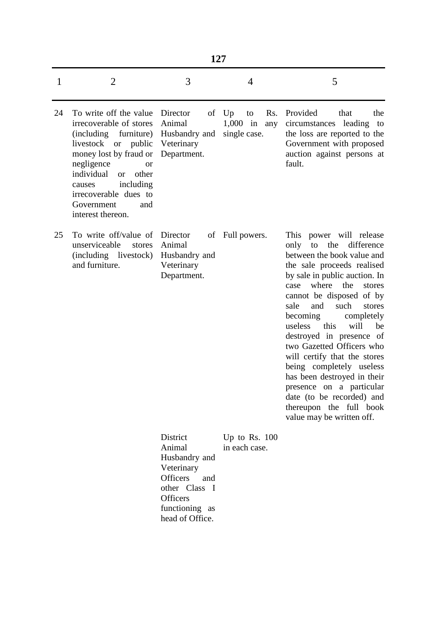|    | 127                                                                                                                                                                                                                                                                                      |                                                                             |                                                      |                                                                                                                                                                                                                                                                                                                                                                                                                                                                                                                                                                                     |  |  |
|----|------------------------------------------------------------------------------------------------------------------------------------------------------------------------------------------------------------------------------------------------------------------------------------------|-----------------------------------------------------------------------------|------------------------------------------------------|-------------------------------------------------------------------------------------------------------------------------------------------------------------------------------------------------------------------------------------------------------------------------------------------------------------------------------------------------------------------------------------------------------------------------------------------------------------------------------------------------------------------------------------------------------------------------------------|--|--|
| 1  | $\overline{2}$                                                                                                                                                                                                                                                                           | 3                                                                           | 4                                                    | 5                                                                                                                                                                                                                                                                                                                                                                                                                                                                                                                                                                                   |  |  |
| 24 | To write off the value<br>irrecoverable of stores<br>(including furniture)<br>livestock or public<br>money lost by fraud or<br>negligence<br><b>or</b><br>individual<br>other<br><sub>or</sub><br>including<br>causes<br>irrecoverable dues to<br>Government<br>and<br>interest thereon. | Director<br>of<br>Animal<br>Husbandry and<br>Veterinary<br>Department.      | Up<br>Rs.<br>to<br>$1,000$ in<br>any<br>single case. | Provided<br>that<br>the<br>circumstances leading<br>to<br>the loss are reported to the<br>Government with proposed<br>auction against persons at<br>fault.                                                                                                                                                                                                                                                                                                                                                                                                                          |  |  |
| 25 | To write off/value of<br>unserviceable<br>stores<br>(including livestock)<br>and furniture.                                                                                                                                                                                              | Director<br>of<br>Animal<br>Husbandry and<br>Veterinary<br>Department.      | Full powers.                                         | This power will release<br>the<br>difference<br>only<br>to<br>between the book value and<br>the sale proceeds realised<br>by sale in public auction. In<br>where<br>the<br>stores<br>case<br>cannot be disposed of by<br>and<br>such<br>sale<br>stores<br>becoming<br>completely<br>will<br>useless this<br>be<br>destroyed in presence of<br>two Gazetted Officers who<br>will certify that the stores<br>being completely useless<br>has been destroyed in their<br>presence on a particular<br>date (to be recorded) and<br>thereupon the full book<br>value may be written off. |  |  |
|    |                                                                                                                                                                                                                                                                                          | District<br>Animal<br>Husbandry and<br>Veterinary<br><b>Officers</b><br>and | Up to Rs. $100$<br>in each case.                     |                                                                                                                                                                                                                                                                                                                                                                                                                                                                                                                                                                                     |  |  |

other Class I

functioning as head of Office.

**Officers**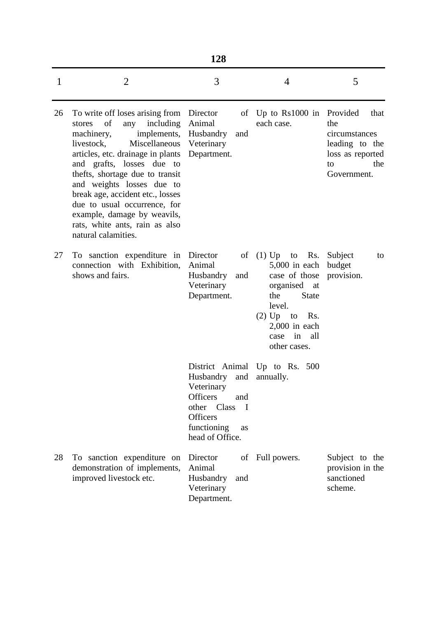| 1  | $\overline{2}$                                                                                                                                                                                                                                                                                                                                                                                                                | 3                                                                                                                                                     | $\overline{4}$                                                                                                                                                                           | 5                                                                                                          |
|----|-------------------------------------------------------------------------------------------------------------------------------------------------------------------------------------------------------------------------------------------------------------------------------------------------------------------------------------------------------------------------------------------------------------------------------|-------------------------------------------------------------------------------------------------------------------------------------------------------|------------------------------------------------------------------------------------------------------------------------------------------------------------------------------------------|------------------------------------------------------------------------------------------------------------|
| 26 | To write off loses arising from<br>of<br>including<br>any<br>stores<br>machinery,<br>implements,<br>livestock,<br>Miscellaneous<br>articles, etc. drainage in plants<br>and grafts, losses due to<br>thefts, shortage due to transit<br>and weights losses due to<br>break age, accident etc., losses<br>due to usual occurrence, for<br>example, damage by weavils,<br>rats, white ants, rain as also<br>natural calamities. | Director<br>Animal<br>Husbandry<br>and<br>Veterinary<br>Department.                                                                                   | of Up to Rs1000 in<br>each case.                                                                                                                                                         | Provided<br>that<br>the<br>circumstances<br>leading to the<br>loss as reported<br>the<br>to<br>Government. |
| 27 | To sanction expenditure in<br>connection with Exhibition,<br>shows and fairs.                                                                                                                                                                                                                                                                                                                                                 | Director<br>of<br>Animal<br>Husbandry<br>and<br>Veterinary<br>Department.                                                                             | $(1)$ Up to<br>Rs.<br>$5,000$ in each<br>case of those<br>organised at<br><b>State</b><br>the<br>level.<br>$(2)$ Up<br>to<br>Rs.<br>$2,000$ in each<br>in<br>all<br>case<br>other cases. | Subject<br>to<br>budget<br>provision.                                                                      |
|    |                                                                                                                                                                                                                                                                                                                                                                                                                               | District Animal<br>Husbandry<br>and<br>Veterinary<br>Officers<br>and<br>other Class<br>- T<br><b>Officers</b><br>functioning<br>as<br>head of Office. | Up to Rs. $500$<br>annually.                                                                                                                                                             |                                                                                                            |
| 28 | To sanction expenditure on<br>demonstration of implements,<br>improved livestock etc.                                                                                                                                                                                                                                                                                                                                         | Director<br>of<br>Animal<br>Husbandry<br>and<br>Veterinary<br>Department.                                                                             | Full powers.                                                                                                                                                                             | Subject to the<br>provision in the<br>sanctioned<br>scheme.                                                |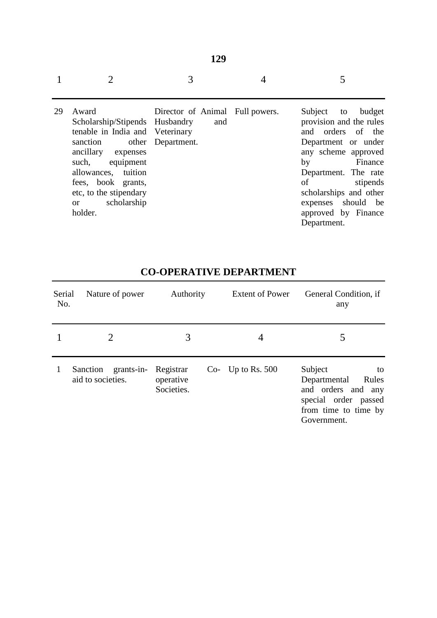|    |                                                                                                                                                                                                                                                                        | 3                                      |                                                                                                                                                                                                                                                                     |
|----|------------------------------------------------------------------------------------------------------------------------------------------------------------------------------------------------------------------------------------------------------------------------|----------------------------------------|---------------------------------------------------------------------------------------------------------------------------------------------------------------------------------------------------------------------------------------------------------------------|
| 29 | Award<br>Scholarship/Stipends Husbandry<br>tenable in India and Veterinary<br>sanction other Department.<br>ancillary expenses<br>equipment<br>such,<br>allowances, tuition<br>fees, book grants,<br>etc, to the stipendary<br>scholarship<br><sub>or</sub><br>holder. | Director of Animal Full powers.<br>and | Subject to<br>budget<br>provision and the rules<br>and orders of the<br>Department or under<br>any scheme approved<br>Finance<br>by<br>Department. The rate<br>stipends<br>of<br>scholarships and other<br>expenses should be<br>approved by Finance<br>Department. |

**129**

| Serial<br>No. | Nature of power                             | Authority                            | <b>Extent of Power</b> | General Condition, if<br>any                                                                                                |
|---------------|---------------------------------------------|--------------------------------------|------------------------|-----------------------------------------------------------------------------------------------------------------------------|
|               | 2                                           | 3                                    | 4                      |                                                                                                                             |
|               | grants-in-<br>Sanction<br>aid to societies. | Registrar<br>operative<br>Societies. | Co- Up to Rs. $500$    | Subject<br>to<br>Departmental<br>Rules<br>and orders and any<br>special order passed<br>from time to time by<br>Government. |

# **CO-OPERATIVE DEPARTMENT**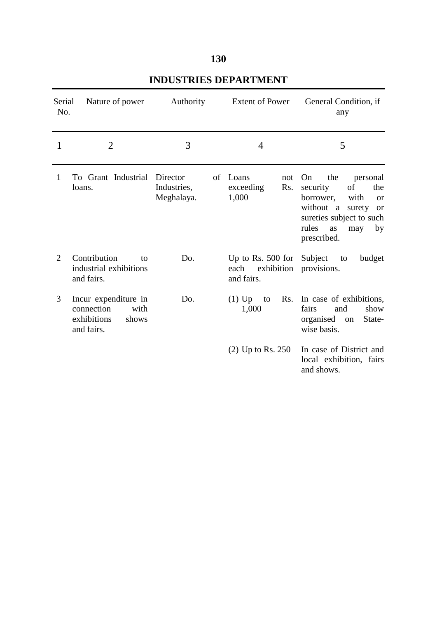### **130**

| Serial<br>No.  | Nature of power                                                                  | Authority                             | <b>Extent of Power</b>                                  | General Condition, if<br>any                                                                                                                                                                 |
|----------------|----------------------------------------------------------------------------------|---------------------------------------|---------------------------------------------------------|----------------------------------------------------------------------------------------------------------------------------------------------------------------------------------------------|
| 1              | $\overline{2}$                                                                   | 3                                     | 4                                                       | 5                                                                                                                                                                                            |
| 1              | To Grant Industrial<br>loans.                                                    | Director<br>Industries,<br>Meghalaya. | Loans<br>of<br>not<br>exceeding<br>Rs.<br>1,000         | On<br>the<br>personal<br>of<br>security<br>the<br>borrower,<br>with<br><b>or</b><br>without a surety<br><sub>or</sub><br>sureties subject to such<br>rules<br>as<br>may<br>by<br>prescribed. |
| $\overline{2}$ | Contribution<br>to<br>industrial exhibitions<br>and fairs.                       | Do.                                   | Up to Rs. $500$ for<br>exhibition<br>each<br>and fairs. | Subject<br>budget<br>to<br>provisions.                                                                                                                                                       |
| 3              | Incur expenditure in<br>connection<br>with<br>exhibitions<br>shows<br>and fairs. | Do.                                   | $(1)$ Up<br>to<br>1,000                                 | Rs. In case of exhibitions,<br>fairs<br>and<br>show<br>organised on<br>State-<br>wise basis.                                                                                                 |
|                |                                                                                  |                                       | $(2)$ Up to Rs. 250                                     | In case of District and<br>local exhibition, fairs<br>and shows.                                                                                                                             |

### **INDUSTRIES DEPARTMENT**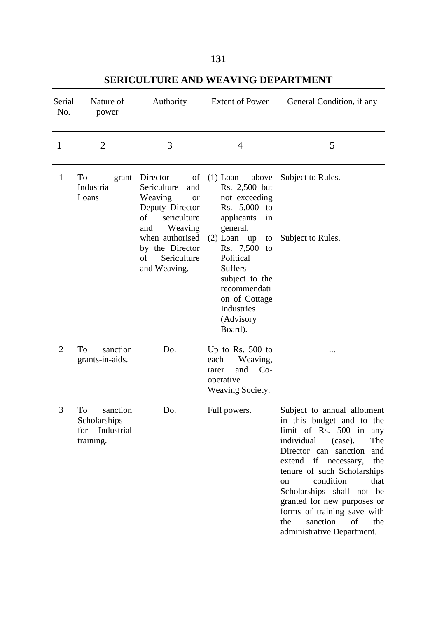### **131**

| Serial<br>No.  | Nature of<br>power                                            | Authority                                                                                                              | <b>Extent of Power</b>                                                                                                                                         | General Condition, if any                                                                                                                                                                                                                                                                                                                                                                             |
|----------------|---------------------------------------------------------------|------------------------------------------------------------------------------------------------------------------------|----------------------------------------------------------------------------------------------------------------------------------------------------------------|-------------------------------------------------------------------------------------------------------------------------------------------------------------------------------------------------------------------------------------------------------------------------------------------------------------------------------------------------------------------------------------------------------|
| $\mathbf{1}$   | $\overline{2}$                                                | 3                                                                                                                      | $\overline{4}$                                                                                                                                                 | 5                                                                                                                                                                                                                                                                                                                                                                                                     |
| $\mathbf{1}$   | To<br>grant<br>Industrial<br>Loans                            | Director<br>of<br>Sericulture<br>and<br>Weaving<br><b>or</b><br>Deputy Director<br>of<br>sericulture<br>Weaving<br>and | $(1)$ Loan<br>above<br>Rs. 2,500 but<br>not exceeding<br>Rs. 5,000 to<br>applicants<br>in<br>general.                                                          | Subject to Rules.                                                                                                                                                                                                                                                                                                                                                                                     |
|                |                                                               | when authorised<br>by the Director<br>Sericulture<br>of<br>and Weaving.                                                | $(2)$ Loan up<br>to<br>Rs. 7,500<br>to<br>Political<br><b>Suffers</b><br>subject to the<br>recommendati<br>on of Cottage<br>Industries<br>(Advisory<br>Board). | Subject to Rules.                                                                                                                                                                                                                                                                                                                                                                                     |
| $\overline{2}$ | To<br>sanction<br>grants-in-aids.                             | Do.                                                                                                                    | Up to Rs. $500$ to<br>Weaving,<br>each<br>$Co-$<br>and<br>rarer<br>operative<br>Weaving Society.                                                               |                                                                                                                                                                                                                                                                                                                                                                                                       |
| 3              | To<br>sanction<br>Scholarships<br>for Industrial<br>training. | Do.                                                                                                                    | Full powers.                                                                                                                                                   | Subject to annual allotment<br>in this budget and to the<br>limit of Rs. 500 in any<br>individual<br>The<br>(case).<br>Director can sanction<br>and<br>extend if necessary,<br>the<br>tenure of such Scholarships<br>condition<br>that<br>on<br>Scholarships shall not be<br>granted for new purposes or<br>forms of training save with<br>of<br>the<br>sanction<br>the<br>administrative Department. |

### **SERICULTURE AND WEAVING DEPARTMENT**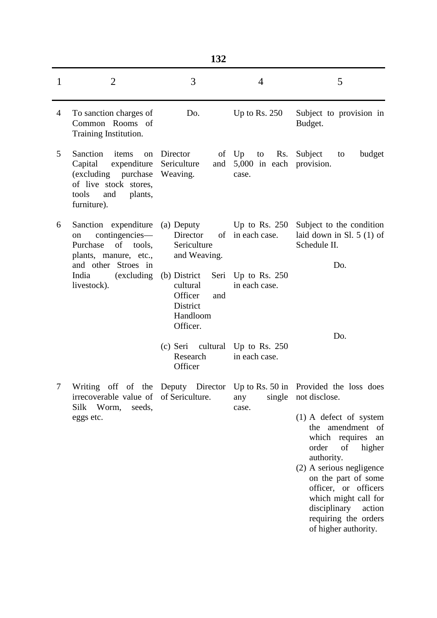| $\mathbf{1}$ | $\overline{2}$                                                                                                                               | 3                                                                              | 4                                             | 5                                                                                                                                                                                                                                                                                                                                                                             |
|--------------|----------------------------------------------------------------------------------------------------------------------------------------------|--------------------------------------------------------------------------------|-----------------------------------------------|-------------------------------------------------------------------------------------------------------------------------------------------------------------------------------------------------------------------------------------------------------------------------------------------------------------------------------------------------------------------------------|
| 4            | To sanction charges of<br>Common Rooms of<br>Training Institution.                                                                           | Do.                                                                            | Up to Rs. $250$                               | Subject to provision in<br>Budget.                                                                                                                                                                                                                                                                                                                                            |
| 5            | Sanction<br>items<br>on<br>Capital<br>expenditure<br>(excluding purchase)<br>of live stock stores,<br>tools<br>and<br>plants,<br>furniture). | Director<br>Sericulture<br>and<br>Weaving.                                     | of Up to<br>5,000 in each provision.<br>case. | Rs. Subject<br>budget<br>to                                                                                                                                                                                                                                                                                                                                                   |
| 6            | Sanction expenditure<br>contingencies—<br>on<br>Purchase<br>of<br>tools,<br>plants, manure, etc.,                                            | (a) Deputy<br>Director<br>Sericulture<br>and Weaving.                          | of in each case.                              | Up to Rs. 250 Subject to the condition<br>laid down in Sl. $5(1)$ of<br>Schedule II.                                                                                                                                                                                                                                                                                          |
|              | and other Stroes in<br>India<br>(excluding)<br>livestock).                                                                                   | (b) District<br>cultural<br>Officer<br>and<br>District<br>Handloom<br>Officer. | Seri Up to Rs. 250<br>in each case.           | Do.                                                                                                                                                                                                                                                                                                                                                                           |
|              |                                                                                                                                              | (c) Seri cultural Up to Rs. 250<br>Research<br>Officer                         | in each case.                                 | Do.                                                                                                                                                                                                                                                                                                                                                                           |
| 7            | irrecoverable value of of Sericulture. any single not disclose.<br>Silk<br>Worm,<br>seeds,<br>eggs etc.                                      |                                                                                | case.                                         | Writing off of the Deputy Director Up to Rs. 50 in Provided the loss does<br>$(1)$ A defect of system<br>the amendment of<br>which requires<br>${\rm an}$<br>order<br>of<br>higher<br>authority.<br>(2) A serious negligence<br>on the part of some<br>officer, or officers<br>which might call for<br>disciplinary<br>action<br>requiring the orders<br>of higher authority. |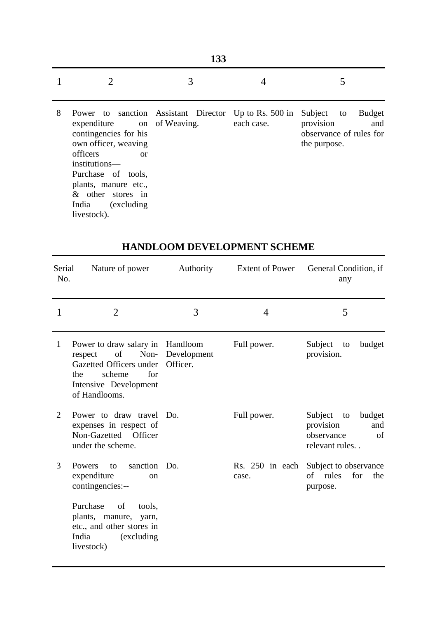| ۰,<br>۰.<br>M.<br>- |
|---------------------|

|  | $1$ 2 3 4 5 |  |
|--|-------------|--|
|  |             |  |

8 Power to sanction Assistant Director Up to Rs. 500 in Subject to Budget expenditure contingencies for his own officer, weaving officers or institutions— Purchase of tools, plants, manure etc., & other stores in India (excluding livestock). of Weaving. each case. provision and observance of rules for the purpose.

| Serial<br>No. | Nature of power                                                                                                                               | Authority                           |                | Extent of Power General Condition, if<br>any                                              |
|---------------|-----------------------------------------------------------------------------------------------------------------------------------------------|-------------------------------------|----------------|-------------------------------------------------------------------------------------------|
| 1             | $\overline{2}$                                                                                                                                | 3                                   | $\overline{4}$ | 5                                                                                         |
| $\mathbf{1}$  | Power to draw salary in<br>of<br>Non-<br>respect<br>Gazetted Officers under<br>for<br>scheme<br>the<br>Intensive Development<br>of Handlooms. | Handloom<br>Development<br>Officer. | Full power.    | Subject<br>budget<br>to<br>provision.                                                     |
| 2             | Power to draw travel<br>expenses in respect of<br>Non-Gazetted Officer<br>under the scheme.                                                   | Do.                                 | Full power.    | Subject<br>budget<br>to<br>provision<br>and<br>observance<br>$\sigma$ f<br>relevant rules |
| 3             | sanction Do.<br>Powers<br>to<br>expenditure<br><sub>on</sub><br>contingencies:--                                                              |                                     | case.          | Rs. 250 in each Subject to observance<br>of rules<br>for<br>the<br>purpose.               |
|               | Purchase<br>of<br>tools,<br>plants, manure, yarn,<br>etc., and other stores in<br>India<br>(excluding)<br>livestock)                          |                                     |                |                                                                                           |

#### **HANDLOOM DEVELOPMENT SCHEME**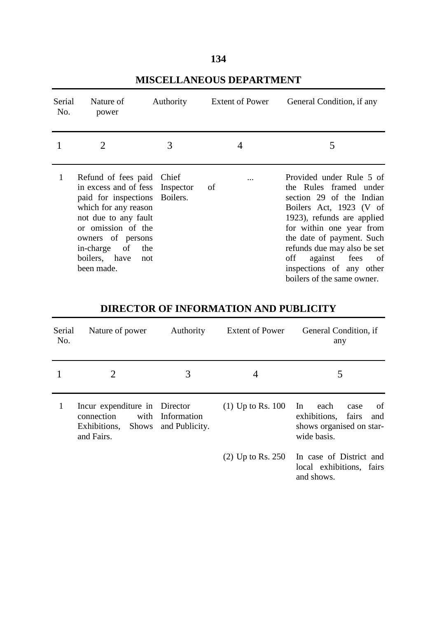| Serial<br>No. | Nature of<br>power                                                                                                                                                                                                                              | Authority | <b>Extent of Power</b> | General Condition, if any                                                                                                                                                                                                                                                                                              |
|---------------|-------------------------------------------------------------------------------------------------------------------------------------------------------------------------------------------------------------------------------------------------|-----------|------------------------|------------------------------------------------------------------------------------------------------------------------------------------------------------------------------------------------------------------------------------------------------------------------------------------------------------------------|
|               | $\overline{2}$                                                                                                                                                                                                                                  | 3         |                        | 5                                                                                                                                                                                                                                                                                                                      |
|               | Refund of fees paid Chief<br>in excess and of fess Inspector<br>paid for inspections<br>which for any reason<br>not due to any fault<br>or omission of the<br>owners of persons<br>of<br>in-charge<br>the<br>boilers, have<br>not<br>been made. | Boilers.  | .<br>of                | Provided under Rule 5 of<br>the Rules framed under<br>section 29 of the Indian<br>Boilers Act, 1923 (V of<br>1923), refunds are applied<br>for within one year from<br>the date of payment. Such<br>refunds due may also be set<br>off<br>of<br>against fees<br>inspections of any other<br>boilers of the same owner. |

### **MISCELLANEOUS DEPARTMENT**

## **DIRECTOR OF INFORMATION AND PUBLICITY**

| Serial<br>No. | Nature of power                                                                         | Authority                     | <b>Extent of Power</b> | General Condition, if<br>any                                                                        |
|---------------|-----------------------------------------------------------------------------------------|-------------------------------|------------------------|-----------------------------------------------------------------------------------------------------|
|               | 2                                                                                       | 3                             | 4                      | 5                                                                                                   |
|               | Incur expenditure in Director<br>with<br>connection<br>Exhibitions, Shows<br>and Fairs. | Information<br>and Publicity. | $(1)$ Up to Rs. 100    | of<br>In<br>each<br>case<br>exhibitions,<br>fairs<br>and<br>shows organised on star-<br>wide basis. |
|               |                                                                                         |                               | $(2)$ Up to Rs. 250    | In case of District and<br>local exhibitions, fairs<br>and shows.                                   |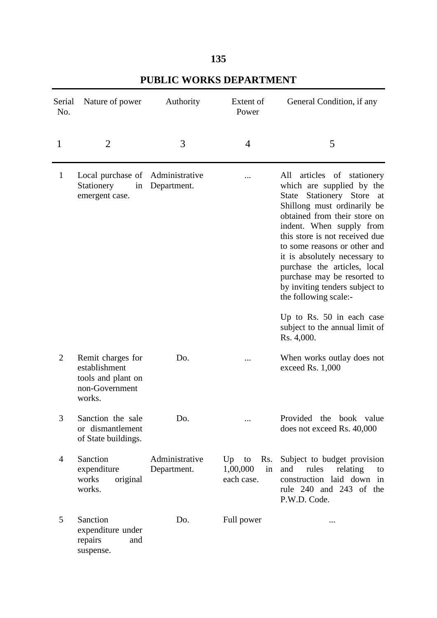| Serial<br>No.  | Nature of power                                                                      | Authority                     | Extent of<br>Power                              | General Condition, if any                                                                                                                                                                                                                                                                                                                                                                                                                                                                            |
|----------------|--------------------------------------------------------------------------------------|-------------------------------|-------------------------------------------------|------------------------------------------------------------------------------------------------------------------------------------------------------------------------------------------------------------------------------------------------------------------------------------------------------------------------------------------------------------------------------------------------------------------------------------------------------------------------------------------------------|
| 1              | 2                                                                                    | 3                             | 4                                               | 5                                                                                                                                                                                                                                                                                                                                                                                                                                                                                                    |
| $\mathbf{1}$   | Local purchase of Administrative<br>Stationery<br>in<br>emergent case.               | Department.                   |                                                 | All<br>articles of stationery<br>which are supplied by the<br>Stationery Store<br>State<br>at<br>Shillong must ordinarily be<br>obtained from their store on<br>indent. When supply from<br>this store is not received due<br>to some reasons or other and<br>it is absolutely necessary to<br>purchase the articles, local<br>purchase may be resorted to<br>by inviting tenders subject to<br>the following scale:-<br>Up to Rs. $50$ in each case<br>subject to the annual limit of<br>Rs. 4,000. |
| $\overline{2}$ | Remit charges for<br>establishment<br>tools and plant on<br>non-Government<br>works. | Do.                           |                                                 | When works outlay does not<br>exceed Rs. 1,000                                                                                                                                                                                                                                                                                                                                                                                                                                                       |
| 3              | Sanction the sale<br>or dismantlement<br>of State buildings.                         | Do.                           | $\cdots$                                        | Provided<br>the book value<br>does not exceed Rs. 40,000                                                                                                                                                                                                                                                                                                                                                                                                                                             |
| 4              | Sanction<br>expenditure<br>works<br>original<br>works.                               | Administrative<br>Department. | Up<br>Rs.<br>to<br>1,00,000<br>in<br>each case. | Subject to budget provision<br>rules<br>relating<br>and<br>to<br>construction laid down in<br>rule 240 and 243 of the<br>P.W.D. Code.                                                                                                                                                                                                                                                                                                                                                                |
| 5              | Sanction<br>expenditure under<br>repairs<br>and<br>suspense.                         | Do.                           | Full power                                      |                                                                                                                                                                                                                                                                                                                                                                                                                                                                                                      |

### **PUBLIC WORKS DEPARTMENT**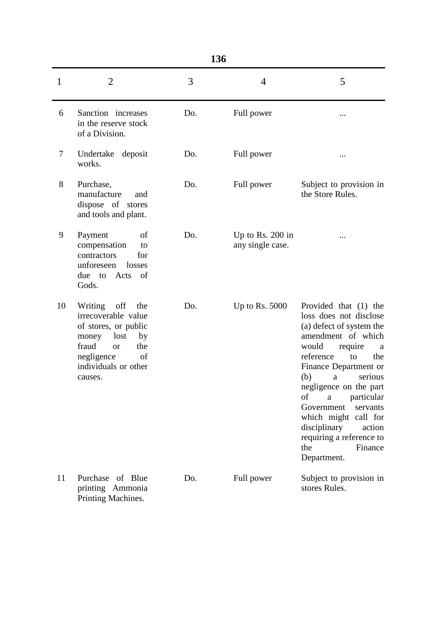| ۹<br>۰.<br>ï<br>۰.<br>v<br>M.<br>- |
|------------------------------------|
|------------------------------------|

|       | 1JV                                                                                                                                                                             |     |                                        |                                                                                                                                                                                                                                                                                                                                                                                                                    |
|-------|---------------------------------------------------------------------------------------------------------------------------------------------------------------------------------|-----|----------------------------------------|--------------------------------------------------------------------------------------------------------------------------------------------------------------------------------------------------------------------------------------------------------------------------------------------------------------------------------------------------------------------------------------------------------------------|
| 1     | $\overline{2}$                                                                                                                                                                  | 3   | $\overline{4}$                         | 5                                                                                                                                                                                                                                                                                                                                                                                                                  |
| 6     | Sanction increases<br>in the reserve stock<br>of a Division.                                                                                                                    | Do. | Full power                             |                                                                                                                                                                                                                                                                                                                                                                                                                    |
| 7     | Undertake<br>deposit<br>works.                                                                                                                                                  | Do. | Full power                             |                                                                                                                                                                                                                                                                                                                                                                                                                    |
| $8\,$ | Purchase,<br>manufacture<br>and<br>dispose of stores<br>and tools and plant.                                                                                                    | Do. | Full power                             | Subject to provision in<br>the Store Rules.                                                                                                                                                                                                                                                                                                                                                                        |
| 9     | Payment<br>of<br>compensation<br>to<br>contractors<br>for<br>unforeseen<br>losses<br>Acts of<br>due to<br>Gods.                                                                 | Do. | Up to Rs. $200$ in<br>any single case. |                                                                                                                                                                                                                                                                                                                                                                                                                    |
| 10    | Writing<br>off<br>the<br>irrecoverable value<br>of stores, or public<br>lost<br>by<br>money<br>fraud<br>the<br><b>or</b><br>negligence<br>of<br>individuals or other<br>causes. | Do. | Up to Rs. $5000$                       | Provided that (1) the<br>loss does not disclose<br>(a) defect of system the<br>amendment of which<br>would<br>require<br>a<br>reference<br>to<br>the<br>Finance Department or<br>(b)<br>serious<br>$\rm{a}$<br>negligence on the part<br>particular<br>of<br>$\mathbf{a}$<br>Government<br>servants<br>which might call for<br>disciplinary<br>action<br>requiring a reference to<br>the<br>Finance<br>Department. |
| 11    | Purchase of Blue<br>printing Ammonia<br>Printing Machines.                                                                                                                      | Do. | Full power                             | Subject to provision in<br>stores Rules.                                                                                                                                                                                                                                                                                                                                                                           |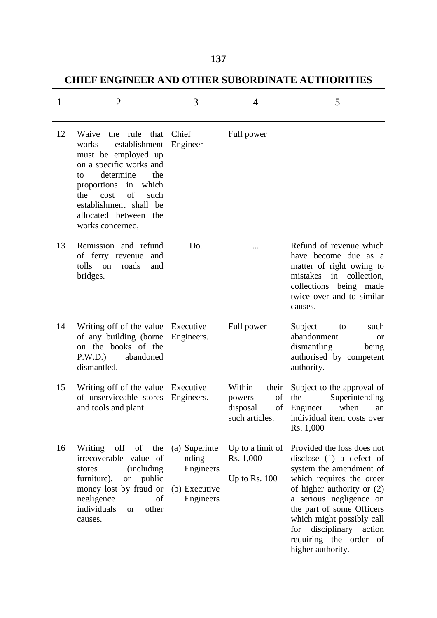## **CHIEF ENGINEER AND OTHER SUBORDINATE AUTHORITIES**

| 1  | 2                                                                                                                                                                                                                                                              | 3                                                                 | 4                                                                   | 5                                                                                                                                                                                                                                                                                                                  |
|----|----------------------------------------------------------------------------------------------------------------------------------------------------------------------------------------------------------------------------------------------------------------|-------------------------------------------------------------------|---------------------------------------------------------------------|--------------------------------------------------------------------------------------------------------------------------------------------------------------------------------------------------------------------------------------------------------------------------------------------------------------------|
| 12 | Waive<br>the rule that<br>establishment<br>works<br>must be employed up<br>on a specific works and<br>determine<br>the<br>to<br>which<br>proportions<br>in<br>the<br>cost<br>of<br>such<br>establishment shall be<br>allocated between the<br>works concerned, | Chief<br>Engineer                                                 | Full power                                                          |                                                                                                                                                                                                                                                                                                                    |
| 13 | Remission and refund<br>of ferry revenue<br>and<br>tolls on<br>roads<br>and<br>bridges.                                                                                                                                                                        | Do.                                                               |                                                                     | Refund of revenue which<br>have become due as a<br>matter of right owing to<br>mistakes in collection,<br>collections being made<br>twice over and to similar<br>causes.                                                                                                                                           |
| 14 | Writing off of the value<br>of any building (borne<br>on the books of the<br>P.W.D.)<br>abandoned<br>dismantled.                                                                                                                                               | Executive<br>Engineers.                                           | Full power                                                          | Subject<br>such<br>to<br>abandonment<br><b>or</b><br>dismantling<br>being<br>authorised by competent<br>authority.                                                                                                                                                                                                 |
| 15 | Writing off of the value<br>of unserviceable stores<br>and tools and plant.                                                                                                                                                                                    | Executive<br>Engineers.                                           | Within<br>their<br>of<br>powers<br>disposal<br>of<br>such articles. | Subject to the approval of<br>Superintending<br>the<br>when<br>Engineer<br>an<br>individual item costs over<br>Rs. 1,000                                                                                                                                                                                           |
| 16 | Writing<br>off<br>of<br>the<br>irrecoverable value of<br><i>(including)</i><br>stores<br>furniture),<br>public<br><b>or</b><br>money lost by fraud or<br>negligence<br>of<br>individuals<br>other<br><sub>or</sub><br>causes.                                  | (a) Superinte<br>nding<br>Engineers<br>(b) Executive<br>Engineers | Up to a limit of<br>Rs. 1,000<br>Up to Rs. $100$                    | Provided the loss does not<br>disclose $(1)$ a defect of<br>system the amendment of<br>which requires the order<br>of higher authority or (2)<br>a serious negligence on<br>the part of some Officers<br>which might possibly call<br>disciplinary<br>action<br>for<br>requiring the order of<br>higher authority. |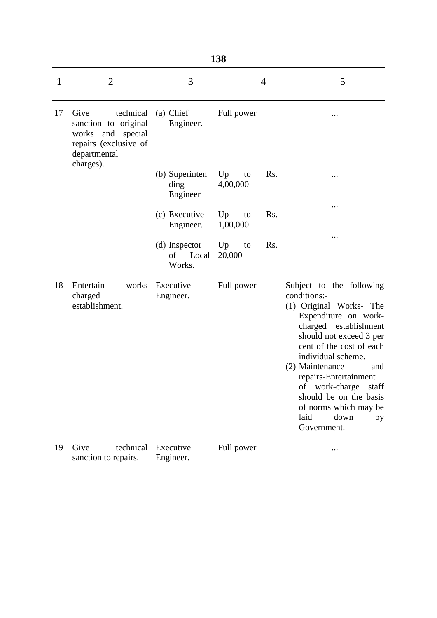| ۰.<br>۰.<br>×<br>۰.<br>.,<br>w<br>- |
|-------------------------------------|
|-------------------------------------|

| 1  | $\overline{2}$                                                                                                             | 3                                   | 4                           | 5                                                                                                                                                                                                                                                                                                                                                                          |
|----|----------------------------------------------------------------------------------------------------------------------------|-------------------------------------|-----------------------------|----------------------------------------------------------------------------------------------------------------------------------------------------------------------------------------------------------------------------------------------------------------------------------------------------------------------------------------------------------------------------|
| 17 | Give<br>technical<br>sanction to original<br>and<br>special<br>works<br>repairs (exclusive of<br>departmental<br>charges). | (a) Chief<br>Engineer.              | Full power                  |                                                                                                                                                                                                                                                                                                                                                                            |
|    |                                                                                                                            | (b) Superinten<br>ding<br>Engineer  | Rs.<br>Up<br>to<br>4,00,000 |                                                                                                                                                                                                                                                                                                                                                                            |
|    |                                                                                                                            | (c) Executive<br>Engineer.          | Rs.<br>Up<br>to<br>1,00,000 |                                                                                                                                                                                                                                                                                                                                                                            |
|    |                                                                                                                            | (d) Inspector<br>of Local<br>Works. | Rs.<br>Up<br>to<br>20,000   |                                                                                                                                                                                                                                                                                                                                                                            |
| 18 | Entertain<br>works<br>charged<br>establishment.                                                                            | Executive<br>Engineer.              | Full power                  | Subject to the following<br>conditions:-<br>(1) Original Works- The<br>Expenditure on work-<br>charged establishment<br>should not exceed 3 per<br>cent of the cost of each<br>individual scheme.<br>(2) Maintenance<br>and<br>repairs-Entertainment<br>work-charge<br>of<br>staff<br>should be on the basis<br>of norms which may be<br>laid<br>down<br>by<br>Government. |
| 19 | Give<br>technical<br>sanction to repairs.                                                                                  | Executive<br>Engineer.              | Full power                  |                                                                                                                                                                                                                                                                                                                                                                            |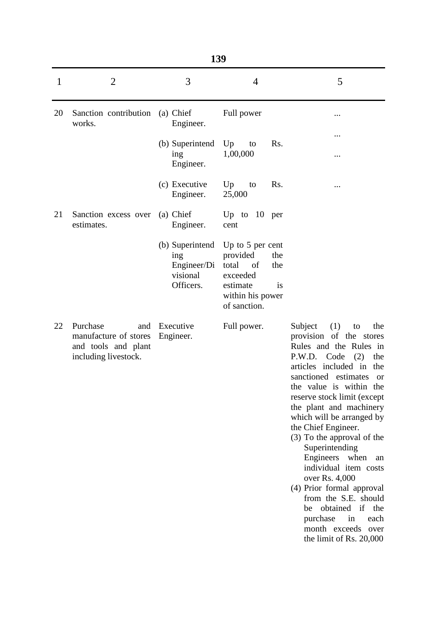| 1  | $\overline{2}$                                                                          | 3                                                              | 4                                                                                                                                      | 5                                                                                                                                                                                                                                                                                                                                                                                                                                                                                                                                                                                                      |
|----|-----------------------------------------------------------------------------------------|----------------------------------------------------------------|----------------------------------------------------------------------------------------------------------------------------------------|--------------------------------------------------------------------------------------------------------------------------------------------------------------------------------------------------------------------------------------------------------------------------------------------------------------------------------------------------------------------------------------------------------------------------------------------------------------------------------------------------------------------------------------------------------------------------------------------------------|
| 20 | Sanction contribution<br>works.                                                         | (a) Chief<br>Engineer.                                         | Full power                                                                                                                             |                                                                                                                                                                                                                                                                                                                                                                                                                                                                                                                                                                                                        |
|    |                                                                                         | (b) Superintend<br>ing<br>Engineer.                            | Up<br>Rs.<br>to<br>1,00,000                                                                                                            | <br>                                                                                                                                                                                                                                                                                                                                                                                                                                                                                                                                                                                                   |
|    |                                                                                         | (c) Executive<br>Engineer.                                     | Up<br>Rs.<br>to<br>25,000                                                                                                              |                                                                                                                                                                                                                                                                                                                                                                                                                                                                                                                                                                                                        |
| 21 | Sanction excess over<br>estimates.                                                      | (a) Chief<br>Engineer.                                         | Up to $10$ per<br>cent                                                                                                                 |                                                                                                                                                                                                                                                                                                                                                                                                                                                                                                                                                                                                        |
|    |                                                                                         | (b) Superintend<br>ing<br>Engineer/Di<br>visional<br>Officers. | Up to 5 per cent<br>provided<br>the<br>total<br><sub>of</sub><br>the<br>exceeded<br>estimate<br>is<br>within his power<br>of sanction. |                                                                                                                                                                                                                                                                                                                                                                                                                                                                                                                                                                                                        |
| 22 | Purchase<br>and<br>manufacture of stores<br>and tools and plant<br>including livestock. | Executive<br>Engineer.                                         | Full power.                                                                                                                            | (1)<br>Subject<br>the<br>to<br>provision of the stores<br>Rules and the Rules in<br>P.W.D. Code (2)<br>the<br>articles included in<br>the<br>sanctioned estimates<br><b>or</b><br>the value is within the<br>reserve stock limit (except<br>the plant and machinery<br>which will be arranged by<br>the Chief Engineer.<br>(3) To the approval of the<br>Superintending<br>Engineers when<br>an<br>individual item costs<br>over Rs. 4,000<br>(4) Prior formal approval<br>from the S.E. should<br>obtained if the<br>be<br>purchase<br>each<br>in<br>month exceeds<br>over<br>the limit of Rs. 20,000 |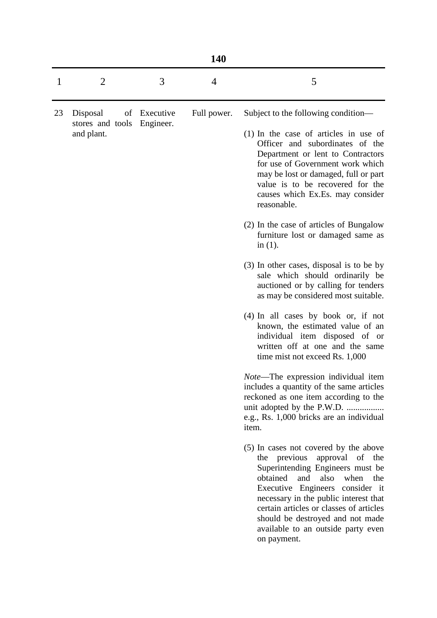| $\mathbf{1}$ | 2                              | 3            | 4           | 5                                                                                                                                                                                                                                                                                                                                                          |
|--------------|--------------------------------|--------------|-------------|------------------------------------------------------------------------------------------------------------------------------------------------------------------------------------------------------------------------------------------------------------------------------------------------------------------------------------------------------------|
| 23           | Disposal                       | of Executive | Full power. | Subject to the following condition—                                                                                                                                                                                                                                                                                                                        |
|              | stores and tools<br>and plant. | Engineer.    |             | $(1)$ In the case of articles in use of<br>Officer and subordinates of the<br>Department or lent to Contractors<br>for use of Government work which<br>may be lost or damaged, full or part<br>value is to be recovered for the<br>causes which Ex.Es. may consider<br>reasonable.                                                                         |
|              |                                |              |             | (2) In the case of articles of Bungalow<br>furniture lost or damaged same as<br>in $(1)$ .                                                                                                                                                                                                                                                                 |
|              |                                |              |             | $(3)$ In other cases, disposal is to be by<br>sale which should ordinarily be<br>auctioned or by calling for tenders<br>as may be considered most suitable.                                                                                                                                                                                                |
|              |                                |              |             | $(4)$ In all cases by book or, if not<br>known, the estimated value of an<br>individual item disposed of or<br>written off at one and the same<br>time mist not exceed Rs. 1,000                                                                                                                                                                           |
|              |                                |              |             | Note-The expression individual item<br>includes a quantity of the same articles<br>reckoned as one item according to the<br>unit adopted by the P.W.D.<br>e.g., Rs. 1,000 bricks are an individual<br>item.                                                                                                                                                |
|              |                                |              |             | (5) In cases not covered by the above<br>the previous approval of the<br>Superintending Engineers must be<br>obtained<br>and also when the<br>Executive Engineers consider it<br>necessary in the public interest that<br>certain articles or classes of articles<br>should be destroyed and not made<br>available to an outside party even<br>on payment. |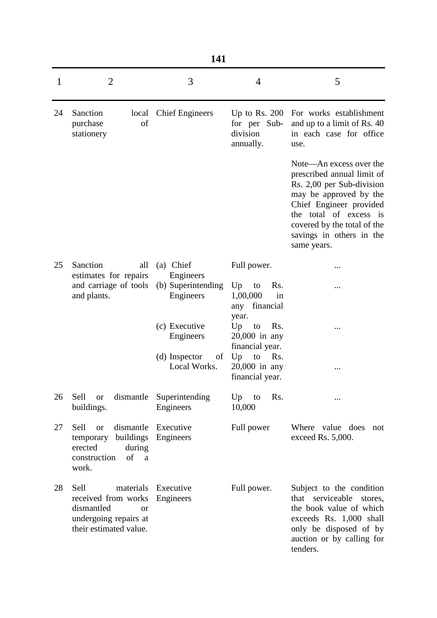|    | 141                                                                                                                        |                                     |                                                                |                                                                                                                                                                                                                                             |  |  |
|----|----------------------------------------------------------------------------------------------------------------------------|-------------------------------------|----------------------------------------------------------------|---------------------------------------------------------------------------------------------------------------------------------------------------------------------------------------------------------------------------------------------|--|--|
| 1  | $\overline{2}$                                                                                                             | 3                                   | $\overline{4}$                                                 | 5                                                                                                                                                                                                                                           |  |  |
| 24 | Sanction<br>local<br>purchase<br>of<br>stationery                                                                          | <b>Chief Engineers</b>              | Up to Rs. $200$<br>for per Sub-<br>division<br>annually.       | For works establishment<br>and up to a limit of Rs. 40<br>in each case for office<br>use.                                                                                                                                                   |  |  |
|    |                                                                                                                            |                                     |                                                                | Note—An excess over the<br>prescribed annual limit of<br>Rs. 2,00 per Sub-division<br>may be approved by the<br>Chief Engineer provided<br>the total of excess is<br>covered by the total of the<br>savings in others in the<br>same years. |  |  |
| 25 | Sanction<br>all<br>estimates for repairs                                                                                   | (a) Chief<br>Engineers              | Full power.                                                    |                                                                                                                                                                                                                                             |  |  |
|    | and carriage of tools<br>and plants.                                                                                       | (b) Superintending<br>Engineers     | Up<br>Rs.<br>to<br>1,00,000<br>in<br>any financial             |                                                                                                                                                                                                                                             |  |  |
|    |                                                                                                                            | (c) Executive<br>Engineers          | year.<br>Up<br>Rs.<br>to<br>$20,000$ in any<br>financial year. |                                                                                                                                                                                                                                             |  |  |
|    |                                                                                                                            | (d) Inspector<br>of<br>Local Works. | Up<br>to<br>Rs.<br>20,000 in any<br>financial year.            |                                                                                                                                                                                                                                             |  |  |
| 26 | Sell<br>dismantle<br><b>or</b><br>buildings.                                                                               | Superintending<br>Engineers         | Up<br>Rs.<br>to<br>10,000                                      |                                                                                                                                                                                                                                             |  |  |
| 27 | Sell<br>or<br>buildings<br>temporary<br>erected<br>during<br>of<br>construction<br>a<br>work.                              | dismantle Executive<br>Engineers    | Full power                                                     | Where value does<br>not<br>exceed Rs. 5,000.                                                                                                                                                                                                |  |  |
| 28 | Sell<br>materials<br>received from works<br>dismantled<br><sub>or</sub><br>undergoing repairs at<br>their estimated value. | Executive<br>Engineers              | Full power.                                                    | Subject to the condition<br>serviceable<br>that<br>stores,<br>the book value of which<br>exceeds Rs. 1,000 shall<br>only be disposed of by<br>auction or by calling for<br>tenders.                                                         |  |  |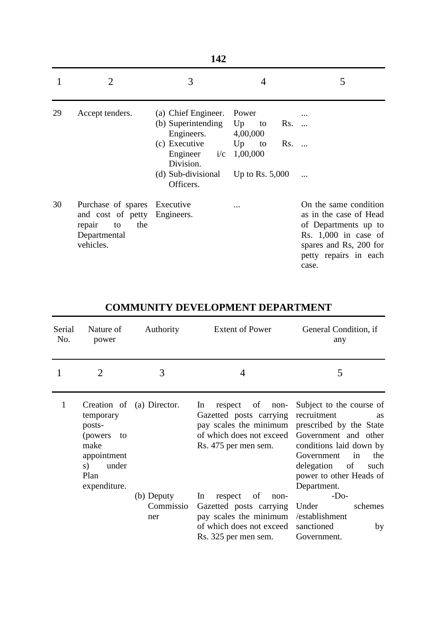|    | 142                                                                                                              |                                                                                                                                                     |                                                                              |                                                                                                                                                               |  |  |
|----|------------------------------------------------------------------------------------------------------------------|-----------------------------------------------------------------------------------------------------------------------------------------------------|------------------------------------------------------------------------------|---------------------------------------------------------------------------------------------------------------------------------------------------------------|--|--|
|    | 2                                                                                                                | 3                                                                                                                                                   | 4                                                                            | 5                                                                                                                                                             |  |  |
| 29 | Accept tenders.                                                                                                  | (a) Chief Engineer.<br>(b) Superintending<br>Engineers.<br>(c) Executive<br>Engineer $i/c$ 1,00,000<br>Division.<br>(d) Sub-divisional<br>Officers. | Power<br>Up<br>Rs.<br>to<br>4,00,000<br>Up<br>Rs.<br>to<br>Up to Rs. $5,000$ | $\overline{\phantom{a}}$                                                                                                                                      |  |  |
| 30 | Purchase of spares Executive<br>and cost of petty Engineers.<br>repair<br>to<br>the<br>Departmental<br>vehicles. |                                                                                                                                                     |                                                                              | On the same condition<br>as in the case of Head<br>of Departments up to<br>Rs. $1,000$ in case of<br>spares and Rs, 200 for<br>petty repairs in each<br>case. |  |  |

| Serial<br>No. | Nature of<br>power                                                                                  | Authority                      | <b>Extent of Power</b>                                                                                                               | General Condition, if<br>any                                                                                                                                                                                                        |
|---------------|-----------------------------------------------------------------------------------------------------|--------------------------------|--------------------------------------------------------------------------------------------------------------------------------------|-------------------------------------------------------------------------------------------------------------------------------------------------------------------------------------------------------------------------------------|
|               | 2                                                                                                   | 3                              | 4                                                                                                                                    | 5                                                                                                                                                                                                                                   |
| 1             | temporary<br>posts-<br>(powers)<br>to<br>make<br>appointment<br>under<br>s)<br>Plan<br>expenditure. | Creation of (a) Director.      | In<br>of<br>respect<br>non-<br>Gazetted posts carrying<br>pay scales the minimum<br>of which does not exceed<br>Rs. 475 per men sem. | Subject to the course of<br>recruitment<br><b>as</b><br>prescribed by the State<br>Government and other<br>conditions laid down by<br>Government<br>in<br>the<br>delegation<br>of<br>such<br>power to other Heads of<br>Department. |
|               |                                                                                                     | (b) Deputy<br>Commissio<br>ner | of<br>In<br>respect<br>non-<br>Gazetted posts carrying<br>pay scales the minimum                                                     | $-Do-$<br>Under<br>schemes<br>/establishment                                                                                                                                                                                        |
|               |                                                                                                     |                                | of which does not exceed<br>Rs. 325 per men sem.                                                                                     | sanctioned<br>by<br>Government.                                                                                                                                                                                                     |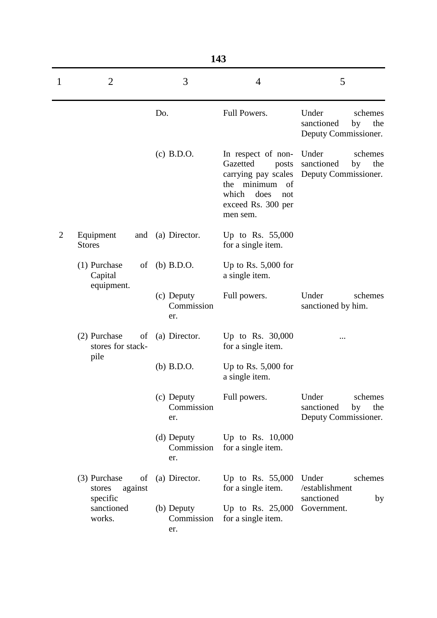|                | 143                                                   |                                   |                                                                                                                                                  |                                                                     |  |  |
|----------------|-------------------------------------------------------|-----------------------------------|--------------------------------------------------------------------------------------------------------------------------------------------------|---------------------------------------------------------------------|--|--|
| 1              | $\overline{2}$                                        | 3                                 | $\overline{4}$                                                                                                                                   | 5                                                                   |  |  |
|                |                                                       | Do.                               | Full Powers.                                                                                                                                     | Under<br>schemes<br>sanctioned<br>by<br>the<br>Deputy Commissioner. |  |  |
|                |                                                       | $(c)$ B.D.O.                      | In respect of non-<br>Gazetted<br>posts<br>carrying pay scales<br>minimum<br>of<br>the<br>which<br>does<br>not<br>exceed Rs. 300 per<br>men sem. | Under<br>schemes<br>sanctioned<br>the<br>by<br>Deputy Commissioner. |  |  |
| $\overline{2}$ | Equipment<br><b>Stores</b>                            | and (a) Director.                 | Up to Rs. $55,000$<br>for a single item.                                                                                                         |                                                                     |  |  |
|                | (1) Purchase<br>of<br>Capital                         | $(b)$ B.D.O.                      | Up to Rs. $5,000$ for<br>a single item.                                                                                                          |                                                                     |  |  |
|                | equipment.                                            | (c) Deputy<br>Commission<br>er.   | Full powers.                                                                                                                                     | Under<br>schemes<br>sanctioned by him.                              |  |  |
|                | (2) Purchase<br>$\sigma$<br>stores for stack-<br>pile | (a) Director.                     | Up to Rs. 30,000<br>for a single item.                                                                                                           | .                                                                   |  |  |
|                |                                                       | $(b)$ B.D.O.                      | Up to Rs. $5,000$ for<br>a single item.                                                                                                          |                                                                     |  |  |
|                |                                                       | $(c)$ Deputy<br>Commission<br>er. | Full powers.                                                                                                                                     | Under<br>schemes<br>sanctioned<br>by<br>the<br>Deputy Commissioner. |  |  |
|                |                                                       | (d) Deputy<br>Commission<br>er.   | Up to Rs. $10,000$<br>for a single item.                                                                                                         |                                                                     |  |  |
|                | (3) Purchase<br>of<br>against<br>stores<br>specific   | (a) Director.                     | Up to Rs. 55,000<br>for a single item.                                                                                                           | Under<br>schemes<br>/establishment<br>sanctioned<br>by              |  |  |
|                | sanctioned<br>works.                                  | (b) Deputy<br>Commission<br>er.   | Up to Rs. $25,000$<br>for a single item.                                                                                                         | Government.                                                         |  |  |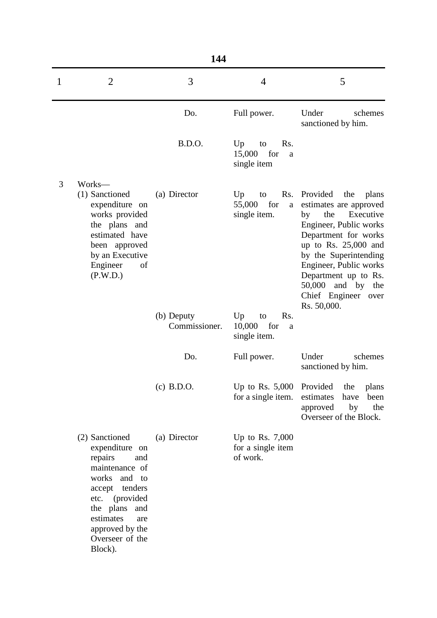|   | 144                                                                                                                                                                                                               |                             |                                                       |                                                                                                                                                                                                                                                                                                  |  |  |
|---|-------------------------------------------------------------------------------------------------------------------------------------------------------------------------------------------------------------------|-----------------------------|-------------------------------------------------------|--------------------------------------------------------------------------------------------------------------------------------------------------------------------------------------------------------------------------------------------------------------------------------------------------|--|--|
| 1 | $\overline{2}$                                                                                                                                                                                                    | 3                           | $\overline{4}$                                        | 5                                                                                                                                                                                                                                                                                                |  |  |
|   |                                                                                                                                                                                                                   | Do.                         | Full power.                                           | Under<br>schemes<br>sanctioned by him.                                                                                                                                                                                                                                                           |  |  |
|   |                                                                                                                                                                                                                   | <b>B.D.O.</b>               | Up<br>Rs.<br>to<br>for<br>15,000<br>a<br>single item  |                                                                                                                                                                                                                                                                                                  |  |  |
| 3 | Works-<br>(1) Sanctioned<br>expenditure on<br>works provided<br>the plans and<br>estimated have<br>been approved<br>by an Executive<br>Engineer<br>of<br>(P.W.D.)                                                 | (a) Director                | Rs.<br>Up<br>to<br>55,000<br>for<br>a<br>single item. | Provided<br>the<br>plans<br>estimates are approved<br>the<br>Executive<br>by<br>Engineer, Public works<br>Department for works<br>up to Rs. $25,000$ and<br>by the Superintending<br>Engineer, Public works<br>Department up to Rs.<br>$50,000$ and by the<br>Chief Engineer over<br>Rs. 50,000. |  |  |
|   |                                                                                                                                                                                                                   | (b) Deputy<br>Commissioner. | Rs.<br>Up<br>to<br>for<br>10,000<br>a<br>single item. |                                                                                                                                                                                                                                                                                                  |  |  |
|   |                                                                                                                                                                                                                   | Do.                         | Full power.                                           | Under<br>schemes<br>sanctioned by him.                                                                                                                                                                                                                                                           |  |  |
|   |                                                                                                                                                                                                                   | $(c)$ B.D.O.                | Up to Rs. $5,000$<br>for a single item.               | Provided<br>the<br>plans<br>estimates<br>have<br>been<br>by<br>the<br>approved<br>Overseer of the Block.                                                                                                                                                                                         |  |  |
|   | (2) Sanctioned<br>expenditure on<br>repairs<br>and<br>maintenance of<br>works and to<br>accept tenders<br>etc. (provided<br>the plans<br>and<br>estimates<br>are<br>approved by the<br>Overseer of the<br>Block). | (a) Director                | Up to Rs. $7,000$<br>for a single item<br>of work.    |                                                                                                                                                                                                                                                                                                  |  |  |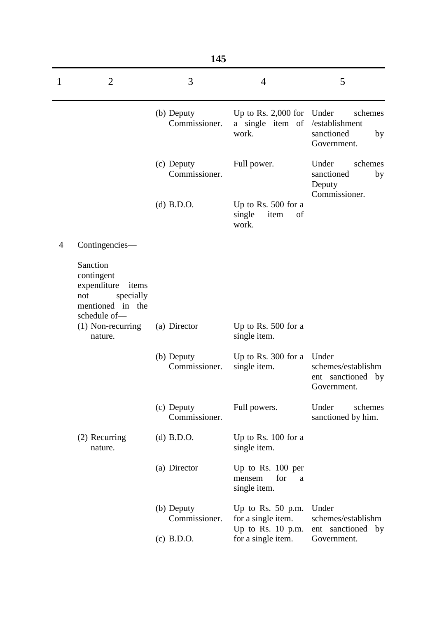|   |                                                                                                        | 145                         |                                                                  |                                                                       |
|---|--------------------------------------------------------------------------------------------------------|-----------------------------|------------------------------------------------------------------|-----------------------------------------------------------------------|
| 1 | $\overline{2}$                                                                                         | 3                           | $\overline{4}$                                                   | 5                                                                     |
|   |                                                                                                        | (b) Deputy<br>Commissioner. | Up to Rs. $2,000$ for<br>a single item of<br>work.               | Under<br>schemes<br>/establishment<br>sanctioned<br>by<br>Government. |
|   |                                                                                                        | (c) Deputy<br>Commissioner. | Full power.                                                      | Under<br>schemes<br>sanctioned<br>by<br>Deputy<br>Commissioner.       |
|   |                                                                                                        | $(d)$ B.D.O.                | Up to Rs. $500$ for a<br>single<br>item<br>of<br>work.           |                                                                       |
| 4 | Contingencies—                                                                                         |                             |                                                                  |                                                                       |
|   | Sanction<br>contingent<br>expenditure<br>items<br>specially<br>not<br>mentioned in the<br>schedule of- |                             |                                                                  |                                                                       |
|   | $(1)$ Non-recurring<br>nature.                                                                         | (a) Director                | Up to Rs. 500 for a<br>single item.                              |                                                                       |
|   |                                                                                                        | (b) Deputy<br>Commissioner. | Up to Rs. $300$ for a<br>single item.                            | Under<br>schemes/establishm<br>ent sanctioned by<br>Government.       |
|   |                                                                                                        | (c) Deputy<br>Commissioner. | Full powers.                                                     | Under<br>schemes<br>sanctioned by him.                                |
|   | (2) Recurring<br>nature.                                                                               | $(d)$ B.D.O.                | Up to Rs. 100 for a<br>single item.                              |                                                                       |
|   |                                                                                                        | (a) Director                | Up to Rs. $100$ per<br>for<br>mensem<br>a<br>single item.        |                                                                       |
|   |                                                                                                        | (b) Deputy<br>Commissioner. | Up to Rs. $50$ p.m.<br>for a single item.<br>Up to Rs. $10$ p.m. | Under<br>schemes/establishm<br>ent sanctioned by                      |
|   |                                                                                                        | $(c)$ B.D.O.                | for a single item.                                               | Government.                                                           |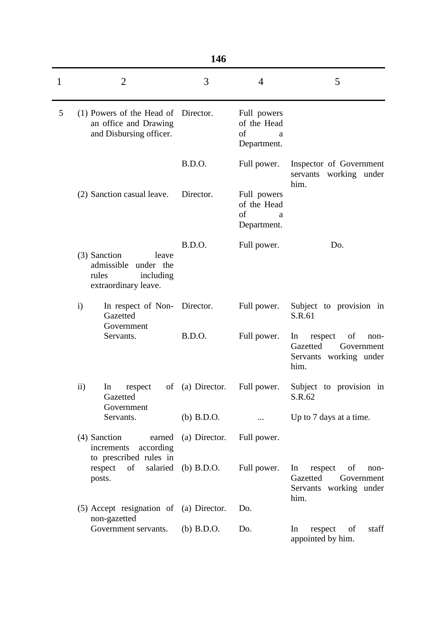|              |                     |                                                                                                | 146              |                                                      |                                                                                         |
|--------------|---------------------|------------------------------------------------------------------------------------------------|------------------|------------------------------------------------------|-----------------------------------------------------------------------------------------|
| $\mathbf{1}$ |                     | $\overline{2}$                                                                                 | 3                | 4                                                    | 5                                                                                       |
| 5            |                     | (1) Powers of the Head of<br>an office and Drawing<br>and Disbursing officer.                  | Director.        | Full powers<br>of the Head<br>of<br>a<br>Department. |                                                                                         |
|              |                     |                                                                                                | <b>B.D.O.</b>    | Full power.                                          | Inspector of Government<br>servants working under<br>him.                               |
|              |                     | (2) Sanction casual leave.                                                                     | Director.        | Full powers<br>of the Head<br>of<br>a<br>Department. |                                                                                         |
|              |                     | (3) Sanction<br>leave<br>admissible<br>under the<br>rules<br>including<br>extraordinary leave. | <b>B.D.O.</b>    | Full power.                                          | Do.                                                                                     |
|              | $\mathbf{i}$        | In respect of Non- Director.<br>Gazetted<br>Government                                         |                  | Full power.                                          | Subject to provision in<br>S.R.61                                                       |
|              |                     | Servants.                                                                                      | <b>B.D.O.</b>    | Full power.                                          | of<br>In<br>respect<br>non-<br>Gazetted<br>Government<br>Servants working under<br>him. |
|              | $\ddot{\mathbf{i}}$ | In<br>respect<br>Gazetted<br>Government                                                        | of (a) Director. | Full power.                                          | Subject to provision in<br>S.R.62                                                       |
|              |                     | Servants.                                                                                      | $(b)$ B.D.O.     | $\cdots$                                             | Up to 7 days at a time.                                                                 |
|              |                     | (4) Sanction<br>earned<br>according<br>increments<br>to prescribed rules in                    | (a) Director.    | Full power.                                          |                                                                                         |
|              |                     | of<br>salaried<br>respect<br>posts.                                                            | (b) $B.D.O.$     | Full power.                                          | In<br>respect<br>of<br>non-<br>Gazetted<br>Government<br>Servants working under<br>him. |
|              |                     | (5) Accept resignation of (a) Director.<br>non-gazetted                                        |                  | Do.                                                  |                                                                                         |
|              |                     | Government servants.                                                                           | $(b)$ B.D.O.     | Do.                                                  | staff<br>respect<br>of<br>In<br>appointed by him.                                       |
|              |                     |                                                                                                |                  |                                                      |                                                                                         |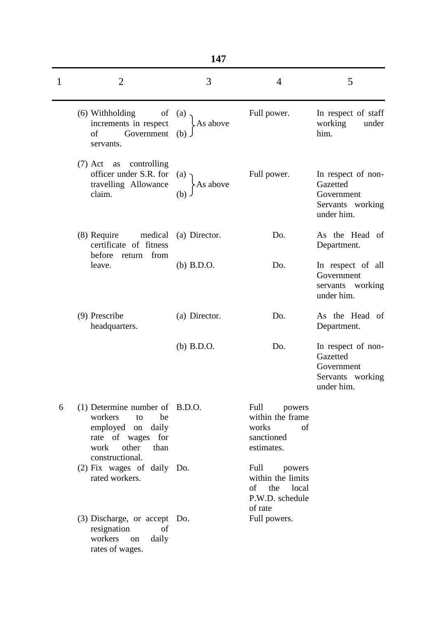| ٠ |  |
|---|--|
|   |  |

| 1 | $\overline{2}$                                                                                                              | 3                          | $\overline{4}$                                                                | 5                                                                              |
|---|-----------------------------------------------------------------------------------------------------------------------------|----------------------------|-------------------------------------------------------------------------------|--------------------------------------------------------------------------------|
|   | (6) Withholding<br>of<br>increments in respect<br>Government<br>of<br>servants.                                             | (a)<br>As above<br>$(b)$ . | Full power.                                                                   | In respect of staff<br>working<br>under<br>him.                                |
|   | (7) Act as controlling<br>officer under S.R. for<br>travelling Allowance<br>claim.                                          | (a)<br>As above<br>(b)     | Full power.                                                                   | In respect of non-<br>Gazetted<br>Government<br>Servants working<br>under him. |
|   | $(8)$ Require<br>medical<br>certificate of fitness                                                                          | (a) Director.              | Do.                                                                           | As the Head of<br>Department.                                                  |
|   | before<br>return from<br>leave.                                                                                             | $(b)$ B.D.O.               | Do.                                                                           | In respect of all<br>Government<br>servants working<br>under him.              |
|   | (9) Prescribe<br>headquarters.                                                                                              | (a) Director.              | Do.                                                                           | As the Head of<br>Department.                                                  |
|   |                                                                                                                             | $(b)$ B.D.O.               | Do.                                                                           | In respect of non-<br>Gazetted<br>Government<br>Servants working<br>under him. |
| 6 | (1) Determine number of B.D.O.<br>workers<br>be<br>to<br>employed on<br>daily<br>rate of wages for<br>other<br>work<br>than |                            | Full<br>powers<br>within the frame<br>works<br>of<br>sanctioned<br>estimates. |                                                                                |
|   | constructional.<br>(2) Fix wages of daily Do.<br>rated workers.                                                             |                            | Full<br>powers<br>within the limits<br>of the local<br>P.W.D. schedule        |                                                                                |
|   | (3) Discharge, or accept Do.<br>resignation<br>of<br>workers<br>daily<br>on<br>rates of wages.                              |                            | of rate<br>Full powers.                                                       |                                                                                |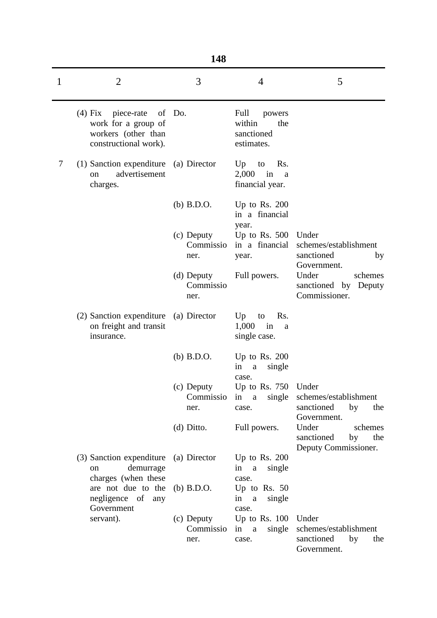|   |                                                                                              | 148                             |                                                                   |                                                                          |
|---|----------------------------------------------------------------------------------------------|---------------------------------|-------------------------------------------------------------------|--------------------------------------------------------------------------|
| 1 | $\overline{2}$                                                                               | 3                               | $\overline{4}$                                                    | 5                                                                        |
|   | (4) Fix<br>piece-rate<br>work for a group of<br>workers (other than<br>constructional work). | of Do.                          | Full<br>powers<br>within<br>the<br>sanctioned<br>estimates.       |                                                                          |
| 7 | (1) Sanction expenditure<br>advertisement<br>$\alpha$<br>charges.                            | (a) Director                    | Up<br>$\mathbf{to}$<br>Rs.<br>2,000<br>in<br>a<br>financial year. |                                                                          |
|   |                                                                                              | $(b)$ B.D.O.                    | Up to Rs. $200$<br>in a financial<br>year.                        |                                                                          |
|   |                                                                                              | (c) Deputy<br>Commissio<br>ner. | Up to Rs. $500$<br>in a financial<br>year.                        | Under<br>schemes/establishment<br>sanctioned<br>by<br>Government.        |
|   |                                                                                              | (d) Deputy<br>Commissio<br>ner. | Full powers.                                                      | Under<br>schemes<br>sanctioned by Deputy<br>Commissioner.                |
|   | (2) Sanction expenditure<br>on freight and transit<br>insurance.                             | (a) Director                    | $Up$ to<br>R <sub>s</sub> .<br>1,000<br>in<br>a<br>single case.   |                                                                          |
|   |                                                                                              | $(b)$ B.D.O.                    | Up to Rs. $200$<br>in<br>single<br>a                              |                                                                          |
|   |                                                                                              | (c) Deputy<br>Commissio<br>ner. | case.<br>Up to Rs. $750$<br>single<br>in<br>$\mathbf{a}$<br>case. | Under<br>schemes/establishment<br>sanctioned<br>by<br>the<br>Government. |
|   |                                                                                              | $(d)$ Ditto.                    | Full powers.                                                      | Under<br>schemes<br>sanctioned<br>the<br>by<br>Deputy Commissioner.      |
|   | (3) Sanction expenditure<br>demurrage<br><sub>on</sub><br>charges (when these                | (a) Director                    | Up to Rs. $200$<br>in<br>single<br>a<br>case.                     |                                                                          |
|   | are not due to the<br>negligence of any<br>Government                                        | $(b)$ B.D.O.                    | Up to Rs. $50$<br>single<br>in<br>$\mathbf{a}$<br>case.           |                                                                          |
|   | servant).                                                                                    | (c) Deputy<br>Commissio<br>ner. | Up to Rs. $100$<br>in<br>single<br><sub>a</sub><br>case.          | Under<br>schemes/establishment<br>sanctioned<br>by<br>the<br>Government. |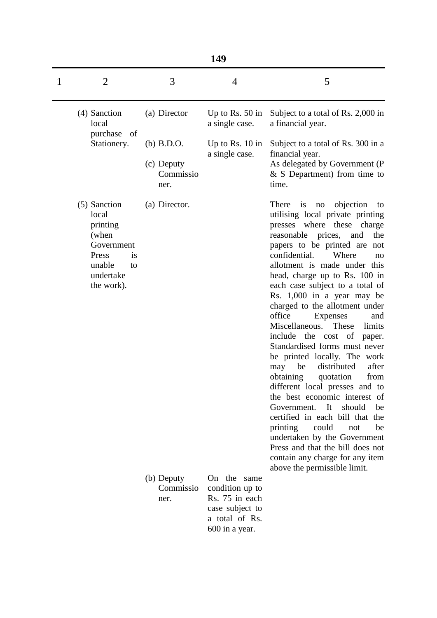|   |                                                                                                                    |                                                 | 149                                                                                                     |                                                                                                                                                                                                                                                                                                                                                                                                                                                                                                                                                                                                                                                                                                                                                                                                                                                                                                                                                                 |
|---|--------------------------------------------------------------------------------------------------------------------|-------------------------------------------------|---------------------------------------------------------------------------------------------------------|-----------------------------------------------------------------------------------------------------------------------------------------------------------------------------------------------------------------------------------------------------------------------------------------------------------------------------------------------------------------------------------------------------------------------------------------------------------------------------------------------------------------------------------------------------------------------------------------------------------------------------------------------------------------------------------------------------------------------------------------------------------------------------------------------------------------------------------------------------------------------------------------------------------------------------------------------------------------|
| 1 | $\overline{2}$                                                                                                     | 3                                               | 4                                                                                                       | 5                                                                                                                                                                                                                                                                                                                                                                                                                                                                                                                                                                                                                                                                                                                                                                                                                                                                                                                                                               |
|   | (4) Sanction<br>local<br>purchase of                                                                               | (a) Director                                    | Up to Rs. $50$ in<br>a single case.                                                                     | Subject to a total of Rs. 2,000 in<br>a financial year.                                                                                                                                                                                                                                                                                                                                                                                                                                                                                                                                                                                                                                                                                                                                                                                                                                                                                                         |
|   | Stationery.                                                                                                        | $(b)$ B.D.O.<br>(c) Deputy<br>Commissio<br>ner. | Up to Rs. $10$ in<br>a single case.                                                                     | Subject to a total of Rs. 300 in a<br>financial year.<br>As delegated by Government (P<br>$&$ S Department) from time to<br>time.                                                                                                                                                                                                                                                                                                                                                                                                                                                                                                                                                                                                                                                                                                                                                                                                                               |
|   | (5) Sanction<br>local<br>printing<br>(when<br>Government<br>Press<br>is<br>unable<br>to<br>undertake<br>the work). | (a) Director.                                   |                                                                                                         | objection<br>There<br>is<br>$\rm no$<br>to<br>utilising local private printing<br>presses where these<br>charge<br>reasonable prices,<br>and<br>the<br>papers to be printed are<br>not<br>confidential.<br>Where<br>no<br>allotment is made under this<br>head, charge up to Rs. 100 in<br>each case subject to a total of<br>Rs. 1,000 in a year may be<br>charged to the allotment under<br>office<br>Expenses<br>and<br>These<br>Miscellaneous.<br>limits<br>include<br>the cost<br>of<br>paper.<br>Standardised forms must never<br>be printed locally. The work<br>distributed<br>after<br>may<br>be<br>obtaining<br>quotation<br>from<br>different local presses and to<br>the best economic interest of<br>It<br>should<br>Government.<br>be<br>certified in each bill that the<br>printing<br>could<br>be<br>not<br>undertaken by the Government<br>Press and that the bill does not<br>contain any charge for any item<br>above the permissible limit. |
|   |                                                                                                                    | (b) Deputy<br>Commissio<br>ner.                 | On the same<br>condition up to<br>Rs. 75 in each<br>case subject to<br>a total of Rs.<br>600 in a year. |                                                                                                                                                                                                                                                                                                                                                                                                                                                                                                                                                                                                                                                                                                                                                                                                                                                                                                                                                                 |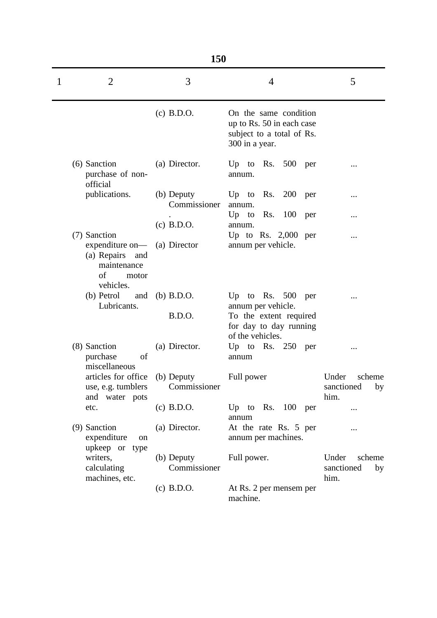|   |                                                                                                  | 150                           |                                                                                                                      |                                             |
|---|--------------------------------------------------------------------------------------------------|-------------------------------|----------------------------------------------------------------------------------------------------------------------|---------------------------------------------|
| 1 | 2                                                                                                | 3                             | $\overline{4}$                                                                                                       | 5                                           |
|   |                                                                                                  | $(c)$ B.D.O.                  | On the same condition<br>up to Rs. 50 in each case<br>subject to a total of Rs.<br>300 in a year.                    |                                             |
|   | (6) Sanction<br>purchase of non-<br>official                                                     | (a) Director.                 | Up to Rs.<br>$500$ per<br>annum.                                                                                     |                                             |
|   | publications.                                                                                    | (b) Deputy<br>Commissioner    | Up to Rs.<br>200<br>per<br>annum.                                                                                    |                                             |
|   |                                                                                                  | $(c)$ B.D.O.                  | $Up$ to<br>Rs. 100 per<br>annum.                                                                                     |                                             |
|   | (7) Sanction<br>expenditure on—<br>(a) Repairs<br>and<br>maintenance<br>of<br>motor<br>vehicles. | (a) Director                  | Up to Rs. $2,000$ per<br>annum per vehicle.                                                                          |                                             |
|   | (b) Petrol<br>and<br>Lubricants.                                                                 | $(b)$ B.D.O.<br><b>B.D.O.</b> | Up to Rs. $500$<br>per<br>annum per vehicle.<br>To the extent required<br>for day to day running<br>of the vehicles. |                                             |
|   | (8) Sanction<br>purchase<br>of<br>miscellaneous                                                  | (a) Director.                 | Up to Rs. $250$ per<br>annum                                                                                         |                                             |
|   | articles for office<br>use, e.g. tumblers<br>and water pots                                      | (b) Deputy<br>Commissioner    | Full power                                                                                                           | Under<br>scheme<br>sanctioned<br>by<br>him. |
|   | etc.                                                                                             | $(c)$ B.D.O.                  | Up to Rs. $100$ per<br>annum                                                                                         |                                             |
|   | (9) Sanction<br>expenditure<br>on<br>upkeep or type                                              | (a) Director.                 | At the rate Rs. 5 per<br>annum per machines.                                                                         |                                             |
|   | writers,<br>calculating<br>machines, etc.                                                        | (b) Deputy<br>Commissioner    | Full power.                                                                                                          | Under<br>scheme<br>sanctioned<br>by<br>him. |
|   |                                                                                                  | $(c)$ B.D.O.                  | At Rs. 2 per mensem per<br>machine.                                                                                  |                                             |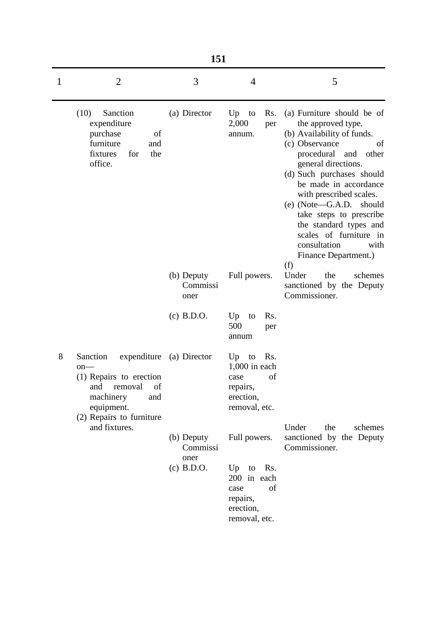|   |                                                                                                                                                               | 151                            |                                                                                           |                                                                                                                                                                                                                                                                                                                                                                                                               |
|---|---------------------------------------------------------------------------------------------------------------------------------------------------------------|--------------------------------|-------------------------------------------------------------------------------------------|---------------------------------------------------------------------------------------------------------------------------------------------------------------------------------------------------------------------------------------------------------------------------------------------------------------------------------------------------------------------------------------------------------------|
| 1 | $\overline{2}$                                                                                                                                                | 3                              | $\overline{4}$                                                                            | 5                                                                                                                                                                                                                                                                                                                                                                                                             |
|   | (10)<br>Sanction<br>expenditure<br>purchase<br>of<br>furniture<br>and<br>fixtures<br>for<br>the<br>office.                                                    | (a) Director                   | Up<br>Rs.<br>to<br>2,000<br>per<br>annum.                                                 | (a) Furniture should be of<br>the approved type.<br>(b) Availability of funds.<br>(c) Observance<br>of<br>procedural<br>and<br>other<br>general directions.<br>(d) Such purchases should<br>be made in accordance<br>with prescribed scales.<br>(e) (Note—G.A.D. should<br>take steps to prescribe<br>the standard types and<br>scales of furniture in<br>consultation<br>with<br>Finance Department.)<br>(f) |
|   |                                                                                                                                                               | (b) Deputy<br>Commissi<br>oner | Full powers.                                                                              | Under<br>the<br>schemes<br>sanctioned by the Deputy<br>Commissioner.                                                                                                                                                                                                                                                                                                                                          |
|   |                                                                                                                                                               | $(c)$ B.D.O.                   | Up<br>Rs.<br>to<br>500<br>per<br>annum                                                    |                                                                                                                                                                                                                                                                                                                                                                                                               |
| 8 | expenditure<br>Sanction<br>$on$ —<br>(1) Repairs to erection<br>and<br>removal<br><sub>ot</sub><br>machinery<br>and<br>equipment.<br>(2) Repairs to furniture | (a) Director                   | Rs.<br>$Up$ to<br>$1,000$ in each<br>of<br>case<br>repairs,<br>erection,<br>removal, etc. |                                                                                                                                                                                                                                                                                                                                                                                                               |
|   | and fixtures.                                                                                                                                                 | (b) Deputy<br>Commissi<br>oner | Full powers.                                                                              | Under<br>the<br>schemes<br>sanctioned by the Deputy<br>Commissioner.                                                                                                                                                                                                                                                                                                                                          |
|   |                                                                                                                                                               | $(c)$ B.D.O.                   | Up to Rs.<br>200 in each<br>of<br>case<br>repairs,<br>erection,<br>removal, etc.          |                                                                                                                                                                                                                                                                                                                                                                                                               |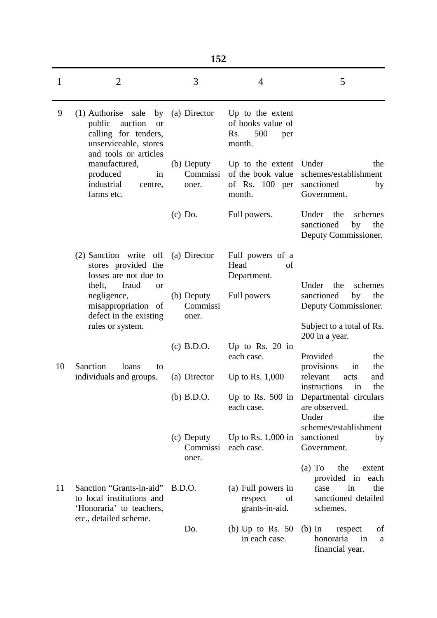|    |                                                                                                                                            | 152                             |                                                                      |                                                                                                          |
|----|--------------------------------------------------------------------------------------------------------------------------------------------|---------------------------------|----------------------------------------------------------------------|----------------------------------------------------------------------------------------------------------|
| 1  | $\overline{2}$                                                                                                                             | 3                               | 4                                                                    | 5                                                                                                        |
| 9  | $(1)$ Authorise<br>sale by<br>public<br>auction<br><sub>or</sub><br>calling for tenders,<br>unserviceable, stores<br>and tools or articles | (a) Director                    | Up to the extent<br>of books value of<br>500<br>Rs.<br>per<br>month. |                                                                                                          |
|    | manufactured,<br>produced<br>in<br>industrial<br>centre,<br>farms etc.                                                                     | (b) Deputy<br>Commissi<br>oner. | Up to the extent<br>of the book value<br>of Rs. $100$ per<br>month.  | Under<br>the<br>schemes/establishment<br>sanctioned<br>by<br>Government.                                 |
|    |                                                                                                                                            | $(c)$ Do.                       | Full powers.                                                         | Under<br>the<br>schemes<br>sanctioned<br>by<br>the<br>Deputy Commissioner.                               |
|    | (2) Sanction write<br>off<br>stores provided the<br>losses are not due to                                                                  | (a) Director                    | Full powers of a<br>Head<br>of<br>Department.                        |                                                                                                          |
|    | fraud<br>theft,<br><sub>or</sub><br>negligence,<br>misappropriation of<br>defect in the existing<br>rules or system.                       | (b) Deputy<br>Commissi<br>oner. | Full powers                                                          | the<br>Under<br>schemes<br>sanctioned<br>by<br>the<br>Deputy Commissioner.<br>Subject to a total of Rs.  |
|    |                                                                                                                                            | $(c)$ B.D.O.                    | Up to Rs. $20$ in<br>each case.                                      | 200 in a year.<br>Provided<br>the                                                                        |
| 10 | Sanction<br>loans<br>to<br>individuals and groups.                                                                                         | (a) Director                    | Up to Rs. $1,000$                                                    | provisions<br>the<br>in<br>relevant<br>and<br>acts<br>instructions<br>the<br>in                          |
|    |                                                                                                                                            | $(b)$ B.D.O.                    | Up to Rs. $500$ in<br>each case.                                     | Departmental circulars<br>are observed.<br>Under<br>the<br>schemes/establishment                         |
|    |                                                                                                                                            | (c) Deputy<br>Commissi<br>oner. | Up to Rs. $1,000$ in<br>each case.                                   | sanctioned<br>by<br>Government.                                                                          |
| 11 | Sanction "Grants-in-aid"<br>to local institutions and<br>'Honoraria' to teachers,<br>etc., detailed scheme.                                | B.D.O.                          | (a) Full powers in<br>of<br>respect<br>grants-in-aid.                | $(a)$ To<br>the<br>extent<br>provided in<br>each<br>in<br>the<br>case<br>sanctioned detailed<br>schemes. |
|    |                                                                                                                                            | Do.                             | (b) Up to Rs. $50$<br>in each case.                                  | $(b)$ In<br>of<br>respect<br>honoraria<br>in<br>a<br>financial year.                                     |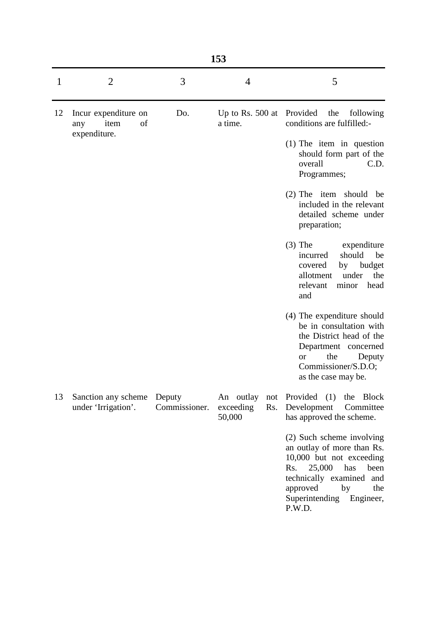|    |                                                           |               | 153                                     |                                                                                                                                                                                                                   |
|----|-----------------------------------------------------------|---------------|-----------------------------------------|-------------------------------------------------------------------------------------------------------------------------------------------------------------------------------------------------------------------|
| 1  | $\overline{2}$                                            | 3             | 4                                       | 5                                                                                                                                                                                                                 |
| 12 | Incur expenditure on<br>item<br>of<br>any<br>expenditure. | Do.           | Up to Rs. $500$ at<br>a time.           | Provided<br>the<br>following<br>conditions are fulfilled:-<br>$(1)$ The item in question<br>should form part of the                                                                                               |
|    |                                                           |               |                                         | overall<br>C.D.<br>Programmes;                                                                                                                                                                                    |
|    |                                                           |               |                                         | (2) The item should<br>be<br>included in the relevant<br>detailed scheme under<br>preparation;                                                                                                                    |
|    |                                                           |               |                                         | $(3)$ The<br>expenditure<br>should<br>be<br>incurred<br>budget<br>covered<br>by<br>allotment<br>under<br>the<br>relevant<br>head<br>minor<br>and                                                                  |
|    |                                                           |               |                                         | (4) The expenditure should<br>be in consultation with<br>the District head of the<br>Department concerned<br>the<br>Deputy<br><b>or</b><br>Commissioner/S.D.O;<br>as the case may be.                             |
| 13 | Sanction any scheme Deputy<br>under 'Irrigation'.         | Commissioner. | An outlay<br>exceeding<br>Rs.<br>50,000 | not Provided (1) the Block<br>Development<br>Committee<br>has approved the scheme.                                                                                                                                |
|    |                                                           |               |                                         | (2) Such scheme involving<br>an outlay of more than Rs.<br>10,000 but not exceeding<br>25,000<br>has<br>Rs.<br>been<br>technically examined and<br>approved<br>by<br>the<br>Superintending<br>Engineer,<br>P.W.D. |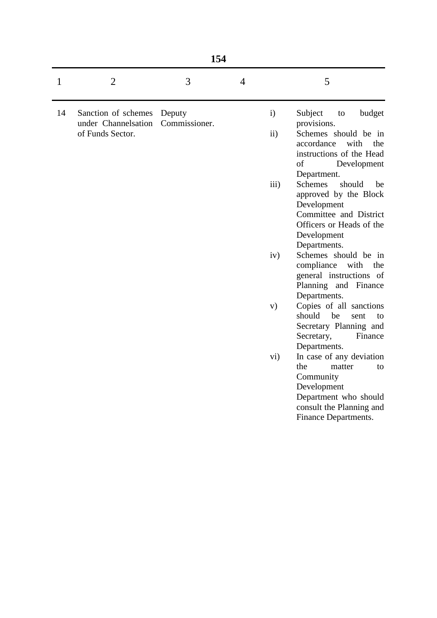| n sa<br>۰,<br>۰.<br>× |
|-----------------------|
|-----------------------|

| 1  | 2                                                              | 3                       | 4 | 5                                                                                                                                                                                            |
|----|----------------------------------------------------------------|-------------------------|---|----------------------------------------------------------------------------------------------------------------------------------------------------------------------------------------------|
| 14 | Sanction of schemes<br>under Channelsation<br>of Funds Sector. | Deputy<br>Commissioner. |   | $\mathbf{i}$<br>Subject<br>budget<br>to<br>provisions.<br>$\mathbf{ii}$<br>Schemes should be in<br>accordance<br>with<br>the<br>instructions of the Head<br>of<br>Development<br>Department. |
|    |                                                                |                         |   | <b>Schemes</b><br>$\overline{111}$ )<br>should<br>be<br>approved by the Block<br>Development<br>Committee and District<br>Officers or Heads of the<br>Development<br>Departments.            |
|    |                                                                |                         |   | Schemes should be in<br>iv)<br>compliance<br>with<br>the<br>general instructions of<br>Planning and Finance<br>Departments.                                                                  |
|    |                                                                |                         |   | Copies of all sanctions<br>V)<br>should<br>be<br>sent<br>to<br>Secretary Planning and<br>Secretary,<br>Finance<br>Departments.                                                               |
|    |                                                                |                         |   | In case of any deviation<br>vi)<br>the<br>matter<br>to<br>Community<br>Development<br>Department who should<br>consult the Planning and<br>Finance Departments.                              |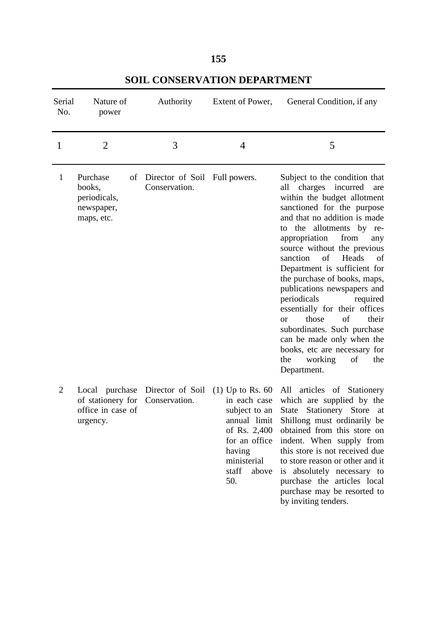| Serial<br>No.  | Nature of<br>power                                                   | Authority                                      | Extent of Power,                                                                                                                       | General Condition, if any                                                                                                                                                                                                                                                                                                                                                                                                                                                                                                                                                                                                       |
|----------------|----------------------------------------------------------------------|------------------------------------------------|----------------------------------------------------------------------------------------------------------------------------------------|---------------------------------------------------------------------------------------------------------------------------------------------------------------------------------------------------------------------------------------------------------------------------------------------------------------------------------------------------------------------------------------------------------------------------------------------------------------------------------------------------------------------------------------------------------------------------------------------------------------------------------|
| 1              | $\overline{2}$                                                       | 3                                              | $\overline{4}$                                                                                                                         | 5                                                                                                                                                                                                                                                                                                                                                                                                                                                                                                                                                                                                                               |
| 1              | Purchase<br>of<br>books,<br>periodicals,<br>newspaper,<br>maps, etc. | Director of Soil Full powers.<br>Conservation. |                                                                                                                                        | Subject to the condition that<br>all charges incurred<br>are<br>within the budget allotment<br>sanctioned for the purpose<br>and that no addition is made<br>to the allotments by re-<br>from<br>appropriation<br>any<br>source without the previous<br>of<br>Heads<br>sanction<br>of<br>Department is sufficient for<br>the purchase of books, maps,<br>publications newspapers and<br>periodicals<br>required<br>essentially for their offices<br>those<br>of<br>their<br><b>or</b><br>subordinates. Such purchase<br>can be made only when the<br>books, etc are necessary for<br>working<br>of<br>the<br>the<br>Department. |
| $\overline{2}$ | Local purchase<br>of stationery for<br>office in case of<br>urgency. | Director of Soil<br>Conservation.              | $(1)$ Up to Rs. 60<br>in each case<br>subject to an<br>of Rs. 2,400<br>for an office<br>having<br>ministerial<br>staff<br>above<br>50. | All articles of Stationery<br>which are supplied by the<br>Stationery Store<br>State<br>at<br>annual limit Shillong must ordinarily be<br>obtained from this store on<br>indent. When supply from<br>this store is not received due<br>to store reason or other and it<br>is absolutely necessary to<br>purchase the articles local<br>purchase may be resorted to<br>by inviting tenders.                                                                                                                                                                                                                                      |

**SOIL CONSERVATION DEPARTMENT**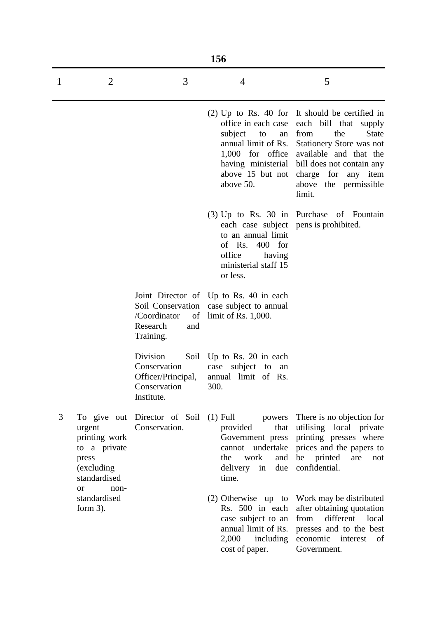|   | 156                                                                            |                                                                              |                                                                                                                                                                              |                                                                                                                                                                                                                                                                                                  |  |  |
|---|--------------------------------------------------------------------------------|------------------------------------------------------------------------------|------------------------------------------------------------------------------------------------------------------------------------------------------------------------------|--------------------------------------------------------------------------------------------------------------------------------------------------------------------------------------------------------------------------------------------------------------------------------------------------|--|--|
| 1 | $\overline{2}$                                                                 | 3                                                                            | $\overline{4}$                                                                                                                                                               | 5                                                                                                                                                                                                                                                                                                |  |  |
|   |                                                                                |                                                                              | office in each case<br>subject to<br>an<br>annual limit of Rs.<br>above 15 but not<br>above 50.                                                                              | $(2)$ Up to Rs. 40 for It should be certified in<br>each bill that supply<br>from<br>the<br><b>State</b><br><b>Stationery Store was not</b><br>1,000 for office available and that the<br>having ministerial bill does not contain any<br>charge for any item<br>above the permissible<br>limit. |  |  |
|   |                                                                                |                                                                              | $(3)$ Up to Rs. 30 in Purchase<br>each case subject pens is prohibited.<br>to an annual limit<br>of Rs.<br>$400$ for<br>office<br>having<br>ministerial staff 15<br>or less. | of Fountain                                                                                                                                                                                                                                                                                      |  |  |
|   |                                                                                | /Coordinator<br>Research<br>and<br>Training.                                 | Joint Director of Up to Rs. 40 in each<br>Soil Conservation case subject to annual<br>of limit of Rs. $1,000$ .                                                              |                                                                                                                                                                                                                                                                                                  |  |  |
|   |                                                                                | Division<br>Conservation<br>Officer/Principal,<br>Conservation<br>Institute. | Soil Up to Rs. 20 in each<br>case subject to<br>an<br>annual limit of Rs.<br>300.                                                                                            |                                                                                                                                                                                                                                                                                                  |  |  |
| 3 | urgent<br>printing work<br>to a private<br>press<br>(excluding<br>standardised | To give out Director of Soil<br>Conservation.                                | provided<br>Government press<br>the<br>work<br>and<br>delivery in<br>due<br>time.                                                                                            | (1) Full powers There is no objection for<br>that utilising local private<br>printing presses where<br>cannot undertake prices and the papers to<br>be printed<br>are<br>not<br>confidential.                                                                                                    |  |  |
|   | <sub>or</sub><br>non-<br>standardised<br>form $3$ ).                           |                                                                              | Rs. 500 in each<br>case subject to an<br>annual limit of Rs.<br>$2,000$ including<br>cost of paper.                                                                          | (2) Otherwise up to Work may be distributed<br>after obtaining quotation<br>different<br>from<br>local<br>presses and to the best<br>economic interest<br>of<br>Government.                                                                                                                      |  |  |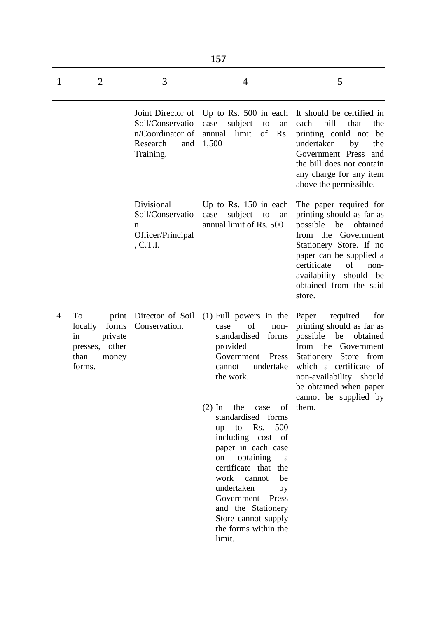|   | 157                                                                                              |                                                                      |                                                                                                                                                                                                                                                                                                                   |                                                                                                                                                                                                                                                                    |  |  |  |
|---|--------------------------------------------------------------------------------------------------|----------------------------------------------------------------------|-------------------------------------------------------------------------------------------------------------------------------------------------------------------------------------------------------------------------------------------------------------------------------------------------------------------|--------------------------------------------------------------------------------------------------------------------------------------------------------------------------------------------------------------------------------------------------------------------|--|--|--|
| 1 | $\overline{2}$                                                                                   | 3                                                                    | 4                                                                                                                                                                                                                                                                                                                 | 5                                                                                                                                                                                                                                                                  |  |  |  |
|   |                                                                                                  | Soil/Conservatio<br>n/Coordinator of<br>Research<br>and<br>Training. | subject<br>to<br>case<br>an<br>of<br>limit<br>Rs.<br>annual<br>1,500                                                                                                                                                                                                                                              | Joint Director of Up to Rs. 500 in each It should be certified in<br>bill<br>each<br>that<br>the<br>printing could not be<br>undertaken<br>by<br>the<br>Government Press<br>and<br>the bill does not contain<br>any charge for any item<br>above the permissible.  |  |  |  |
|   |                                                                                                  | Divisional<br>Soil/Conservatio<br>n<br>Officer/Principal<br>, C.T.I. | Up to Rs. $150$ in each<br>subject<br>case<br>to<br>an<br>annual limit of Rs. 500                                                                                                                                                                                                                                 | The paper required for<br>printing should as far as<br>possible be<br>obtained<br>the<br>from<br>Government<br>Stationery Store. If no<br>paper can be supplied a<br>certificate<br>of<br>non-<br>availability<br>should<br>be<br>obtained from the said<br>store. |  |  |  |
| 4 | To<br>print<br>locally<br>forms<br>in<br>private<br>other<br>presses,<br>than<br>money<br>forms. | Director of Soil<br>Conservation.                                    | $(1)$ Full powers in the<br>of<br>case<br>non-<br>standardised<br>forms<br>provided<br>Government<br>Press<br>undertake<br>cannot<br>the work.                                                                                                                                                                    | Paper<br>required<br>for<br>printing should as far as<br>possible<br>be<br>obtained<br>from the<br>Government<br>Stationery Store from<br>which a certificate<br>- of<br>non-availability<br>should<br>be obtained when paper<br>cannot be supplied by             |  |  |  |
|   |                                                                                                  |                                                                      | $(2)$ In<br>the<br>of<br>case<br>standardised forms<br>to Rs. 500<br>up<br>including cost of<br>paper in each case<br>obtaining<br>on<br>a<br>certificate that the<br>work cannot<br>be<br>undertaken<br>by<br>Government<br>Press<br>and the Stationery<br>Store cannot supply<br>the forms within the<br>limit. | them.                                                                                                                                                                                                                                                              |  |  |  |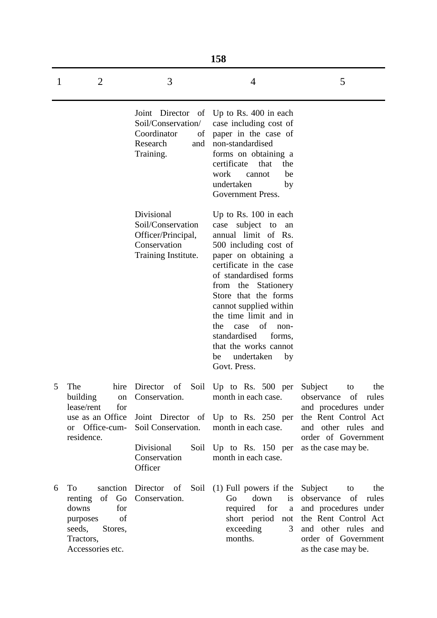|   |                                                                                                                            |                                                                                              | 158                                                                                                                                                                                                                                                                                                                                                                                                       |                                                                                                                                                                        |
|---|----------------------------------------------------------------------------------------------------------------------------|----------------------------------------------------------------------------------------------|-----------------------------------------------------------------------------------------------------------------------------------------------------------------------------------------------------------------------------------------------------------------------------------------------------------------------------------------------------------------------------------------------------------|------------------------------------------------------------------------------------------------------------------------------------------------------------------------|
| 1 | $\overline{2}$                                                                                                             | 3                                                                                            | 4                                                                                                                                                                                                                                                                                                                                                                                                         | 5                                                                                                                                                                      |
|   |                                                                                                                            | Soil/Conservation/<br>Coordinator<br>of<br>Research<br>Training.                             | Joint Director of Up to Rs. 400 in each<br>case including cost of<br>paper in the case of<br>and non-standardised<br>forms on obtaining a<br>certificate<br>that<br>the<br>work<br>cannot<br>be<br>undertaken<br>by<br>Government Press.                                                                                                                                                                  |                                                                                                                                                                        |
|   |                                                                                                                            | Divisional<br>Soil/Conservation<br>Officer/Principal,<br>Conservation<br>Training Institute. | Up to Rs. 100 in each<br>subject to<br>case<br>an<br>annual limit of Rs.<br>500 including cost of<br>paper on obtaining a<br>certificate in the case<br>of standardised forms<br>from the Stationery<br>Store that the forms<br>cannot supplied within<br>the time limit and in<br>of<br>the<br>case<br>non-<br>standardised<br>forms,<br>that the works cannot<br>undertaken<br>by<br>be<br>Govt. Press. |                                                                                                                                                                        |
| 5 | The<br>hire<br>building<br>on<br>lease/rent<br>for<br>use as an Office<br>or Office-cum-                                   | Conservation.<br>Soil Conservation.                                                          | Director of Soil Up to Rs. 500 per<br>month in each case.<br>Joint Director of Up to Rs. 250 per<br>month in each case.                                                                                                                                                                                                                                                                                   | the<br>Subject<br>to<br>observance<br>of<br>rules<br>and procedures under<br>the Rent Control Act<br>and other rules and                                               |
|   | residence.                                                                                                                 | Divisional<br>Soil<br>Conservation<br>Officer                                                | Up to Rs. $150$ per<br>month in each case.                                                                                                                                                                                                                                                                                                                                                                | order of Government<br>as the case may be.                                                                                                                             |
| 6 | To<br>sanction<br>of Go<br>renting<br>for<br>downs<br>of<br>purposes<br>seeds,<br>Stores,<br>Tractors,<br>Accessories etc. | Director of<br>Conservation.                                                                 | Soil (1) Full powers if the<br>down<br>Go<br><i>is</i><br>required<br>for<br>a<br>short period<br>not<br>exceeding<br>3<br>months.                                                                                                                                                                                                                                                                        | Subject<br>the<br>to<br>observance<br>of<br>rules<br>and procedures under<br>the Rent Control Act<br>and other rules and<br>order of Government<br>as the case may be. |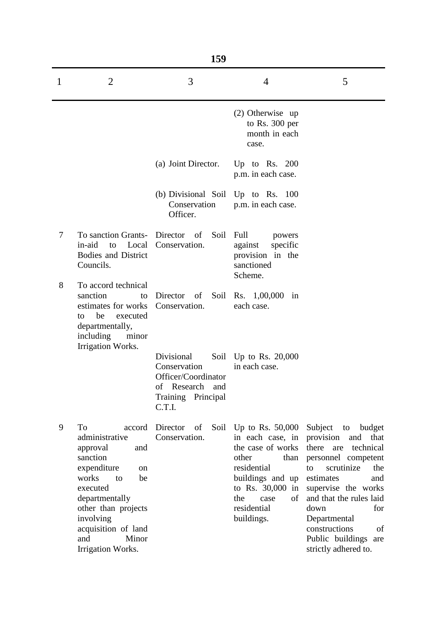|   | 159                                                                                                                                                                                                                                              |                                                                                                            |                                                                                                                                                                                                 |                                                                                                                                                                                                                                                                                             |  |  |
|---|--------------------------------------------------------------------------------------------------------------------------------------------------------------------------------------------------------------------------------------------------|------------------------------------------------------------------------------------------------------------|-------------------------------------------------------------------------------------------------------------------------------------------------------------------------------------------------|---------------------------------------------------------------------------------------------------------------------------------------------------------------------------------------------------------------------------------------------------------------------------------------------|--|--|
| 1 | $\overline{2}$                                                                                                                                                                                                                                   | 3                                                                                                          | 4                                                                                                                                                                                               | 5                                                                                                                                                                                                                                                                                           |  |  |
|   |                                                                                                                                                                                                                                                  |                                                                                                            | $(2)$ Otherwise up<br>to Rs. 300 per<br>month in each<br>case.                                                                                                                                  |                                                                                                                                                                                                                                                                                             |  |  |
|   |                                                                                                                                                                                                                                                  | (a) Joint Director.                                                                                        | Up to Rs. $200$<br>p.m. in each case.                                                                                                                                                           |                                                                                                                                                                                                                                                                                             |  |  |
|   |                                                                                                                                                                                                                                                  | (b) Divisional Soil Up to Rs. 100<br>Conservation<br>Officer.                                              | p.m. in each case.                                                                                                                                                                              |                                                                                                                                                                                                                                                                                             |  |  |
| 7 | To sanction Grants- Director of<br>in-aid<br>$\mathbf{to}$<br><b>Bodies and District</b><br>Councils.                                                                                                                                            | Soil<br>Local Conservation.                                                                                | Full<br>powers<br>specific<br>against<br>provision in the<br>sanctioned<br>Scheme.                                                                                                              |                                                                                                                                                                                                                                                                                             |  |  |
| 8 | To accord technical<br>sanction<br>to<br>estimates for works Conservation.<br>be<br>executed<br>to<br>departmentally,<br>including<br>minor<br>Irrigation Works.                                                                                 | Director of                                                                                                | Soil Rs. 1,00,000<br>in<br>each case.                                                                                                                                                           |                                                                                                                                                                                                                                                                                             |  |  |
|   |                                                                                                                                                                                                                                                  | Divisional<br>Conservation<br>Officer/Coordinator<br>Research<br>οf<br>and<br>Training Principal<br>C.T.I. | Soil Up to Rs. 20,000<br>in each case.                                                                                                                                                          |                                                                                                                                                                                                                                                                                             |  |  |
| 9 | To<br>accord<br>administrative<br>approval<br>and<br>sanction<br>expenditure<br><sub>on</sub><br>works<br>be<br>to<br>executed<br>departmentally<br>other than projects<br>involving<br>acquisition of land<br>Minor<br>and<br>Irrigation Works. | Director<br>of<br>Soil<br>Conservation.                                                                    | Up to Rs. $50,000$<br>in each case, in provision<br>the case of works<br>other<br>than<br>residential<br>buildings and up<br>to Rs. 30,000 in<br>the<br>of<br>case<br>residential<br>buildings. | Subject<br>to<br>budget<br>and<br>that<br>there are technical<br>personnel competent<br>scrutinize<br>the<br>to<br>estimates<br>and<br>supervise the works<br>and that the rules laid<br>down<br>for<br>Departmental<br>constructions<br>of<br>Public buildings are<br>strictly adhered to. |  |  |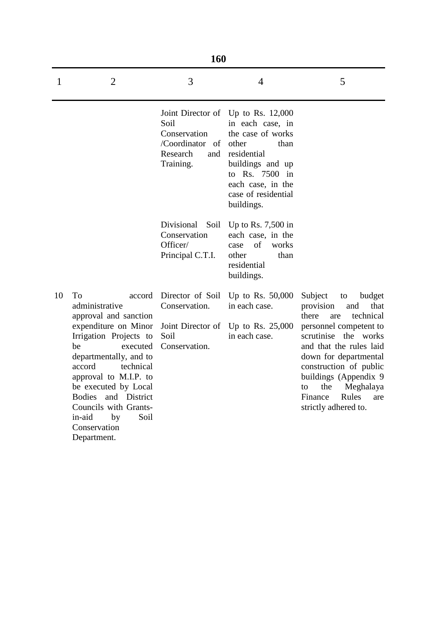|    | 160                                                                                                                                                                                                                                                                                                                                  |                                                                                 |                                                                                                                                                                                                             |                                                                                                                                                                                                                                                                                                                         |  |  |  |
|----|--------------------------------------------------------------------------------------------------------------------------------------------------------------------------------------------------------------------------------------------------------------------------------------------------------------------------------------|---------------------------------------------------------------------------------|-------------------------------------------------------------------------------------------------------------------------------------------------------------------------------------------------------------|-------------------------------------------------------------------------------------------------------------------------------------------------------------------------------------------------------------------------------------------------------------------------------------------------------------------------|--|--|--|
| 1  | $\overline{2}$                                                                                                                                                                                                                                                                                                                       | 3                                                                               | 4                                                                                                                                                                                                           | 5                                                                                                                                                                                                                                                                                                                       |  |  |  |
|    |                                                                                                                                                                                                                                                                                                                                      | Soil<br>Conservation<br>/Coordinator of<br>Research<br>and<br>Training.         | Joint Director of Up to Rs. 12,000<br>in each case, in<br>the case of works<br>other<br>than<br>residential<br>buildings and up<br>to Rs. 7500 in<br>each case, in the<br>case of residential<br>buildings. |                                                                                                                                                                                                                                                                                                                         |  |  |  |
|    |                                                                                                                                                                                                                                                                                                                                      | Divisional<br>Soil<br>Conservation<br>Officer/<br>Principal C.T.I.              | Up to Rs. $7,500$ in<br>each case, in the<br>of<br>works<br>case<br>other<br>than<br>residential<br>buildings.                                                                                              |                                                                                                                                                                                                                                                                                                                         |  |  |  |
| 10 | To<br>accord<br>administrative<br>approval and sanction<br>expenditure on Minor<br>Irrigation Projects to<br>be<br>executed<br>departmentally, and to<br>technical<br>accord<br>approval to M.I.P. to<br>be executed by Local<br>Bodies and District<br>Councils with Grants-<br>in-aid<br>Soil<br>by<br>Conservation<br>Department. | Director of Soil<br>Conservation.<br>Joint Director of<br>Soil<br>Conservation. | Up to Rs. $50,000$<br>in each case.<br>Up to Rs. $25,000$<br>in each case.                                                                                                                                  | Subject<br>budget<br>to<br>provision<br>that<br>and<br>technical<br>there<br>are<br>personnel competent to<br>scrutinise the works<br>and that the rules laid<br>down for departmental<br>construction of public<br>buildings (Appendix 9)<br>Meghalaya<br>the<br>to<br>Finance<br>Rules<br>are<br>strictly adhered to. |  |  |  |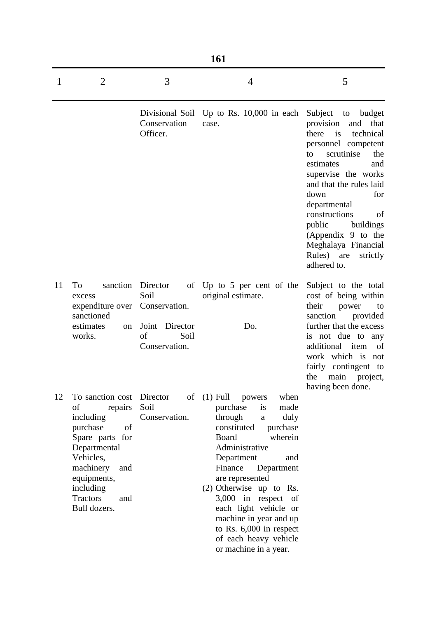|    | <b>161</b>                                                                                                                                                                                                          |                                                                                       |                                                                                                                                                                                                                                                                                                                                                                                                                |                                                                                                                                                                                                                                                                                                                                                                            |  |  |
|----|---------------------------------------------------------------------------------------------------------------------------------------------------------------------------------------------------------------------|---------------------------------------------------------------------------------------|----------------------------------------------------------------------------------------------------------------------------------------------------------------------------------------------------------------------------------------------------------------------------------------------------------------------------------------------------------------------------------------------------------------|----------------------------------------------------------------------------------------------------------------------------------------------------------------------------------------------------------------------------------------------------------------------------------------------------------------------------------------------------------------------------|--|--|
| 1  | $\overline{2}$                                                                                                                                                                                                      | 3                                                                                     | $\overline{4}$                                                                                                                                                                                                                                                                                                                                                                                                 | 5                                                                                                                                                                                                                                                                                                                                                                          |  |  |
|    |                                                                                                                                                                                                                     | Divisional Soil<br>Conservation<br>Officer.                                           | Up to Rs. $10,000$ in each<br>case.                                                                                                                                                                                                                                                                                                                                                                            | Subject<br>to<br>budget<br>provision<br>and<br>that<br>there<br>is<br>technical<br>personnel competent<br>scrutinise<br>the<br>to<br>estimates<br>and<br>supervise the works<br>and that the rules laid<br>down<br>for<br>departmental<br>constructions<br>of<br>public<br>buildings<br>(Appendix 9 to the<br>Meghalaya Financial<br>Rules) are<br>strictly<br>adhered to. |  |  |
| 11 | To<br>sanction<br>excess<br>expenditure over<br>sanctioned<br>estimates<br>on<br>works.                                                                                                                             | Director<br>Soil<br>Conservation.<br>Joint<br>Director<br>of<br>Soil<br>Conservation. | of Up to 5 per cent of the<br>original estimate.<br>Do.                                                                                                                                                                                                                                                                                                                                                        | Subject to the total<br>cost of being within<br>their<br>power<br>to<br>sanction<br>provided<br>further that the excess<br>is not due to<br>any<br>additional item<br>of<br>work which is not<br>fairly contingent to<br>the main project,<br>having been done.                                                                                                            |  |  |
| 12 | To sanction cost Director<br>of<br>repairs<br>including<br>of<br>purchase<br>Spare parts for<br>Departmental<br>Vehicles,<br>machinery<br>and<br>equipments,<br>including<br><b>Tractors</b><br>and<br>Bull dozers. | Soil<br>Conservation.                                                                 | of $(1)$ Full<br>when<br>powers<br>purchase<br>made<br>is<br>through<br>duly<br>a<br>constituted<br>purchase<br><b>Board</b><br>wherein<br>Administrative<br>Department<br>and<br>Finance<br>Department<br>are represented<br>$(2)$ Otherwise up to Rs.<br>3,000 in respect of<br>each light vehicle or<br>machine in year and up<br>to Rs. 6,000 in respect<br>of each heavy vehicle<br>or machine in a year. |                                                                                                                                                                                                                                                                                                                                                                            |  |  |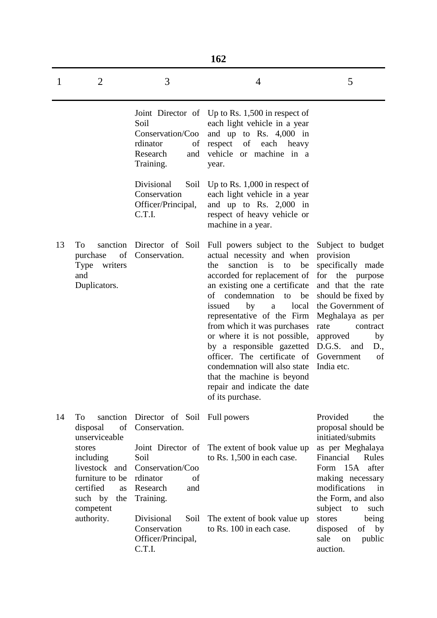|    | 162                                                                                                                                                            |                                                                                                                                      |                                                                                                                                                                                                                                                                                                                                                                                                                                                                                                               |                                                                                                                                                                                                                                                 |  |  |
|----|----------------------------------------------------------------------------------------------------------------------------------------------------------------|--------------------------------------------------------------------------------------------------------------------------------------|---------------------------------------------------------------------------------------------------------------------------------------------------------------------------------------------------------------------------------------------------------------------------------------------------------------------------------------------------------------------------------------------------------------------------------------------------------------------------------------------------------------|-------------------------------------------------------------------------------------------------------------------------------------------------------------------------------------------------------------------------------------------------|--|--|
| 1  | $\overline{2}$                                                                                                                                                 | 3                                                                                                                                    | $\overline{4}$                                                                                                                                                                                                                                                                                                                                                                                                                                                                                                | 5                                                                                                                                                                                                                                               |  |  |
|    |                                                                                                                                                                | Soil<br>Conservation/Coo<br>rdinator<br>of<br>Research<br>and<br>Training.                                                           | Joint Director of Up to Rs. 1,500 in respect of<br>each light vehicle in a year<br>and up to Rs. $4,000$ in<br>respect<br>of<br>each<br>heavy<br>vehicle or machine in a<br>year.                                                                                                                                                                                                                                                                                                                             |                                                                                                                                                                                                                                                 |  |  |
|    |                                                                                                                                                                | Divisional<br>Soil<br>Conservation<br>Officer/Principal,<br>C.T.I.                                                                   | Up to Rs. $1,000$ in respect of<br>each light vehicle in a year<br>and up to Rs. $2,000$ in<br>respect of heavy vehicle or<br>machine in a year.                                                                                                                                                                                                                                                                                                                                                              |                                                                                                                                                                                                                                                 |  |  |
| 13 | sanction<br>To<br>of<br>purchase<br>Type writers<br>and<br>Duplicators.                                                                                        | Director of Soil<br>Conservation.                                                                                                    | Full powers subject to the<br>actual necessity and when<br>sanction is to<br>be<br>the<br>accorded for replacement of<br>an existing one a certificate<br>of condemnation to<br>be<br>issued<br>local<br>by<br>$\rm{a}$<br>representative of the Firm<br>from which it was purchases<br>or where it is not possible,<br>by a responsible gazetted<br>officer. The certificate of Government<br>condemnation will also state<br>that the machine is beyond<br>repair and indicate the date<br>of its purchase. | Subject to budget<br>provision<br>specifically made<br>the purpose<br>for<br>and that the rate<br>should be fixed by<br>the Government of<br>Meghalaya as per<br>rate<br>contract<br>approved<br>by<br>D.G.S.<br>D.,<br>and<br>of<br>India etc. |  |  |
| 14 | To<br>sanction<br>of<br>disposal<br>unserviceable<br>stores<br>including<br>livestock and<br>furniture to be<br>certified<br>as<br>such by<br>the<br>competent | Director of Soil<br>Conservation.<br>Joint Director of<br>Soil<br>Conservation/Coo<br>rdinator<br>of<br>Research<br>and<br>Training. | Full powers<br>The extent of book value up<br>to Rs. 1,500 in each case.                                                                                                                                                                                                                                                                                                                                                                                                                                      | Provided<br>the<br>proposal should be<br>initiated/submits<br>as per Meghalaya<br>Financial<br>Rules<br>Form 15A after<br>making necessary<br>modifications<br>in<br>the Form, and also<br>subject<br>to<br>such                                |  |  |
|    | authority.                                                                                                                                                     | Divisional<br>Soil<br>Conservation<br>Officer/Principal,<br>C.T.I.                                                                   | The extent of book value up<br>to Rs. 100 in each case.                                                                                                                                                                                                                                                                                                                                                                                                                                                       | stores<br>being<br>of by<br>disposed<br>sale<br>public<br>on<br>auction.                                                                                                                                                                        |  |  |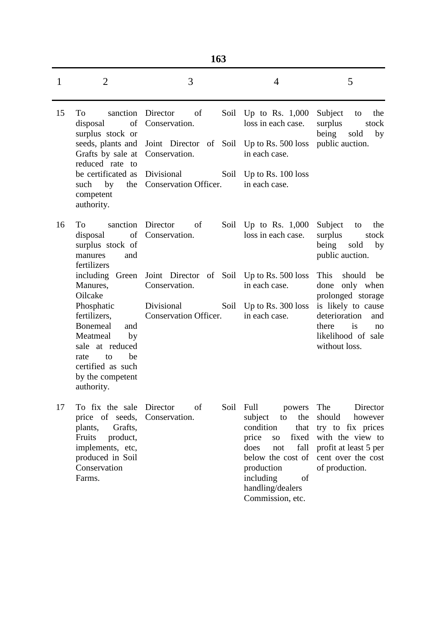| ۹ | ٦<br>×<br>۰.<br>v |
|---|-------------------|
|   |                   |

| 1  | $\overline{2}$                                                                                                                                                                                                 | 3                                                                                                        |      | 4                                                                                                                                                                                                               | 5                                                                                                                                                                            |
|----|----------------------------------------------------------------------------------------------------------------------------------------------------------------------------------------------------------------|----------------------------------------------------------------------------------------------------------|------|-----------------------------------------------------------------------------------------------------------------------------------------------------------------------------------------------------------------|------------------------------------------------------------------------------------------------------------------------------------------------------------------------------|
| 15 | To<br>sanction<br>of<br>disposal<br>surplus stock or<br>seeds, plants and<br>Grafts by sale at Conservation.<br>reduced rate to                                                                                | Director<br>of<br>Conservation.<br>Joint Director of Soil Up to Rs. 500 loss                             | Soil | Up to Rs. $1,000$<br>loss in each case.<br>in each case.                                                                                                                                                        | Subject<br>to<br>the<br>surplus<br>stock<br>being<br>sold<br>by<br>public auction.                                                                                           |
|    | be certificated as<br>such by<br>competent<br>authority.                                                                                                                                                       | Divisional<br>the Conservation Officer.                                                                  | Soil | Up to Rs. $100$ loss<br>in each case.                                                                                                                                                                           |                                                                                                                                                                              |
| 16 | To<br>sanction<br>of<br>disposal<br>surplus stock of<br>and<br>manures<br>fertilizers                                                                                                                          | Director<br>of<br>Conservation.                                                                          |      | Soil Up to Rs. $1,000$<br>loss in each case.                                                                                                                                                                    | Subject<br>the<br>to<br>surplus<br>stock<br>being sold<br>by<br>public auction.                                                                                              |
|    | including Green<br>Manures,<br>Oilcake<br>Phosphatic<br>fertilizers,<br><b>Bonemeal</b><br>and<br>Meatmeal<br>by<br>sale at reduced<br>be<br>rate<br>to<br>certified as such<br>by the competent<br>authority. | Joint Director of Soil Up to Rs. 500 loss<br>Conservation.<br>Divisional<br><b>Conservation Officer.</b> | Soil | in each case.<br>Up to Rs. $300$ loss<br>in each case.                                                                                                                                                          | should<br><b>This</b><br>be<br>done only when<br>prolonged storage<br>is likely to cause<br>deterioration<br>and<br>is<br>there<br>no<br>likelihood of sale<br>without loss. |
| 17 | To fix the sale<br>price of seeds,<br>plants,<br>Grafts,<br>Fruits<br>product,<br>implements, etc,<br>produced in Soil<br>Conservation<br>Farms.                                                               | Director<br>of<br>Conservation.                                                                          | Soil | Full<br>powers<br>subject<br>the<br>to<br>condition<br>that<br>price<br>fixed<br><b>SO</b><br>fall<br>does<br>not<br>below the cost of<br>production<br>including<br>of<br>handling/dealers<br>Commission, etc. | The<br>Director<br>should<br>however<br>try to fix prices<br>with the view to<br>profit at least 5 per<br>cent over the cost<br>of production.                               |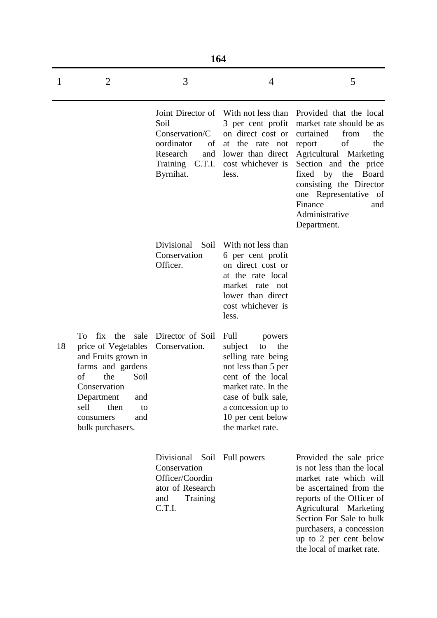|    | 164                                                                                                                                                                                                              |                                                                                                                       |                                                                                                                                                                                                                      |                                                                                                                                                                                                                                                                                                    |  |  |
|----|------------------------------------------------------------------------------------------------------------------------------------------------------------------------------------------------------------------|-----------------------------------------------------------------------------------------------------------------------|----------------------------------------------------------------------------------------------------------------------------------------------------------------------------------------------------------------------|----------------------------------------------------------------------------------------------------------------------------------------------------------------------------------------------------------------------------------------------------------------------------------------------------|--|--|
| 1  | $\overline{2}$                                                                                                                                                                                                   | 3                                                                                                                     | 4                                                                                                                                                                                                                    | 5                                                                                                                                                                                                                                                                                                  |  |  |
|    |                                                                                                                                                                                                                  | Joint Director of<br>Soil<br>Conservation/C<br>oordinator<br>of<br>Research<br>and<br>C.T.I.<br>Training<br>Byrnihat. | With not less than<br>3 per cent profit<br>on direct cost or<br>at the rate not<br>lower than direct<br>cost whichever is<br>less.                                                                                   | Provided that the local<br>market rate should be as<br>curtained<br>from<br>the<br>of<br>the<br>report<br>Agricultural Marketing<br>Section and the price<br>fixed<br>the<br>Board<br>by<br>consisting the Director<br>one Representative<br>of<br>Finance<br>and<br>Administrative<br>Department. |  |  |
|    |                                                                                                                                                                                                                  | Divisional<br>Soil<br>Conservation<br>Officer.                                                                        | With not less than<br>6 per cent profit<br>on direct cost or<br>at the rate local<br>market rate not<br>lower than direct<br>cost whichever is<br>less.                                                              |                                                                                                                                                                                                                                                                                                    |  |  |
| 18 | fix the<br>sale<br>To<br>price of Vegetables<br>and Fruits grown in<br>farms and gardens<br>of<br>the<br>Soil<br>Conservation<br>Department<br>and<br>then<br>sell<br>to<br>and<br>consumers<br>bulk purchasers. | Director of Soil<br>Conservation.                                                                                     | Full<br>powers<br>subject<br>the<br>to<br>selling rate being<br>not less than 5 per<br>cent of the local<br>market rate. In the<br>case of bulk sale,<br>a concession up to<br>10 per cent below<br>the market rate. |                                                                                                                                                                                                                                                                                                    |  |  |
|    |                                                                                                                                                                                                                  | Divisional Soil Full powers<br>Conservation<br>Officer/Coordin<br>ator of Research<br>Training<br>and<br>C.T.I.       |                                                                                                                                                                                                                      | Provided the sale price<br>is not less than the local<br>market rate which will<br>be ascertained from the<br>reports of the Officer of<br>Agricultural Marketing<br>Section For Sale to bulk<br>purchasers, a concession<br>up to 2 per cent below<br>the local of market rate.                   |  |  |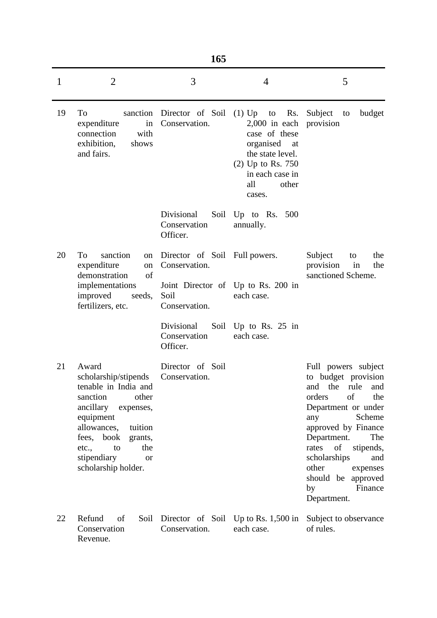|              | 165                                                                                                                                                                                                                                           |                                                                                                       |                                                                                                                                                    |                                                                                                                                                                                                                                                                                                                   |  |  |
|--------------|-----------------------------------------------------------------------------------------------------------------------------------------------------------------------------------------------------------------------------------------------|-------------------------------------------------------------------------------------------------------|----------------------------------------------------------------------------------------------------------------------------------------------------|-------------------------------------------------------------------------------------------------------------------------------------------------------------------------------------------------------------------------------------------------------------------------------------------------------------------|--|--|
| $\mathbf{1}$ | $\overline{2}$                                                                                                                                                                                                                                | 3                                                                                                     | 4                                                                                                                                                  | 5                                                                                                                                                                                                                                                                                                                 |  |  |
| 19           | To<br>expenditure<br>in<br>connection<br>with<br>exhibition,<br>shows<br>and fairs.                                                                                                                                                           | sanction Director of Soil $(1)$ Up to<br>Conservation.                                                | Rs.<br>$2,000$ in each<br>case of these<br>organised<br>at<br>the state level.<br>$(2)$ Up to Rs. 750<br>in each case in<br>all<br>other<br>cases. | Subject<br>budget<br>to<br>provision                                                                                                                                                                                                                                                                              |  |  |
|              |                                                                                                                                                                                                                                               | Divisional<br>Conservation<br>Officer.                                                                | Soil Up to Rs. 500<br>annually.                                                                                                                    |                                                                                                                                                                                                                                                                                                                   |  |  |
| 20           | sanction<br>To<br>on<br>expenditure<br>on<br>demonstration<br>of<br>implementations<br>improved<br>seeds,<br>fertilizers, etc.                                                                                                                | Director of Soil Full powers.<br>Conservation.<br>Soil<br>Conservation.<br>Divisional<br>Conservation | Joint Director of Up to Rs. 200 in<br>each case.<br>Soil Up to Rs. 25 in<br>each case.                                                             | Subject<br>the<br>to<br>provision<br>in<br>the<br>sanctioned Scheme.                                                                                                                                                                                                                                              |  |  |
| 21           | Award<br>scholarship/stipends<br>tenable in India and<br>sanction<br>other<br>ancillary<br>expenses,<br>equipment<br>allowances,<br>tuition<br>fees, book<br>grants,<br>to<br>the<br>etc.,<br>stipendiary<br><b>or</b><br>scholarship holder. | Officer.<br>Director of Soil<br>Conservation.                                                         |                                                                                                                                                    | Full powers subject<br>to budget provision<br>rule<br>the<br>and<br>and<br>of<br>orders<br>the<br>Department or under<br>Scheme<br>any<br>approved by Finance<br>Department.<br>The<br>of<br>rates<br>stipends,<br>scholarships<br>and<br>other<br>expenses<br>should be approved<br>Finance<br>by<br>Department. |  |  |
| 22           | Refund<br>of<br>Soil<br>Conservation<br>Revenue.                                                                                                                                                                                              | Conservation.                                                                                         | Director of Soil Up to Rs. $1,500$ in<br>each case.                                                                                                | Subject to observance<br>of rules.                                                                                                                                                                                                                                                                                |  |  |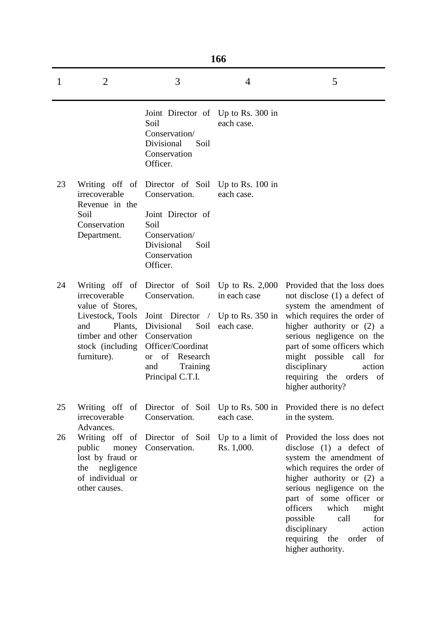|    | 166                                                                                                                                               |                                                                                                                                                                                                        |                                                  |                                                                                                                                                                                                                                                                                                                                                   |
|----|---------------------------------------------------------------------------------------------------------------------------------------------------|--------------------------------------------------------------------------------------------------------------------------------------------------------------------------------------------------------|--------------------------------------------------|---------------------------------------------------------------------------------------------------------------------------------------------------------------------------------------------------------------------------------------------------------------------------------------------------------------------------------------------------|
| 1  | $\overline{2}$                                                                                                                                    | 3                                                                                                                                                                                                      | $\overline{4}$                                   | 5                                                                                                                                                                                                                                                                                                                                                 |
|    |                                                                                                                                                   | Joint Director of Up to Rs. 300 in<br>Soil<br>Conservation/<br>Divisional<br>Soil<br>Conservation<br>Officer.                                                                                          | each case.                                       |                                                                                                                                                                                                                                                                                                                                                   |
| 23 | Writing off of<br>irrecoverable<br>Revenue in the<br>Soil<br>Conservation<br>Department.                                                          | Director of Soil Up to Rs. 100 in<br>Conservation.<br>Joint Director of<br>Soil<br>Conservation/<br>Divisional<br>Soil<br>Conservation<br>Officer.                                                     | each case.                                       |                                                                                                                                                                                                                                                                                                                                                   |
| 24 | Writing off of<br>irrecoverable<br>value of Stores,<br>Livestock, Tools<br>Plants,<br>and<br>timber and other<br>stock (including)<br>furniture). | Director of Soil Up to Rs. 2,000<br>Conservation.<br>Joint Director /<br>Soil<br>Divisional<br>Conservation<br>Officer/Coordinat<br>of<br>Research<br><b>or</b><br>Training<br>and<br>Principal C.T.I. | in each case<br>Up to Rs. $350$ in<br>each case. | Provided that the loss does<br>not disclose (1) a defect of<br>system the amendment of<br>which requires the order of<br>higher authority or (2) a<br>serious negligence on the<br>part of some officers which<br>might possible call<br>for<br>disciplinary<br>action<br>requiring the orders of<br>higher authority?                            |
| 25 | irrecoverable<br>Advances.                                                                                                                        | Writing off of Director of Soil<br>Conservation.                                                                                                                                                       | Up to Rs. $500$ in<br>each case.                 | Provided there is no defect<br>in the system.                                                                                                                                                                                                                                                                                                     |
| 26 | public<br>lost by fraud or<br>negligence<br>the<br>of individual or<br>other causes.                                                              | Writing off of Director of Soil<br>money Conservation.                                                                                                                                                 | Up to a limit of<br>Rs. 1,000.                   | Provided the loss does not<br>disclose $(1)$ a defect of<br>system the amendment of<br>which requires the order of<br>higher authority or (2) a<br>serious negligence on the<br>part of some officer or<br>officers<br>which<br>might<br>possible<br>call<br>for<br>disciplinary<br>action<br>requiring the<br>order<br>- of<br>higher authority. |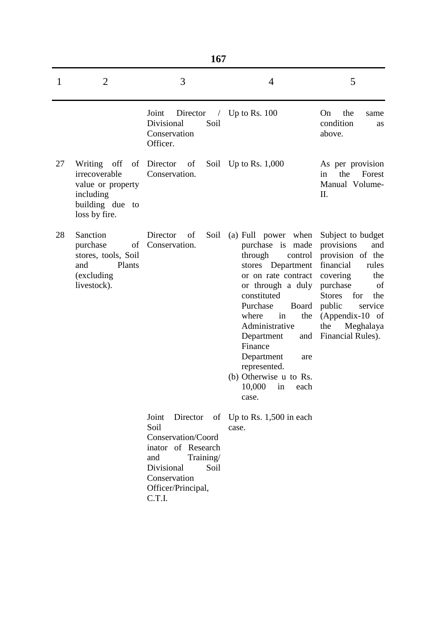| 1  | $\overline{2}$                                                                                     | 3                                                                                                                                                               | 4                                                                                                                                                                                                                                                                                                                                                 | 5                                                                                                                                                                                                                                       |
|----|----------------------------------------------------------------------------------------------------|-----------------------------------------------------------------------------------------------------------------------------------------------------------------|---------------------------------------------------------------------------------------------------------------------------------------------------------------------------------------------------------------------------------------------------------------------------------------------------------------------------------------------------|-----------------------------------------------------------------------------------------------------------------------------------------------------------------------------------------------------------------------------------------|
|    |                                                                                                    | Joint<br>Director<br>Divisional<br>Soil<br>Conservation<br>Officer.                                                                                             | $\prime$ Up to Rs. 100                                                                                                                                                                                                                                                                                                                            | On<br>the<br>same<br>condition<br>as<br>above.                                                                                                                                                                                          |
| 27 | Writing off<br>irrecoverable<br>value or property<br>including<br>building due to<br>loss by fire. | of Director<br>of<br>Conservation.                                                                                                                              | Soil Up to Rs. $1,000$                                                                                                                                                                                                                                                                                                                            | As per provision<br>the<br>Forest<br>in<br>Manual Volume-<br>II.                                                                                                                                                                        |
| 28 | Sanction<br>purchase<br>of<br>stores, tools, Soil<br>Plants<br>and<br>(excluding<br>livestock).    | Director<br>Soil<br>of<br>Conservation.                                                                                                                         | (a) Full power when<br>purchase is made<br>through<br>control<br>stores Department<br>or on rate contract<br>or through a duly<br>constituted<br>Purchase<br><b>Board</b><br>in<br>the<br>where<br>Administrative<br>Department<br>and<br>Finance<br>Department<br>are<br>represented.<br>(b) Otherwise u to Rs.<br>10,000<br>in<br>each<br>case. | Subject to budget<br>provisions<br>and<br>provision of the<br>financial<br>rules<br>covering<br>the<br>purchase<br>of<br>for<br><b>Stores</b><br>the<br>public<br>service<br>$(Appendix-10$ of<br>the<br>Meghalaya<br>Financial Rules). |
|    |                                                                                                    | Joint<br>Director<br>Soil<br>Conservation/Coord<br>inator of Research<br>Training/<br>and<br>Divisional<br>Soil<br>Conservation<br>Officer/Principal,<br>C.T.I. | of Up to Rs. $1,500$ in each<br>case.                                                                                                                                                                                                                                                                                                             |                                                                                                                                                                                                                                         |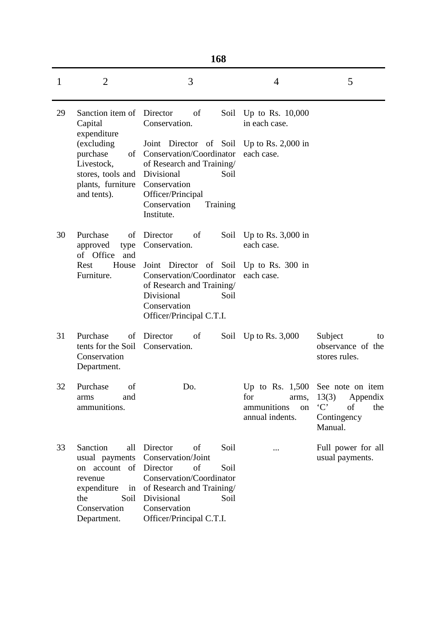| ۹<br>۰.<br>۰.<br>×<br>× |
|-------------------------|
|-------------------------|

|    |                                                                                                      | 168                                                                                                                                                                                                        |                                                      |                                                                                                             |
|----|------------------------------------------------------------------------------------------------------|------------------------------------------------------------------------------------------------------------------------------------------------------------------------------------------------------------|------------------------------------------------------|-------------------------------------------------------------------------------------------------------------|
| 1  | $\overline{2}$                                                                                       | 3                                                                                                                                                                                                          | $\overline{4}$                                       | 5                                                                                                           |
| 29 | Sanction item of<br>Capital<br>expenditure                                                           | Director<br>of<br>Conservation.                                                                                                                                                                            | Soil Up to Rs. $10,000$<br>in each case.             |                                                                                                             |
|    | (excluding<br>purchase<br>Livestock,<br>stores, tools and<br>plants, furniture<br>and tents).        | Joint Director of Soil Up to Rs. 2,000 in<br>of Conservation/Coordinator<br>of Research and Training/<br>Divisional<br>Soil<br>Conservation<br>Officer/Principal<br>Conservation<br>Training<br>Institute. | each case.                                           |                                                                                                             |
| 30 | Purchase<br>of<br>approved<br>type<br>of Office<br>and                                               | Director<br>of<br>Conservation.                                                                                                                                                                            | Soil Up to Rs. 3,000 in<br>each case.                |                                                                                                             |
|    | House<br>Rest<br>Furniture.                                                                          | Joint Director of Soil Up to Rs. 300 in<br>Conservation/Coordinator<br>of Research and Training/<br>Divisional<br>Soil<br>Conservation<br>Officer/Principal C.T.I.                                         | each case.                                           |                                                                                                             |
| 31 | Purchase<br>of<br>tents for the Soil<br>Conservation<br>Department.                                  | Director<br>of<br>Conservation.                                                                                                                                                                            | Soil Up to Rs. $3,000$                               | Subject<br>to<br>observance of the<br>stores rules.                                                         |
| 32 | Purchase of<br>and<br>arms<br>ammunitions.                                                           | Do.                                                                                                                                                                                                        | for<br>arms,<br>ammunitions<br>on<br>annual indents. | Up to Rs. $1,500$ See note on item<br>13(3)<br>Appendix<br>$\cdot C$<br>of<br>the<br>Contingency<br>Manual. |
| 33 | Sanction<br>all<br>usual payments<br>of<br>on account<br>revenue<br>expenditure<br>in<br>the<br>Soil | Director<br>of<br>Soil<br>Conservation/Joint<br>of<br>Director<br>Soil<br>Conservation/Coordinator<br>of Research and Training/<br>Divisional<br>Soil                                                      |                                                      | Full power for all<br>usual payments.                                                                       |
|    | Conservation<br>Department.                                                                          | Conservation<br>Officer/Principal C.T.I.                                                                                                                                                                   |                                                      |                                                                                                             |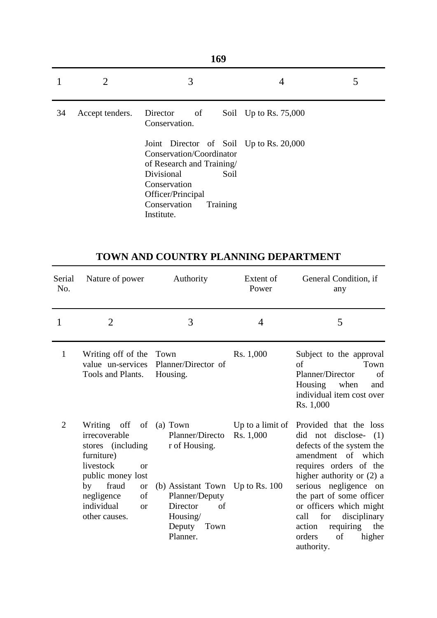|    |                 | 3                                                                                                                                                                                                     | 4                     |  |
|----|-----------------|-------------------------------------------------------------------------------------------------------------------------------------------------------------------------------------------------------|-----------------------|--|
| 34 | Accept tenders. | Director<br>$\sigma$<br>Conservation.                                                                                                                                                                 | Soil Up to Rs. 75,000 |  |
|    |                 | Joint Director of Soil Up to Rs. 20,000<br>Conservation/Coordinator<br>of Research and Training/<br>Divisional<br>Soil<br>Conservation<br>Officer/Principal<br>Conservation<br>Training<br>Institute. |                       |  |

## **TOWN AND COUNTRY PLANNING DEPARTMENT**

| Serial<br>No.  | Nature of power                                                                                                                                                                                              | Authority                                                                                                                                          | Extent of<br>Power            | General Condition, if<br>any                                                                                                                                                                                                                                                                                                                  |
|----------------|--------------------------------------------------------------------------------------------------------------------------------------------------------------------------------------------------------------|----------------------------------------------------------------------------------------------------------------------------------------------------|-------------------------------|-----------------------------------------------------------------------------------------------------------------------------------------------------------------------------------------------------------------------------------------------------------------------------------------------------------------------------------------------|
| 1              | 2                                                                                                                                                                                                            | 3                                                                                                                                                  | 4                             | 5                                                                                                                                                                                                                                                                                                                                             |
| $\mathbf{1}$   | Writing off of the Town<br>value un-services<br>Tools and Plants.                                                                                                                                            | Planner/Director of<br>Housing.                                                                                                                    | Rs. 1,000                     | Subject to the approval<br>of<br>Town<br>of<br>Planner/Director<br>Housing when<br>and<br>individual item cost over<br>Rs. 1,000                                                                                                                                                                                                              |
| $\overline{2}$ | Writing off of (a) Town<br>irrecoverable<br>stores (including<br>furniture)<br>livestock<br>or<br>public money lost<br>by fraud<br><b>or</b><br>negligence<br>of<br>individual<br><b>or</b><br>other causes. | Planner/Directo<br>r of Housing.<br>(b) Assistant Town Up to Rs. 100<br>Planner/Deputy<br>Director<br>of<br>Housing/<br>Deputy<br>Town<br>Planner. | Up to a limit of<br>Rs. 1,000 | Provided that the loss<br>did not disclose- (1)<br>defects of the system the<br>amendment of which<br>requires orders of the<br>higher authority or $(2)$ a<br>serious negligence on<br>the part of some officer<br>or officers which might<br>call<br>for<br>disciplinary<br>requiring the<br>action<br>higher<br>of<br>orders<br>authority. |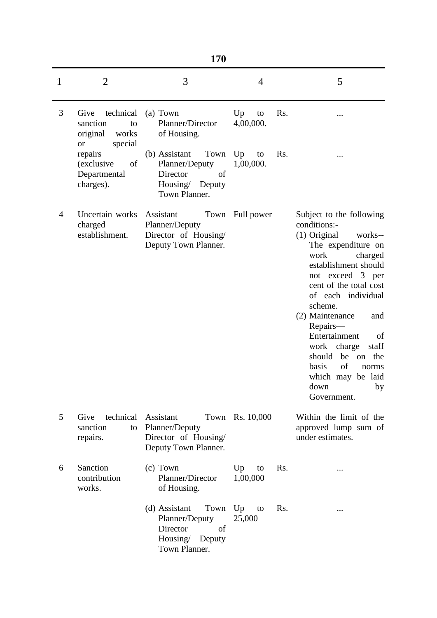| ۹ |         |
|---|---------|
|   | ۰.<br>× |

| 1 | $\overline{2}$                                                                   | 3                                                                                                | 4                            | 5                                                                                                                                                                                                                                                                                                                                                                                                               |
|---|----------------------------------------------------------------------------------|--------------------------------------------------------------------------------------------------|------------------------------|-----------------------------------------------------------------------------------------------------------------------------------------------------------------------------------------------------------------------------------------------------------------------------------------------------------------------------------------------------------------------------------------------------------------|
| 3 | technical<br>Give<br>sanction<br>to<br>works<br>original<br>special<br><b>or</b> | (a) Town<br>Planner/Director<br>of Housing.                                                      | Up<br>Rs.<br>to<br>4,00,000. |                                                                                                                                                                                                                                                                                                                                                                                                                 |
|   | repairs<br>of<br>(exclusive<br>Departmental<br>charges).                         | Town<br>(b) Assistant<br>Planner/Deputy<br>Director<br>of<br>Housing/<br>Deputy<br>Town Planner. | Up<br>Rs.<br>to<br>1,00,000. |                                                                                                                                                                                                                                                                                                                                                                                                                 |
| 4 | Uncertain works<br>charged<br>establishment.                                     | Assistant<br>Planner/Deputy<br>Director of Housing/<br>Deputy Town Planner.                      | Town Full power              | Subject to the following<br>conditions:-<br>(1) Original<br>works--<br>The expenditure on<br>work<br>charged<br>establishment should<br>not exceed 3 per<br>cent of the total cost<br>of each individual<br>scheme.<br>(2) Maintenance<br>and<br>Repairs-<br>Entertainment<br>of<br>staff<br>work charge<br>should<br>be<br>the<br>on<br>of<br>basis<br>norms<br>which may be laid<br>down<br>by<br>Government. |
| 5 | technical<br>Give<br>sanction<br>to<br>repairs.                                  | Assistant<br>Planner/Deputy<br>Director of Housing/<br>Deputy Town Planner.                      | Town Rs. 10,000              | Within the limit of the<br>approved lump sum of<br>under estimates.                                                                                                                                                                                                                                                                                                                                             |
| 6 | Sanction<br>contribution<br>works.                                               | (c) Town<br>Planner/Director<br>of Housing.                                                      | Rs.<br>Up<br>to<br>1,00,000  | $\cdots$                                                                                                                                                                                                                                                                                                                                                                                                        |
|   |                                                                                  | (d) Assistant<br>Town<br>Planner/Deputy<br>Director<br>of<br>Housing/ Deputy<br>Town Planner.    | Up<br>Rs.<br>to<br>25,000    | $\cdots$                                                                                                                                                                                                                                                                                                                                                                                                        |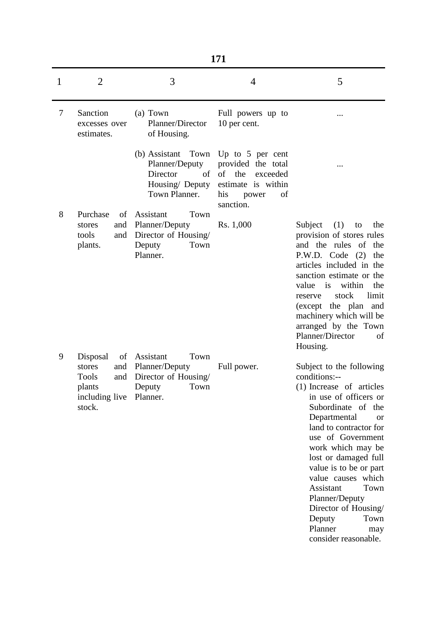|              |                                                                                        | 171                                                                                                         |                                                                                                      |                                                                                                                                                                                                                                                                                                                                                                                                                          |  |  |
|--------------|----------------------------------------------------------------------------------------|-------------------------------------------------------------------------------------------------------------|------------------------------------------------------------------------------------------------------|--------------------------------------------------------------------------------------------------------------------------------------------------------------------------------------------------------------------------------------------------------------------------------------------------------------------------------------------------------------------------------------------------------------------------|--|--|
| $\mathbf{1}$ | $\overline{2}$                                                                         | 3                                                                                                           | $\overline{4}$                                                                                       | 5                                                                                                                                                                                                                                                                                                                                                                                                                        |  |  |
| 7            | Sanction<br>excesses over<br>estimates.                                                | (a) Town<br>Planner/Director<br>of Housing.                                                                 | Full powers up to<br>10 per cent.                                                                    |                                                                                                                                                                                                                                                                                                                                                                                                                          |  |  |
|              |                                                                                        | (b) Assistant Town Up to 5 per cent<br>Planner/Deputy<br>Director<br>of<br>Housing/ Deputy<br>Town Planner. | provided the total<br>of<br>the<br>exceeded<br>estimate is within<br>his<br>of<br>power<br>sanction. |                                                                                                                                                                                                                                                                                                                                                                                                                          |  |  |
|              | Purchase<br>of<br>and<br>stores<br>tools<br>and<br>plants.                             | Assistant<br>Town<br>Planner/Deputy<br>Director of Housing/<br>Deputy<br>Town<br>Planner.                   | Rs. 1,000                                                                                            | (1)<br>Subject<br>to<br>the<br>provision of stores rules<br>and the rules of the<br>P.W.D. Code (2)<br>the<br>articles included in the<br>sanction estimate or the<br>is<br>within<br>value<br>the<br>stock<br>limit<br>reserve<br>(except the plan<br>and<br>machinery which will be<br>arranged by the Town<br>Planner/Director<br>of<br>Housing.                                                                      |  |  |
|              | Disposal<br>stores<br>and<br><b>Tools</b><br>and<br>plants<br>including live<br>stock. | of Assistant<br>Town<br>Planner/Deputy<br>Director of Housing/<br>Town<br>Deputy<br>Planner.                | Full power.                                                                                          | Subject to the following<br>conditions:--<br>(1) Increase of articles<br>in use of officers or<br>Subordinate of the<br>Departmental<br><b>or</b><br>land to contractor for<br>use of Government<br>work which may be<br>lost or damaged full<br>value is to be or part<br>value causes which<br>Assistant<br>Town<br>Planner/Deputy<br>Director of Housing/<br>Deputy<br>Town<br>Planner<br>may<br>consider reasonable. |  |  |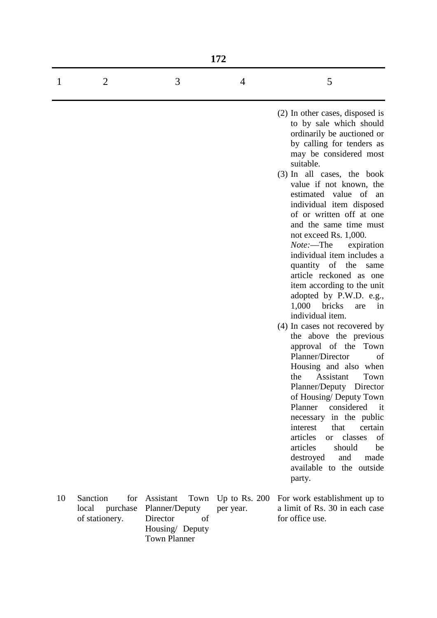|    |                                                     |                                                                                         | 172                             |                                                                                                                                                                                                                                                                                                                                                                                                                                                                                                                                                                                                                                                                                                                                                                                                                                                                                                                                                                                                                                               |
|----|-----------------------------------------------------|-----------------------------------------------------------------------------------------|---------------------------------|-----------------------------------------------------------------------------------------------------------------------------------------------------------------------------------------------------------------------------------------------------------------------------------------------------------------------------------------------------------------------------------------------------------------------------------------------------------------------------------------------------------------------------------------------------------------------------------------------------------------------------------------------------------------------------------------------------------------------------------------------------------------------------------------------------------------------------------------------------------------------------------------------------------------------------------------------------------------------------------------------------------------------------------------------|
| 1  | $\overline{2}$                                      | 3                                                                                       | 4                               | 5                                                                                                                                                                                                                                                                                                                                                                                                                                                                                                                                                                                                                                                                                                                                                                                                                                                                                                                                                                                                                                             |
|    |                                                     |                                                                                         |                                 | (2) In other cases, disposed is<br>to by sale which should<br>ordinarily be auctioned or<br>by calling for tenders as<br>may be considered most<br>suitable.<br>(3) In all cases, the book<br>value if not known, the<br>estimated value of an<br>individual item disposed<br>of or written off at one<br>and the same time must<br>not exceed Rs. 1,000.<br><i>Note</i> :—The<br>expiration<br>individual item includes a<br>quantity of the<br>same<br>article reckoned as one<br>item according to the unit<br>adopted by P.W.D. e.g.,<br>1,000<br>bricks<br>are<br>in<br>individual item.<br>(4) In cases not recovered by<br>the above the previous<br>approval of the Town<br>Planner/Director<br>of<br>Housing and also when<br>Town<br>the Assistant<br>Planner/Deputy Director<br>of Housing/ Deputy Town<br>Planner<br>considered<br>$-$ it<br>necessary in the public<br>interest<br>certain<br>that<br>articles<br>or classes<br>of<br>articles<br>should<br>be<br>destroyed<br>and<br>made<br>available to the outside<br>party. |
| 10 | Sanction<br>for<br>local purchase<br>of stationery. | Assistant<br>Planner/Deputy<br>of<br>Director<br>Housing/ Deputy<br><b>Town Planner</b> | Town Up to Rs. 200<br>per year. | For work establishment up to<br>a limit of Rs. 30 in each case<br>for office use.                                                                                                                                                                                                                                                                                                                                                                                                                                                                                                                                                                                                                                                                                                                                                                                                                                                                                                                                                             |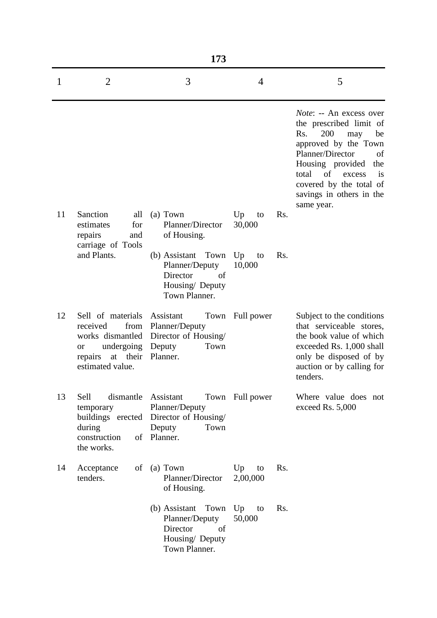|    |                                                                                                                                     | 173                                                                                           |                             |                                                                                                                                                                                                                                                                               |
|----|-------------------------------------------------------------------------------------------------------------------------------------|-----------------------------------------------------------------------------------------------|-----------------------------|-------------------------------------------------------------------------------------------------------------------------------------------------------------------------------------------------------------------------------------------------------------------------------|
| 1  | $\overline{2}$                                                                                                                      | 3                                                                                             | 4                           | 5                                                                                                                                                                                                                                                                             |
|    |                                                                                                                                     |                                                                                               |                             | <i>Note</i> : -- An excess over<br>the prescribed limit of<br>200<br>Rs.<br>may<br>be<br>approved by the Town<br>Planner/Director<br>of<br>Housing provided<br>the<br>total<br>of<br>excess<br><i>is</i><br>covered by the total of<br>savings in others in the<br>same year. |
| 11 | Sanction<br>all<br>for<br>estimates<br>repairs<br>and<br>carriage of Tools                                                          | (a) Town<br>Planner/Director<br>of Housing.                                                   | Rs.<br>Up<br>to<br>30,000   |                                                                                                                                                                                                                                                                               |
|    | and Plants.                                                                                                                         | (b) Assistant Town<br>Planner/Deputy<br>Director<br>of<br>Housing/ Deputy<br>Town Planner.    | Up<br>Rs.<br>to<br>10,000   |                                                                                                                                                                                                                                                                               |
| 12 | Sell of materials<br>received<br>from<br>works dismantled<br>undergoing<br><sub>or</sub><br>at their<br>repairs<br>estimated value. | Assistant<br>Planner/Deputy<br>Director of Housing/<br>Town<br>Deputy<br>Planner.             | Town Full power             | Subject to the conditions<br>that serviceable stores,<br>the book value of which<br>exceeded Rs. 1,000 shall<br>only be disposed of by<br>auction or by calling for<br>tenders.                                                                                               |
| 13 | dismantle Assistant<br>Sell<br>temporary<br>during<br>construction<br>the works.                                                    | Planner/Deputy<br>buildings erected Director of Housing/<br>Deputy<br>Town<br>of Planner.     | Town Full power             | Where value does not<br>exceed Rs. 5,000                                                                                                                                                                                                                                      |
| 14 | Acceptance<br>of<br>tenders.                                                                                                        | (a) Town<br>Planner/Director<br>of Housing.                                                   | Rs.<br>Up<br>to<br>2,00,000 |                                                                                                                                                                                                                                                                               |
|    |                                                                                                                                     | (b) Assistant Town Up<br>Planner/Deputy<br>Director<br>of<br>Housing/ Deputy<br>Town Planner. | Rs.<br>to<br>50,000         |                                                                                                                                                                                                                                                                               |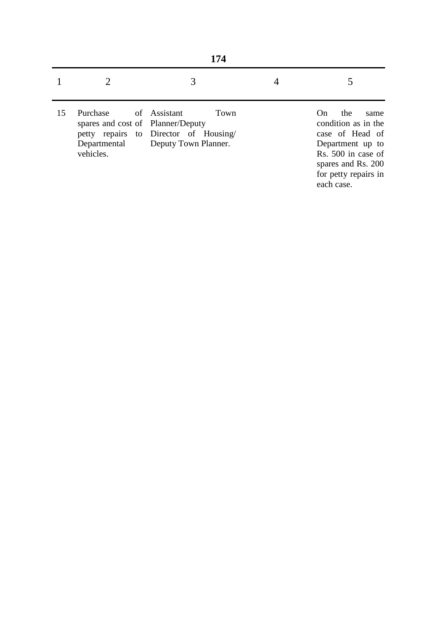|    | 174                                                                        |                                                                                       |  |                                                                                                                                                                   |
|----|----------------------------------------------------------------------------|---------------------------------------------------------------------------------------|--|-------------------------------------------------------------------------------------------------------------------------------------------------------------------|
|    |                                                                            |                                                                                       |  |                                                                                                                                                                   |
| 15 | Purchase<br>spares and cost of Planner/Deputy<br>Departmental<br>vehicles. | of Assistant<br>Town<br>petty repairs to Director of Housing/<br>Deputy Town Planner. |  | the<br>On<br>same<br>condition as in the<br>case of Head of<br>Department up to<br>Rs. 500 in case of<br>spares and Rs. 200<br>for petty repairs in<br>each case. |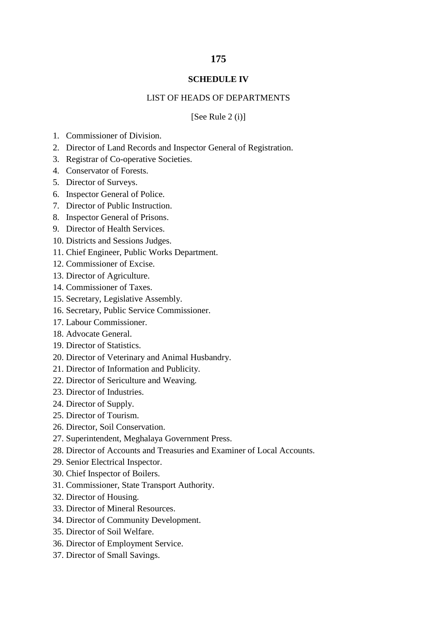### **SCHEDULE IV**

#### LIST OF HEADS OF DEPARTMENTS

[See Rule  $2(i)$ ]

- 1. Commissioner of Division.
- 2. Director of Land Records and Inspector General of Registration.
- 3. Registrar of Co-operative Societies.
- 4. Conservator of Forests.
- 5. Director of Surveys.
- 6. Inspector General of Police.
- 7. Director of Public Instruction.
- 8. Inspector General of Prisons.
- 9. Director of Health Services.
- 10. Districts and Sessions Judges.
- 11. Chief Engineer, Public Works Department.
- 12. Commissioner of Excise.
- 13. Director of Agriculture.
- 14. Commissioner of Taxes.
- 15. Secretary, Legislative Assembly.
- 16. Secretary, Public Service Commissioner.
- 17. Labour Commissioner.
- 18. Advocate General.
- 19. Director of Statistics.
- 20. Director of Veterinary and Animal Husbandry.
- 21. Director of Information and Publicity.
- 22. Director of Sericulture and Weaving.
- 23. Director of Industries.
- 24. Director of Supply.
- 25. Director of Tourism.
- 26. Director, Soil Conservation.
- 27. Superintendent, Meghalaya Government Press.
- 28. Director of Accounts and Treasuries and Examiner of Local Accounts.
- 29. Senior Electrical Inspector.
- 30. Chief Inspector of Boilers.
- 31. Commissioner, State Transport Authority.
- 32. Director of Housing.
- 33. Director of Mineral Resources.
- 34. Director of Community Development.
- 35. Director of Soil Welfare.
- 36. Director of Employment Service.
- 37. Director of Small Savings.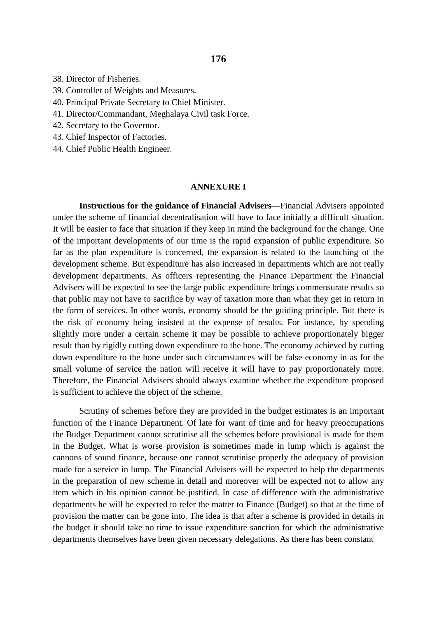38. Director of Fisheries.

- 39. Controller of Weights and Measures.
- 40. Principal Private Secretary to Chief Minister.
- 41. Director/Commandant, Meghalaya Civil task Force.
- 42. Secretary to the Governor.
- 43. Chief Inspector of Factories.
- 44. Chief Public Health Engineer.

#### **ANNEXURE I**

**Instructions for the guidance of Financial Advisers**—Financial Advisers appointed under the scheme of financial decentralisation will have to face initially a difficult situation. It will be easier to face that situation if they keep in mind the background for the change. One of the important developments of our time is the rapid expansion of public expenditure. So far as the plan expenditure is concerned, the expansion is related to the launching of the development scheme. But expenditure has also increased in departments which are not really development departments. As officers representing the Finance Department the Financial Advisers will be expected to see the large public expenditure brings commensurate results so that public may not have to sacrifice by way of taxation more than what they get in return in the form of services. In other words, economy should be the guiding principle. But there is the risk of economy being insisted at the expense of results. For instance, by spending slightly more under a certain scheme it may be possible to achieve proportionately bigger result than by rigidly cutting down expenditure to the bone. The economy achieved by cutting down expenditure to the bone under such circumstances will be false economy in as for the small volume of service the nation will receive it will have to pay proportionately more. Therefore, the Financial Advisers should always examine whether the expenditure proposed is sufficient to achieve the object of the scheme.

Scrutiny of schemes before they are provided in the budget estimates is an important function of the Finance Department. Of late for want of time and for heavy preoccupations the Budget Department cannot scrutinise all the schemes before provisional is made for them in the Budget. What is worse provision is sometimes made in lump which is against the cannons of sound finance, because one cannot scrutinise properly the adequacy of provision made for a service in lump. The Financial Advisers will be expected to help the departments in the preparation of new scheme in detail and moreover will be expected not to allow any item which in his opinion cannot be justified. In case of difference with the administrative departments he will be expected to refer the matter to Finance (Budget) so that at the time of provision the matter can be gone into. The idea is that after a scheme is provided in details in the budget it should take no time to issue expenditure sanction for which the administrative departments themselves have been given necessary delegations. As there has been constant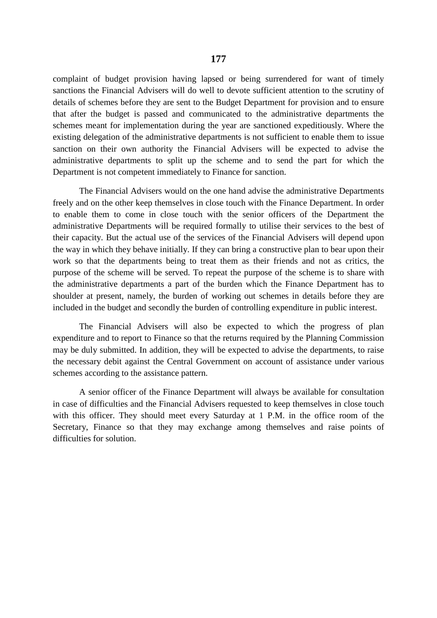complaint of budget provision having lapsed or being surrendered for want of timely sanctions the Financial Advisers will do well to devote sufficient attention to the scrutiny of details of schemes before they are sent to the Budget Department for provision and to ensure that after the budget is passed and communicated to the administrative departments the schemes meant for implementation during the year are sanctioned expeditiously. Where the existing delegation of the administrative departments is not sufficient to enable them to issue sanction on their own authority the Financial Advisers will be expected to advise the administrative departments to split up the scheme and to send the part for which the Department is not competent immediately to Finance for sanction.

The Financial Advisers would on the one hand advise the administrative Departments freely and on the other keep themselves in close touch with the Finance Department. In order to enable them to come in close touch with the senior officers of the Department the administrative Departments will be required formally to utilise their services to the best of their capacity. But the actual use of the services of the Financial Advisers will depend upon the way in which they behave initially. If they can bring a constructive plan to bear upon their work so that the departments being to treat them as their friends and not as critics, the purpose of the scheme will be served. To repeat the purpose of the scheme is to share with the administrative departments a part of the burden which the Finance Department has to shoulder at present, namely, the burden of working out schemes in details before they are included in the budget and secondly the burden of controlling expenditure in public interest.

The Financial Advisers will also be expected to which the progress of plan expenditure and to report to Finance so that the returns required by the Planning Commission may be duly submitted. In addition, they will be expected to advise the departments, to raise the necessary debit against the Central Government on account of assistance under various schemes according to the assistance pattern.

A senior officer of the Finance Department will always be available for consultation in case of difficulties and the Financial Advisers requested to keep themselves in close touch with this officer. They should meet every Saturday at 1 P.M. in the office room of the Secretary, Finance so that they may exchange among themselves and raise points of difficulties for solution.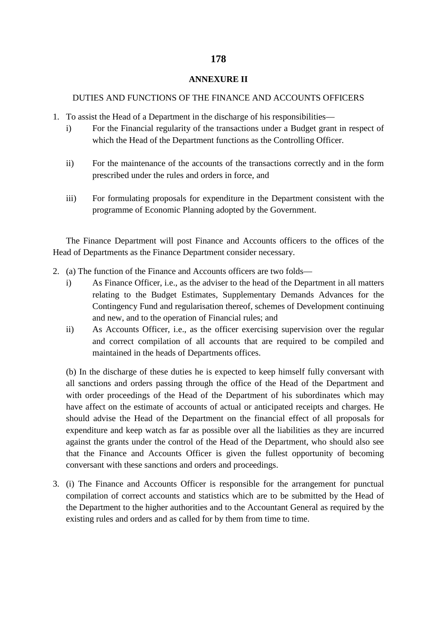### **ANNEXURE II**

### DUTIES AND FUNCTIONS OF THE FINANCE AND ACCOUNTS OFFICERS

- 1. To assist the Head of a Department in the discharge of his responsibilities
	- i) For the Financial regularity of the transactions under a Budget grant in respect of which the Head of the Department functions as the Controlling Officer.
	- ii) For the maintenance of the accounts of the transactions correctly and in the form prescribed under the rules and orders in force, and
	- iii) For formulating proposals for expenditure in the Department consistent with the programme of Economic Planning adopted by the Government.

The Finance Department will post Finance and Accounts officers to the offices of the Head of Departments as the Finance Department consider necessary.

- 2. (a) The function of the Finance and Accounts officers are two folds
	- i) As Finance Officer, i.e., as the adviser to the head of the Department in all matters relating to the Budget Estimates, Supplementary Demands Advances for the Contingency Fund and regularisation thereof, schemes of Development continuing and new, and to the operation of Financial rules; and
	- ii) As Accounts Officer, i.e., as the officer exercising supervision over the regular and correct compilation of all accounts that are required to be compiled and maintained in the heads of Departments offices.

(b) In the discharge of these duties he is expected to keep himself fully conversant with all sanctions and orders passing through the office of the Head of the Department and with order proceedings of the Head of the Department of his subordinates which may have affect on the estimate of accounts of actual or anticipated receipts and charges. He should advise the Head of the Department on the financial effect of all proposals for expenditure and keep watch as far as possible over all the liabilities as they are incurred against the grants under the control of the Head of the Department, who should also see that the Finance and Accounts Officer is given the fullest opportunity of becoming conversant with these sanctions and orders and proceedings.

3. (i) The Finance and Accounts Officer is responsible for the arrangement for punctual compilation of correct accounts and statistics which are to be submitted by the Head of the Department to the higher authorities and to the Accountant General as required by the existing rules and orders and as called for by them from time to time.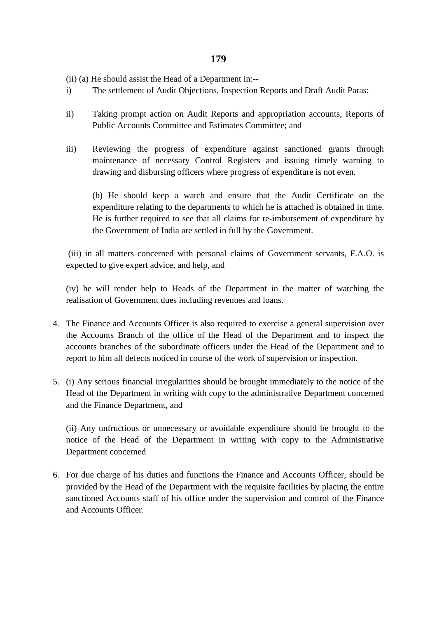(ii) (a) He should assist the Head of a Department in:--

- i) The settlement of Audit Objections, Inspection Reports and Draft Audit Paras;
- ii) Taking prompt action on Audit Reports and appropriation accounts, Reports of Public Accounts Committee and Estimates Committee; and
- iii) Reviewing the progress of expenditure against sanctioned grants through maintenance of necessary Control Registers and issuing timely warning to drawing and disbursing officers where progress of expenditure is not even.

(b) He should keep a watch and ensure that the Audit Certificate on the expenditure relating to the departments to which he is attached is obtained in time. He is further required to see that all claims for re-imbursement of expenditure by the Government of India are settled in full by the Government.

(iii) in all matters concerned with personal claims of Government servants, F.A.O. is expected to give expert advice, and help, and

(iv) he will render help to Heads of the Department in the matter of watching the realisation of Government dues including revenues and loans.

- 4. The Finance and Accounts Officer is also required to exercise a general supervision over the Accounts Branch of the office of the Head of the Department and to inspect the accounts branches of the subordinate officers under the Head of the Department and to report to him all defects noticed in course of the work of supervision or inspection.
- 5. (i) Any serious financial irregularities should be brought immediately to the notice of the Head of the Department in writing with copy to the administrative Department concerned and the Finance Department, and

(ii) Any unfructious or unnecessary or avoidable expenditure should be brought to the notice of the Head of the Department in writing with copy to the Administrative Department concerned

6. For due charge of his duties and functions the Finance and Accounts Officer, should be provided by the Head of the Department with the requisite facilities by placing the entire sanctioned Accounts staff of his office under the supervision and control of the Finance and Accounts Officer.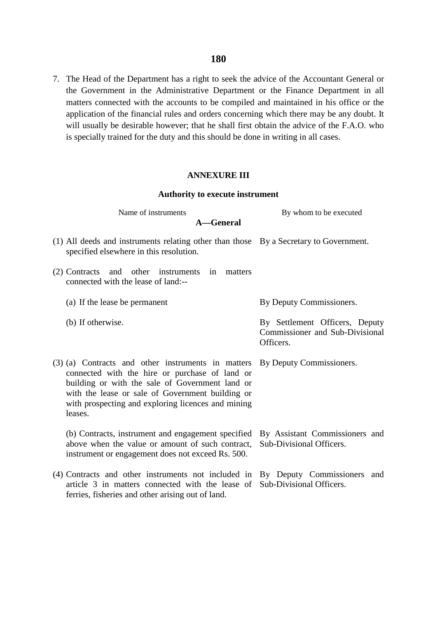7. The Head of the Department has a right to seek the advice of the Accountant General or the Government in the Administrative Department or the Finance Department in all matters connected with the accounts to be compiled and maintained in his office or the application of the financial rules and orders concerning which there may be any doubt. It will usually be desirable however; that he shall first obtain the advice of the F.A.O. who is specially trained for the duty and this should be done in writing in all cases.

### **ANNEXURE III**

#### **Authority to execute instrument**

Name of instruments By whom to be executed

- (1) All deeds and instruments relating other than those By a Secretary to Government. specified elsewhere in this resolution.
- (2) Contracts and other instruments in matters connected with the lease of land:--
	- (a) If the lease be permanent By Deputy Commissioners.
	- (b) If otherwise.

By Settlement Officers, Deputy Commissioner and Sub-Divisional Officers.

(3) (a) Contracts and other instruments in matters By Deputy Commissioners. connected with the hire or purchase of land or building or with the sale of Government land or with the lease or sale of Government building or with prospecting and exploring licences and mining leases.

(b) Contracts, instrument and engagement specified above when the value or amount of such contract, instrument or engagement does not exceed Rs. 500. By Assistant Commissioners and Sub-Divisional Officers.

(4) Contracts and other instruments not included in By Deputy Commissioners and article 3 in matters connected with the lease of Sub-Divisional Officers.ferries, fisheries and other arising out of land.

**A—General**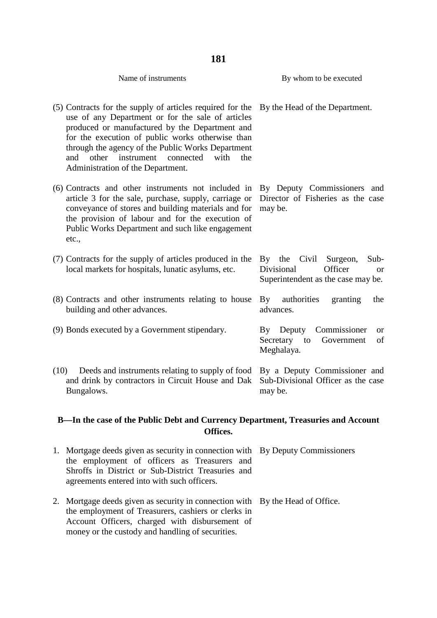| 181                                                                                                                                                                                                                                                                                                                                                                      |                                                                                                          |  |  |  |
|--------------------------------------------------------------------------------------------------------------------------------------------------------------------------------------------------------------------------------------------------------------------------------------------------------------------------------------------------------------------------|----------------------------------------------------------------------------------------------------------|--|--|--|
| Name of instruments                                                                                                                                                                                                                                                                                                                                                      | By whom to be executed                                                                                   |  |  |  |
| (5) Contracts for the supply of articles required for the<br>use of any Department or for the sale of articles<br>produced or manufactured by the Department and<br>for the execution of public works otherwise than<br>through the agency of the Public Works Department<br>other<br>instrument<br>with<br>the<br>and<br>connected<br>Administration of the Department. | By the Head of the Department.                                                                           |  |  |  |
| (6) Contracts and other instruments not included in<br>article 3 for the sale, purchase, supply, carriage or<br>conveyance of stores and building materials and for<br>the provision of labour and for the execution of<br>Public Works Department and such like engagement<br>etc.,                                                                                     | By Deputy Commissioners and<br>Director of Fisheries as the case<br>may be.                              |  |  |  |
| (7) Contracts for the supply of articles produced in the<br>local markets for hospitals, lunatic asylums, etc.                                                                                                                                                                                                                                                           | By the<br>Civil<br>Surgeon,<br>Sub-<br>Divisional<br>Officer<br>or<br>Superintendent as the case may be. |  |  |  |
| (8) Contracts and other instruments relating to house<br>building and other advances.                                                                                                                                                                                                                                                                                    | authorities<br>$\mathbf{B}\mathbf{v}$<br>granting<br>the<br>advances.                                    |  |  |  |
| (9) Bonds executed by a Government stipendary.                                                                                                                                                                                                                                                                                                                           | Commissioner<br>Deputy<br>By<br>or<br>Secretary to<br>of<br>Government<br>Meghalaya.                     |  |  |  |
| (10)<br>Deeds and instruments relating to supply of food<br>and drink by contractors in Circuit House and Dak<br>Bungalows.                                                                                                                                                                                                                                              | By a Deputy Commissioner and<br>Sub-Divisional Officer as the case<br>may be.                            |  |  |  |

## **B—In the case of the Public Debt and Currency Department, Treasuries and Account Offices.**

| 1. Mortgage deeds given as security in connection with By Deputy Commissioners<br>the employment of officers as Treasurers and<br>Shroffs in District or Sub-District Treasuries and<br>agreements entered into with such officers.        |  |
|--------------------------------------------------------------------------------------------------------------------------------------------------------------------------------------------------------------------------------------------|--|
| 2. Mortgage deeds given as security in connection with By the Head of Office.<br>the employment of Treasurers, cashiers or clerks in<br>Account Officers, charged with disbursement of<br>money or the custody and handling of securities. |  |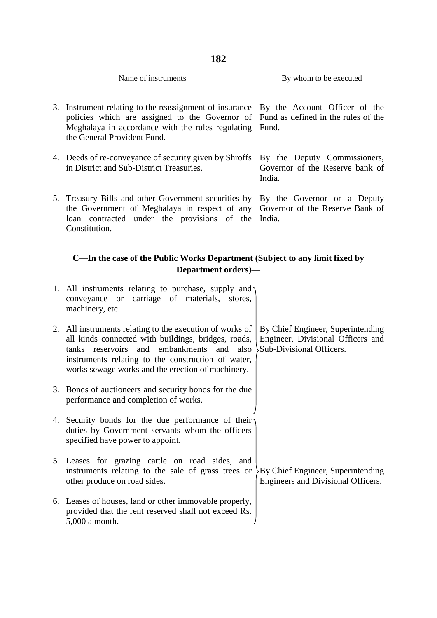| Name of instruments | By whom to be executed |
|---------------------|------------------------|

- 3. Instrument relating to the reassignment of insurance By the Account Officer of the policies which are assigned to the Governor of Fund as defined in the rules of the Meghalaya in accordance with the rules regulating Fund. the General Provident Fund.
- 4. Deeds of re-conveyance of security given by Shroffs By the Deputy Commissioners, in District and Sub-District Treasuries. Governor of the Reserve bank of
- 5. Treasury Bills and other Government securities by By the Governor or a Deputy the Government of Meghalaya in respect of any Governor of the Reserve Bank of loan contracted under the provisions of the India. Constitution.

India.

### **C—In the case of the Public Works Department (Subject to any limit fixed by Department orders)—**

| 1. All instruments relating to purchase, supply and $\eta$<br>conveyance or carriage of materials, stores,<br>machinery, etc.                                                                                                                                           |                                                                                                    |
|-------------------------------------------------------------------------------------------------------------------------------------------------------------------------------------------------------------------------------------------------------------------------|----------------------------------------------------------------------------------------------------|
| 2. All instruments relating to the execution of works of<br>all kinds connected with buildings, bridges, roads,<br>tanks reservoirs and embankments and also<br>instruments relating to the construction of water,<br>works sewage works and the erection of machinery. | By Chief Engineer, Superintending<br>Engineer, Divisional Officers and<br>Sub-Divisional Officers. |
| 3. Bonds of auctioneers and security bonds for the due<br>performance and completion of works.                                                                                                                                                                          |                                                                                                    |
| 4. Security bonds for the due performance of their<br>duties by Government servants whom the officers<br>specified have power to appoint.                                                                                                                               |                                                                                                    |
| 5. Leases for grazing cattle on road sides, and<br>instruments relating to the sale of grass trees or<br>other produce on road sides.                                                                                                                                   | By Chief Engineer, Superintending<br>Engineers and Divisional Officers.                            |
| 6. Leases of houses, land or other immovable properly,<br>provided that the rent reserved shall not exceed Rs.<br>5,000 a month.                                                                                                                                        |                                                                                                    |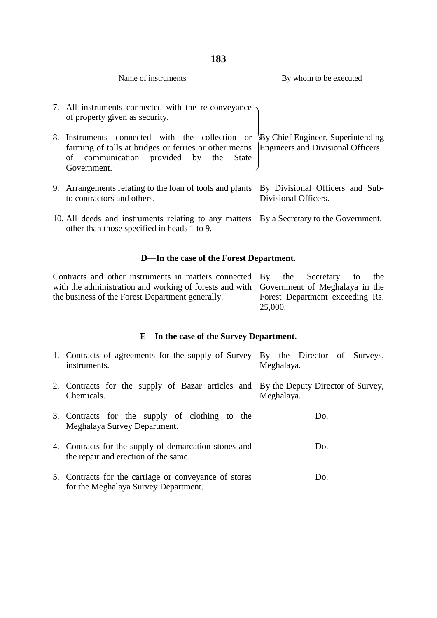| Name of instruments                                                                                                                                                                                     | By whom to be executed                                  |
|---------------------------------------------------------------------------------------------------------------------------------------------------------------------------------------------------------|---------------------------------------------------------|
| 7. All instruments connected with the re-conveyance<br>of property given as security.                                                                                                                   |                                                         |
| 8. Instruments connected with the collection or<br>farming of tolls at bridges or ferries or other means Engineers and Divisional Officers.<br>communication provided by the State<br>οf<br>Government. | By Chief Engineer, Superintending                       |
| 9. Arrangements relating to the loan of tools and plants<br>to contractors and others.                                                                                                                  | By Divisional Officers and Sub-<br>Divisional Officers. |
| 10. All deeds and instruments relating to any matters By a Secretary to the Government.<br>other than those specified in heads 1 to 9.                                                                  |                                                         |

## **D—In the case of the Forest Department.**

| Contracts and other instruments in matters connected By                                |         | the Secretary | to                              | the |
|----------------------------------------------------------------------------------------|---------|---------------|---------------------------------|-----|
| with the administration and working of forests and with Government of Meghalaya in the |         |               |                                 |     |
| the business of the Forest Department generally.                                       |         |               | Forest Department exceeding Rs. |     |
|                                                                                        | 25,000. |               |                                 |     |

# **E—In the case of the Survey Department.**

| 1. Contracts of agreements for the supply of Survey By the Director of Surveys,<br>instruments.   | Meghalaya. |
|---------------------------------------------------------------------------------------------------|------------|
| 2. Contracts for the supply of Bazar articles and By the Deputy Director of Survey,<br>Chemicals. | Meghalaya. |
| 3. Contracts for the supply of clothing to the<br>Meghalaya Survey Department.                    | Do.        |
| 4. Contracts for the supply of demarcation stones and<br>the repair and erection of the same.     | Do.        |
| 5. Contracts for the carriage or conveyance of stores<br>for the Meghalaya Survey Department.     | Do.        |

## **183**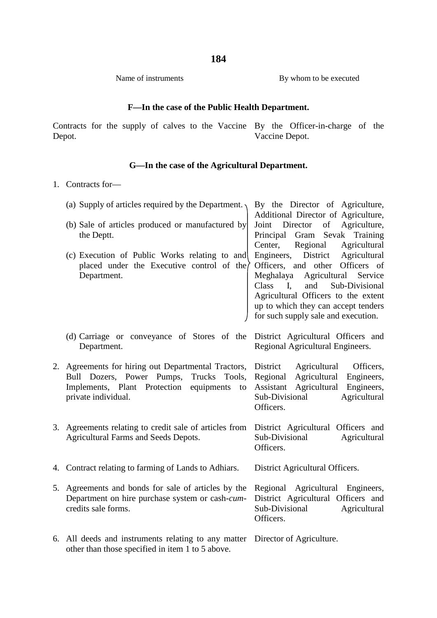Name of instruments By whom to be executed

## **F—In the case of the Public Health Department.**

Contracts for the supply of calves to the Vaccine By the Officer-in-charge of the Depot. Vaccine Depot.

## **G—In the case of the Agricultural Department.**

1. Contracts for—

|    | (a) Supply of articles required by the Department.                                                                                                                           | By the Director of Agriculture,<br>Additional Director of Agriculture,                                                                                                                                                                                                             |
|----|------------------------------------------------------------------------------------------------------------------------------------------------------------------------------|------------------------------------------------------------------------------------------------------------------------------------------------------------------------------------------------------------------------------------------------------------------------------------|
|    | (b) Sale of articles produced or manufactured by<br>the Deptt.                                                                                                               | Director<br>of Agriculture,<br>Joint<br>Principal<br>Gram Sevak Training<br>Regional<br>Center,<br>Agricultural                                                                                                                                                                    |
|    | (c) Execution of Public Works relating to and<br>placed under the Executive control of the $\rangle$<br>Department.                                                          | District Agricultural<br>Engineers,<br>Officers, and other Officers of<br>Meghalaya Agricultural<br>Service<br>Sub-Divisional<br>Class<br>$\mathbf{I}$<br>and<br>Agricultural Officers to the extent<br>up to which they can accept tenders<br>for such supply sale and execution. |
|    | (d) Carriage or conveyance of Stores of the District Agricultural Officers and<br>Department.                                                                                | Regional Agricultural Engineers.                                                                                                                                                                                                                                                   |
| 2. | Agreements for hiring out Departmental Tractors, District<br>Bull Dozers, Power Pumps, Trucks Tools,<br>Implements, Plant Protection equipments<br>to<br>private individual. | Agricultural<br>Officers,<br>Agricultural<br>Regional<br>Engineers,<br>Agricultural<br>Assistant<br>Engineers,<br>Sub-Divisional<br>Agricultural<br>Officers.                                                                                                                      |
| 3. | Agreements relating to credit sale of articles from District Agricultural Officers and<br><b>Agricultural Farms and Seeds Depots.</b>                                        | Sub-Divisional<br>Agricultural<br>Officers.                                                                                                                                                                                                                                        |
|    | 4. Contract relating to farming of Lands to Adhiars.                                                                                                                         | District Agricultural Officers.                                                                                                                                                                                                                                                    |
| 5. | Agreements and bonds for sale of articles by the<br>Department on hire purchase system or cash-cum-<br>credits sale forms.                                                   | Regional Agricultural Engineers,<br>District Agricultural Officers and<br>Sub-Divisional<br>Agricultural<br>Officers.                                                                                                                                                              |
|    | 6. All deeds and instruments relating to any matter Director of Agriculture.<br>other than those specified in item 1 to 5 above.                                             |                                                                                                                                                                                                                                                                                    |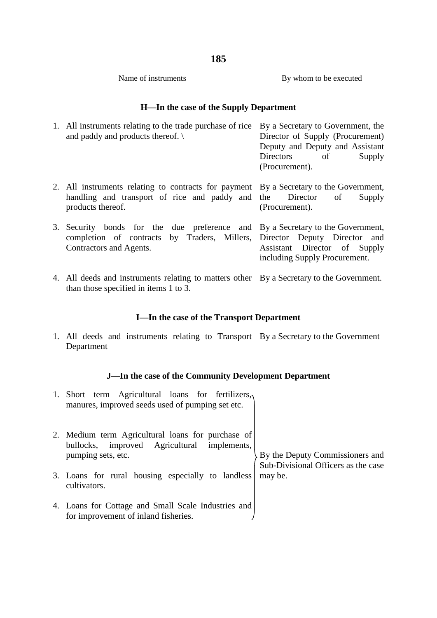Name of instruments By whom to be executed

## **H—In the case of the Supply Department**

| 1. All instruments relating to the trade purchase of rice<br>and paddy and products thereof. $\setminus$                                                                               | By a Secretary to Government, the<br>Director of Supply (Procurement)<br>Deputy and Deputy and Assistant<br>Directors<br>of<br>Supply<br>(Procurement). |
|----------------------------------------------------------------------------------------------------------------------------------------------------------------------------------------|---------------------------------------------------------------------------------------------------------------------------------------------------------|
| 2. All instruments relating to contracts for payment By a Secretary to the Government,<br>handling and transport of rice and paddy and the Director<br>products thereof.               | of<br>Supply<br>(Procurement).                                                                                                                          |
| 3. Security bonds for the due preference and By a Secretary to the Government,<br>completion of contracts by Traders, Millers, Director Deputy Director and<br>Contractors and Agents. | Assistant Director of Supply<br>including Supply Procurement.                                                                                           |
|                                                                                                                                                                                        |                                                                                                                                                         |

4. All deeds and instruments relating to matters other By a Secretary to the Government. than those specified in items 1 to 3.

## **I—In the case of the Transport Department**

1. All deeds and instruments relating to Transport By a Secretary to the Government Department

## **J—In the case of the Community Development Department**

| 1. | Short term Agricultural loans for fertilizers,<br>manures, improved seeds used of pumping set etc.                     |                                                                        |
|----|------------------------------------------------------------------------------------------------------------------------|------------------------------------------------------------------------|
|    | 2. Medium term Agricultural loans for purchase of<br>bullocks, improved Agricultural implements,<br>pumping sets, etc. | By the Deputy Commissioners and<br>Sub-Divisional Officers as the case |
|    | 3. Loans for rural housing especially to landless<br>cultivators.                                                      | may be.                                                                |
|    | 4. Loans for Cottage and Small Scale Industries and<br>for improvement of inland fisheries.                            |                                                                        |